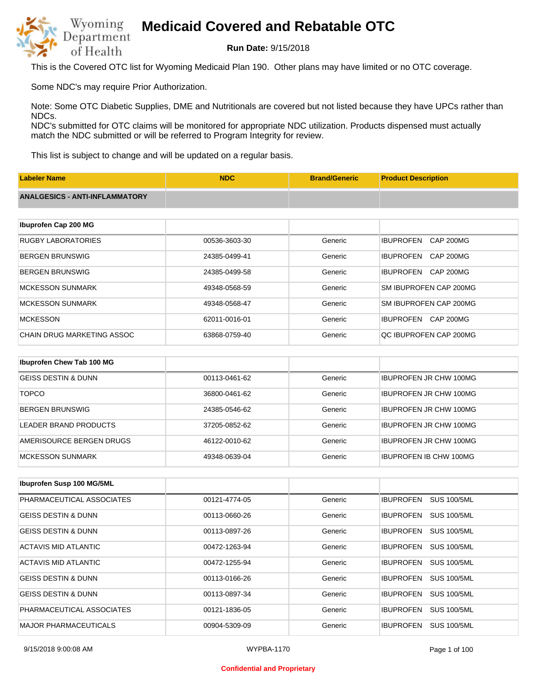

**Run Date:** 9/15/2018

This is the Covered OTC list for Wyoming Medicaid Plan 190. Other plans may have limited or no OTC coverage.

Some NDC's may require Prior Authorization.

Note: Some OTC Diabetic Supplies, DME and Nutritionals are covered but not listed because they have UPCs rather than NDCs.

NDC's submitted for OTC claims will be monitored for appropriate NDC utilization. Products dispensed must actually match the NDC submitted or will be referred to Program Integrity for review.

This list is subject to change and will be updated on a regular basis.

| <b>Labeler Name</b>                   | <b>NDC</b>    | <b>Brand/Generic</b> | <b>Product Description</b>           |
|---------------------------------------|---------------|----------------------|--------------------------------------|
| <b>ANALGESICS - ANTI-INFLAMMATORY</b> |               |                      |                                      |
|                                       |               |                      |                                      |
| Ibuprofen Cap 200 MG                  |               |                      |                                      |
| <b>RUGBY LABORATORIES</b>             | 00536-3603-30 | Generic              | <b>IBUPROFEN</b><br><b>CAP 200MG</b> |
| <b>BERGEN BRUNSWIG</b>                | 24385-0499-41 | Generic              | <b>IBUPROFEN</b><br>CAP 200MG        |
| <b>BERGEN BRUNSWIG</b>                | 24385-0499-58 | Generic              | <b>IBUPROFEN</b><br><b>CAP 200MG</b> |
| <b>MCKESSON SUNMARK</b>               | 49348-0568-59 | Generic              | SM IBUPROFEN CAP 200MG               |
| <b>MCKESSON SUNMARK</b>               | 49348-0568-47 | Generic              | SM IBUPROFEN CAP 200MG               |
| <b>MCKESSON</b>                       | 62011-0016-01 | Generic              | <b>CAP 200MG</b><br><b>IBUPROFEN</b> |
| CHAIN DRUG MARKETING ASSOC            | 63868-0759-40 | Generic              | QC IBUPROFEN CAP 200MG               |
|                                       |               |                      |                                      |
| Ibuprofen Chew Tab 100 MG             |               |                      |                                      |
| <b>GEISS DESTIN &amp; DUNN</b>        | 00113-0461-62 | Generic              | <b>IBUPROFEN JR CHW 100MG</b>        |
| <b>TOPCO</b>                          | 36800-0461-62 | Generic              | <b>IBUPROFEN JR CHW 100MG</b>        |

| BERGEN BRUNSWIG          | 24385-0546-62 | Generic | IBUPROFEN JR CHW 100MG        |
|--------------------------|---------------|---------|-------------------------------|
| LEADER BRAND PRODUCTS    | 37205-0852-62 | Generic | <b>IBUPROFEN JR CHW 100MG</b> |
| AMERISOURCE BERGEN DRUGS | 46122-0010-62 | Generic | <b>IBUPROFEN JR CHW 100MG</b> |
| IMCKESSON SUNMARK        | 49348-0639-04 | Generic | IBUPROFEN IB CHW 100MG        |

| <b>Ibuprofen Susp 100 MG/5ML</b> |               |         |                                        |
|----------------------------------|---------------|---------|----------------------------------------|
| PHARMACEUTICAL ASSOCIATES        | 00121-4774-05 | Generic | <b>SUS 100/5ML</b><br><b>IBUPROFEN</b> |
| <b>GEISS DESTIN &amp; DUNN</b>   | 00113-0660-26 | Generic | <b>SUS 100/5ML</b><br><b>IBUPROFEN</b> |
| <b>GEISS DESTIN &amp; DUNN</b>   | 00113-0897-26 | Generic | <b>IBUPROFEN</b><br><b>SUS 100/5ML</b> |
| ACTAVIS MID ATLANTIC             | 00472-1263-94 | Generic | <b>SUS 100/5ML</b><br><b>IBUPROFEN</b> |
| ACTAVIS MID ATLANTIC             | 00472-1255-94 | Generic | <b>SUS 100/5ML</b><br><b>IBUPROFEN</b> |
| <b>GEISS DESTIN &amp; DUNN</b>   | 00113-0166-26 | Generic | <b>SUS 100/5ML</b><br><b>IBUPROFEN</b> |
| <b>GEISS DESTIN &amp; DUNN</b>   | 00113-0897-34 | Generic | <b>IBUPROFEN</b><br><b>SUS 100/5ML</b> |
| PHARMACEUTICAL ASSOCIATES        | 00121-1836-05 | Generic | <b>IBUPROFEN</b><br><b>SUS 100/5ML</b> |
| <b>MAJOR PHARMACEUTICALS</b>     | 00904-5309-09 | Generic | <b>IBUPROFEN</b><br><b>SUS 100/5ML</b> |

#### **Confidential and Proprietary**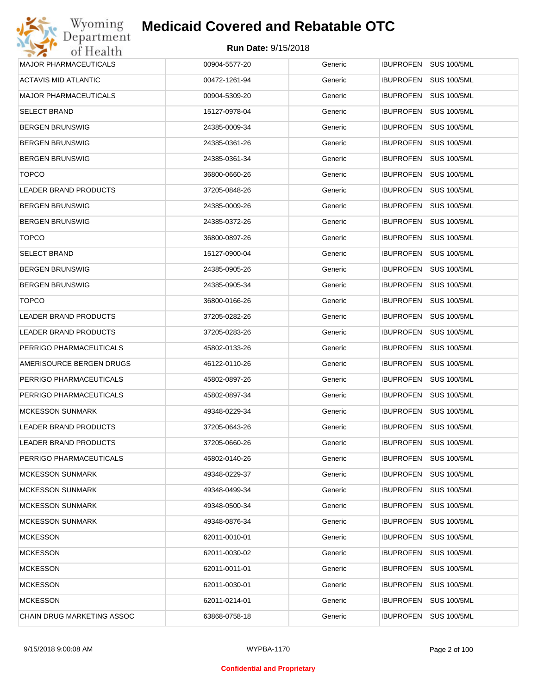| Wyoming                      | <b>Medicaid Covered and Rebatable OTC</b> |         |                                        |
|------------------------------|-------------------------------------------|---------|----------------------------------------|
| Department<br>of Health      | Run Date: 9/15/2018                       |         |                                        |
| <b>MAJOR PHARMACEUTICALS</b> | 00904-5577-20                             | Generic | IBUPROFEN SUS 100/5ML                  |
| ACTAVIS MID ATLANTIC         | 00472-1261-94                             | Generic | <b>IBUPROFEN</b><br><b>SUS 100/5ML</b> |
| <b>MAJOR PHARMACEUTICALS</b> | 00904-5309-20                             | Generic | <b>SUS 100/5ML</b><br><b>IBUPROFEN</b> |
| <b>SELECT BRAND</b>          | 15127-0978-04                             | Generic | <b>IBUPROFEN</b><br><b>SUS 100/5ML</b> |
| <b>BERGEN BRUNSWIG</b>       | 24385-0009-34                             | Generic | <b>IBUPROFEN</b><br><b>SUS 100/5ML</b> |
| <b>BERGEN BRUNSWIG</b>       | 24385-0361-26                             | Generic | <b>IBUPROFEN</b><br><b>SUS 100/5ML</b> |
| <b>BERGEN BRUNSWIG</b>       | 24385-0361-34                             | Generic | <b>IBUPROFEN</b><br><b>SUS 100/5ML</b> |
| <b>TOPCO</b>                 | 36800-0660-26                             | Generic | <b>IBUPROFEN</b><br><b>SUS 100/5ML</b> |
| LEADER BRAND PRODUCTS        | 37205-0848-26                             | Generic | <b>IBUPROFEN</b><br><b>SUS 100/5ML</b> |
| <b>BERGEN BRUNSWIG</b>       | 24385-0009-26                             | Generic | <b>IBUPROFEN</b><br><b>SUS 100/5ML</b> |
| <b>BERGEN BRUNSWIG</b>       | 24385-0372-26                             | Generic | <b>IBUPROFEN</b><br><b>SUS 100/5ML</b> |
| <b>TOPCO</b>                 | 36800-0897-26                             | Generic | <b>IBUPROFEN</b><br><b>SUS 100/5ML</b> |
| <b>SELECT BRAND</b>          | 15127-0900-04                             | Generic | <b>IBUPROFEN</b><br><b>SUS 100/5ML</b> |
| <b>BERGEN BRUNSWIG</b>       | 24385-0905-26                             | Generic | <b>IBUPROFEN</b><br><b>SUS 100/5ML</b> |
| <b>BERGEN BRUNSWIG</b>       | 24385-0905-34                             | Generic | <b>IBUPROFEN</b><br><b>SUS 100/5ML</b> |
| <b>TOPCO</b>                 | 36800-0166-26                             | Generic | <b>IBUPROFEN</b><br><b>SUS 100/5ML</b> |
| <b>LEADER BRAND PRODUCTS</b> | 37205-0282-26                             | Generic | <b>IBUPROFEN</b><br><b>SUS 100/5ML</b> |
| LEADER BRAND PRODUCTS        | 37205-0283-26                             | Generic | <b>IBUPROFEN</b><br><b>SUS 100/5ML</b> |
| PERRIGO PHARMACEUTICALS      | 45802-0133-26                             | Generic | <b>IBUPROFEN</b><br><b>SUS 100/5ML</b> |
| AMERISOURCE BERGEN DRUGS     | 46122-0110-26                             | Generic | <b>IBUPROFEN</b><br><b>SUS 100/5ML</b> |
| PERRIGO PHARMACEUTICALS      | 45802-0897-26                             | Generic | <b>IBUPROFEN</b><br><b>SUS 100/5ML</b> |
| PERRIGO PHARMACEUTICALS      | 45802-0897-34                             | Generic | IBUPROFEN SUS 100/5ML                  |
| <b>MCKESSON SUNMARK</b>      | 49348-0229-34                             | Generic | <b>IBUPROFEN SUS 100/5ML</b>           |
| LEADER BRAND PRODUCTS        | 37205-0643-26                             | Generic | <b>IBUPROFEN</b><br><b>SUS 100/5ML</b> |
| LEADER BRAND PRODUCTS        | 37205-0660-26                             | Generic | <b>IBUPROFEN</b><br><b>SUS 100/5ML</b> |
| PERRIGO PHARMACEUTICALS      | 45802-0140-26                             | Generic | <b>SUS 100/5ML</b><br><b>IBUPROFEN</b> |
| <b>MCKESSON SUNMARK</b>      | 49348-0229-37                             | Generic | <b>SUS 100/5ML</b><br><b>IBUPROFEN</b> |
| <b>MCKESSON SUNMARK</b>      | 49348-0499-34                             | Generic | <b>SUS 100/5ML</b><br><b>IBUPROFEN</b> |
| <b>MCKESSON SUNMARK</b>      | 49348-0500-34                             | Generic | <b>IBUPROFEN</b><br><b>SUS 100/5ML</b> |
| <b>MCKESSON SUNMARK</b>      | 49348-0876-34                             | Generic | <b>SUS 100/5ML</b><br><b>IBUPROFEN</b> |
| <b>MCKESSON</b>              | 62011-0010-01                             | Generic | <b>IBUPROFEN</b><br><b>SUS 100/5ML</b> |
| <b>MCKESSON</b>              | 62011-0030-02                             | Generic | <b>SUS 100/5ML</b><br><b>IBUPROFEN</b> |
| <b>MCKESSON</b>              | 62011-0011-01                             | Generic | <b>IBUPROFEN</b><br><b>SUS 100/5ML</b> |
| <b>MCKESSON</b>              | 62011-0030-01                             | Generic | <b>IBUPROFEN</b><br><b>SUS 100/5ML</b> |
| <b>MCKESSON</b>              | 62011-0214-01                             | Generic | <b>SUS 100/5ML</b><br><b>IBUPROFEN</b> |
| CHAIN DRUG MARKETING ASSOC   | 63868-0758-18                             | Generic | <b>SUS 100/5ML</b><br><b>IBUPROFEN</b> |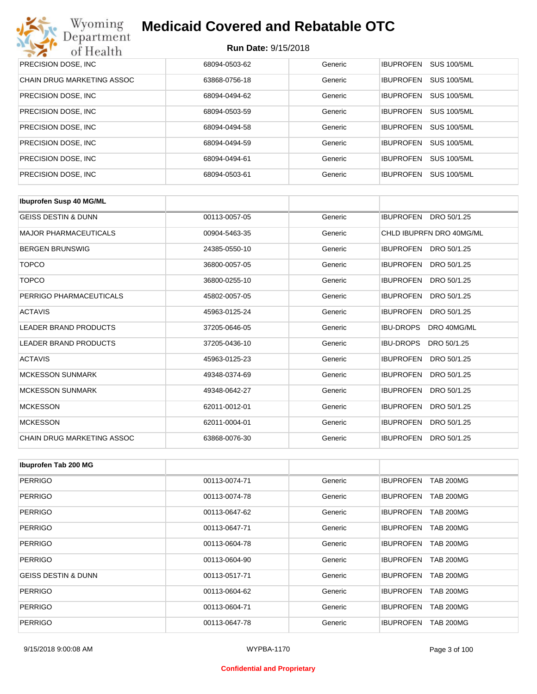| Wyoming<br><b>Medicaid Covered and Rebatable OTC</b><br>Department |                            |         |                  |                    |  |
|--------------------------------------------------------------------|----------------------------|---------|------------------|--------------------|--|
| of Health                                                          | <b>Run Date: 9/15/2018</b> |         |                  |                    |  |
| PRECISION DOSE, INC.                                               | 68094-0503-62              | Generic | <b>IBUPROFEN</b> | <b>SUS 100/5ML</b> |  |
| CHAIN DRUG MARKETING ASSOC                                         | 63868-0756-18              | Generic | <b>IBUPROFEN</b> | <b>SUS 100/5ML</b> |  |
| PRECISION DOSE, INC.                                               | 68094-0494-62              | Generic | <b>IBUPROFEN</b> | <b>SUS 100/5ML</b> |  |
| PRECISION DOSE, INC.                                               | 68094-0503-59              | Generic | <b>IBUPROFEN</b> | <b>SUS 100/5ML</b> |  |
| PRECISION DOSE, INC.                                               | 68094-0494-58              | Generic | <b>IBUPROFEN</b> | <b>SUS 100/5ML</b> |  |
| PRECISION DOSE, INC.                                               | 68094-0494-59              | Generic | <b>IBUPROFEN</b> | <b>SUS 100/5ML</b> |  |
| PRECISION DOSE, INC.                                               | 68094-0494-61              | Generic | <b>IBUPROFEN</b> | <b>SUS 100/5ML</b> |  |
| PRECISION DOSE, INC.                                               | 68094-0503-61              | Generic | <b>IBUPROFEN</b> | <b>SUS 100/5ML</b> |  |

| <b>Ibuprofen Susp 40 MG/ML</b>    |               |         |                                 |
|-----------------------------------|---------------|---------|---------------------------------|
| <b>GEISS DESTIN &amp; DUNN</b>    | 00113-0057-05 | Generic | <b>IBUPROFEN</b><br>DRO 50/1.25 |
| <b>MAJOR PHARMACEUTICALS</b>      | 00904-5463-35 | Generic | CHLD IBUPRFN DRO 40MG/ML        |
| <b>BERGEN BRUNSWIG</b>            | 24385-0550-10 | Generic | IBUPROFEN DRO 50/1.25           |
| <b>TOPCO</b>                      | 36800-0057-05 | Generic | <b>IBUPROFEN</b><br>DRO 50/1.25 |
| <b>TOPCO</b>                      | 36800-0255-10 | Generic | <b>IBUPROFEN</b><br>DRO 50/1.25 |
| PERRIGO PHARMACEUTICALS           | 45802-0057-05 | Generic | <b>IBUPROFEN</b><br>DRO 50/1.25 |
| <b>ACTAVIS</b>                    | 45963-0125-24 | Generic | <b>IBUPROFEN</b><br>DRO 50/1.25 |
| <b>LEADER BRAND PRODUCTS</b>      | 37205-0646-05 | Generic | <b>IBU-DROPS</b><br>DRO 40MG/ML |
| <b>LEADER BRAND PRODUCTS</b>      | 37205-0436-10 | Generic | <b>IBU-DROPS</b><br>DRO 50/1.25 |
| <b>ACTAVIS</b>                    | 45963-0125-23 | Generic | <b>IBUPROFEN</b><br>DRO 50/1.25 |
| <b>MCKESSON SUNMARK</b>           | 49348-0374-69 | Generic | <b>IBUPROFEN</b><br>DRO 50/1.25 |
| <b>MCKESSON SUNMARK</b>           | 49348-0642-27 | Generic | <b>IBUPROFEN</b><br>DRO 50/1.25 |
| <b>MCKESSON</b>                   | 62011-0012-01 | Generic | <b>IBUPROFEN</b><br>DRO 50/1.25 |
| <b>MCKESSON</b>                   | 62011-0004-01 | Generic | <b>IBUPROFEN</b><br>DRO 50/1.25 |
| <b>CHAIN DRUG MARKETING ASSOC</b> | 63868-0076-30 | Generic | <b>IBUPROFEN</b><br>DRO 50/1.25 |

| Ibuprofen Tab 200 MG           |               |         |                                      |
|--------------------------------|---------------|---------|--------------------------------------|
| <b>PERRIGO</b>                 | 00113-0074-71 | Generic | <b>IBUPROFEN</b><br><b>TAB 200MG</b> |
| <b>PERRIGO</b>                 | 00113-0074-78 | Generic | <b>TAB 200MG</b><br><b>IBUPROFEN</b> |
| <b>PERRIGO</b>                 | 00113-0647-62 | Generic | <b>IBUPROFEN</b><br><b>TAB 200MG</b> |
| <b>PERRIGO</b>                 | 00113-0647-71 | Generic | <b>TAB 200MG</b><br><b>IBUPROFEN</b> |
| <b>PERRIGO</b>                 | 00113-0604-78 | Generic | <b>IBUPROFEN</b><br><b>TAB 200MG</b> |
| <b>PERRIGO</b>                 | 00113-0604-90 | Generic | <b>IBUPROFEN</b><br><b>TAB 200MG</b> |
| <b>GEISS DESTIN &amp; DUNN</b> | 00113-0517-71 | Generic | <b>IBUPROFEN</b><br><b>TAB 200MG</b> |
| <b>PERRIGO</b>                 | 00113-0604-62 | Generic | <b>IBUPROFEN</b><br><b>TAB 200MG</b> |
| <b>PERRIGO</b>                 | 00113-0604-71 | Generic | <b>IBUPROFEN</b><br><b>TAB 200MG</b> |
| <b>PERRIGO</b>                 | 00113-0647-78 | Generic | <b>TAB 200MG</b><br><b>IBUPROFEN</b> |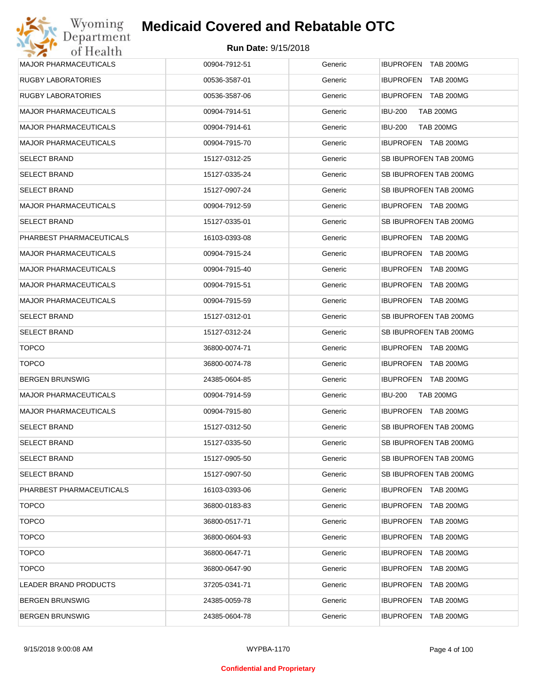| <b>MAJOR PHARMACEUTICALS</b> | 00904-7912-51 | Generic | IBUPROFEN TAB 200MG                  |
|------------------------------|---------------|---------|--------------------------------------|
| <b>RUGBY LABORATORIES</b>    | 00536-3587-01 | Generic | IBUPROFEN TAB 200MG                  |
| RUGBY LABORATORIES           | 00536-3587-06 | Generic | IBUPROFEN TAB 200MG                  |
| <b>MAJOR PHARMACEUTICALS</b> | 00904-7914-51 | Generic | IBU-200<br><b>TAB 200MG</b>          |
| <b>MAJOR PHARMACEUTICALS</b> | 00904-7914-61 | Generic | IBU-200<br><b>TAB 200MG</b>          |
| <b>MAJOR PHARMACEUTICALS</b> | 00904-7915-70 | Generic | IBUPROFEN TAB 200MG                  |
| <b>SELECT BRAND</b>          | 15127-0312-25 | Generic | SB IBUPROFEN TAB 200MG               |
| <b>SELECT BRAND</b>          | 15127-0335-24 | Generic | SB IBUPROFEN TAB 200MG               |
| <b>SELECT BRAND</b>          | 15127-0907-24 | Generic | SB IBUPROFEN TAB 200MG               |
| <b>MAJOR PHARMACEUTICALS</b> | 00904-7912-59 | Generic | <b>IBUPROFEN TAB 200MG</b>           |
| <b>SELECT BRAND</b>          | 15127-0335-01 | Generic | SB IBUPROFEN TAB 200MG               |
| PHARBEST PHARMACEUTICALS     | 16103-0393-08 | Generic | <b>IBUPROFEN TAB 200MG</b>           |
| <b>MAJOR PHARMACEUTICALS</b> | 00904-7915-24 | Generic | IBUPROFEN TAB 200MG                  |
| <b>MAJOR PHARMACEUTICALS</b> | 00904-7915-40 | Generic | IBUPROFEN TAB 200MG                  |
| <b>MAJOR PHARMACEUTICALS</b> | 00904-7915-51 | Generic | IBUPROFEN TAB 200MG                  |
| <b>MAJOR PHARMACEUTICALS</b> | 00904-7915-59 | Generic | IBUPROFEN TAB 200MG                  |
| <b>SELECT BRAND</b>          | 15127-0312-01 | Generic | SB IBUPROFEN TAB 200MG               |
| <b>SELECT BRAND</b>          | 15127-0312-24 | Generic | SB IBUPROFEN TAB 200MG               |
| <b>TOPCO</b>                 | 36800-0074-71 | Generic | <b>IBUPROFEN TAB 200MG</b>           |
| <b>TOPCO</b>                 | 36800-0074-78 | Generic | IBUPROFEN TAB 200MG                  |
| <b>BERGEN BRUNSWIG</b>       | 24385-0604-85 | Generic | IBUPROFEN TAB 200MG                  |
| <b>MAJOR PHARMACEUTICALS</b> | 00904-7914-59 | Generic | IBU-200<br><b>TAB 200MG</b>          |
| <b>MAJOR PHARMACEUTICALS</b> | 00904-7915-80 | Generic | IBUPROFEN TAB 200MG                  |
| <b>SELECT BRAND</b>          | 15127-0312-50 | Generic | SB IBUPROFEN TAB 200MG               |
| <b>SELECT BRAND</b>          | 15127-0335-50 | Generic | SB IBUPROFEN TAB 200MG               |
| <b>SELECT BRAND</b>          | 15127-0905-50 | Generic | SB IBUPROFEN TAB 200MG               |
| SELECT BRAND                 | 15127-0907-50 | Generic | SB IBUPROFEN TAB 200MG               |
| PHARBEST PHARMACEUTICALS     | 16103-0393-06 | Generic | IBUPROFEN TAB 200MG                  |
| <b>TOPCO</b>                 | 36800-0183-83 | Generic | IBUPROFEN<br><b>TAB 200MG</b>        |
| <b>TOPCO</b>                 | 36800-0517-71 | Generic | <b>IBUPROFEN</b><br>TAB 200MG        |
| <b>TOPCO</b>                 | 36800-0604-93 | Generic | IBUPROFEN<br><b>TAB 200MG</b>        |
| <b>TOPCO</b>                 | 36800-0647-71 | Generic | <b>IBUPROFEN</b><br>TAB 200MG        |
| <b>TOPCO</b>                 | 36800-0647-90 | Generic | IBUPROFEN<br>TAB 200MG               |
| LEADER BRAND PRODUCTS        | 37205-0341-71 | Generic | <b>IBUPROFEN</b><br>TAB 200MG        |
| <b>BERGEN BRUNSWIG</b>       | 24385-0059-78 | Generic | IBUPROFEN<br>TAB 200MG               |
| <b>BERGEN BRUNSWIG</b>       | 24385-0604-78 | Generic | <b>IBUPROFEN</b><br><b>TAB 200MG</b> |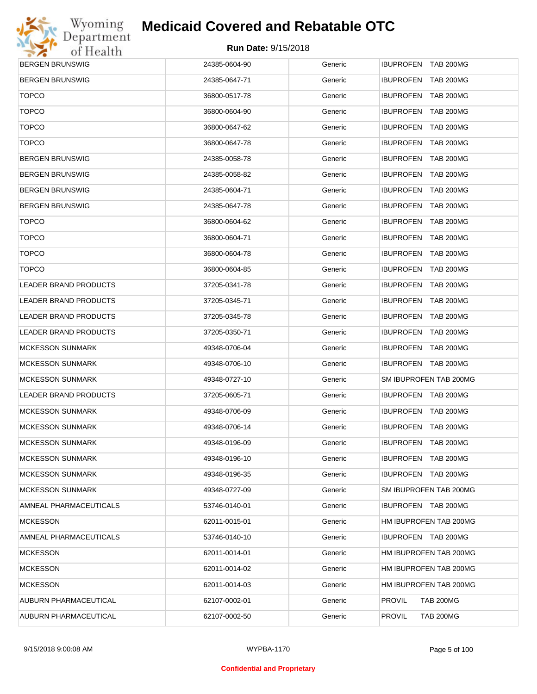

| <b>BERGEN BRUNSWIG</b>       | 24385-0604-90 | Generic | IBUPROFEN TAB 200MG               |
|------------------------------|---------------|---------|-----------------------------------|
| <b>BERGEN BRUNSWIG</b>       | 24385-0647-71 | Generic | IBUPROFEN TAB 200MG               |
| <b>TOPCO</b>                 | 36800-0517-78 | Generic | <b>IBUPROFEN TAB 200MG</b>        |
| <b>TOPCO</b>                 | 36800-0604-90 | Generic | IBUPROFEN TAB 200MG               |
| <b>TOPCO</b>                 | 36800-0647-62 | Generic | <b>IBUPROFEN TAB 200MG</b>        |
| <b>TOPCO</b>                 | 36800-0647-78 | Generic | IBUPROFEN TAB 200MG               |
| <b>BERGEN BRUNSWIG</b>       | 24385-0058-78 | Generic | <b>IBUPROFEN TAB 200MG</b>        |
| <b>BERGEN BRUNSWIG</b>       | 24385-0058-82 | Generic | IBUPROFEN TAB 200MG               |
| <b>BERGEN BRUNSWIG</b>       | 24385-0604-71 | Generic | <b>IBUPROFEN TAB 200MG</b>        |
| <b>BERGEN BRUNSWIG</b>       | 24385-0647-78 | Generic | IBUPROFEN TAB 200MG               |
| <b>TOPCO</b>                 | 36800-0604-62 | Generic | <b>IBUPROFEN TAB 200MG</b>        |
| <b>TOPCO</b>                 | 36800-0604-71 | Generic | IBUPROFEN TAB 200MG               |
| <b>TOPCO</b>                 | 36800-0604-78 | Generic | <b>IBUPROFEN TAB 200MG</b>        |
| <b>TOPCO</b>                 | 36800-0604-85 | Generic | IBUPROFEN TAB 200MG               |
| LEADER BRAND PRODUCTS        | 37205-0341-78 | Generic | <b>IBUPROFEN TAB 200MG</b>        |
| <b>LEADER BRAND PRODUCTS</b> | 37205-0345-71 | Generic | IBUPROFEN TAB 200MG               |
| LEADER BRAND PRODUCTS        | 37205-0345-78 | Generic | <b>IBUPROFEN TAB 200MG</b>        |
| LEADER BRAND PRODUCTS        | 37205-0350-71 | Generic | IBUPROFEN TAB 200MG               |
| <b>MCKESSON SUNMARK</b>      | 49348-0706-04 | Generic | <b>IBUPROFEN TAB 200MG</b>        |
| <b>MCKESSON SUNMARK</b>      | 49348-0706-10 | Generic | IBUPROFEN TAB 200MG               |
| <b>MCKESSON SUNMARK</b>      | 49348-0727-10 | Generic | SM IBUPROFEN TAB 200MG            |
| LEADER BRAND PRODUCTS        | 37205-0605-71 | Generic | IBUPROFEN TAB 200MG               |
| <b>MCKESSON SUNMARK</b>      | 49348-0706-09 | Generic | IBUPROFEN TAB 200MG               |
| <b>MCKESSON SUNMARK</b>      | 49348-0706-14 | Generic | IBUPROFEN TAB 200MG               |
| <b>MCKESSON SUNMARK</b>      | 49348-0196-09 | Generic | IBUPROFEN TAB 200MG               |
| <b>MCKESSON SUNMARK</b>      | 49348-0196-10 | Generic | <b>IBUPROFEN TAB 200MG</b>        |
| <b>MCKESSON SUNMARK</b>      | 49348-0196-35 | Generic | IBUPROFEN TAB 200MG               |
| <b>MCKESSON SUNMARK</b>      | 49348-0727-09 | Generic | SM IBUPROFEN TAB 200MG            |
| AMNEAL PHARMACEUTICALS       | 53746-0140-01 | Generic | IBUPROFEN TAB 200MG               |
| <b>MCKESSON</b>              | 62011-0015-01 | Generic | HM IBUPROFEN TAB 200MG            |
| AMNEAL PHARMACEUTICALS       | 53746-0140-10 | Generic | IBUPROFEN TAB 200MG               |
| <b>MCKESSON</b>              | 62011-0014-01 | Generic | HM IBUPROFEN TAB 200MG            |
| <b>MCKESSON</b>              | 62011-0014-02 | Generic | HM IBUPROFEN TAB 200MG            |
| <b>MCKESSON</b>              | 62011-0014-03 | Generic | HM IBUPROFEN TAB 200MG            |
| AUBURN PHARMACEUTICAL        | 62107-0002-01 | Generic | <b>TAB 200MG</b><br><b>PROVIL</b> |
| AUBURN PHARMACEUTICAL        | 62107-0002-50 | Generic | <b>PROVIL</b><br><b>TAB 200MG</b> |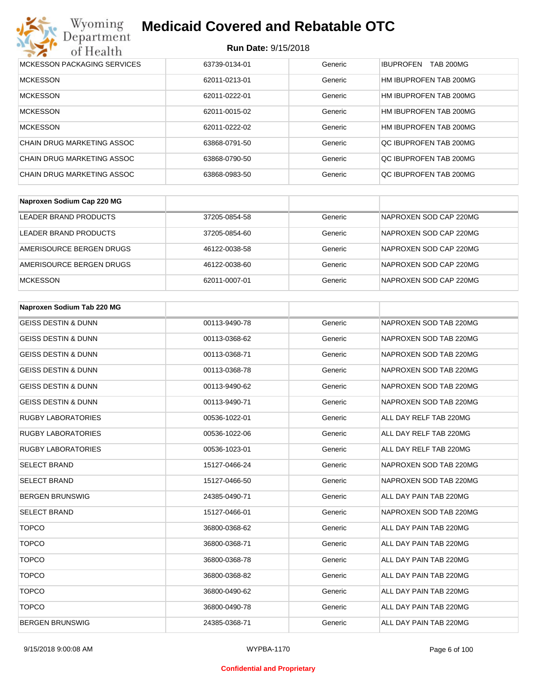#### **Run Date:** 9/15/2018

| Wyoming<br><b>Medicaid Covered and Rebatable OTC</b><br>Department |                            |         |                                      |  |  |
|--------------------------------------------------------------------|----------------------------|---------|--------------------------------------|--|--|
| of Health                                                          | <b>Run Date: 9/15/2018</b> |         |                                      |  |  |
| MCKESSON PACKAGING SERVICES                                        | 63739-0134-01              | Generic | <b>TAB 200MG</b><br><b>IBUPROFEN</b> |  |  |
| <b>MCKESSON</b>                                                    | 62011-0213-01              | Generic | HM IBUPROFEN TAB 200MG               |  |  |
| <b>MCKESSON</b>                                                    | 62011-0222-01              | Generic | HM IBUPROFEN TAB 200MG               |  |  |
| <b>MCKESSON</b>                                                    | 62011-0015-02              | Generic | HM IBUPROFEN TAB 200MG               |  |  |
| <b>MCKESSON</b>                                                    | 62011-0222-02              | Generic | HM IBUPROFEN TAB 200MG               |  |  |
| CHAIN DRUG MARKETING ASSOC                                         | 63868-0791-50              | Generic | OC IBUPROFEN TAB 200MG               |  |  |
| CHAIN DRUG MARKETING ASSOC                                         | 63868-0790-50              | Generic | OC IBUPROFEN TAB 200MG               |  |  |
| CHAIN DRUG MARKETING ASSOC                                         | 63868-0983-50              | Generic | OC IBUPROFEN TAB 200MG               |  |  |

| Naproxen Sodium Cap 220 MG |               |         |                        |
|----------------------------|---------------|---------|------------------------|
| LEADER BRAND PRODUCTS      | 37205-0854-58 | Generic | NAPROXEN SOD CAP 220MG |
| LEADER BRAND PRODUCTS      | 37205-0854-60 | Generic | NAPROXEN SOD CAP 220MG |
| AMERISOURCE BERGEN DRUGS   | 46122-0038-58 | Generic | NAPROXEN SOD CAP 220MG |
| AMERISOURCE BERGEN DRUGS   | 46122-0038-60 | Generic | NAPROXEN SOD CAP 220MG |
| <b>MCKESSON</b>            | 62011-0007-01 | Generic | NAPROXEN SOD CAP 220MG |

| Naproxen Sodium Tab 220 MG     |               |         |                        |
|--------------------------------|---------------|---------|------------------------|
| <b>GEISS DESTIN &amp; DUNN</b> | 00113-9490-78 | Generic | NAPROXEN SOD TAB 220MG |
| <b>GEISS DESTIN &amp; DUNN</b> | 00113-0368-62 | Generic | NAPROXEN SOD TAB 220MG |
| <b>GEISS DESTIN &amp; DUNN</b> | 00113-0368-71 | Generic | NAPROXEN SOD TAB 220MG |
| <b>GEISS DESTIN &amp; DUNN</b> | 00113-0368-78 | Generic | NAPROXEN SOD TAB 220MG |
| <b>GEISS DESTIN &amp; DUNN</b> | 00113-9490-62 | Generic | NAPROXEN SOD TAB 220MG |
| <b>GEISS DESTIN &amp; DUNN</b> | 00113-9490-71 | Generic | NAPROXEN SOD TAB 220MG |
| <b>RUGBY LABORATORIES</b>      | 00536-1022-01 | Generic | ALL DAY RELF TAB 220MG |
| <b>RUGBY LABORATORIES</b>      | 00536-1022-06 | Generic | ALL DAY RELF TAB 220MG |
| <b>RUGBY LABORATORIES</b>      | 00536-1023-01 | Generic | ALL DAY RELF TAB 220MG |
| <b>SELECT BRAND</b>            | 15127-0466-24 | Generic | NAPROXEN SOD TAB 220MG |
| <b>SELECT BRAND</b>            | 15127-0466-50 | Generic | NAPROXEN SOD TAB 220MG |
| <b>BERGEN BRUNSWIG</b>         | 24385-0490-71 | Generic | ALL DAY PAIN TAB 220MG |
| <b>SELECT BRAND</b>            | 15127-0466-01 | Generic | NAPROXEN SOD TAB 220MG |
| <b>TOPCO</b>                   | 36800-0368-62 | Generic | ALL DAY PAIN TAB 220MG |
| <b>TOPCO</b>                   | 36800-0368-71 | Generic | ALL DAY PAIN TAB 220MG |
| <b>TOPCO</b>                   | 36800-0368-78 | Generic | ALL DAY PAIN TAB 220MG |
| <b>TOPCO</b>                   | 36800-0368-82 | Generic | ALL DAY PAIN TAB 220MG |
| <b>TOPCO</b>                   | 36800-0490-62 | Generic | ALL DAY PAIN TAB 220MG |
| <b>TOPCO</b>                   | 36800-0490-78 | Generic | ALL DAY PAIN TAB 220MG |
| <b>BERGEN BRUNSWIG</b>         | 24385-0368-71 | Generic | ALL DAY PAIN TAB 220MG |

#### **Confidential and Proprietary**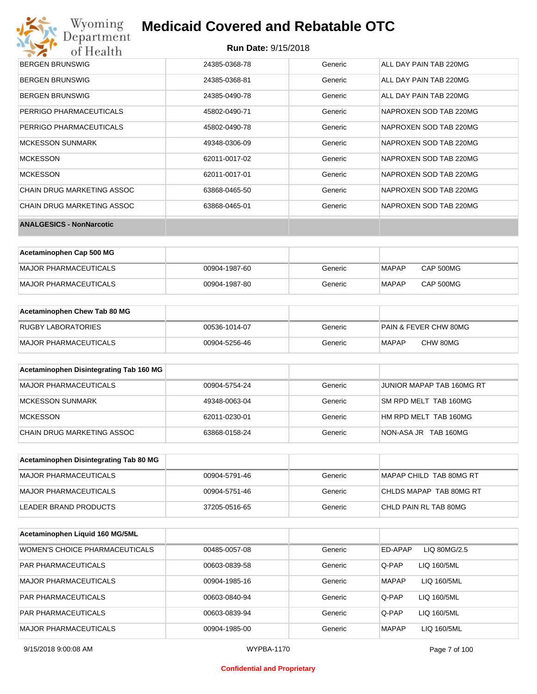

| BERGEN BRUNSWIG                 | 24385-0368-78 | Generic | ALL DAY PAIN TAB 220MG |
|---------------------------------|---------------|---------|------------------------|
| <b>BERGEN BRUNSWIG</b>          | 24385-0368-81 | Generic | ALL DAY PAIN TAB 220MG |
| <b>BERGEN BRUNSWIG</b>          | 24385-0490-78 | Generic | ALL DAY PAIN TAB 220MG |
| PERRIGO PHARMACEUTICALS         | 45802-0490-71 | Generic | NAPROXEN SOD TAB 220MG |
| PERRIGO PHARMACEUTICALS         | 45802-0490-78 | Generic | NAPROXEN SOD TAB 220MG |
| <b>MCKESSON SUNMARK</b>         | 49348-0306-09 | Generic | NAPROXEN SOD TAB 220MG |
| <b>MCKESSON</b>                 | 62011-0017-02 | Generic | NAPROXEN SOD TAB 220MG |
| <b>MCKESSON</b>                 | 62011-0017-01 | Generic | NAPROXEN SOD TAB 220MG |
| CHAIN DRUG MARKETING ASSOC      | 63868-0465-50 | Generic | NAPROXEN SOD TAB 220MG |
| CHAIN DRUG MARKETING ASSOC      | 63868-0465-01 | Generic | NAPROXEN SOD TAB 220MG |
| <b>ANALGESICS - NonNarcotic</b> |               |         |                        |

| Acetaminophen Cap 500 MG |               |         |              |           |
|--------------------------|---------------|---------|--------------|-----------|
| MAJOR PHARMACEUTICALS    | 00904-1987-60 | Generic | <b>MAPAP</b> | CAP 500MG |
| MAJOR PHARMACEUTICALS    | 00904-1987-80 | Generic | <b>MAPAP</b> | CAP 500MG |

| Acetaminophen Chew Tab 80 MG |               |         |                                  |
|------------------------------|---------------|---------|----------------------------------|
| <b>RUGBY LABORATORIES</b>    | 00536-1014-07 | Generic | <b>PAIN &amp; FEVER CHW 80MG</b> |
| <b>MAJOR PHARMACEUTICALS</b> | 00904-5256-46 | Generic | <b>MAPAP</b><br>CHW 80MG         |

| Acetaminophen Disintegrating Tab 160 MG |               |         |                           |
|-----------------------------------------|---------------|---------|---------------------------|
| MAJOR PHARMACEUTICALS                   | 00904-5754-24 | Generic | JUNIOR MAPAP TAB 160MG RT |
| MCKESSON SUNMARK                        | 49348-0063-04 | Generic | SM RPD MELT TAB 160MG     |
| <b>MCKESSON</b>                         | 62011-0230-01 | Generic | HM RPD MELT TAB 160MG     |
| CHAIN DRUG MARKETING ASSOC              | 63868-0158-24 | Generic | NON-ASA JR TAB 160MG      |

| Acetaminophen Disintegrating Tab 80 MG |               |         |                         |
|----------------------------------------|---------------|---------|-------------------------|
| MAJOR PHARMACEUTICALS                  | 00904-5791-46 | Generic | MAPAP CHILD TAB 80MG RT |
| IMAJOR PHARMACEUTICALS                 | 00904-5751-46 | Generic | CHLDS MAPAP TAB 80MG RT |
| LEADER BRAND PRODUCTS                  | 37205-0516-65 | Generic | CHLD PAIN RL TAB 80MG   |

| Acetaminophen Liquid 160 MG/5ML |               |         |                             |
|---------------------------------|---------------|---------|-----------------------------|
| WOMEN'S CHOICE PHARMACEUTICALS  | 00485-0057-08 | Generic | ED-APAP<br>LIQ 80MG/2.5     |
| <b>PAR PHARMACEUTICALS</b>      | 00603-0839-58 | Generic | Q-PAP<br>LIQ 160/5ML        |
| <b>MAJOR PHARMACEUTICALS</b>    | 00904-1985-16 | Generic | <b>MAPAP</b><br>LIQ 160/5ML |
| <b>PAR PHARMACEUTICALS</b>      | 00603-0840-94 | Generic | Q-PAP<br>LIQ 160/5ML        |
| <b>PAR PHARMACEUTICALS</b>      | 00603-0839-94 | Generic | Q-PAP<br>LIQ 160/5ML        |
| <b>MAJOR PHARMACEUTICALS</b>    | 00904-1985-00 | Generic | <b>MAPAP</b><br>LIQ 160/5ML |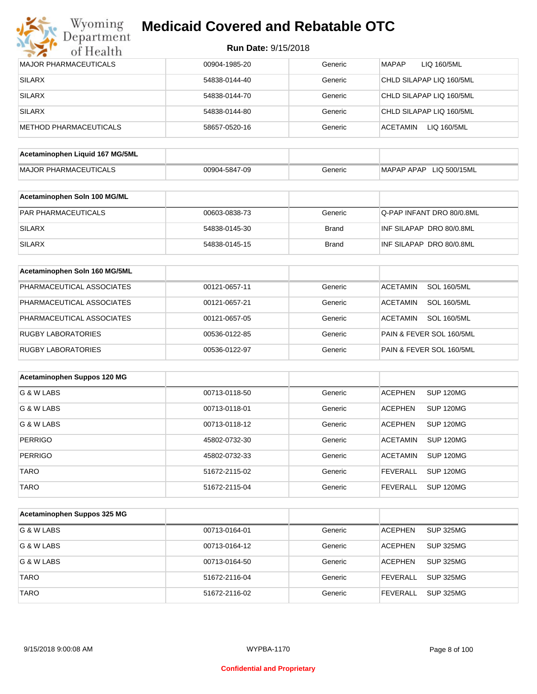

| <b>MAJOR PHARMACEUTICALS</b>    | 00904-1985-20 | Generic      | <b>MAPAP</b><br>LIQ 160/5ML           |
|---------------------------------|---------------|--------------|---------------------------------------|
| <b>SILARX</b>                   | 54838-0144-40 | Generic      | CHLD SILAPAP LIQ 160/5ML              |
| <b>SILARX</b>                   | 54838-0144-70 | Generic      | CHLD SILAPAP LIQ 160/5ML              |
| <b>SILARX</b>                   | 54838-0144-80 | Generic      | CHLD SILAPAP LIQ 160/5ML              |
| <b>METHOD PHARMACEUTICALS</b>   | 58657-0520-16 | Generic      | <b>ACETAMIN</b><br>LIQ 160/5ML        |
| Acetaminophen Liquid 167 MG/5ML |               |              |                                       |
| <b>MAJOR PHARMACEUTICALS</b>    | 00904-5847-09 | Generic      | MAPAP APAP LIQ 500/15ML               |
|                                 |               |              |                                       |
| Acetaminophen Soln 100 MG/ML    |               |              |                                       |
| PAR PHARMACEUTICALS             | 00603-0838-73 | Generic      | Q-PAP INFANT DRO 80/0.8ML             |
| <b>SILARX</b>                   | 54838-0145-30 | <b>Brand</b> | INF SILAPAP DRO 80/0.8ML              |
| <b>SILARX</b>                   | 54838-0145-15 | <b>Brand</b> | INF SILAPAP DRO 80/0.8ML              |
|                                 |               |              |                                       |
| Acetaminophen Soln 160 MG/5ML   |               |              |                                       |
| PHARMACEUTICAL ASSOCIATES       | 00121-0657-11 | Generic      | <b>SOL 160/5ML</b><br><b>ACETAMIN</b> |
| PHARMACEUTICAL ASSOCIATES       | 00121-0657-21 | Generic      | <b>SOL 160/5ML</b><br>ACETAMIN        |
| PHARMACEUTICAL ASSOCIATES       | 00121-0657-05 | Generic      | <b>SOL 160/5ML</b><br>ACETAMIN        |
| <b>RUGBY LABORATORIES</b>       | 00536-0122-85 | Generic      | PAIN & FEVER SOL 160/5ML              |
| <b>RUGBY LABORATORIES</b>       | 00536-0122-97 | Generic      | PAIN & FEVER SOL 160/5ML              |
| Acetaminophen Suppos 120 MG     |               |              |                                       |
|                                 |               |              |                                       |
| G & W LABS                      | 00713-0118-50 | Generic      | <b>SUP 120MG</b><br><b>ACEPHEN</b>    |
| G & W LABS                      | 00713-0118-01 | Generic      | <b>ACEPHEN</b><br><b>SUP 120MG</b>    |
| G & W LABS                      | 00713-0118-12 | Generic      | <b>ACEPHEN</b><br><b>SUP 120MG</b>    |
| <b>PERRIGO</b>                  | 45802-0732-30 | Generic      | SUP 120MG<br>ACETAMIN                 |
| <b>PERRIGO</b>                  | 45802-0732-33 | Generic      | <b>ACETAMIN</b><br><b>SUP 120MG</b>   |
| <b>TARO</b>                     | 51672-2115-02 | Generic      | <b>SUP 120MG</b><br><b>FEVERALL</b>   |
| <b>TARO</b>                     | 51672-2115-04 | Generic      | <b>SUP 120MG</b><br><b>FEVERALL</b>   |
| Acetaminophen Suppos 325 MG     |               |              |                                       |
|                                 |               |              |                                       |
| G & W LABS                      | 00713-0164-01 | Generic      | <b>SUP 325MG</b><br><b>ACEPHEN</b>    |
| G & W LABS                      | 00713-0164-12 | Generic      | <b>SUP 325MG</b><br><b>ACEPHEN</b>    |
| G & W LABS                      | 00713-0164-50 | Generic      | <b>SUP 325MG</b><br>ACEPHEN           |
| <b>TARO</b>                     | 51672-2116-04 | Generic      | <b>FEVERALL</b><br><b>SUP 325MG</b>   |
| <b>TARO</b>                     | 51672-2116-02 | Generic      | SUP 325MG<br><b>FEVERALL</b>          |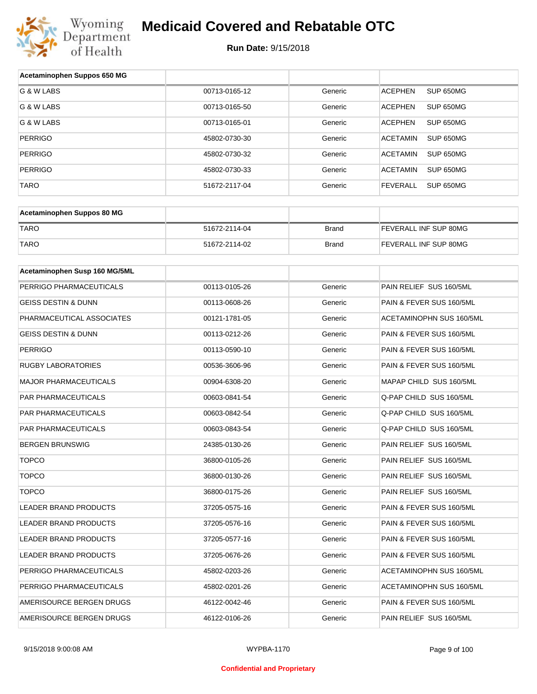

| Acetaminophen Suppos 650 MG    |               |              |                              |  |
|--------------------------------|---------------|--------------|------------------------------|--|
| G & W LABS                     | 00713-0165-12 | Generic      | <b>ACEPHEN</b><br>SUP 650MG  |  |
| G & W LABS                     | 00713-0165-50 | Generic      | <b>ACEPHEN</b><br>SUP 650MG  |  |
| G & W LABS                     | 00713-0165-01 | Generic      | <b>ACEPHEN</b><br>SUP 650MG  |  |
| <b>PERRIGO</b>                 | 45802-0730-30 | Generic      | <b>ACETAMIN</b><br>SUP 650MG |  |
| <b>PERRIGO</b>                 | 45802-0730-32 | Generic      | <b>ACETAMIN</b><br>SUP 650MG |  |
| <b>PERRIGO</b>                 | 45802-0730-33 | Generic      | ACETAMIN<br><b>SUP 650MG</b> |  |
| <b>TARO</b>                    | 51672-2117-04 | Generic      | <b>FEVERALL</b><br>SUP 650MG |  |
|                                |               |              |                              |  |
| Acetaminophen Suppos 80 MG     |               |              |                              |  |
| <b>TARO</b>                    | 51672-2114-04 | <b>Brand</b> | FEVERALL INF SUP 80MG        |  |
| <b>TARO</b>                    | 51672-2114-02 | Brand        | FEVERALL INF SUP 80MG        |  |
|                                |               |              |                              |  |
| Acetaminophen Susp 160 MG/5ML  |               |              |                              |  |
| PERRIGO PHARMACEUTICALS        | 00113-0105-26 | Generic      | PAIN RELIEF SUS 160/5ML      |  |
| <b>GEISS DESTIN &amp; DUNN</b> | 00113-0608-26 | Generic      | PAIN & FEVER SUS 160/5ML     |  |
| PHARMACEUTICAL ASSOCIATES      | 00121-1781-05 | Generic      | ACETAMINOPHN SUS 160/5ML     |  |
| GEISS DESTIN & DUNN            | 00113-0212-26 | Generic      | PAIN & FEVER SUS 160/5ML     |  |
| <b>PERRIGO</b>                 | 00113-0590-10 | Generic      | PAIN & FEVER SUS 160/5ML     |  |
| <b>RUGBY LABORATORIES</b>      | 00536-3606-96 | Generic      | PAIN & FEVER SUS 160/5ML     |  |
| <b>MAJOR PHARMACEUTICALS</b>   | 00904-6308-20 | Generic      | MAPAP CHILD SUS 160/5ML      |  |
| PAR PHARMACEUTICALS            | 00603-0841-54 | Generic      | Q-PAP CHILD SUS 160/5ML      |  |
| PAR PHARMACEUTICALS            | 00603-0842-54 | Generic      | Q-PAP CHILD SUS 160/5ML      |  |
| PAR PHARMACEUTICALS            | 00603-0843-54 | Generic      | Q-PAP CHILD SUS 160/5ML      |  |
| <b>BERGEN BRUNSWIG</b>         | 24385-0130-26 | Generic      | PAIN RELIEF SUS 160/5ML      |  |
| <b>TOPCO</b>                   | 36800-0105-26 | Generic      | PAIN RELIEF SUS 160/5ML      |  |
| <b>TOPCO</b>                   | 36800-0130-26 | Generic      | PAIN RELIEF SUS 160/5ML      |  |
| <b>TOPCO</b>                   | 36800-0175-26 | Generic      | PAIN RELIEF SUS 160/5ML      |  |
| <b>LEADER BRAND PRODUCTS</b>   | 37205-0575-16 | Generic      | PAIN & FEVER SUS 160/5ML     |  |
| LEADER BRAND PRODUCTS          | 37205-0576-16 | Generic      | PAIN & FEVER SUS 160/5ML     |  |
| <b>LEADER BRAND PRODUCTS</b>   | 37205-0577-16 | Generic      | PAIN & FEVER SUS 160/5ML     |  |
| <b>LEADER BRAND PRODUCTS</b>   | 37205-0676-26 | Generic      | PAIN & FEVER SUS 160/5ML     |  |
| PERRIGO PHARMACEUTICALS        | 45802-0203-26 | Generic      | ACETAMINOPHN SUS 160/5ML     |  |
| PERRIGO PHARMACEUTICALS        | 45802-0201-26 | Generic      | ACETAMINOPHN SUS 160/5ML     |  |
| AMERISOURCE BERGEN DRUGS       | 46122-0042-46 | Generic      | PAIN & FEVER SUS 160/5ML     |  |
| AMERISOURCE BERGEN DRUGS       | 46122-0106-26 | Generic      | PAIN RELIEF SUS 160/5ML      |  |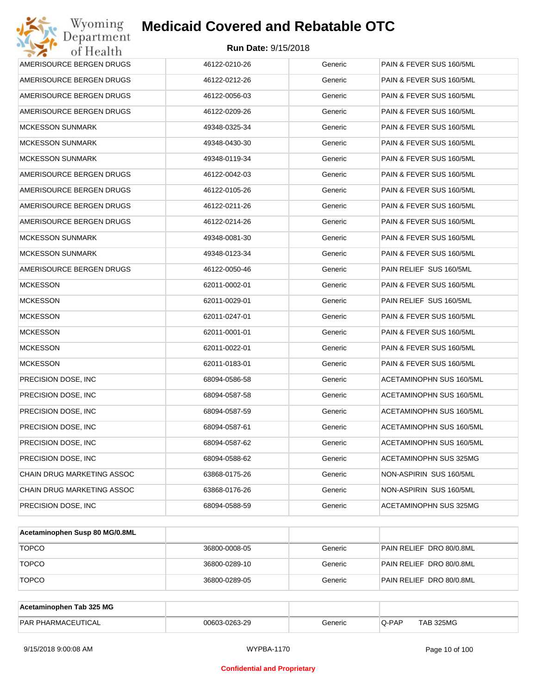| Wyoming<br>Department      | <b>Medicaid Covered and Rebatable OTC</b> |         |                          |
|----------------------------|-------------------------------------------|---------|--------------------------|
| of Health                  | Run Date: 9/15/2018                       |         |                          |
| AMERISOURCE BERGEN DRUGS   | 46122-0210-26                             | Generic | PAIN & FEVER SUS 160/5ML |
| AMERISOURCE BERGEN DRUGS   | 46122-0212-26                             | Generic | PAIN & FEVER SUS 160/5ML |
| AMERISOURCE BERGEN DRUGS   | 46122-0056-03                             | Generic | PAIN & FEVER SUS 160/5ML |
| AMERISOURCE BERGEN DRUGS   | 46122-0209-26                             | Generic | PAIN & FEVER SUS 160/5ML |
| <b>MCKESSON SUNMARK</b>    | 49348-0325-34                             | Generic | PAIN & FEVER SUS 160/5ML |
| <b>MCKESSON SUNMARK</b>    | 49348-0430-30                             | Generic | PAIN & FEVER SUS 160/5ML |
| <b>MCKESSON SUNMARK</b>    | 49348-0119-34                             | Generic | PAIN & FEVER SUS 160/5ML |
| AMERISOURCE BERGEN DRUGS   | 46122-0042-03                             | Generic | PAIN & FEVER SUS 160/5ML |
| AMERISOURCE BERGEN DRUGS   | 46122-0105-26                             | Generic | PAIN & FEVER SUS 160/5ML |
| AMERISOURCE BERGEN DRUGS   | 46122-0211-26                             | Generic | PAIN & FEVER SUS 160/5ML |
| AMERISOURCE BERGEN DRUGS   | 46122-0214-26                             | Generic | PAIN & FEVER SUS 160/5ML |
| <b>MCKESSON SUNMARK</b>    | 49348-0081-30                             | Generic | PAIN & FEVER SUS 160/5ML |
| <b>MCKESSON SUNMARK</b>    | 49348-0123-34                             | Generic | PAIN & FEVER SUS 160/5ML |
| AMERISOURCE BERGEN DRUGS   | 46122-0050-46                             | Generic | PAIN RELIEF SUS 160/5ML  |
| <b>MCKESSON</b>            | 62011-0002-01                             | Generic | PAIN & FEVER SUS 160/5ML |
| <b>MCKESSON</b>            | 62011-0029-01                             | Generic | PAIN RELIEF SUS 160/5ML  |
| <b>MCKESSON</b>            | 62011-0247-01                             | Generic | PAIN & FEVER SUS 160/5ML |
| <b>MCKESSON</b>            | 62011-0001-01                             | Generic | PAIN & FEVER SUS 160/5ML |
| <b>MCKESSON</b>            | 62011-0022-01                             | Generic | PAIN & FEVER SUS 160/5ML |
| <b>MCKESSON</b>            | 62011-0183-01                             | Generic | PAIN & FEVER SUS 160/5ML |
| PRECISION DOSE, INC        | 68094-0586-58                             | Generic | ACETAMINOPHN SUS 160/5ML |
| PRECISION DOSE, INC        | 68094-0587-58                             | Generic | ACETAMINOPHN SUS 160/5ML |
| PRECISION DOSE, INC        | 68094-0587-59                             | Generic | ACETAMINOPHN SUS 160/5ML |
| PRECISION DOSE, INC        | 68094-0587-61                             | Generic | ACETAMINOPHN SUS 160/5ML |
| PRECISION DOSE, INC        | 68094-0587-62                             | Generic | ACETAMINOPHN SUS 160/5ML |
| PRECISION DOSE, INC        | 68094-0588-62                             | Generic | ACETAMINOPHN SUS 325MG   |
| CHAIN DRUG MARKETING ASSOC | 63868-0175-26                             | Generic | NON-ASPIRIN SUS 160/5ML  |
| CHAIN DRUG MARKETING ASSOC | 63868-0176-26                             | Generic | NON-ASPIRIN SUS 160/5ML  |
| PRECISION DOSE, INC.       | 68094-0588-59                             | Generic | ACETAMINOPHN SUS 325MG   |

| Acetaminophen Susp 80 MG/0.8ML |               |         |                          |
|--------------------------------|---------------|---------|--------------------------|
| <b>TOPCO</b>                   | 36800-0008-05 | Generic | PAIN RELIEF DRO 80/0.8ML |
| <b>TOPCO</b>                   | 36800-0289-10 | Generic | PAIN RELIEF DRO 80/0.8ML |
| <b>TOPCO</b>                   | 36800-0289-05 | Generic | PAIN RELIEF DRO 80/0.8ML |

| Acetaminophen Tab 325 MG  |               |         |       |                  |
|---------------------------|---------------|---------|-------|------------------|
| <b>PAR PHARMACEUTICAL</b> | 00603-0263-29 | Generic | Q-PAP | <b>TAB 325MG</b> |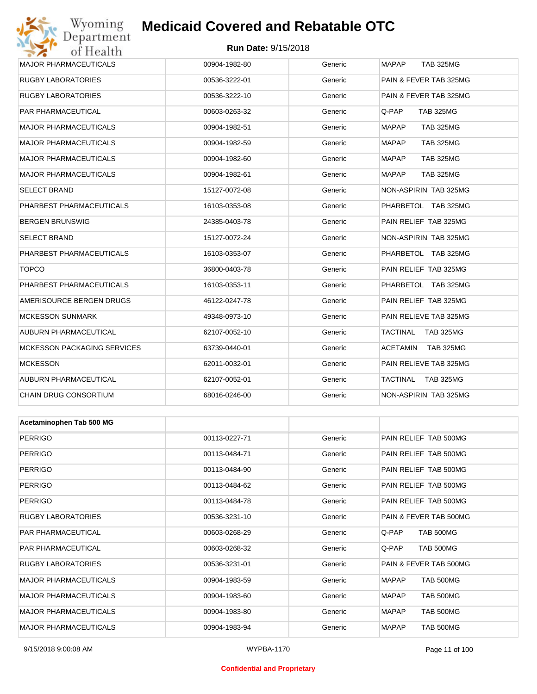## Wyoming<br>Department<br>of Health **Medicaid Covered and Rebatable OTC**

#### **Run Date:** 9/15/2018

| <b>MAJOR PHARMACEUTICALS</b>       | 00904-1982-80 | Generic | <b>MAPAP</b><br><b>TAB 325MG</b> |
|------------------------------------|---------------|---------|----------------------------------|
| <b>RUGBY LABORATORIES</b>          | 00536-3222-01 | Generic | PAIN & FEVER TAB 325MG           |
| <b>RUGBY LABORATORIES</b>          | 00536-3222-10 | Generic | PAIN & FEVER TAB 325MG           |
| PAR PHARMACEUTICAL                 | 00603-0263-32 | Generic | Q-PAP<br><b>TAB 325MG</b>        |
| <b>MAJOR PHARMACEUTICALS</b>       | 00904-1982-51 | Generic | <b>MAPAP</b><br><b>TAB 325MG</b> |
| <b>MAJOR PHARMACEUTICALS</b>       | 00904-1982-59 | Generic | <b>MAPAP</b><br><b>TAB 325MG</b> |
| <b>MAJOR PHARMACEUTICALS</b>       | 00904-1982-60 | Generic | <b>MAPAP</b><br><b>TAB 325MG</b> |
| <b>MAJOR PHARMACEUTICALS</b>       | 00904-1982-61 | Generic | <b>MAPAP</b><br><b>TAB 325MG</b> |
| <b>SELECT BRAND</b>                | 15127-0072-08 | Generic | NON-ASPIRIN TAB 325MG            |
| PHARBEST PHARMACEUTICALS           | 16103-0353-08 | Generic | PHARBETOL TAB 325MG              |
| <b>BERGEN BRUNSWIG</b>             | 24385-0403-78 | Generic | PAIN RELIEF TAB 325MG            |
| <b>SELECT BRAND</b>                | 15127-0072-24 | Generic | NON-ASPIRIN TAB 325MG            |
| PHARBEST PHARMACEUTICALS           | 16103-0353-07 | Generic | PHARBETOL TAB 325MG              |
| <b>TOPCO</b>                       | 36800-0403-78 | Generic | PAIN RELIEF TAB 325MG            |
| PHARBEST PHARMACEUTICALS           | 16103-0353-11 | Generic | PHARBETOL TAB 325MG              |
| AMERISOURCE BERGEN DRUGS           | 46122-0247-78 | Generic | PAIN RELIEF TAB 325MG            |
| <b>MCKESSON SUNMARK</b>            | 49348-0973-10 | Generic | PAIN RELIEVE TAB 325MG           |
| AUBURN PHARMACEUTICAL              | 62107-0052-10 | Generic | TACTINAL<br><b>TAB 325MG</b>     |
| <b>MCKESSON PACKAGING SERVICES</b> | 63739-0440-01 | Generic | ACETAMIN<br><b>TAB 325MG</b>     |
| <b>MCKESSON</b>                    | 62011-0032-01 | Generic | PAIN RELIEVE TAB 325MG           |
| AUBURN PHARMACEUTICAL              | 62107-0052-01 | Generic | TACTINAL<br><b>TAB 325MG</b>     |
| CHAIN DRUG CONSORTIUM              | 68016-0246-00 | Generic | NON-ASPIRIN TAB 325MG            |
|                                    |               |         |                                  |
| Acetaminophen Tab 500 MG           |               |         |                                  |
| <b>PERRIGO</b>                     | 00113-0227-71 | Generic | PAIN RELIEF TAB 500MG            |
| PERRIGO                            | 00113-0484-71 | Generic | PAIN RELIEF TAB 500MG            |
| <b>PERRIGO</b>                     | 00113-0484-90 | Generic | PAIN RELIEF TAB 500MG            |
| <b>PERRIGO</b>                     | 00113-0484-62 | Generic | PAIN RELIEF TAB 500MG            |
| <b>PERRIGO</b>                     | 00113-0484-78 | Generic | PAIN RELIEF TAB 500MG            |
| <b>RUGBY LABORATORIES</b>          | 00536-3231-10 | Generic | PAIN & FEVER TAB 500MG           |
| PAR PHARMACEUTICAL                 | 00603-0268-29 | Generic | Q-PAP<br>TAB 500MG               |
| PAR PHARMACEUTICAL                 | 00603-0268-32 | Generic | Q-PAP<br>TAB 500MG               |
| <b>RUGBY LABORATORIES</b>          | 00536-3231-01 | Generic | PAIN & FEVER TAB 500MG           |
| <b>MAJOR PHARMACEUTICALS</b>       | 00904-1983-59 | Generic | <b>MAPAP</b><br>TAB 500MG        |
| MAJOR PHARMACEUTICALS              | 00904-1983-60 | Generic | MAPAP<br>TAB 500MG               |
| <b>MAJOR PHARMACEUTICALS</b>       | 00904-1983-80 | Generic | <b>MAPAP</b><br>TAB 500MG        |
| MAJOR PHARMACEUTICALS              | 00904-1983-94 | Generic | <b>MAPAP</b><br><b>TAB 500MG</b> |

#### **Confidential and Proprietary**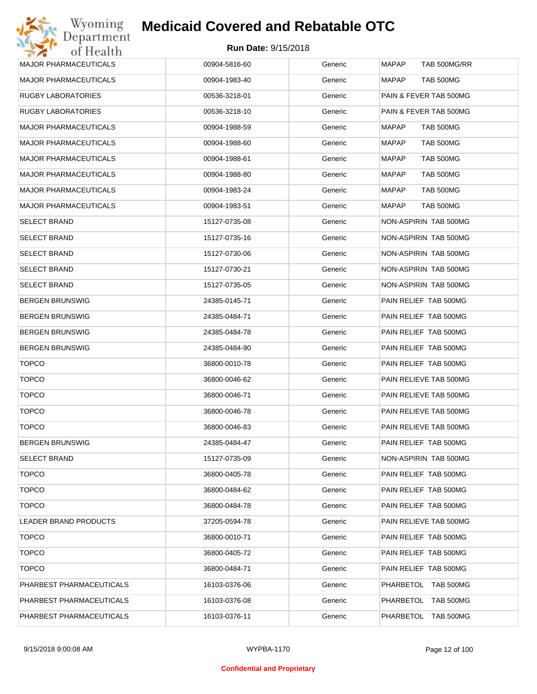| <b>MAJOR PHARMACEUTICALS</b> | 00904-5816-60 | Generic | <b>MAPAP</b><br>TAB 500MG/RR |
|------------------------------|---------------|---------|------------------------------|
| <b>MAJOR PHARMACEUTICALS</b> | 00904-1983-40 | Generic | MAPAP<br>TAB 500MG           |
| RUGBY LABORATORIES           | 00536-3218-01 | Generic | PAIN & FEVER TAB 500MG       |
| RUGBY LABORATORIES           | 00536-3218-10 | Generic | PAIN & FEVER TAB 500MG       |
| <b>MAJOR PHARMACEUTICALS</b> | 00904-1988-59 | Generic | MAPAP<br>TAB 500MG           |
| <b>MAJOR PHARMACEUTICALS</b> | 00904-1988-60 | Generic | MAPAP<br>TAB 500MG           |
| <b>MAJOR PHARMACEUTICALS</b> | 00904-1988-61 | Generic | MAPAP<br>TAB 500MG           |
| <b>MAJOR PHARMACEUTICALS</b> | 00904-1988-80 | Generic | MAPAP<br>TAB 500MG           |
| <b>MAJOR PHARMACEUTICALS</b> | 00904-1983-24 | Generic | MAPAP<br>TAB 500MG           |
| <b>MAJOR PHARMACEUTICALS</b> | 00904-1983-51 | Generic | MAPAP<br>TAB 500MG           |
| <b>SELECT BRAND</b>          | 15127-0735-08 | Generic | NON-ASPIRIN TAB 500MG        |
| <b>SELECT BRAND</b>          | 15127-0735-16 | Generic | NON-ASPIRIN TAB 500MG        |
| <b>SELECT BRAND</b>          | 15127-0730-06 | Generic | NON-ASPIRIN TAB 500MG        |
| <b>SELECT BRAND</b>          | 15127-0730-21 | Generic | NON-ASPIRIN TAB 500MG        |
| SELECT BRAND                 | 15127-0735-05 | Generic | NON-ASPIRIN TAB 500MG        |
| <b>BERGEN BRUNSWIG</b>       | 24385-0145-71 | Generic | PAIN RELIEF TAB 500MG        |
| <b>BERGEN BRUNSWIG</b>       | 24385-0484-71 | Generic | PAIN RELIEF TAB 500MG        |
| <b>BERGEN BRUNSWIG</b>       | 24385-0484-78 | Generic | PAIN RELIEF TAB 500MG        |
| <b>BERGEN BRUNSWIG</b>       | 24385-0484-90 | Generic | PAIN RELIEF TAB 500MG        |
| <b>TOPCO</b>                 | 36800-0010-78 | Generic | PAIN RELIEF TAB 500MG        |
| <b>TOPCO</b>                 | 36800-0046-62 | Generic | PAIN RELIEVE TAB 500MG       |
| <b>TOPCO</b>                 | 36800-0046-71 | Generic | PAIN RELIEVE TAB 500MG       |
| <b>TOPCO</b>                 | 36800-0046-78 | Generic | PAIN RELIEVE TAB 500MG       |
| <b>TOPCO</b>                 | 36800-0046-83 | Generic | PAIN RELIEVE TAB 500MG       |
| <b>BERGEN BRUNSWIG</b>       | 24385-0484-47 | Generic | PAIN RELIEF TAB 500MG        |
| <b>SELECT BRAND</b>          | 15127-0735-09 | Generic | NON-ASPIRIN TAB 500MG        |
| <b>TOPCO</b>                 | 36800-0405-78 | Generic | PAIN RELIEF TAB 500MG        |
| <b>TOPCO</b>                 | 36800-0484-62 | Generic | PAIN RELIEF TAB 500MG        |
| <b>TOPCO</b>                 | 36800-0484-78 | Generic | PAIN RELIEF TAB 500MG        |
| LEADER BRAND PRODUCTS        | 37205-0594-78 | Generic | PAIN RELIEVE TAB 500MG       |
| <b>TOPCO</b>                 | 36800-0010-71 | Generic | PAIN RELIEF TAB 500MG        |
| <b>TOPCO</b>                 | 36800-0405-72 | Generic | PAIN RELIEF TAB 500MG        |
| <b>TOPCO</b>                 | 36800-0484-71 | Generic | PAIN RELIEF TAB 500MG        |
| PHARBEST PHARMACEUTICALS     | 16103-0376-06 | Generic | PHARBETOL TAB 500MG          |
| PHARBEST PHARMACEUTICALS     | 16103-0376-08 | Generic | PHARBETOL TAB 500MG          |
| PHARBEST PHARMACEUTICALS     | 16103-0376-11 | Generic | PHARBETOL TAB 500MG          |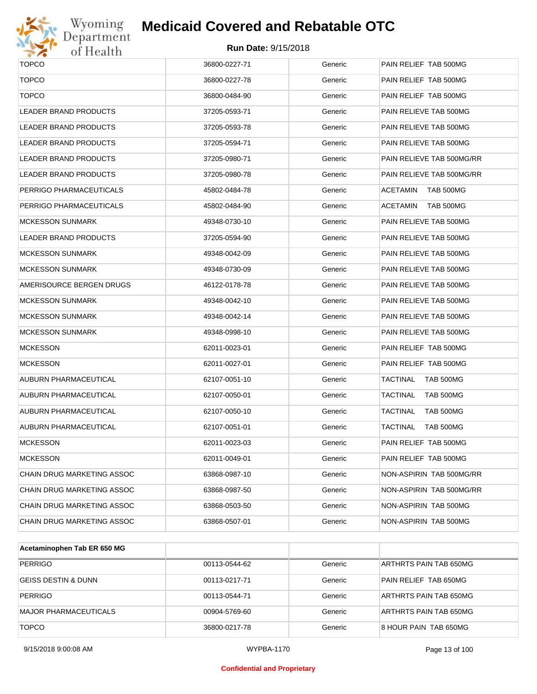

# Wyoming<br>Department<br>of Health

## **Medicaid Covered and Rebatable OTC**

| <b>TOPCO</b>               | 36800-0227-71 | Generic | PAIN RELIEF TAB 500MG        |
|----------------------------|---------------|---------|------------------------------|
| <b>TOPCO</b>               | 36800-0227-78 | Generic | PAIN RELIEF TAB 500MG        |
| <b>TOPCO</b>               | 36800-0484-90 | Generic | PAIN RELIEF TAB 500MG        |
| LEADER BRAND PRODUCTS      | 37205-0593-71 | Generic | PAIN RELIEVE TAB 500MG       |
| LEADER BRAND PRODUCTS      | 37205-0593-78 | Generic | PAIN RELIEVE TAB 500MG       |
| LEADER BRAND PRODUCTS      | 37205-0594-71 | Generic | PAIN RELIEVE TAB 500MG       |
| LEADER BRAND PRODUCTS      | 37205-0980-71 | Generic | PAIN RELIEVE TAB 500MG/RR    |
| LEADER BRAND PRODUCTS      | 37205-0980-78 | Generic | PAIN RELIEVE TAB 500MG/RR    |
| PERRIGO PHARMACEUTICALS    | 45802-0484-78 | Generic | ACETAMIN<br>TAB 500MG        |
| PERRIGO PHARMACEUTICALS    | 45802-0484-90 | Generic | ACETAMIN<br>TAB 500MG        |
| MCKESSON SUNMARK           | 49348-0730-10 | Generic | PAIN RELIEVE TAB 500MG       |
| LEADER BRAND PRODUCTS      | 37205-0594-90 | Generic | PAIN RELIEVE TAB 500MG       |
| MCKESSON SUNMARK           | 49348-0042-09 | Generic | PAIN RELIEVE TAB 500MG       |
| MCKESSON SUNMARK           | 49348-0730-09 | Generic | PAIN RELIEVE TAB 500MG       |
| AMERISOURCE BERGEN DRUGS   | 46122-0178-78 | Generic | PAIN RELIEVE TAB 500MG       |
| MCKESSON SUNMARK           | 49348-0042-10 | Generic | PAIN RELIEVE TAB 500MG       |
| MCKESSON SUNMARK           | 49348-0042-14 | Generic | PAIN RELIEVE TAB 500MG       |
| MCKESSON SUNMARK           | 49348-0998-10 | Generic | PAIN RELIEVE TAB 500MG       |
| <b>MCKESSON</b>            | 62011-0023-01 | Generic | PAIN RELIEF TAB 500MG        |
| <b>MCKESSON</b>            | 62011-0027-01 | Generic | PAIN RELIEF TAB 500MG        |
| AUBURN PHARMACEUTICAL      | 62107-0051-10 | Generic | TACTINAL<br>TAB 500MG        |
| AUBURN PHARMACEUTICAL      | 62107-0050-01 | Generic | TACTINAL<br>TAB 500MG        |
| AUBURN PHARMACEUTICAL      | 62107-0050-10 | Generic | <b>TACTINAL</b><br>TAB 500MG |
| AUBURN PHARMACEUTICAL      | 62107-0051-01 | Generic | <b>TACTINAL</b><br>TAB 500MG |
| MCKESSON                   | 62011-0023-03 | Generic | PAIN RELIEF TAB 500MG        |
| <b>MCKESSON</b>            | 62011-0049-01 | Generic | PAIN RELIEF TAB 500MG        |
| CHAIN DRUG MARKETING ASSOC | 63868-0987-10 | Generic | NON-ASPIRIN TAB 500MG/RR     |
| CHAIN DRUG MARKETING ASSOC | 63868-0987-50 | Generic | NON-ASPIRIN TAB 500MG/RR     |
| CHAIN DRUG MARKETING ASSOC | 63868-0503-50 | Generic | NON-ASPIRIN TAB 500MG        |
| CHAIN DRUG MARKETING ASSOC | 63868-0507-01 | Generic | NON-ASPIRIN TAB 500MG        |
|                            |               |         |                              |

| Acetaminophen Tab ER 650 MG    |               |         |                        |
|--------------------------------|---------------|---------|------------------------|
| PERRIGO                        | 00113-0544-62 | Generic | ARTHRTS PAIN TAB 650MG |
| <b>GEISS DESTIN &amp; DUNN</b> | 00113-0217-71 | Generic | PAIN RELIEF TAB 650MG  |
| PERRIGO                        | 00113-0544-71 | Generic | ARTHRTS PAIN TAB 650MG |
| MAJOR PHARMACEUTICALS          | 00904-5769-60 | Generic | ARTHRTS PAIN TAB 650MG |
| <b>TOPCO</b>                   | 36800-0217-78 | Generic | 8 HOUR PAIN TAB 650MG  |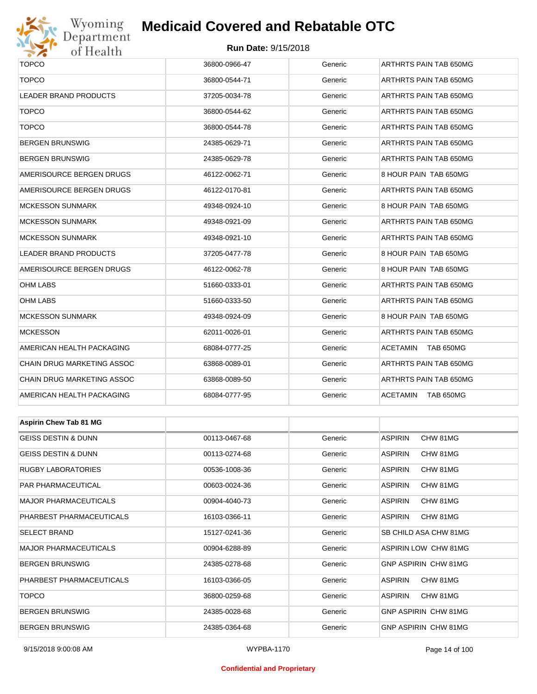

## Wyoming<br>Department<br>of Health

## **Medicaid Covered and Rebatable OTC**

#### **Run Date:** 9/15/2018

| $\bullet$ $\bullet$<br><u>UI TIUGILII</u> |               |         |                             |  |  |
|-------------------------------------------|---------------|---------|-----------------------------|--|--|
| <b>TOPCO</b>                              | 36800-0966-47 | Generic | ARTHRTS PAIN TAB 650MG      |  |  |
| <b>TOPCO</b>                              | 36800-0544-71 | Generic | ARTHRTS PAIN TAB 650MG      |  |  |
| LEADER BRAND PRODUCTS                     | 37205-0034-78 | Generic | ARTHRTS PAIN TAB 650MG      |  |  |
| <b>TOPCO</b>                              | 36800-0544-62 | Generic | ARTHRTS PAIN TAB 650MG      |  |  |
| <b>TOPCO</b>                              | 36800-0544-78 | Generic | ARTHRTS PAIN TAB 650MG      |  |  |
| <b>BERGEN BRUNSWIG</b>                    | 24385-0629-71 | Generic | ARTHRTS PAIN TAB 650MG      |  |  |
| BERGEN BRUNSWIG                           | 24385-0629-78 | Generic | ARTHRTS PAIN TAB 650MG      |  |  |
| AMERISOURCE BERGEN DRUGS                  | 46122-0062-71 | Generic | 8 HOUR PAIN TAB 650MG       |  |  |
| AMERISOURCE BERGEN DRUGS                  | 46122-0170-81 | Generic | ARTHRTS PAIN TAB 650MG      |  |  |
| MCKESSON SUNMARK                          | 49348-0924-10 | Generic | 8 HOUR PAIN TAB 650MG       |  |  |
| MCKESSON SUNMARK                          | 49348-0921-09 | Generic | ARTHRTS PAIN TAB 650MG      |  |  |
| MCKESSON SUNMARK                          | 49348-0921-10 | Generic | ARTHRTS PAIN TAB 650MG      |  |  |
| LEADER BRAND PRODUCTS                     | 37205-0477-78 | Generic | 8 HOUR PAIN TAB 650MG       |  |  |
| AMERISOURCE BERGEN DRUGS                  | 46122-0062-78 | Generic | 8 HOUR PAIN TAB 650MG       |  |  |
| OHM LABS                                  | 51660-0333-01 | Generic | ARTHRTS PAIN TAB 650MG      |  |  |
| OHM LABS                                  | 51660-0333-50 | Generic | ARTHRTS PAIN TAB 650MG      |  |  |
| MCKESSON SUNMARK                          | 49348-0924-09 | Generic | 8 HOUR PAIN TAB 650MG       |  |  |
| <b>MCKESSON</b>                           | 62011-0026-01 | Generic | ARTHRTS PAIN TAB 650MG      |  |  |
| AMERICAN HEALTH PACKAGING                 | 68084-0777-25 | Generic | ACETAMIN<br>TAB 650MG       |  |  |
| CHAIN DRUG MARKETING ASSOC                | 63868-0089-01 | Generic | ARTHRTS PAIN TAB 650MG      |  |  |
| CHAIN DRUG MARKETING ASSOC                | 63868-0089-50 | Generic | ARTHRTS PAIN TAB 650MG      |  |  |
| AMERICAN HEALTH PACKAGING                 | 68084-0777-95 | Generic | ACETAMIN<br>TAB 650MG       |  |  |
|                                           |               |         |                             |  |  |
| <b>Aspirin Chew Tab 81 MG</b>             |               |         |                             |  |  |
| <b>GEISS DESTIN &amp; DUNN</b>            | 00113-0467-68 | Generic | <b>ASPIRIN</b><br>CHW 81MG  |  |  |
| GEISS DESTIN & DUNN                       | 00113-0274-68 | Generic | <b>ASPIRIN</b><br>CHW 81MG  |  |  |
| RUGBY LABORATORIES                        | 00536-1008-36 | Generic | <b>ASPIRIN</b><br>CHW 81MG  |  |  |
| PAR PHARMACEUTICAL                        | 00603-0024-36 | Generic | ASPIRIN<br>CHW 81MG         |  |  |
| MAJOR PHARMACEUTICALS                     | 00904-4040-73 | Generic | <b>ASPIRIN</b><br>CHW 81MG  |  |  |
| PHARBEST PHARMACEUTICALS                  | 16103-0366-11 | Generic | <b>ASPIRIN</b><br>CHW 81MG  |  |  |
| SELECT BRAND                              | 15127-0241-36 | Generic | SB CHILD ASA CHW 81MG       |  |  |
| MAJOR PHARMACEUTICALS                     | 00904-6288-89 | Generic | <b>ASPIRIN LOW CHW 81MG</b> |  |  |
| BERGEN BRUNSWIG                           | 24385-0278-68 | Generic | GNP ASPIRIN CHW 81MG        |  |  |
| PHARBEST PHARMACEUTICALS                  | 16103-0366-05 | Generic | ASPIRIN<br>CHW 81MG         |  |  |
| <b>TOPCO</b>                              | 36800-0259-68 | Generic | <b>ASPIRIN</b><br>CHW 81MG  |  |  |

BERGEN BRUNSWIG 
24385-0028-68 Generic GNP ASPIRIN CHW 81MG BERGEN BRUNSWIG 24385-0364-68 Generic GNP ASPIRIN CHW 81MG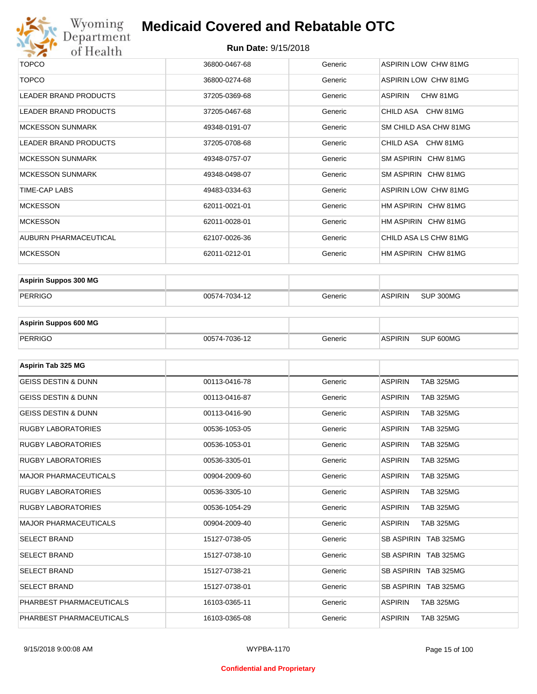

| <b>TOPCO</b>            | 36800-0467-68 | Generic | ASPIRIN LOW CHW 81MG  |
|-------------------------|---------------|---------|-----------------------|
| <b>TOPCO</b>            | 36800-0274-68 | Generic | ASPIRIN LOW CHW 81MG  |
| LEADER BRAND PRODUCTS   | 37205-0369-68 | Generic | ASPIRIN<br>CHW 81MG   |
| LEADER BRAND PRODUCTS   | 37205-0467-68 | Generic | CHILD ASA CHW 81MG    |
| <b>MCKESSON SUNMARK</b> | 49348-0191-07 | Generic | SM CHILD ASA CHW 81MG |
| LEADER BRAND PRODUCTS   | 37205-0708-68 | Generic | CHILD ASA CHW 81MG    |
| <b>MCKESSON SUNMARK</b> | 49348-0757-07 | Generic | SM ASPIRIN CHW 81MG   |
| <b>MCKESSON SUNMARK</b> | 49348-0498-07 | Generic | SM ASPIRIN CHW 81MG   |
| TIME-CAP LABS           | 49483-0334-63 | Generic | ASPIRIN LOW CHW 81MG  |
| <b>MCKESSON</b>         | 62011-0021-01 | Generic | HM ASPIRIN CHW 81MG   |
| <b>MCKESSON</b>         | 62011-0028-01 | Generic | HM ASPIRIN CHW 81MG   |
| AUBURN PHARMACEUTICAL   | 62107-0026-36 | Generic | CHILD ASA LS CHW 81MG |
| <b>MCKESSON</b>         | 62011-0212-01 | Generic | HM ASPIRIN CHW 81MG   |
|                         |               |         |                       |

| <b>Aspirin Suppos 300 MG</b> |               |         |                |           |
|------------------------------|---------------|---------|----------------|-----------|
| PERRIGO                      | 00574-7034-12 | Generic | <b>ASPIRIN</b> | SUP 300MG |

| <b>Aspirin Suppos 600 MG</b> |               |         |          |           |
|------------------------------|---------------|---------|----------|-----------|
| PERRIGO                      | 00574-7036-12 | Generic | ⊪ASPIRIN | SUP 600MG |

| Aspirin Tab 325 MG             |               |         |                                    |
|--------------------------------|---------------|---------|------------------------------------|
| <b>GEISS DESTIN &amp; DUNN</b> | 00113-0416-78 | Generic | <b>ASPIRIN</b><br><b>TAB 325MG</b> |
| <b>GEISS DESTIN &amp; DUNN</b> | 00113-0416-87 | Generic | <b>ASPIRIN</b><br><b>TAB 325MG</b> |
| <b>GEISS DESTIN &amp; DUNN</b> | 00113-0416-90 | Generic | <b>ASPIRIN</b><br><b>TAB 325MG</b> |
| <b>RUGBY LABORATORIES</b>      | 00536-1053-05 | Generic | <b>ASPIRIN</b><br><b>TAB 325MG</b> |
| <b>RUGBY LABORATORIES</b>      | 00536-1053-01 | Generic | <b>ASPIRIN</b><br><b>TAB 325MG</b> |
| <b>RUGBY LABORATORIES</b>      | 00536-3305-01 | Generic | <b>ASPIRIN</b><br><b>TAB 325MG</b> |
| <b>MAJOR PHARMACEUTICALS</b>   | 00904-2009-60 | Generic | <b>ASPIRIN</b><br><b>TAB 325MG</b> |
| <b>RUGBY LABORATORIES</b>      | 00536-3305-10 | Generic | <b>ASPIRIN</b><br><b>TAB 325MG</b> |
| <b>RUGBY LABORATORIES</b>      | 00536-1054-29 | Generic | <b>TAB 325MG</b><br><b>ASPIRIN</b> |
| <b>MAJOR PHARMACEUTICALS</b>   | 00904-2009-40 | Generic | <b>ASPIRIN</b><br><b>TAB 325MG</b> |
| <b>SELECT BRAND</b>            | 15127-0738-05 | Generic | SB ASPIRIN TAB 325MG               |
| <b>SELECT BRAND</b>            | 15127-0738-10 | Generic | SB ASPIRIN TAB 325MG               |
| <b>SELECT BRAND</b>            | 15127-0738-21 | Generic | SB ASPIRIN TAB 325MG               |
| <b>SELECT BRAND</b>            | 15127-0738-01 | Generic | SB ASPIRIN TAB 325MG               |
| PHARBEST PHARMACEUTICALS       | 16103-0365-11 | Generic | <b>ASPIRIN</b><br><b>TAB 325MG</b> |
| PHARBEST PHARMACEUTICALS       | 16103-0365-08 | Generic | <b>ASPIRIN</b><br><b>TAB 325MG</b> |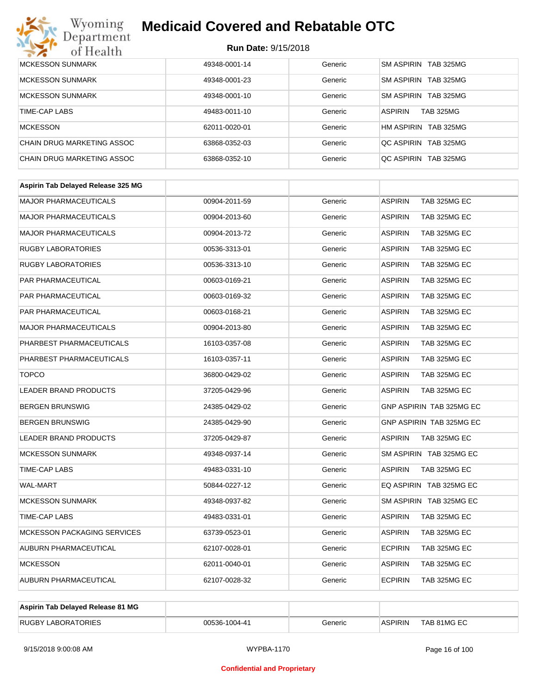# Wyoming<br>Department<br>of Health

## **Medicaid Covered and Rebatable OTC**

| <b>MCKESSON SUNMARK</b>    | 49348-0001-14 | Generic | SM ASPIRIN TAB 325MG               |
|----------------------------|---------------|---------|------------------------------------|
| <b>MCKESSON SUNMARK</b>    | 49348-0001-23 | Generic | SM ASPIRIN TAB 325MG               |
| <b>MCKESSON SUNMARK</b>    | 49348-0001-10 | Generic | SM ASPIRIN TAB 325MG               |
| TIME-CAP LABS              | 49483-0011-10 | Generic | <b>ASPIRIN</b><br><b>TAB 325MG</b> |
| <b>MCKESSON</b>            | 62011-0020-01 | Generic | HM ASPIRIN TAB 325MG               |
| CHAIN DRUG MARKETING ASSOC | 63868-0352-03 | Generic | OC ASPIRIN TAB 325MG               |
| CHAIN DRUG MARKETING ASSOC | 63868-0352-10 | Generic | OC ASPIRIN TAB 325MG               |

| Aspirin Tab Delayed Release 325 MG |               |         |                                |
|------------------------------------|---------------|---------|--------------------------------|
| <b>MAJOR PHARMACEUTICALS</b>       | 00904-2011-59 | Generic | <b>ASPIRIN</b><br>TAB 325MG EC |
| <b>MAJOR PHARMACEUTICALS</b>       | 00904-2013-60 | Generic | <b>ASPIRIN</b><br>TAB 325MG EC |
| <b>MAJOR PHARMACEUTICALS</b>       | 00904-2013-72 | Generic | <b>ASPIRIN</b><br>TAB 325MG EC |
| <b>RUGBY LABORATORIES</b>          | 00536-3313-01 | Generic | <b>ASPIRIN</b><br>TAB 325MG EC |
| <b>RUGBY LABORATORIES</b>          | 00536-3313-10 | Generic | <b>ASPIRIN</b><br>TAB 325MG EC |
| <b>PAR PHARMACEUTICAL</b>          | 00603-0169-21 | Generic | <b>ASPIRIN</b><br>TAB 325MG EC |
| PAR PHARMACEUTICAL                 | 00603-0169-32 | Generic | <b>ASPIRIN</b><br>TAB 325MG EC |
| <b>PAR PHARMACEUTICAL</b>          | 00603-0168-21 | Generic | <b>ASPIRIN</b><br>TAB 325MG EC |
| <b>MAJOR PHARMACEUTICALS</b>       | 00904-2013-80 | Generic | <b>ASPIRIN</b><br>TAB 325MG EC |
| PHARBEST PHARMACEUTICALS           | 16103-0357-08 | Generic | <b>ASPIRIN</b><br>TAB 325MG EC |
| PHARBEST PHARMACEUTICALS           | 16103-0357-11 | Generic | <b>ASPIRIN</b><br>TAB 325MG EC |
| <b>TOPCO</b>                       | 36800-0429-02 | Generic | <b>ASPIRIN</b><br>TAB 325MG EC |
| <b>LEADER BRAND PRODUCTS</b>       | 37205-0429-96 | Generic | <b>ASPIRIN</b><br>TAB 325MG EC |
| <b>BERGEN BRUNSWIG</b>             | 24385-0429-02 | Generic | GNP ASPIRIN TAB 325MG EC       |
| <b>BERGEN BRUNSWIG</b>             | 24385-0429-90 | Generic | GNP ASPIRIN TAB 325MG EC       |
| LEADER BRAND PRODUCTS              | 37205-0429-87 | Generic | <b>ASPIRIN</b><br>TAB 325MG EC |
| <b>MCKESSON SUNMARK</b>            | 49348-0937-14 | Generic | SM ASPIRIN TAB 325MG EC        |
| <b>TIME-CAP LABS</b>               | 49483-0331-10 | Generic | <b>ASPIRIN</b><br>TAB 325MG EC |
| <b>WAL-MART</b>                    | 50844-0227-12 | Generic | EQ ASPIRIN TAB 325MG EC        |
| <b>MCKESSON SUNMARK</b>            | 49348-0937-82 | Generic | SM ASPIRIN TAB 325MG EC        |
| <b>TIME-CAP LABS</b>               | 49483-0331-01 | Generic | <b>ASPIRIN</b><br>TAB 325MG EC |
| MCKESSON PACKAGING SERVICES        | 63739-0523-01 | Generic | <b>ASPIRIN</b><br>TAB 325MG EC |
| AUBURN PHARMACEUTICAL              | 62107-0028-01 | Generic | <b>ECPIRIN</b><br>TAB 325MG EC |
| <b>MCKESSON</b>                    | 62011-0040-01 | Generic | <b>ASPIRIN</b><br>TAB 325MG EC |
| <b>AUBURN PHARMACEUTICAL</b>       | 62107-0028-32 | Generic | <b>ECPIRIN</b><br>TAB 325MG EC |
|                                    |               |         |                                |

| Aspirin Tab Delayed Release 81 MG |               |         |                |             |
|-----------------------------------|---------------|---------|----------------|-------------|
| <b>RUGBY LABORATORIES</b>         | 00536-1004-41 | Generic | <b>ASPIRIN</b> | TAB 81MG EC |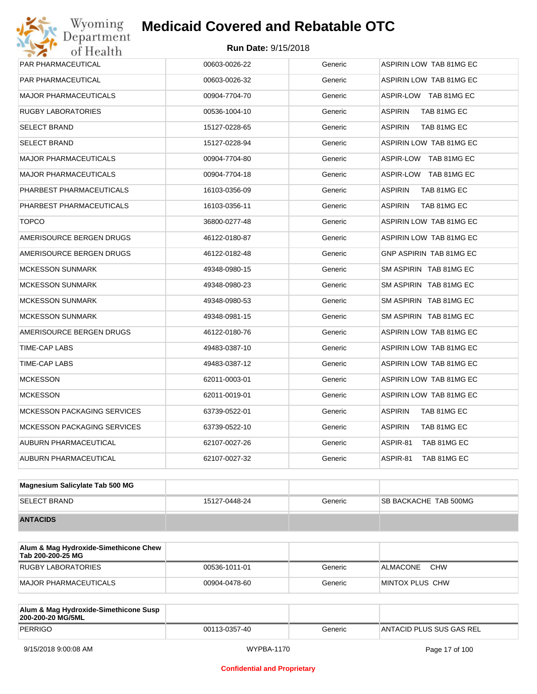| <b>PAR PHARMACEUTICAL</b>          | 00603-0026-22 | Generic | ASPIRIN LOW TAB 81MG EC        |  |  |
|------------------------------------|---------------|---------|--------------------------------|--|--|
| PAR PHARMACEUTICAL                 | 00603-0026-32 | Generic | ASPIRIN LOW TAB 81MG EC        |  |  |
| <b>MAJOR PHARMACEUTICALS</b>       | 00904-7704-70 | Generic | ASPIR-LOW TAB 81MG EC          |  |  |
| <b>RUGBY LABORATORIES</b>          | 00536-1004-10 | Generic | ASPIRIN<br>TAB 81MG EC         |  |  |
| <b>SELECT BRAND</b>                | 15127-0228-65 | Generic | <b>ASPIRIN</b><br>TAB 81MG EC  |  |  |
| <b>SELECT BRAND</b>                | 15127-0228-94 | Generic | ASPIRIN LOW TAB 81MG EC        |  |  |
| <b>MAJOR PHARMACEUTICALS</b>       | 00904-7704-80 | Generic | ASPIR-LOW TAB 81MG EC          |  |  |
| <b>MAJOR PHARMACEUTICALS</b>       | 00904-7704-18 | Generic | ASPIR-LOW TAB 81MG EC          |  |  |
| PHARBEST PHARMACEUTICALS           | 16103-0356-09 | Generic | <b>ASPIRIN</b><br>TAB 81MG EC  |  |  |
| PHARBEST PHARMACEUTICALS           | 16103-0356-11 | Generic | <b>ASPIRIN</b><br>TAB 81MG EC  |  |  |
| TOPCO                              | 36800-0277-48 | Generic | ASPIRIN LOW TAB 81MG EC        |  |  |
| AMERISOURCE BERGEN DRUGS           | 46122-0180-87 | Generic | ASPIRIN LOW TAB 81MG EC        |  |  |
| AMERISOURCE BERGEN DRUGS           | 46122-0182-48 | Generic | <b>GNP ASPIRIN TAB 81MG EC</b> |  |  |
| MCKESSON SUNMARK                   | 49348-0980-15 | Generic | SM ASPIRIN TAB 81MG EC         |  |  |
| <b>MCKESSON SUNMARK</b>            | 49348-0980-23 | Generic | SM ASPIRIN TAB 81MG EC         |  |  |
| <b>MCKESSON SUNMARK</b>            | 49348-0980-53 | Generic | SM ASPIRIN TAB 81MG EC         |  |  |
| <b>MCKESSON SUNMARK</b>            | 49348-0981-15 | Generic | SM ASPIRIN TAB 81MG EC         |  |  |
| AMERISOURCE BERGEN DRUGS           | 46122-0180-76 | Generic | ASPIRIN LOW TAB 81MG EC        |  |  |
| TIME-CAP LABS                      | 49483-0387-10 | Generic | ASPIRIN LOW TAB 81MG EC        |  |  |
| TIME-CAP LABS                      | 49483-0387-12 | Generic | ASPIRIN LOW TAB 81MG EC        |  |  |
| <b>MCKESSON</b>                    | 62011-0003-01 | Generic | ASPIRIN LOW TAB 81MG EC        |  |  |
| <b>MCKESSON</b>                    | 62011-0019-01 | Generic | ASPIRIN LOW TAB 81MG EC        |  |  |
| <b>MCKESSON PACKAGING SERVICES</b> | 63739-0522-01 | Generic | ASPIRIN<br>TAB 81MG EC         |  |  |
| <b>MCKESSON PACKAGING SERVICES</b> | 63739-0522-10 | Generic | <b>ASPIRIN</b><br>TAB 81MG EC  |  |  |
| AUBURN PHARMACEUTICAL              | 62107-0027-26 | Generic | ASPIR-81<br>TAB 81MG EC        |  |  |
| <b>AUBURN PHARMACEUTICAL</b>       | 62107-0027-32 | Generic | ASPIR-81<br>TAB 81MG EC        |  |  |
|                                    |               |         |                                |  |  |

| Magnesium Salicylate Tab 500 MG |               |         |                               |
|---------------------------------|---------------|---------|-------------------------------|
| <b>SELECT BRAND</b>             | 15127-0448-24 | Generic | <b>ISB BACKACHE TAB 500MG</b> |
| <b>ANTACIDS</b>                 |               |         |                               |

| Alum & Mag Hydroxide-Simethicone Chew<br>Tab 200-200-25 MG |               |         |                        |
|------------------------------------------------------------|---------------|---------|------------------------|
| RUGBY LABORATORIES                                         | 00536-1011-01 | Generic | <b>CHW</b><br>ALMACONE |
| MAJOR PHARMACEUTICALS                                      | 00904-0478-60 | Generic | MINTOX PLUS CHW        |

| Alum & Mag Hydroxide-Simethicone Susp<br>200-200-20 MG/5ML |               |         |                          |
|------------------------------------------------------------|---------------|---------|--------------------------|
| PERRIGO                                                    | 00113-0357-40 | Generic | ANTACID PLUS SUS GAS REL |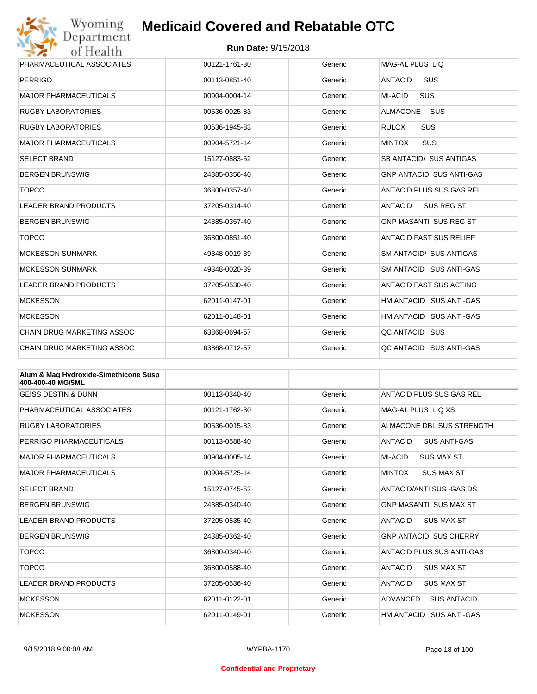

| Wyoming                           | <b>Medicaid Covered and Rebatable OTC</b> |         |                                     |  |
|-----------------------------------|-------------------------------------------|---------|-------------------------------------|--|
| Department<br>of Health           | <b>Run Date: 9/15/2018</b>                |         |                                     |  |
| PHARMACEUTICAL ASSOCIATES         | 00121-1761-30                             | Generic | MAG-AL PLUS LIQ                     |  |
| <b>PERRIGO</b>                    | 00113-0851-40                             | Generic | <b>ANTACID</b><br><b>SUS</b>        |  |
| <b>MAJOR PHARMACEUTICALS</b>      | 00904-0004-14                             | Generic | MI-ACID<br><b>SUS</b>               |  |
| <b>RUGBY LABORATORIES</b>         | 00536-0025-83                             | Generic | <b>ALMACONE</b><br><b>SUS</b>       |  |
| <b>RUGBY LABORATORIES</b>         | 00536-1945-83                             | Generic | SUS<br><b>RULOX</b>                 |  |
| <b>MAJOR PHARMACEUTICALS</b>      | 00904-5721-14                             | Generic | SUS<br><b>MINTOX</b>                |  |
| <b>SELECT BRAND</b>               | 15127-0883-52                             | Generic | SB ANTACID/ SUS ANTIGAS             |  |
| <b>BERGEN BRUNSWIG</b>            | 24385-0356-40                             | Generic | <b>GNP ANTACID SUS ANTI-GAS</b>     |  |
| <b>TOPCO</b>                      | 36800-0357-40                             | Generic | ANTACID PLUS SUS GAS REL            |  |
| LEADER BRAND PRODUCTS             | 37205-0314-40                             | Generic | <b>ANTACID</b><br><b>SUS REG ST</b> |  |
| <b>BERGEN BRUNSWIG</b>            | 24385-0357-40                             | Generic | <b>GNP MASANTI SUS REG ST</b>       |  |
| <b>TOPCO</b>                      | 36800-0851-40                             | Generic | <b>ANTACID FAST SUS RELIEF</b>      |  |
| <b>MCKESSON SUNMARK</b>           | 49348-0019-39                             | Generic | <b>SM ANTACID/ SUS ANTIGAS</b>      |  |
| <b>MCKESSON SUNMARK</b>           | 49348-0020-39                             | Generic | SM ANTACID SUS ANTI-GAS             |  |
| <b>LEADER BRAND PRODUCTS</b>      | 37205-0530-40                             | Generic | <b>ANTACID FAST SUS ACTING</b>      |  |
| <b>MCKESSON</b>                   | 62011-0147-01                             | Generic | HM ANTACID SUS ANTI-GAS             |  |
| <b>MCKESSON</b>                   | 62011-0148-01                             | Generic | HM ANTACID SUS ANTI-GAS             |  |
| <b>CHAIN DRUG MARKETING ASSOC</b> | 63868-0694-57                             | Generic | QC ANTACID SUS                      |  |
| <b>CHAIN DRUG MARKETING ASSOC</b> | 63868-0712-57                             | Generic | QC ANTACID SUS ANTI-GAS             |  |

| Alum & Mag Hydroxide-Simethicone Susp<br>400-400-40 MG/5ML |               |         |                                       |
|------------------------------------------------------------|---------------|---------|---------------------------------------|
| <b>GEISS DESTIN &amp; DUNN</b>                             | 00113-0340-40 | Generic | ANTACID PLUS SUS GAS REL              |
| PHARMACEUTICAL ASSOCIATES                                  | 00121-1762-30 | Generic | MAG-AL PLUS LIO XS                    |
| <b>RUGBY LABORATORIES</b>                                  | 00536-0015-83 | Generic | ALMACONE DBL SUS STRENGTH             |
| PERRIGO PHARMACEUTICALS                                    | 00113-0588-40 | Generic | <b>ANTACID</b><br><b>SUS ANTI-GAS</b> |
| <b>MAJOR PHARMACEUTICALS</b>                               | 00904-0005-14 | Generic | MI-ACID<br><b>SUS MAX ST</b>          |
| <b>MAJOR PHARMACEUTICALS</b>                               | 00904-5725-14 | Generic | <b>MINTOX</b><br><b>SUS MAX ST</b>    |
| <b>SELECT BRAND</b>                                        | 15127-0745-52 | Generic | ANTACID/ANTI SUS - GAS DS             |
| <b>BERGEN BRUNSWIG</b>                                     | 24385-0340-40 | Generic | <b>GNP MASANTI SUS MAX ST</b>         |
| <b>LEADER BRAND PRODUCTS</b>                               | 37205-0535-40 | Generic | <b>ANTACID</b><br><b>SUS MAX ST</b>   |
| <b>BERGEN BRUNSWIG</b>                                     | 24385-0362-40 | Generic | <b>GNP ANTACID SUS CHERRY</b>         |
| <b>TOPCO</b>                                               | 36800-0340-40 | Generic | ANTACID PLUS SUS ANTI-GAS             |
| <b>TOPCO</b>                                               | 36800-0588-40 | Generic | <b>ANTACID</b><br><b>SUS MAX ST</b>   |
| <b>LEADER BRAND PRODUCTS</b>                               | 37205-0536-40 | Generic | <b>ANTACID</b><br><b>SUS MAX ST</b>   |
| <b>MCKESSON</b>                                            | 62011-0122-01 | Generic | ADVANCED<br><b>SUS ANTACID</b>        |
| <b>MCKESSON</b>                                            | 62011-0149-01 | Generic | HM ANTACID<br>SUS ANTI-GAS            |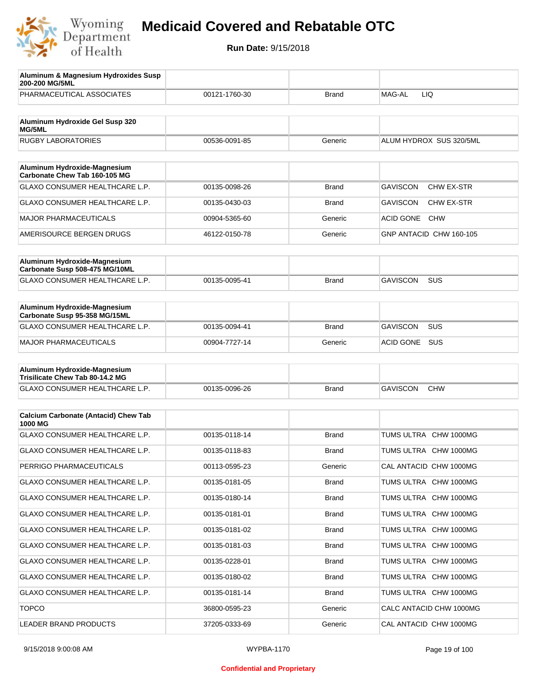

| Aluminum & Magnesium Hydroxides Susp<br>200-200 MG/5ML          |               |              |                                |
|-----------------------------------------------------------------|---------------|--------------|--------------------------------|
| PHARMACEUTICAL ASSOCIATES                                       | 00121-1760-30 | <b>Brand</b> | MAG-AL<br>LIQ                  |
| Aluminum Hydroxide Gel Susp 320                                 |               |              |                                |
| MG/5ML                                                          |               |              |                                |
| <b>RUGBY LABORATORIES</b>                                       | 00536-0091-85 | Generic      | ALUM HYDROX SUS 320/5ML        |
| Aluminum Hydroxide-Magnesium<br>Carbonate Chew Tab 160-105 MG   |               |              |                                |
| GLAXO CONSUMER HEALTHCARE L.P.                                  | 00135-0098-26 | <b>Brand</b> | <b>GAVISCON</b><br>CHW EX-STR  |
| GLAXO CONSUMER HEALTHCARE L.P.                                  | 00135-0430-03 | <b>Brand</b> | <b>GAVISCON</b><br>CHW EX-STR  |
| <b>MAJOR PHARMACEUTICALS</b>                                    | 00904-5365-60 | Generic      | <b>ACID GONE</b><br><b>CHW</b> |
| AMERISOURCE BERGEN DRUGS                                        | 46122-0150-78 | Generic      | GNP ANTACID CHW 160-105        |
|                                                                 |               |              |                                |
| Aluminum Hydroxide-Magnesium<br>Carbonate Susp 508-475 MG/10ML  |               |              |                                |
| <b>GLAXO CONSUMER HEALTHCARE L.P.</b>                           | 00135-0095-41 | <b>Brand</b> | SUS<br><b>GAVISCON</b>         |
|                                                                 |               |              |                                |
| Aluminum Hydroxide-Magnesium<br>Carbonate Susp 95-358 MG/15ML   |               |              |                                |
| <b>GLAXO CONSUMER HEALTHCARE L.P.</b>                           | 00135-0094-41 | <b>Brand</b> | <b>GAVISCON</b><br><b>SUS</b>  |
| <b>MAJOR PHARMACEUTICALS</b>                                    | 00904-7727-14 | Generic      | ACID GONE SUS                  |
|                                                                 |               |              |                                |
| Aluminum Hydroxide-Magnesium<br>Trisilicate Chew Tab 80-14.2 MG |               |              |                                |
| GLAXO CONSUMER HEALTHCARE L.P.                                  | 00135-0096-26 | <b>Brand</b> | <b>GAVISCON</b><br><b>CHW</b>  |
|                                                                 |               |              |                                |
| <b>Calcium Carbonate (Antacid) Chew Tab</b><br>1000 MG          |               |              |                                |
| <b>GLAXO CONSUMER HEALTHCARE L.P.</b>                           | 00135-0118-14 | <b>Brand</b> | TUMS ULTRA CHW 1000MG          |
| GLAXO CONSUMER HEALTHCARE L.P.                                  | 00135-0118-83 | <b>Brand</b> | TUMS ULTRA CHW 1000MG          |
| PERRIGO PHARMACEUTICALS                                         | 00113-0595-23 | Generic      | CAL ANTACID CHW 1000MG         |
| GLAXO CONSUMER HEALTHCARE L.P.                                  | 00135-0181-05 | Brand        | TUMS ULTRA CHW 1000MG          |
| GLAXO CONSUMER HEALTHCARE L.P.                                  | 00135-0180-14 | Brand        | TUMS ULTRA CHW 1000MG          |
| GLAXO CONSUMER HEALTHCARE L.P.                                  | 00135-0181-01 | Brand        | TUMS ULTRA CHW 1000MG          |
| GLAXO CONSUMER HEALTHCARE L.P.                                  | 00135-0181-02 | Brand        | TUMS ULTRA CHW 1000MG          |
| GLAXO CONSUMER HEALTHCARE L.P.                                  | 00135-0181-03 | Brand        | TUMS ULTRA CHW 1000MG          |
| GLAXO CONSUMER HEALTHCARE L.P.                                  | 00135-0228-01 | Brand        | TUMS ULTRA CHW 1000MG          |
| GLAXO CONSUMER HEALTHCARE L.P.                                  | 00135-0180-02 | Brand        | TUMS ULTRA CHW 1000MG          |
| GLAXO CONSUMER HEALTHCARE L.P.                                  | 00135-0181-14 | Brand        | TUMS ULTRA CHW 1000MG          |
| <b>TOPCO</b>                                                    | 36800-0595-23 | Generic      | CALC ANTACID CHW 1000MG        |
| LEADER BRAND PRODUCTS                                           | 37205-0333-69 | Generic      | CAL ANTACID CHW 1000MG         |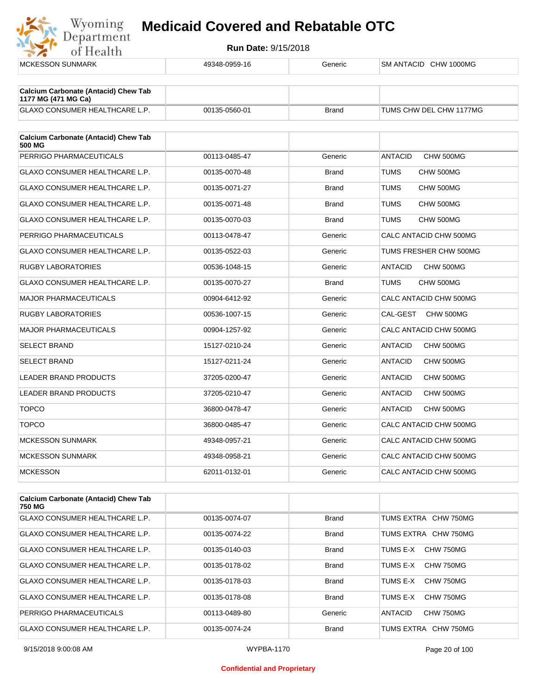

| <b>MCKESSON SUNMARK</b>                                            | 49348-0959-16 | Generic      | SM ANTACID CHW 1000MG       |
|--------------------------------------------------------------------|---------------|--------------|-----------------------------|
| <b>Calcium Carbonate (Antacid) Chew Tab</b><br>1177 MG (471 MG Ca) |               |              |                             |
| GLAXO CONSUMER HEALTHCARE L.P.                                     | 00135-0560-01 | <b>Brand</b> | TUMS CHW DEL CHW 1177MG     |
| <b>Calcium Carbonate (Antacid) Chew Tab</b><br>500 MG              |               |              |                             |
| PERRIGO PHARMACEUTICALS                                            | 00113-0485-47 | Generic      | <b>ANTACID</b><br>CHW 500MG |
| GLAXO CONSUMER HEALTHCARE L.P.                                     | 00135-0070-48 | <b>Brand</b> | TUMS<br>CHW 500MG           |
| GLAXO CONSUMER HEALTHCARE L.P.                                     | 00135-0071-27 | <b>Brand</b> | TUMS<br>CHW 500MG           |
| GLAXO CONSUMER HEALTHCARE L.P.                                     | 00135-0071-48 | <b>Brand</b> | TUMS<br>CHW 500MG           |
| <b>GLAXO CONSUMER HEALTHCARE L.P.</b>                              | 00135-0070-03 | <b>Brand</b> | TUMS<br>CHW 500MG           |
| PERRIGO PHARMACEUTICALS                                            | 00113-0478-47 | Generic      | CALC ANTACID CHW 500MG      |
| <b>GLAXO CONSUMER HEALTHCARE L.P.</b>                              | 00135-0522-03 | Generic      | TUMS FRESHER CHW 500MG      |
| <b>RUGBY LABORATORIES</b>                                          | 00536-1048-15 | Generic      | <b>ANTACID</b><br>CHW 500MG |
| <b>GLAXO CONSUMER HEALTHCARE L.P.</b>                              | 00135-0070-27 | <b>Brand</b> | TUMS<br>CHW 500MG           |
| <b>MAJOR PHARMACEUTICALS</b>                                       | 00904-6412-92 | Generic      | CALC ANTACID CHW 500MG      |
| <b>RUGBY LABORATORIES</b>                                          | 00536-1007-15 | Generic      | CAL-GEST<br>CHW 500MG       |
| <b>MAJOR PHARMACEUTICALS</b>                                       | 00904-1257-92 | Generic      | CALC ANTACID CHW 500MG      |
| <b>SELECT BRAND</b>                                                | 15127-0210-24 | Generic      | <b>ANTACID</b><br>CHW 500MG |
| <b>SELECT BRAND</b>                                                | 15127-0211-24 | Generic      | <b>ANTACID</b><br>CHW 500MG |
| LEADER BRAND PRODUCTS                                              | 37205-0200-47 | Generic      | <b>ANTACID</b><br>CHW 500MG |
| LEADER BRAND PRODUCTS                                              | 37205-0210-47 | Generic      | <b>ANTACID</b><br>CHW 500MG |
| <b>TOPCO</b>                                                       | 36800-0478-47 | Generic      | <b>ANTACID</b><br>CHW 500MG |
| <b>TOPCO</b>                                                       | 36800-0485-47 | Generic      | CALC ANTACID CHW 500MG      |
| <b>MCKESSON SUNMARK</b>                                            | 49348-0957-21 | Generic      | CALC ANTACID CHW 500MG      |
| <b>MCKESSON SUNMARK</b>                                            | 49348-0958-21 | Generic      | CALC ANTACID CHW 500MG      |
| <b>MCKESSON</b>                                                    | 62011-0132-01 | Generic      | CALC ANTACID CHW 500MG      |
|                                                                    |               |              |                             |
| <b>Calcium Carbonate (Antacid) Chew Tab</b><br>750 MG              |               |              |                             |
| GLAXO CONSUMER HEALTHCARE L.P.                                     | 00135-0074-07 | <b>Brand</b> | TUMS EXTRA CHW 750MG        |
|                                                                    |               |              |                             |

| GLAXO CONSUMER HEALTHCARE L.P.        | 00135-0074-22 | <b>Brand</b> | TUMS EXTRA CHW 750MG        |
|---------------------------------------|---------------|--------------|-----------------------------|
| <b>GLAXO CONSUMER HEALTHCARE L.P.</b> | 00135-0140-03 | Brand        | TUMS F-X<br>CHW 750MG       |
| <b>GLAXO CONSUMER HEALTHCARE L.P.</b> | 00135-0178-02 | <b>Brand</b> | CHW 750MG<br>TUMS F-X       |
| <b>GLAXO CONSUMER HEALTHCARE L.P.</b> | 00135-0178-03 | <b>Brand</b> | TUMS E-X<br>CHW 750MG       |
| <b>GLAXO CONSUMER HEALTHCARE L.P.</b> | 00135-0178-08 | <b>Brand</b> | CHW 750MG<br>TUMS F-X       |
| PERRIGO PHARMACEUTICALS               | 00113-0489-80 | Generic      | CHW 750MG<br><b>ANTACID</b> |
| <b>GLAXO CONSUMER HEALTHCARE L.P.</b> | 00135-0074-24 | Brand        | TUMS EXTRA CHW 750MG        |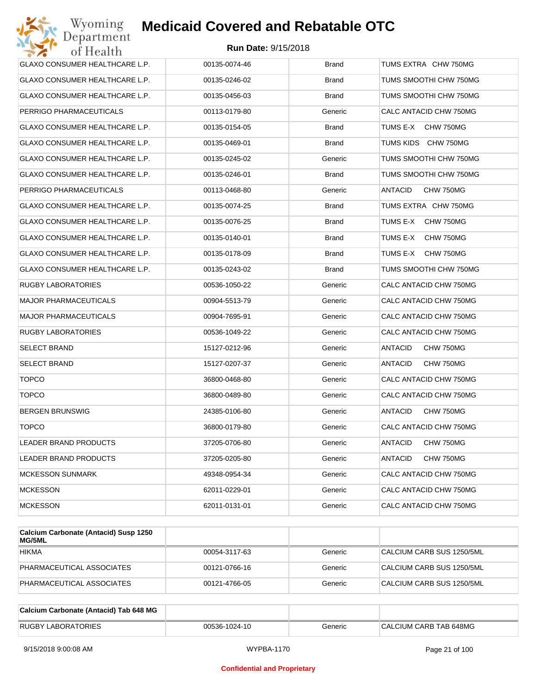| Wyoming<br>Department                 | <b>Medicaid Covered and Rebatable OTC</b> |              |                             |
|---------------------------------------|-------------------------------------------|--------------|-----------------------------|
| of Health                             | <b>Run Date: 9/15/2018</b>                |              |                             |
| <b>GLAXO CONSUMER HEALTHCARE L.P.</b> | 00135-0074-46                             | <b>Brand</b> | TUMS EXTRA CHW 750MG        |
| GLAXO CONSUMER HEALTHCARE L.P.        | 00135-0246-02                             | Brand        | TUMS SMOOTHI CHW 750MG      |
| GLAXO CONSUMER HEALTHCARE L.P.        | 00135-0456-03                             | Brand        | TUMS SMOOTHI CHW 750MG      |
| PERRIGO PHARMACEUTICALS               | 00113-0179-80                             | Generic      | CALC ANTACID CHW 750MG      |
| GLAXO CONSUMER HEALTHCARE L.P.        | 00135-0154-05                             | <b>Brand</b> | TUMS E-X<br>CHW 750MG       |
| GLAXO CONSUMER HEALTHCARE L.P.        | 00135-0469-01                             | <b>Brand</b> | TUMS KIDS CHW 750MG         |
| GLAXO CONSUMER HEALTHCARE L.P.        | 00135-0245-02                             | Generic      | TUMS SMOOTHI CHW 750MG      |
| GLAXO CONSUMER HEALTHCARE L.P.        | 00135-0246-01                             | <b>Brand</b> | TUMS SMOOTHI CHW 750MG      |
| PERRIGO PHARMACEUTICALS               | 00113-0468-80                             | Generic      | ANTACID<br>CHW 750MG        |
| GLAXO CONSUMER HEALTHCARE L.P.        | 00135-0074-25                             | <b>Brand</b> | TUMS EXTRA CHW 750MG        |
| GLAXO CONSUMER HEALTHCARE L.P.        | 00135-0076-25                             | <b>Brand</b> | TUMS E-X<br>CHW 750MG       |
| GLAXO CONSUMER HEALTHCARE L.P.        | 00135-0140-01                             | Brand        | TUMS E-X<br>CHW 750MG       |
| GLAXO CONSUMER HEALTHCARE L.P.        | 00135-0178-09                             | <b>Brand</b> | TUMS E-X<br>CHW 750MG       |
| GLAXO CONSUMER HEALTHCARE L.P.        | 00135-0243-02                             | Brand        | TUMS SMOOTHI CHW 750MG      |
| <b>RUGBY LABORATORIES</b>             | 00536-1050-22                             | Generic      | CALC ANTACID CHW 750MG      |
| <b>MAJOR PHARMACEUTICALS</b>          | 00904-5513-79                             | Generic      | CALC ANTACID CHW 750MG      |
| <b>MAJOR PHARMACEUTICALS</b>          | 00904-7695-91                             | Generic      | CALC ANTACID CHW 750MG      |
| <b>RUGBY LABORATORIES</b>             | 00536-1049-22                             | Generic      | CALC ANTACID CHW 750MG      |
| <b>SELECT BRAND</b>                   | 15127-0212-96                             | Generic      | ANTACID<br>CHW 750MG        |
| <b>SELECT BRAND</b>                   | 15127-0207-37                             | Generic      | ANTACID<br>CHW 750MG        |
| <b>TOPCO</b>                          | 36800-0468-80                             | Generic      | CALC ANTACID CHW 750MG      |
| <b>TOPCO</b>                          | 36800-0489-80                             | Generic      | CALC ANTACID CHW 750MG      |
| <b>BERGEN BRUNSWIG</b>                | 24385-0106-80                             | Generic      | ANTACID<br>CHW 750MG        |
| <b>TOPCO</b>                          | 36800-0179-80                             | Generic      | CALC ANTACID CHW 750MG      |
| LEADER BRAND PRODUCTS                 | 37205-0706-80                             | Generic      | ANTACID<br>CHW 750MG        |
| LEADER BRAND PRODUCTS                 | 37205-0205-80                             | Generic      | <b>ANTACID</b><br>CHW 750MG |
| <b>MCKESSON SUNMARK</b>               | 49348-0954-34                             | Generic      | CALC ANTACID CHW 750MG      |
| <b>MCKESSON</b>                       | 62011-0229-01                             | Generic      | CALC ANTACID CHW 750MG      |
| <b>MCKESSON</b>                       | 62011-0131-01                             | Generic      | CALC ANTACID CHW 750MG      |

| Calcium Carbonate (Antacid) Susp 1250<br><b>MG/5ML</b> |               |         |                           |
|--------------------------------------------------------|---------------|---------|---------------------------|
| <b>HIKMA</b>                                           | 00054-3117-63 | Generic | CALCIUM CARB SUS 1250/5ML |
| PHARMACEUTICAL ASSOCIATES                              | 00121-0766-16 | Generic | CALCIUM CARB SUS 1250/5ML |
| PHARMACEUTICAL ASSOCIATES                              | 00121-4766-05 | Generic | CALCIUM CARB SUS 1250/5ML |

| Calcium Carbonate (Antacid) Tab 648 MG |               |         |                        |
|----------------------------------------|---------------|---------|------------------------|
| <b>RUGBY LABORATORIES</b>              | 00536-1024-10 | Generic | CALCIUM CARB TAB 648MG |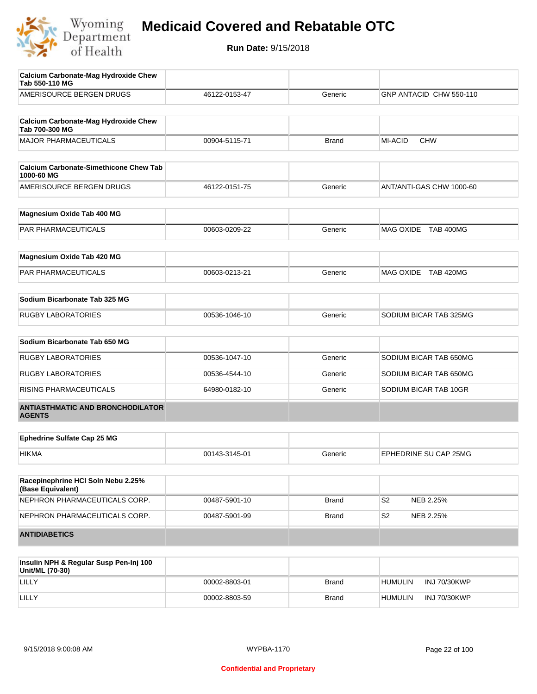

| Calcium Carbonate-Mag Hydroxide Chew<br>Tab 550-110 MG      |               |              |                              |
|-------------------------------------------------------------|---------------|--------------|------------------------------|
| AMERISOURCE BERGEN DRUGS                                    | 46122-0153-47 | Generic      | GNP ANTACID CHW 550-110      |
| <b>Calcium Carbonate-Mag Hydroxide Chew</b>                 |               |              |                              |
| Tab 700-300 MG                                              |               |              |                              |
| <b>MAJOR PHARMACEUTICALS</b>                                | 00904-5115-71 | <b>Brand</b> | <b>MI-ACID</b><br><b>CHW</b> |
| <b>Calcium Carbonate-Simethicone Chew Tab</b><br>1000-60 MG |               |              |                              |
| AMERISOURCE BERGEN DRUGS                                    | 46122-0151-75 | Generic      | ANT/ANTI-GAS CHW 1000-60     |
| Magnesium Oxide Tab 400 MG                                  |               |              |                              |
| PAR PHARMACEUTICALS                                         | 00603-0209-22 | Generic      | MAG OXIDE TAB 400MG          |
| Magnesium Oxide Tab 420 MG                                  |               |              |                              |
| PAR PHARMACEUTICALS                                         | 00603-0213-21 | Generic      | MAG OXIDE TAB 420MG          |
| Sodium Bicarbonate Tab 325 MG                               |               |              |                              |
| <b>RUGBY LABORATORIES</b>                                   | 00536-1046-10 | Generic      | SODIUM BICAR TAB 325MG       |
|                                                             |               |              |                              |
| Sodium Bicarbonate Tab 650 MG                               |               |              |                              |
| <b>RUGBY LABORATORIES</b>                                   | 00536-1047-10 | Generic      | SODIUM BICAR TAB 650MG       |
| <b>RUGBY LABORATORIES</b>                                   | 00536-4544-10 | Generic      | SODIUM BICAR TAB 650MG       |
| RISING PHARMACEUTICALS                                      | 64980-0182-10 | Generic      | SODIUM BICAR TAB 10GR        |
| <b>ANTIASTHMATIC AND BRONCHODILATOR</b><br><b>AGENTS</b>    |               |              |                              |
| <b>Ephedrine Sulfate Cap 25 MG</b>                          |               |              |                              |
| <b>HIKMA</b>                                                | 00143-3145-01 | Generic      | EPHEDRINE SU CAP 25MG        |
|                                                             |               |              |                              |
| Racepinephrine HCI Soln Nebu 2.25%<br>(Base Equivalent)     |               |              |                              |
| NEPHRON PHARMACEUTICALS CORP.                               | 00487-5901-10 | <b>Brand</b> | S <sub>2</sub><br>NEB 2.25%  |
| NEPHRON PHARMACEUTICALS CORP.                               | 00487-5901-99 | <b>Brand</b> | S <sub>2</sub><br>NEB 2.25%  |
| <b>ANTIDIABETICS</b>                                        |               |              |                              |

| Insulin NPH & Regular Susp Pen-Inj 100<br>Unit/ML (70-30) |               |       |                                |
|-----------------------------------------------------------|---------------|-------|--------------------------------|
| LILLY                                                     | 00002-8803-01 | Brand | INJ 70/30KWP<br><b>HUMULIN</b> |
| LILLY                                                     | 00002-8803-59 | Brand | INJ 70/30KWP<br><b>HUMULIN</b> |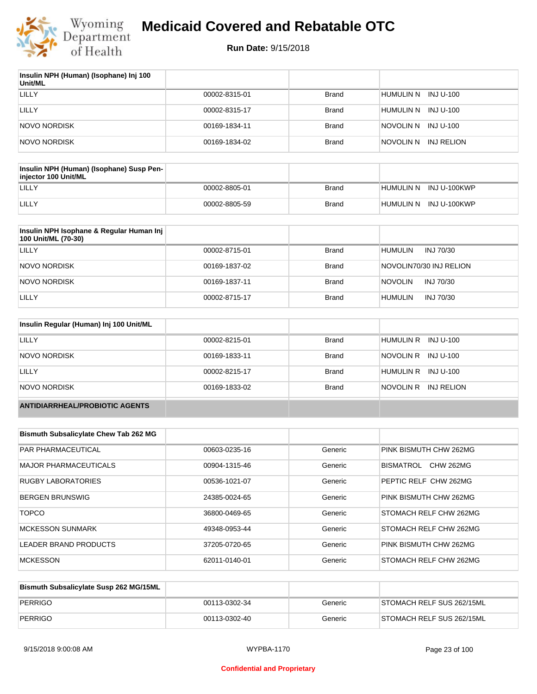

| Insulin NPH (Human) (Isophane) Inj 100<br>Unit/ML |               |              |                          |
|---------------------------------------------------|---------------|--------------|--------------------------|
| LILLY                                             | 00002-8315-01 | <b>Brand</b> | INJ U-100<br>HUMULIN N   |
| LILLY                                             | 00002-8315-17 | <b>Brand</b> | HUMULIN N<br>INJ U-100   |
| <b>NOVO NORDISK</b>                               | 00169-1834-11 | <b>Brand</b> | NOVOLIN N INJ U-100      |
| <b>NOVO NORDISK</b>                               | 00169-1834-02 | <b>Brand</b> | INJ RELION<br>inovolin n |

| Insulin NPH (Human) (Isophane) Susp Pen-<br>injector 100 Unit/ML |               |       |                        |
|------------------------------------------------------------------|---------------|-------|------------------------|
| LILLY                                                            | 00002-8805-01 | Brand | HUMULIN N INJ U-100KWP |
| LILLY                                                            | 00002-8805-59 | Brand | HUMULIN N INJ U-100KWP |

| Insulin NPH Isophane & Regular Human Inj<br>100 Unit/ML (70-30) |               |              |                             |
|-----------------------------------------------------------------|---------------|--------------|-----------------------------|
| LILLY                                                           | 00002-8715-01 | <b>Brand</b> | <b>HUMULIN</b><br>INJ 70/30 |
| NOVO NORDISK                                                    | 00169-1837-02 | <b>Brand</b> | NOVOLIN70/30 INJ RELION     |
| NOVO NORDISK                                                    | 00169-1837-11 | <b>Brand</b> | <b>NOVOLIN</b><br>INJ 70/30 |
| LILLY                                                           | 00002-8715-17 | <b>Brand</b> | <b>HUMULIN</b><br>INJ 70/30 |

| Insulin Regular (Human) Inj 100 Unit/ML |               |              |                         |
|-----------------------------------------|---------------|--------------|-------------------------|
| LILLY                                   | 00002-8215-01 | <b>Brand</b> | HUMULIN R INJ U-100     |
| NOVO NORDISK                            | 00169-1833-11 | <b>Brand</b> | NOVOLIN R INJ U-100     |
| LILLY                                   | 00002-8215-17 | <b>Brand</b> | HUMULIN R INJ U-100     |
| NOVO NORDISK                            | 00169-1833-02 | <b>Brand</b> | NOVOLIN R<br>INJ RELION |
| <b>ANTIDIARRHEAL/PROBIOTIC AGENTS</b>   |               |              |                         |

| <b>Bismuth Subsalicylate Chew Tab 262 MG</b> |               |         |                               |
|----------------------------------------------|---------------|---------|-------------------------------|
| <b>PAR PHARMACEUTICAL</b>                    | 00603-0235-16 | Generic | PINK BISMUTH CHW 262MG        |
| <b>MAJOR PHARMACEUTICALS</b>                 | 00904-1315-46 | Generic | BISMATROL<br><b>CHW 262MG</b> |
| <b>RUGBY LABORATORIES</b>                    | 00536-1021-07 | Generic | PEPTIC RELF CHW 262MG         |
| <b>BERGEN BRUNSWIG</b>                       | 24385-0024-65 | Generic | PINK BISMUTH CHW 262MG        |
| <b>TOPCO</b>                                 | 36800-0469-65 | Generic | STOMACH RELF CHW 262MG        |
| <b>MCKESSON SUNMARK</b>                      | 49348-0953-44 | Generic | STOMACH RELF CHW 262MG        |
| <b>LEADER BRAND PRODUCTS</b>                 | 37205-0720-65 | Generic | PINK BISMUTH CHW 262MG        |
| <b>MCKESSON</b>                              | 62011-0140-01 | Generic | STOMACH RELF CHW 262MG        |

| Bismuth Subsalicylate Susp 262 MG/15ML |               |         |                           |
|----------------------------------------|---------------|---------|---------------------------|
| PERRIGO                                | 00113-0302-34 | Generic | STOMACH RELF SUS 262/15ML |
| PERRIGO                                | 00113-0302-40 | Generic | STOMACH RELF SUS 262/15ML |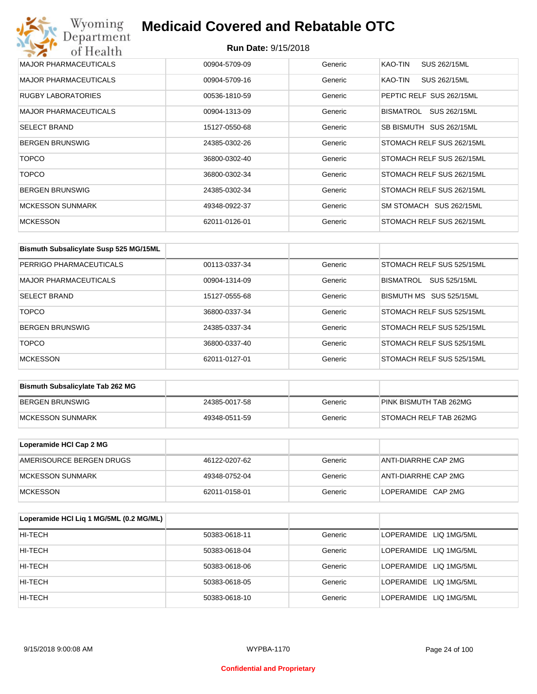## Wyoming<br>Department<br>of Health **Medicaid Covered and Rebatable OTC**

| <b>MAJOR PHARMACEUTICALS</b> | 00904-5709-09 | Generic | KAO-TIN<br>SUS 262/15ML   |
|------------------------------|---------------|---------|---------------------------|
| <b>MAJOR PHARMACEUTICALS</b> | 00904-5709-16 | Generic | KAO-TIN<br>SUS 262/15ML   |
| <b>RUGBY LABORATORIES</b>    | 00536-1810-59 | Generic | PEPTIC RELF SUS 262/15ML  |
| <b>MAJOR PHARMACEUTICALS</b> | 00904-1313-09 | Generic | BISMATROL<br>SUS 262/15ML |
| <b>SELECT BRAND</b>          | 15127-0550-68 | Generic | SB BISMUTH SUS 262/15ML   |
| <b>BERGEN BRUNSWIG</b>       | 24385-0302-26 | Generic | STOMACH RELF SUS 262/15ML |
| <b>TOPCO</b>                 | 36800-0302-40 | Generic | STOMACH RELF SUS 262/15ML |
| <b>TOPCO</b>                 | 36800-0302-34 | Generic | STOMACH RELF SUS 262/15ML |
| <b>BERGEN BRUNSWIG</b>       | 24385-0302-34 | Generic | STOMACH RELF SUS 262/15ML |
| <b>MCKESSON SUNMARK</b>      | 49348-0922-37 | Generic | SM STOMACH SUS 262/15ML   |
| <b>MCKESSON</b>              | 62011-0126-01 | Generic | STOMACH RELF SUS 262/15ML |

| Bismuth Subsalicylate Susp 525 MG/15ML |               |         |                                  |
|----------------------------------------|---------------|---------|----------------------------------|
| PERRIGO PHARMACEUTICALS                | 00113-0337-34 | Generic | STOMACH RELF SUS 525/15ML        |
| MAJOR PHARMACEUTICALS                  | 00904-1314-09 | Generic | SUS 525/15ML<br><b>BISMATROL</b> |
| <b>SELECT BRAND</b>                    | 15127-0555-68 | Generic | BISMUTH MS SUS 525/15ML          |
| <b>TOPCO</b>                           | 36800-0337-34 | Generic | STOMACH RELF SUS 525/15ML        |
| <b>BERGEN BRUNSWIG</b>                 | 24385-0337-34 | Generic | STOMACH RELF SUS 525/15ML        |
| <b>TOPCO</b>                           | 36800-0337-40 | Generic | STOMACH RELF SUS 525/15ML        |
| <b>MCKESSON</b>                        | 62011-0127-01 | Generic | STOMACH RELF SUS 525/15ML        |

| <b>Bismuth Subsalicylate Tab 262 MG</b> |               |         |                        |
|-----------------------------------------|---------------|---------|------------------------|
| BERGEN BRUNSWIG                         | 24385-0017-58 | Generic | PINK BISMUTH TAB 262MG |
| <b>IMCKESSON SUNMARK</b>                | 49348-0511-59 | Generic | STOMACH RELF TAB 262MG |

| Loperamide HCI Cap 2 MG  |               |         |                      |
|--------------------------|---------------|---------|----------------------|
| AMERISOURCE BERGEN DRUGS | 46122-0207-62 | Generic | ANTI-DIARRHE CAP 2MG |
| IMCKESSON SUNMARK        | 49348-0752-04 | Generic | ANTI-DIARRHE CAP 2MG |
| <b>IMCKESSON</b>         | 62011-0158-01 | Generic | LOPERAMIDE CAP 2MG   |

| Loperamide HCI Liq 1 MG/5ML (0.2 MG/ML) |               |         |                        |
|-----------------------------------------|---------------|---------|------------------------|
| HI-TECH                                 | 50383-0618-11 | Generic | LOPERAMIDE LIQ 1MG/5ML |
| HI-TECH                                 | 50383-0618-04 | Generic | LOPERAMIDE LIQ 1MG/5ML |
| HI-TECH                                 | 50383-0618-06 | Generic | LOPERAMIDE LIQ 1MG/5ML |
| HI-TECH                                 | 50383-0618-05 | Generic | LOPERAMIDE LIQ 1MG/5ML |
| HI-TECH                                 | 50383-0618-10 | Generic | LOPERAMIDE LIQ 1MG/5ML |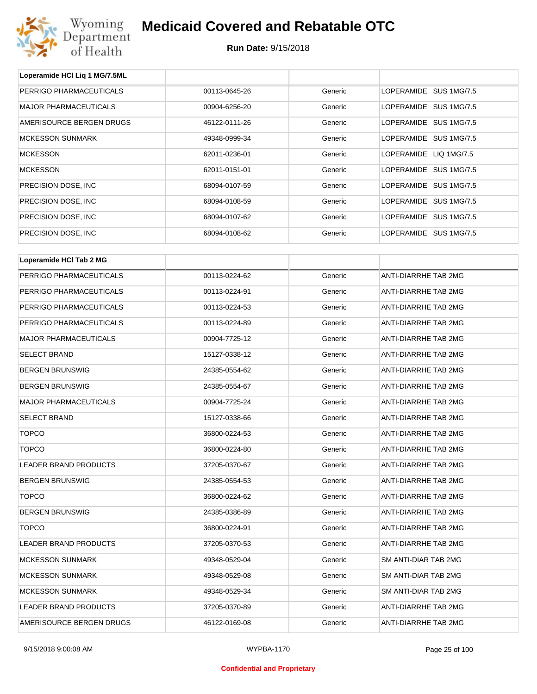

**Loperamide HCl Liq 1 MG/7.5ML**

## **Medicaid Covered and Rebatable OTC**

| PERRIGO PHARMACEUTICALS      | 00113-0645-26 | Generic | LOPERAMIDE SUS 1MG/7.5      |  |
|------------------------------|---------------|---------|-----------------------------|--|
| <b>MAJOR PHARMACEUTICALS</b> | 00904-6256-20 | Generic | LOPERAMIDE SUS 1MG/7.5      |  |
| AMERISOURCE BERGEN DRUGS     | 46122-0111-26 | Generic | LOPERAMIDE SUS 1MG/7.5      |  |
| <b>MCKESSON SUNMARK</b>      | 49348-0999-34 | Generic | LOPERAMIDE SUS 1MG/7.5      |  |
| <b>MCKESSON</b>              | 62011-0236-01 | Generic | LOPERAMIDE LIQ 1MG/7.5      |  |
| <b>MCKESSON</b>              | 62011-0151-01 | Generic | LOPERAMIDE SUS 1MG/7.5      |  |
| PRECISION DOSE, INC          | 68094-0107-59 | Generic | LOPERAMIDE SUS 1MG/7.5      |  |
| PRECISION DOSE, INC          | 68094-0108-59 | Generic | LOPERAMIDE SUS 1MG/7.5      |  |
| PRECISION DOSE, INC          | 68094-0107-62 | Generic | LOPERAMIDE SUS 1MG/7.5      |  |
| PRECISION DOSE, INC          | 68094-0108-62 | Generic | LOPERAMIDE SUS 1MG/7.5      |  |
|                              |               |         |                             |  |
| Loperamide HCI Tab 2 MG      |               |         |                             |  |
| PERRIGO PHARMACEUTICALS      | 00113-0224-62 | Generic | ANTI-DIARRHE TAB 2MG        |  |
| PERRIGO PHARMACEUTICALS      | 00113-0224-91 | Generic | ANTI-DIARRHE TAB 2MG        |  |
| PERRIGO PHARMACEUTICALS      | 00113-0224-53 | Generic | <b>ANTI-DIARRHE TAB 2MG</b> |  |
| PERRIGO PHARMACEUTICALS      | 00113-0224-89 | Generic | ANTI-DIARRHE TAB 2MG        |  |
| <b>MAJOR PHARMACEUTICALS</b> | 00904-7725-12 | Generic | ANTI-DIARRHE TAB 2MG        |  |
| <b>SELECT BRAND</b>          | 15127-0338-12 | Generic | ANTI-DIARRHE TAB 2MG        |  |
| <b>BERGEN BRUNSWIG</b>       | 24385-0554-62 | Generic | ANTI-DIARRHE TAB 2MG        |  |
| <b>BERGEN BRUNSWIG</b>       | 24385-0554-67 | Generic | ANTI-DIARRHE TAB 2MG        |  |
| <b>MAJOR PHARMACEUTICALS</b> | 00904-7725-24 | Generic | ANTI-DIARRHE TAB 2MG        |  |
| <b>SELECT BRAND</b>          | 15127-0338-66 | Generic | ANTI-DIARRHE TAB 2MG        |  |
| <b>TOPCO</b>                 | 36800-0224-53 | Generic | <b>ANTI-DIARRHE TAB 2MG</b> |  |
| <b>TOPCO</b>                 | 36800-0224-80 | Generic | ANTI-DIARRHE TAB 2MG        |  |
| <b>LEADER BRAND PRODUCTS</b> | 37205-0370-67 | Generic | ANTI-DIARRHE TAB 2MG        |  |
| <b>BERGEN BRUNSWIG</b>       | 24385-0554-53 | Generic | ANTI-DIARRHE TAB 2MG        |  |
| <b>TOPCO</b>                 | 36800-0224-62 | Generic | ANTI-DIARRHE TAB 2MG        |  |
| <b>BERGEN BRUNSWIG</b>       | 24385-0386-89 | Generic | ANTI-DIARRHE TAB 2MG        |  |
| <b>TOPCO</b>                 | 36800-0224-91 | Generic | ANTI-DIARRHE TAB 2MG        |  |
| <b>LEADER BRAND PRODUCTS</b> | 37205-0370-53 | Generic | ANTI-DIARRHE TAB 2MG        |  |
| <b>MCKESSON SUNMARK</b>      | 49348-0529-04 | Generic | SM ANTI-DIAR TAB 2MG        |  |
| <b>MCKESSON SUNMARK</b>      | 49348-0529-08 | Generic | SM ANTI-DIAR TAB 2MG        |  |
| <b>MCKESSON SUNMARK</b>      | 49348-0529-34 | Generic | SM ANTI-DIAR TAB 2MG        |  |
| LEADER BRAND PRODUCTS        | 37205-0370-89 | Generic | ANTI-DIARRHE TAB 2MG        |  |
| AMERISOURCE BERGEN DRUGS     | 46122-0169-08 | Generic | ANTI-DIARRHE TAB 2MG        |  |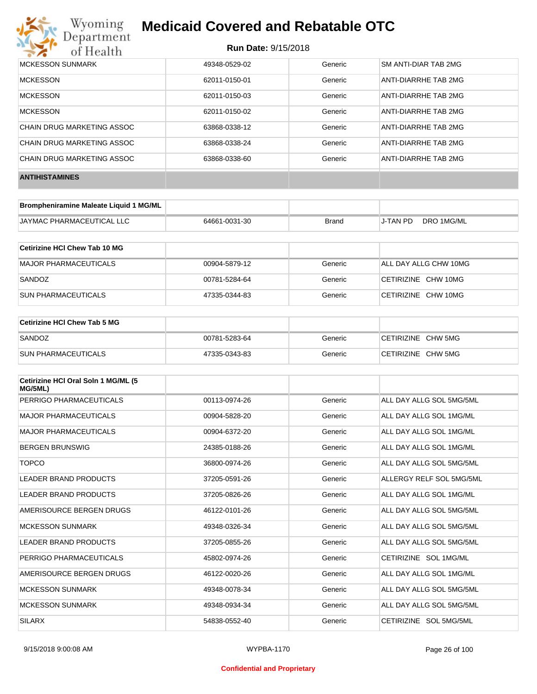

| MCKESSON SUNMARK           | 49348-0529-02 | Generic | SM ANTI-DIAR TAB 2MG |
|----------------------------|---------------|---------|----------------------|
| <b>MCKESSON</b>            | 62011-0150-01 | Generic | ANTI-DIARRHE TAB 2MG |
| <b>MCKESSON</b>            | 62011-0150-03 | Generic | ANTI-DIARRHE TAB 2MG |
| <b>MCKESSON</b>            | 62011-0150-02 | Generic | ANTI-DIARRHE TAB 2MG |
| CHAIN DRUG MARKETING ASSOC | 63868-0338-12 | Generic | ANTI-DIARRHE TAB 2MG |
| CHAIN DRUG MARKETING ASSOC | 63868-0338-24 | Generic | ANTI-DIARRHE TAB 2MG |
| CHAIN DRUG MARKETING ASSOC | 63868-0338-60 | Generic | ANTI-DIARRHE TAB 2MG |
| <b>ANTIHISTAMINES</b>      |               |         |                      |

| Brompheniramine Maleate Liquid 1 MG/ML |               |       |                 |            |
|----------------------------------------|---------------|-------|-----------------|------------|
| <b>JAYMAC PHARMACEUTICAL LLC</b>       | 64661-0031-30 | Brand | <b>J-TAN PD</b> | DRO 1MG/ML |

| Cetirizine HCI Chew Tab 10 MG |               |         |                       |
|-------------------------------|---------------|---------|-----------------------|
| MAJOR PHARMACEUTICALS         | 00904-5879-12 | Generic | ALL DAY ALLG CHW 10MG |
| SANDOZ                        | 00781-5284-64 | Generic | CETIRIZINE CHW 10MG   |
| <b>SUN PHARMACEUTICALS</b>    | 47335-0344-83 | Generic | CETIRIZINE CHW 10MG   |

| Cetirizine HCI Chew Tab 5 MG |               |         |                    |
|------------------------------|---------------|---------|--------------------|
| SANDOZ                       | 00781-5283-64 | Generic | CETIRIZINE CHW 5MG |
| <b>SUN PHARMACEUTICALS</b>   | 47335-0343-83 | Generic | CETIRIZINE CHW 5MG |

| Cetirizine HCI Oral Soln 1 MG/ML (5<br>MG/5ML) |               |         |                          |
|------------------------------------------------|---------------|---------|--------------------------|
| PERRIGO PHARMACEUTICALS                        | 00113-0974-26 | Generic | ALL DAY ALLG SOL 5MG/5ML |
| <b>MAJOR PHARMACEUTICALS</b>                   | 00904-5828-20 | Generic | ALL DAY ALLG SOL 1MG/ML  |
| <b>MAJOR PHARMACEUTICALS</b>                   | 00904-6372-20 | Generic | ALL DAY ALLG SOL 1MG/ML  |
| <b>BERGEN BRUNSWIG</b>                         | 24385-0188-26 | Generic | ALL DAY ALLG SOL 1MG/ML  |
| <b>TOPCO</b>                                   | 36800-0974-26 | Generic | ALL DAY ALLG SOL 5MG/5ML |
| <b>LEADER BRAND PRODUCTS</b>                   | 37205-0591-26 | Generic | ALLERGY RELF SOL 5MG/5ML |
| LEADER BRAND PRODUCTS                          | 37205-0826-26 | Generic | ALL DAY ALLG SOL 1MG/ML  |
| AMERISOURCE BERGEN DRUGS                       | 46122-0101-26 | Generic | ALL DAY ALLG SOL 5MG/5ML |
| <b>MCKESSON SUNMARK</b>                        | 49348-0326-34 | Generic | ALL DAY ALLG SOL 5MG/5ML |
| LEADER BRAND PRODUCTS                          | 37205-0855-26 | Generic | ALL DAY ALLG SOL 5MG/5ML |
| PERRIGO PHARMACEUTICALS                        | 45802-0974-26 | Generic | CETIRIZINE SOL 1MG/ML    |
| AMERISOURCE BERGEN DRUGS                       | 46122-0020-26 | Generic | ALL DAY ALLG SOL 1MG/ML  |
| <b>MCKESSON SUNMARK</b>                        | 49348-0078-34 | Generic | ALL DAY ALLG SOL 5MG/5ML |
| <b>MCKESSON SUNMARK</b>                        | 49348-0934-34 | Generic | ALL DAY ALLG SOL 5MG/5ML |
| <b>SILARX</b>                                  | 54838-0552-40 | Generic | CETIRIZINE SOL 5MG/5ML   |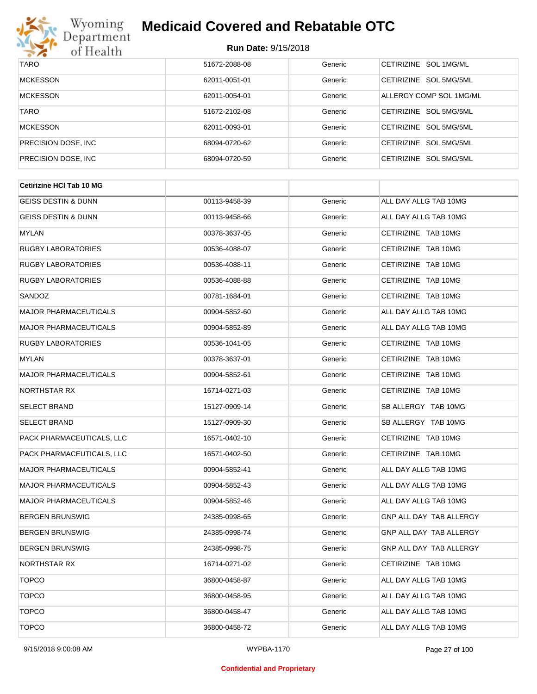

| <b>TARO</b>          | 51672-2088-08 | Generic | CETIRIZINE SOL 1MG/ML   |
|----------------------|---------------|---------|-------------------------|
| <b>MCKESSON</b>      | 62011-0051-01 | Generic | CETIRIZINE SOL 5MG/5ML  |
| <b>MCKESSON</b>      | 62011-0054-01 | Generic | ALLERGY COMP SOL 1MG/ML |
| <b>TARO</b>          | 51672-2102-08 | Generic | CETIRIZINE SOL 5MG/5ML  |
| <b>MCKESSON</b>      | 62011-0093-01 | Generic | CETIRIZINE SOL 5MG/5ML  |
| PRECISION DOSE, INC. | 68094-0720-62 | Generic | CETIRIZINE SOL 5MG/5ML  |
| PRECISION DOSE, INC. | 68094-0720-59 | Generic | CETIRIZINE SOL 5MG/5ML  |

| 00113-9458-39 | Generic | ALL DAY ALLG TAB 10MG          |
|---------------|---------|--------------------------------|
| 00113-9458-66 | Generic | ALL DAY ALLG TAB 10MG          |
| 00378-3637-05 | Generic | CETIRIZINE TAB 10MG            |
| 00536-4088-07 | Generic | CETIRIZINE TAB 10MG            |
| 00536-4088-11 | Generic | CETIRIZINE TAB 10MG            |
| 00536-4088-88 | Generic | CETIRIZINE TAB 10MG            |
| 00781-1684-01 | Generic | CETIRIZINE TAB 10MG            |
| 00904-5852-60 | Generic | ALL DAY ALLG TAB 10MG          |
| 00904-5852-89 | Generic | ALL DAY ALLG TAB 10MG          |
| 00536-1041-05 | Generic | CETIRIZINE TAB 10MG            |
| 00378-3637-01 | Generic | CETIRIZINE TAB 10MG            |
| 00904-5852-61 | Generic | CETIRIZINE TAB 10MG            |
| 16714-0271-03 | Generic | CETIRIZINE TAB 10MG            |
| 15127-0909-14 | Generic | SB ALLERGY TAB 10MG            |
| 15127-0909-30 | Generic | SB ALLERGY TAB 10MG            |
| 16571-0402-10 | Generic | CETIRIZINE TAB 10MG            |
| 16571-0402-50 | Generic | CETIRIZINE TAB 10MG            |
| 00904-5852-41 | Generic | ALL DAY ALLG TAB 10MG          |
| 00904-5852-43 | Generic | ALL DAY ALLG TAB 10MG          |
| 00904-5852-46 | Generic | ALL DAY ALLG TAB 10MG          |
| 24385-0998-65 | Generic | GNP ALL DAY TAB ALLERGY        |
| 24385-0998-74 | Generic | GNP ALL DAY TAB ALLERGY        |
| 24385-0998-75 | Generic | <b>GNP ALL DAY TAB ALLERGY</b> |
| 16714-0271-02 | Generic | CETIRIZINE TAB 10MG            |
| 36800-0458-87 | Generic | ALL DAY ALLG TAB 10MG          |
| 36800-0458-95 | Generic | ALL DAY ALLG TAB 10MG          |
| 36800-0458-47 | Generic | ALL DAY ALLG TAB 10MG          |
| 36800-0458-72 | Generic | ALL DAY ALLG TAB 10MG          |
|               |         |                                |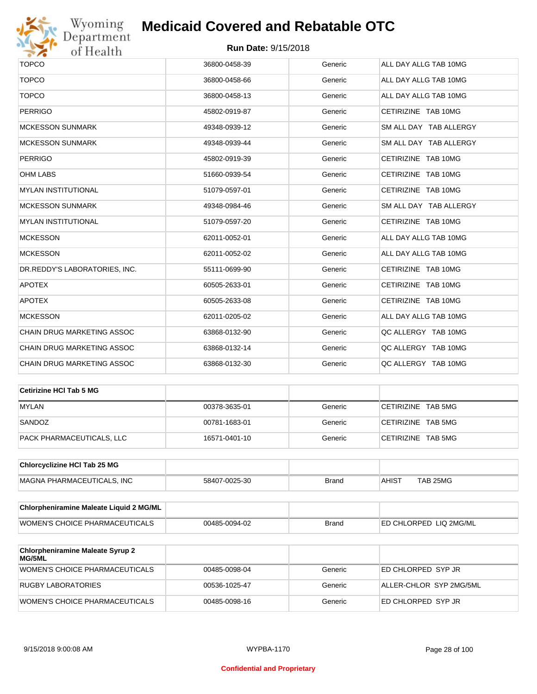

| <b>TOPCO</b>                  | 36800-0458-39 | Generic | ALL DAY ALLG TAB 10MG  |
|-------------------------------|---------------|---------|------------------------|
| <b>TOPCO</b>                  | 36800-0458-66 | Generic | ALL DAY ALLG TAB 10MG  |
| <b>TOPCO</b>                  | 36800-0458-13 | Generic | ALL DAY ALLG TAB 10MG  |
| <b>PERRIGO</b>                | 45802-0919-87 | Generic | CETIRIZINE TAB 10MG    |
| <b>MCKESSON SUNMARK</b>       | 49348-0939-12 | Generic | SM ALL DAY TAB ALLERGY |
| <b>MCKESSON SUNMARK</b>       | 49348-0939-44 | Generic | SM ALL DAY TAB ALLERGY |
| <b>PERRIGO</b>                | 45802-0919-39 | Generic | CETIRIZINE TAB 10MG    |
| <b>OHM LABS</b>               | 51660-0939-54 | Generic | CETIRIZINE TAB 10MG    |
| <b>MYLAN INSTITUTIONAL</b>    | 51079-0597-01 | Generic | CETIRIZINE TAB 10MG    |
| <b>MCKESSON SUNMARK</b>       | 49348-0984-46 | Generic | SM ALL DAY TAB ALLERGY |
| <b>MYLAN INSTITUTIONAL</b>    | 51079-0597-20 | Generic | CETIRIZINE TAB 10MG    |
| <b>MCKESSON</b>               | 62011-0052-01 | Generic | ALL DAY ALLG TAB 10MG  |
| <b>MCKESSON</b>               | 62011-0052-02 | Generic | ALL DAY ALLG TAB 10MG  |
| DR.REDDY'S LABORATORIES, INC. | 55111-0699-90 | Generic | CETIRIZINE TAB 10MG    |
| <b>APOTEX</b>                 | 60505-2633-01 | Generic | CETIRIZINE TAB 10MG    |
| <b>APOTEX</b>                 | 60505-2633-08 | Generic | CETIRIZINE TAB 10MG    |
| <b>MCKESSON</b>               | 62011-0205-02 | Generic | ALL DAY ALLG TAB 10MG  |
| CHAIN DRUG MARKETING ASSOC    | 63868-0132-90 | Generic | QC ALLERGY TAB 10MG    |
| CHAIN DRUG MARKETING ASSOC    | 63868-0132-14 | Generic | QC ALLERGY TAB 10MG    |
| CHAIN DRUG MARKETING ASSOC    | 63868-0132-30 | Generic | QC ALLERGY TAB 10MG    |

| Cetirizine HCI Tab 5 MG   |               |         |                    |
|---------------------------|---------------|---------|--------------------|
| <b>MYLAN</b>              | 00378-3635-01 | Generic | CETIRIZINE TAB 5MG |
| SANDOZ                    | 00781-1683-01 | Generic | CETIRIZINE TAB 5MG |
| PACK PHARMACEUTICALS, LLC | 16571-0401-10 | Generic | CETIRIZINE TAB 5MG |

| <b>Chlorcyclizine HCI Tab 25 MG</b> |               |       |        |          |
|-------------------------------------|---------------|-------|--------|----------|
| MAGNA PHARMACEUTICALS. INC          | 58407-0025-30 | Brand | ⊣AHIST | TAB 25MG |

| <b>Chlorpheniramine Maleate Liquid 2 MG/ML</b> |               |              |                                |
|------------------------------------------------|---------------|--------------|--------------------------------|
| <b>WOMEN'S CHOICE PHARMACEUTICALS</b>          | 00485-0094-02 | <b>Brand</b> | <b>LED CHLORPED LIQ 2MG/ML</b> |

| <b>Chlorpheniramine Maleate Syrup 2</b><br>MG/5ML |               |         |                         |
|---------------------------------------------------|---------------|---------|-------------------------|
| WOMEN'S CHOICE PHARMACEUTICALS                    | 00485-0098-04 | Generic | ED CHLORPED SYP JR      |
| RUGBY LABORATORIES                                | 00536-1025-47 | Generic | ALLER-CHLOR SYP 2MG/5ML |
| WOMEN'S CHOICE PHARMACEUTICALS                    | 00485-0098-16 | Generic | ED CHLORPED SYP JR      |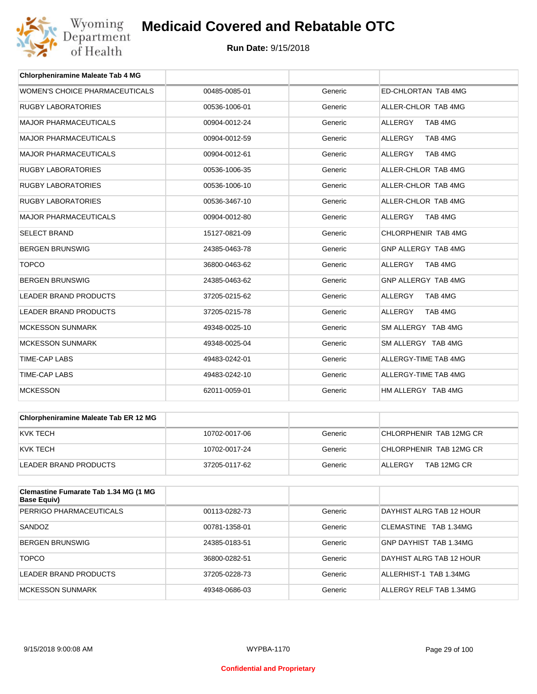

| <b>Chlorpheniramine Maleate Tab 4 MG</b> |               |         |                           |
|------------------------------------------|---------------|---------|---------------------------|
| WOMEN'S CHOICE PHARMACEUTICALS           | 00485-0085-01 | Generic | ED-CHLORTAN TAB 4MG       |
| <b>RUGBY LABORATORIES</b>                | 00536-1006-01 | Generic | ALLER-CHLOR TAB 4MG       |
| <b>MAJOR PHARMACEUTICALS</b>             | 00904-0012-24 | Generic | TAB 4MG<br><b>ALLERGY</b> |
| <b>MAJOR PHARMACEUTICALS</b>             | 00904-0012-59 | Generic | <b>ALLERGY</b><br>TAB 4MG |
| <b>MAJOR PHARMACEUTICALS</b>             | 00904-0012-61 | Generic | TAB 4MG<br><b>ALLERGY</b> |
| <b>RUGBY LABORATORIES</b>                | 00536-1006-35 | Generic | ALLER-CHLOR TAB 4MG       |
| <b>RUGBY LABORATORIES</b>                | 00536-1006-10 | Generic | ALLER-CHLOR TAB 4MG       |
| <b>RUGBY LABORATORIES</b>                | 00536-3467-10 | Generic | ALLER-CHLOR TAB 4MG       |
| <b>MAJOR PHARMACEUTICALS</b>             | 00904-0012-80 | Generic | ALLERGY<br>TAB 4MG        |
| <b>SELECT BRAND</b>                      | 15127-0821-09 | Generic | CHLORPHENIR TAB 4MG       |
| <b>BERGEN BRUNSWIG</b>                   | 24385-0463-78 | Generic | GNP ALLERGY TAB 4MG       |
| <b>TOPCO</b>                             | 36800-0463-62 | Generic | TAB 4MG<br><b>ALLERGY</b> |
| <b>BERGEN BRUNSWIG</b>                   | 24385-0463-62 | Generic | GNP ALLERGY TAB 4MG       |
| <b>LEADER BRAND PRODUCTS</b>             | 37205-0215-62 | Generic | <b>ALLERGY</b><br>TAB 4MG |
| <b>LEADER BRAND PRODUCTS</b>             | 37205-0215-78 | Generic | <b>ALLERGY</b><br>TAB 4MG |
| <b>MCKESSON SUNMARK</b>                  | 49348-0025-10 | Generic | SM ALLERGY TAB 4MG        |
| <b>MCKESSON SUNMARK</b>                  | 49348-0025-04 | Generic | SM ALLERGY TAB 4MG        |
| <b>TIME-CAP LABS</b>                     | 49483-0242-01 | Generic | ALLERGY-TIME TAB 4MG      |
| <b>TIME-CAP LABS</b>                     | 49483-0242-10 | Generic | ALLERGY-TIME TAB 4MG      |
| <b>MCKESSON</b>                          | 62011-0059-01 | Generic | HM ALLERGY TAB 4MG        |

| Chlorpheniramine Maleate Tab ER 12 MG |               |         |                         |
|---------------------------------------|---------------|---------|-------------------------|
| IKVK TECH                             | 10702-0017-06 | Generic | CHLORPHENIR TAB 12MG CR |
| IKVK TECH                             | 10702-0017-24 | Generic | CHLORPHENIR TAB 12MG CR |
| LEADER BRAND PRODUCTS                 | 37205-0117-62 | Generic | TAB 12MG CR<br>ALLERGY  |

| <b>Clemastine Fumarate Tab 1.34 MG (1 MG</b><br>Base Equiv) |               |         |                          |
|-------------------------------------------------------------|---------------|---------|--------------------------|
| PERRIGO PHARMACEUTICALS                                     | 00113-0282-73 | Generic | DAYHIST ALRG TAB 12 HOUR |
| SANDOZ                                                      | 00781-1358-01 | Generic | CLEMASTINE TAB 1.34MG    |
| <b>BERGEN BRUNSWIG</b>                                      | 24385-0183-51 | Generic | GNP DAYHIST TAB 1.34MG   |
| <b>TOPCO</b>                                                | 36800-0282-51 | Generic | DAYHIST ALRG TAB 12 HOUR |
| LEADER BRAND PRODUCTS                                       | 37205-0228-73 | Generic | ALLERHIST-1 TAB 1.34MG   |
| MCKESSON SUNMARK                                            | 49348-0686-03 | Generic | ALLERGY RELF TAB 1.34MG  |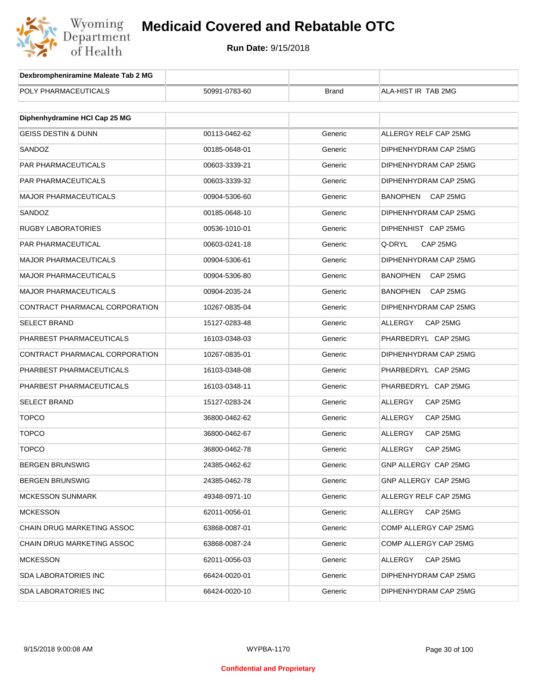

| Dexbrompheniramine Maleate Tab 2 MG |               |              |                             |
|-------------------------------------|---------------|--------------|-----------------------------|
| POLY PHARMACEUTICALS                | 50991-0783-60 | <b>Brand</b> | ALA-HIST IR TAB 2MG         |
|                                     |               |              |                             |
| Diphenhydramine HCI Cap 25 MG       |               |              |                             |
| <b>GEISS DESTIN &amp; DUNN</b>      | 00113-0462-62 | Generic      | ALLERGY RELF CAP 25MG       |
| SANDOZ                              | 00185-0648-01 | Generic      | DIPHENHYDRAM CAP 25MG       |
| <b>PAR PHARMACEUTICALS</b>          | 00603-3339-21 | Generic      | DIPHENHYDRAM CAP 25MG       |
| PAR PHARMACEUTICALS                 | 00603-3339-32 | Generic      | DIPHENHYDRAM CAP 25MG       |
| <b>MAJOR PHARMACEUTICALS</b>        | 00904-5306-60 | Generic      | BANOPHEN<br>CAP 25MG        |
| SANDOZ                              | 00185-0648-10 | Generic      | DIPHENHYDRAM CAP 25MG       |
| <b>RUGBY LABORATORIES</b>           | 00536-1010-01 | Generic      | DIPHENHIST CAP 25MG         |
| PAR PHARMACEUTICAL                  | 00603-0241-18 | Generic      | Q-DRYL<br>CAP 25MG          |
| <b>MAJOR PHARMACEUTICALS</b>        | 00904-5306-61 | Generic      | DIPHENHYDRAM CAP 25MG       |
| <b>MAJOR PHARMACEUTICALS</b>        | 00904-5306-80 | Generic      | BANOPHEN<br>CAP 25MG        |
| <b>MAJOR PHARMACEUTICALS</b>        | 00904-2035-24 | Generic      | <b>BANOPHEN</b><br>CAP 25MG |
| CONTRACT PHARMACAL CORPORATION      | 10267-0835-04 | Generic      | DIPHENHYDRAM CAP 25MG       |
| <b>SELECT BRAND</b>                 | 15127-0283-48 | Generic      | ALLERGY<br>CAP 25MG         |
| PHARBEST PHARMACEUTICALS            | 16103-0348-03 | Generic      | PHARBEDRYL CAP 25MG         |
| CONTRACT PHARMACAL CORPORATION      | 10267-0835-01 | Generic      | DIPHENHYDRAM CAP 25MG       |
| PHARBEST PHARMACEUTICALS            | 16103-0348-08 | Generic      | PHARBEDRYL CAP 25MG         |
| PHARBEST PHARMACEUTICALS            | 16103-0348-11 | Generic      | PHARBEDRYL CAP 25MG         |
| <b>SELECT BRAND</b>                 | 15127-0283-24 | Generic      | ALLERGY<br>CAP 25MG         |
| <b>TOPCO</b>                        | 36800-0462-62 | Generic      | ALLERGY<br>CAP 25MG         |
| <b>TOPCO</b>                        | 36800-0462-67 | Generic      | ALLERGY<br>CAP 25MG         |
| <b>TOPCO</b>                        | 36800-0462-78 | Generic      | ALLERGY<br>CAP 25MG         |
| BERGEN BRUNSWIG                     | 24385-0462-62 | Generic      | GNP ALLERGY CAP 25MG        |
| <b>BERGEN BRUNSWIG</b>              | 24385-0462-78 | Generic      | GNP ALLERGY CAP 25MG        |
| <b>MCKESSON SUNMARK</b>             | 49348-0971-10 | Generic      | ALLERGY RELF CAP 25MG       |
| <b>MCKESSON</b>                     | 62011-0056-01 | Generic      | CAP 25MG<br>ALLERGY         |
| CHAIN DRUG MARKETING ASSOC          | 63868-0087-01 | Generic      | COMP ALLERGY CAP 25MG       |
| CHAIN DRUG MARKETING ASSOC          | 63868-0087-24 | Generic      | COMP ALLERGY CAP 25MG       |
| <b>MCKESSON</b>                     | 62011-0056-03 | Generic      | CAP 25MG<br>ALLERGY         |
| <b>SDA LABORATORIES INC</b>         | 66424-0020-01 | Generic      | DIPHENHYDRAM CAP 25MG       |
| <b>SDA LABORATORIES INC</b>         | 66424-0020-10 | Generic      | DIPHENHYDRAM CAP 25MG       |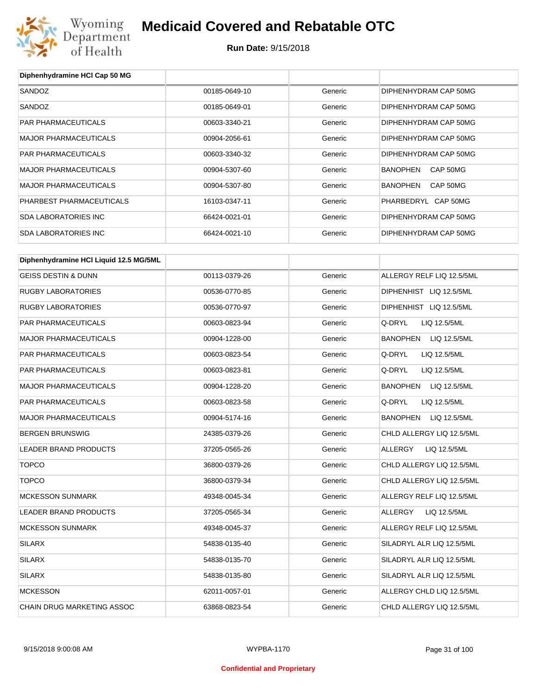

| Diphenhydramine HCI Cap 50 MG          |               |         |                                 |
|----------------------------------------|---------------|---------|---------------------------------|
| SANDOZ                                 | 00185-0649-10 | Generic | DIPHENHYDRAM CAP 50MG           |
| SANDOZ                                 | 00185-0649-01 | Generic | DIPHENHYDRAM CAP 50MG           |
| PAR PHARMACEUTICALS                    | 00603-3340-21 | Generic | DIPHENHYDRAM CAP 50MG           |
| <b>MAJOR PHARMACEUTICALS</b>           | 00904-2056-61 | Generic | DIPHENHYDRAM CAP 50MG           |
| PAR PHARMACEUTICALS                    | 00603-3340-32 | Generic | DIPHENHYDRAM CAP 50MG           |
| <b>MAJOR PHARMACEUTICALS</b>           | 00904-5307-60 | Generic | <b>BANOPHEN</b><br>CAP 50MG     |
| <b>MAJOR PHARMACEUTICALS</b>           | 00904-5307-80 | Generic | <b>BANOPHEN</b><br>CAP 50MG     |
| PHARBEST PHARMACEUTICALS               | 16103-0347-11 | Generic | PHARBEDRYL CAP 50MG             |
| <b>SDA LABORATORIES INC</b>            | 66424-0021-01 | Generic | DIPHENHYDRAM CAP 50MG           |
| <b>SDA LABORATORIES INC</b>            | 66424-0021-10 | Generic | DIPHENHYDRAM CAP 50MG           |
| Diphenhydramine HCI Liquid 12.5 MG/5ML |               |         |                                 |
| <b>GEISS DESTIN &amp; DUNN</b>         | 00113-0379-26 | Generic | ALLERGY RELF LIQ 12.5/5ML       |
| <b>RUGBY LABORATORIES</b>              | 00536-0770-85 | Generic | DIPHENHIST LIQ 12.5/5ML         |
| <b>RUGBY LABORATORIES</b>              | 00536-0770-97 | Generic | DIPHENHIST LIQ 12.5/5ML         |
| PAR PHARMACEUTICALS                    | 00603-0823-94 | Generic | Q-DRYL<br>LIQ 12.5/5ML          |
| <b>MAJOR PHARMACEUTICALS</b>           | 00904-1228-00 | Generic | <b>BANOPHEN</b><br>LIQ 12.5/5ML |
| PAR PHARMACEUTICALS                    | 00603-0823-54 | Generic | Q-DRYL<br>LIQ 12.5/5ML          |
| PAR PHARMACEUTICALS                    | 00603-0823-81 | Generic | Q-DRYL<br>LIQ 12.5/5ML          |
| <b>MAJOR PHARMACEUTICALS</b>           | 00904-1228-20 | Generic | <b>BANOPHEN</b><br>LIQ 12.5/5ML |
| PAR PHARMACEUTICALS                    | 00603-0823-58 | Generic | Q-DRYL<br>LIQ 12.5/5ML          |
| <b>MAJOR PHARMACEUTICALS</b>           | 00904-5174-16 | Generic | <b>BANOPHEN</b><br>LIQ 12.5/5ML |
| <b>BERGEN BRUNSWIG</b>                 | 24385-0379-26 | Generic | CHLD ALLERGY LIQ 12.5/5ML       |
| <b>LEADER BRAND PRODUCTS</b>           | 37205-0565-26 | Generic | ALLERGY<br>LIQ 12.5/5ML         |
| TOPCO                                  | 36800-0379-26 | Generic | CHLD ALLERGY LIQ 12.5/5ML       |
| <b>TOPCO</b>                           | 36800-0379-34 | Generic | CHLD ALLERGY LIQ 12.5/5ML       |
| <b>MCKESSON SUNMARK</b>                | 49348-0045-34 | Generic | ALLERGY RELF LIQ 12.5/5ML       |
| LEADER BRAND PRODUCTS                  | 37205-0565-34 | Generic | ALLERGY<br>LIQ 12.5/5ML         |
| <b>MCKESSON SUNMARK</b>                | 49348-0045-37 | Generic | ALLERGY RELF LIQ 12.5/5ML       |
| SILARX                                 | 54838-0135-40 | Generic | SILADRYL ALR LIQ 12.5/5ML       |
| <b>SILARX</b>                          | 54838-0135-70 | Generic | SILADRYL ALR LIQ 12.5/5ML       |
| <b>SILARX</b>                          | 54838-0135-80 | Generic | SILADRYL ALR LIQ 12.5/5ML       |
| <b>MCKESSON</b>                        | 62011-0057-01 | Generic | ALLERGY CHLD LIQ 12.5/5ML       |
| CHAIN DRUG MARKETING ASSOC             | 63868-0823-54 | Generic | CHLD ALLERGY LIQ 12.5/5ML       |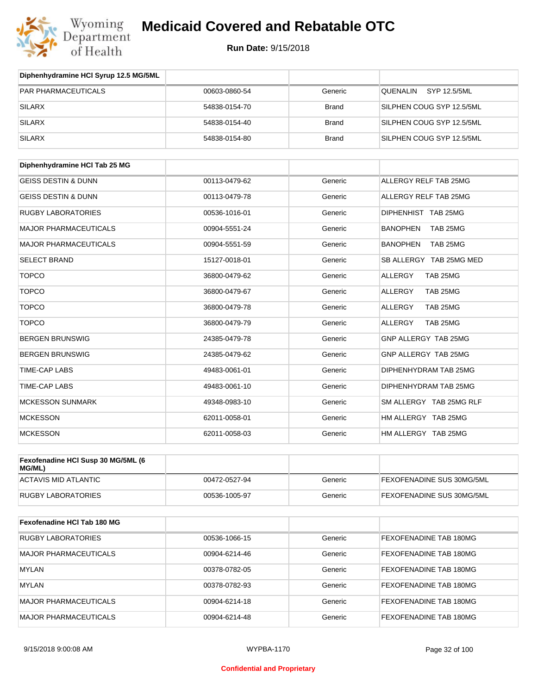

| Diphenhydramine HCI Syrup 12.5 MG/5ML |               |              |                             |
|---------------------------------------|---------------|--------------|-----------------------------|
| <b>PAR PHARMACEUTICALS</b>            | 00603-0860-54 | Generic      | QUENALIN<br>SYP 12.5/5ML    |
| <b>SILARX</b>                         | 54838-0154-70 | <b>Brand</b> | SILPHEN COUG SYP 12.5/5ML   |
| <b>SILARX</b>                         | 54838-0154-40 | <b>Brand</b> | SILPHEN COUG SYP 12.5/5ML   |
| <b>SILARX</b>                         | 54838-0154-80 | <b>Brand</b> | SILPHEN COUG SYP 12.5/5ML   |
|                                       |               |              |                             |
| Diphenhydramine HCI Tab 25 MG         |               |              |                             |
| <b>GEISS DESTIN &amp; DUNN</b>        | 00113-0479-62 | Generic      | ALLERGY RELF TAB 25MG       |
| <b>GEISS DESTIN &amp; DUNN</b>        | 00113-0479-78 | Generic      | ALLERGY RELF TAB 25MG       |
| <b>RUGBY LABORATORIES</b>             | 00536-1016-01 | Generic      | DIPHENHIST TAB 25MG         |
| <b>MAJOR PHARMACEUTICALS</b>          | 00904-5551-24 | Generic      | <b>BANOPHEN</b><br>TAB 25MG |
| <b>MAJOR PHARMACEUTICALS</b>          | 00904-5551-59 | Generic      | <b>BANOPHEN</b><br>TAB 25MG |
| <b>SELECT BRAND</b>                   | 15127-0018-01 | Generic      | SB ALLERGY TAB 25MG MED     |
| <b>TOPCO</b>                          | 36800-0479-62 | Generic      | <b>ALLERGY</b><br>TAB 25MG  |
| <b>TOPCO</b>                          | 36800-0479-67 | Generic      | ALLERGY<br>TAB 25MG         |
| <b>TOPCO</b>                          | 36800-0479-78 | Generic      | TAB 25MG<br><b>ALLERGY</b>  |
| <b>TOPCO</b>                          | 36800-0479-79 | Generic      | ALLERGY<br>TAB 25MG         |
| <b>BERGEN BRUNSWIG</b>                | 24385-0479-78 | Generic      | GNP ALLERGY TAB 25MG        |
| <b>BERGEN BRUNSWIG</b>                | 24385-0479-62 | Generic      | GNP ALLERGY TAB 25MG        |
| <b>TIME-CAP LABS</b>                  | 49483-0061-01 | Generic      | DIPHENHYDRAM TAB 25MG       |
| <b>TIME-CAP LABS</b>                  | 49483-0061-10 | Generic      | DIPHENHYDRAM TAB 25MG       |
| <b>MCKESSON SUNMARK</b>               | 49348-0983-10 | Generic      | SM ALLERGY TAB 25MG RLF     |
| <b>MCKESSON</b>                       | 62011-0058-01 | Generic      | HM ALLERGY TAB 25MG         |
| <b>MCKESSON</b>                       | 62011-0058-03 | Generic      | HM ALLERGY TAB 25MG         |
|                                       |               |              |                             |

| Fexofenadine HCI Susp 30 MG/5ML (6<br>MG/ML) |               |         |                                  |
|----------------------------------------------|---------------|---------|----------------------------------|
| ACTAVIS MID ATLANTIC                         | 00472-0527-94 | Generic | <b>FEXOFENADINE SUS 30MG/5ML</b> |
| <b>RUGBY LABORATORIES</b>                    | 00536-1005-97 | Generic | <b>FEXOFENADINE SUS 30MG/5ML</b> |

| Fexofenadine HCI Tab 180 MG  |               |         |                        |
|------------------------------|---------------|---------|------------------------|
| RUGBY LABORATORIES           | 00536-1066-15 | Generic | FEXOFENADINE TAB 180MG |
| <b>MAJOR PHARMACEUTICALS</b> | 00904-6214-46 | Generic | FEXOFENADINE TAB 180MG |
| <b>MYLAN</b>                 | 00378-0782-05 | Generic | FEXOFENADINE TAB 180MG |
| <b>MYLAN</b>                 | 00378-0782-93 | Generic | FEXOFENADINE TAB 180MG |
| <b>MAJOR PHARMACEUTICALS</b> | 00904-6214-18 | Generic | FEXOFENADINE TAB 180MG |
| MAJOR PHARMACEUTICALS        | 00904-6214-48 | Generic | FEXOFENADINE TAB 180MG |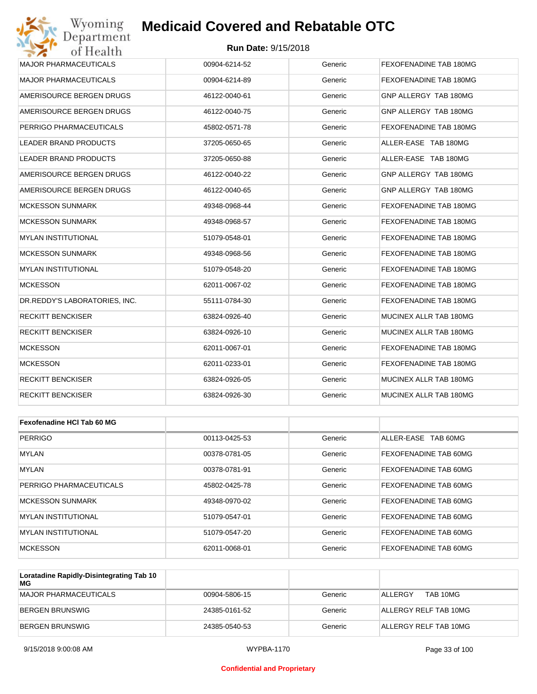#### **Run Date:** 9/15/2018

| Wyoming<br><b>Medicaid Covered and Rebatable OTC</b><br>Department |               |         |                        |  |  |
|--------------------------------------------------------------------|---------------|---------|------------------------|--|--|
| <b>Run Date: 9/15/2018</b><br>of Health                            |               |         |                        |  |  |
| <b>MAJOR PHARMACEUTICALS</b>                                       | 00904-6214-52 | Generic | FEXOFENADINE TAB 180MG |  |  |
| <b>MAJOR PHARMACEUTICALS</b>                                       | 00904-6214-89 | Generic | FEXOFENADINE TAB 180MG |  |  |
| AMERISOURCE BERGEN DRUGS                                           | 46122-0040-61 | Generic | GNP ALLERGY TAB 180MG  |  |  |
| AMERISOURCE BERGEN DRUGS                                           | 46122-0040-75 | Generic | GNP ALLERGY TAB 180MG  |  |  |
| PERRIGO PHARMACEUTICALS                                            | 45802-0571-78 | Generic | FEXOFENADINE TAB 180MG |  |  |
| LEADER BRAND PRODUCTS                                              | 37205-0650-65 | Generic | ALLER-EASE TAB 180MG   |  |  |
| <b>LEADER BRAND PRODUCTS</b>                                       | 37205-0650-88 | Generic | ALLER-EASE TAB 180MG   |  |  |
| AMERISOURCE BERGEN DRUGS                                           | 46122-0040-22 | Generic | GNP ALLERGY TAB 180MG  |  |  |
| AMERISOURCE BERGEN DRUGS                                           | 46122-0040-65 | Generic | GNP ALLERGY TAB 180MG  |  |  |
| <b>MCKESSON SUNMARK</b>                                            | 49348-0968-44 | Generic | FEXOFENADINE TAB 180MG |  |  |
| <b>MCKESSON SUNMARK</b>                                            | 49348-0968-57 | Generic | FEXOFENADINE TAB 180MG |  |  |
| <b>MYLAN INSTITUTIONAL</b>                                         | 51079-0548-01 | Generic | FEXOFENADINE TAB 180MG |  |  |
| <b>MCKESSON SUNMARK</b>                                            | 49348-0968-56 | Generic | FEXOFENADINE TAB 180MG |  |  |
| <b>MYLAN INSTITUTIONAL</b>                                         | 51079-0548-20 | Generic | FEXOFENADINE TAB 180MG |  |  |
| <b>MCKESSON</b>                                                    | 62011-0067-02 | Generic | FEXOFENADINE TAB 180MG |  |  |
| DR.REDDY'S LABORATORIES, INC.                                      | 55111-0784-30 | Generic | FEXOFENADINE TAB 180MG |  |  |
| <b>RECKITT BENCKISER</b>                                           | 63824-0926-40 | Generic | MUCINEX ALLR TAB 180MG |  |  |
| <b>RECKITT BENCKISER</b>                                           | 63824-0926-10 | Generic | MUCINEX ALLR TAB 180MG |  |  |
| <b>MCKESSON</b>                                                    | 62011-0067-01 | Generic | FEXOFENADINE TAB 180MG |  |  |
| <b>MCKESSON</b>                                                    | 62011-0233-01 | Generic | FEXOFENADINE TAB 180MG |  |  |
| <b>RECKITT BENCKISER</b>                                           | 63824-0926-05 | Generic | MUCINEX ALLR TAB 180MG |  |  |
| <b>RECKITT BENCKISER</b>                                           | 63824-0926-30 | Generic | MUCINEX ALLR TAB 180MG |  |  |
|                                                                    |               |         |                        |  |  |
| Fexofenadine HCI Tab 60 MG                                         |               |         |                        |  |  |
| <b>PERRIGO</b>                                                     | 00113-0425-53 | Generic | ALLER-EASE TAB 60MG    |  |  |
| <b>MYLAN</b>                                                       | 00378-0781-05 | Generic | FEXOFENADINE TAB 60MG  |  |  |

| .                          | 0001001010100 | ------  | סומט שונים ברושות אום וסגים |
|----------------------------|---------------|---------|-----------------------------|
| <b>MYLAN</b>               | 00378-0781-91 | Generic | FEXOFENADINE TAB 60MG       |
| PERRIGO PHARMACEUTICALS    | 45802-0425-78 | Generic | FEXOFENADINE TAB 60MG       |
| <b>MCKESSON SUNMARK</b>    | 49348-0970-02 | Generic | FEXOFENADINE TAB 60MG       |
| <b>MYLAN INSTITUTIONAL</b> | 51079-0547-01 | Generic | FEXOFENADINE TAB 60MG       |
| <b>MYLAN INSTITUTIONAL</b> | 51079-0547-20 | Generic | FEXOFENADINE TAB 60MG       |
| <b>MCKESSON</b>            | 62011-0068-01 | Generic | FEXOFENADINE TAB 60MG       |

| Loratadine Rapidly-Disintegrating Tab 10<br>MG |               |         |                       |
|------------------------------------------------|---------------|---------|-----------------------|
| MAJOR PHARMACEUTICALS                          | 00904-5806-15 | Generic | TAB 10MG<br>ALL FRGY  |
| BERGEN BRUNSWIG                                | 24385-0161-52 | Generic | ALLERGY RELF TAB 10MG |
| BERGEN BRUNSWIG                                | 24385-0540-53 | Generic | ALLERGY RELF TAB 10MG |

#### **Confidential and Proprietary**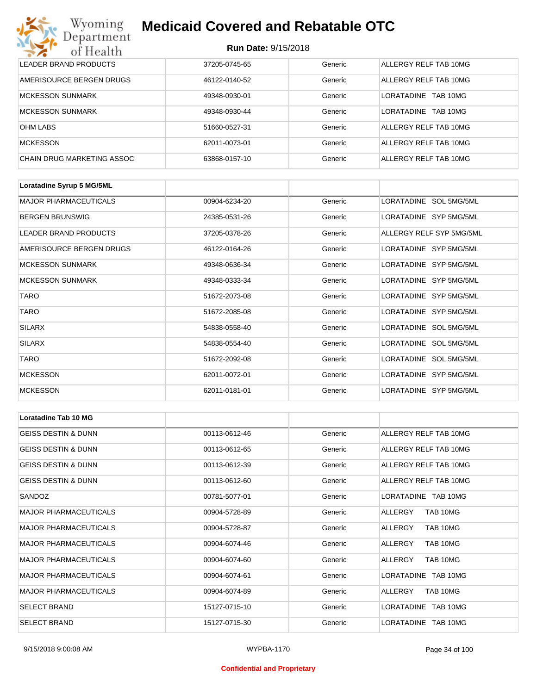| Wyoming<br><b>Medicaid Covered and Rebatable OTC</b><br>Department |                            |         |                               |  |  |
|--------------------------------------------------------------------|----------------------------|---------|-------------------------------|--|--|
| of Health                                                          | <b>Run Date: 9/15/2018</b> |         |                               |  |  |
| LEADER BRAND PRODUCTS                                              | 37205-0745-65              | Generic | ALLERGY RELF TAB 10MG         |  |  |
| AMERISOURCE BERGEN DRUGS                                           | 46122-0140-52              | Generic | ALLERGY RELF TAB 10MG         |  |  |
| <b>MCKESSON SUNMARK</b>                                            | 49348-0930-01              | Generic | <b>LORATADINE</b><br>TAB 10MG |  |  |
| <b>MCKESSON SUNMARK</b>                                            | 49348-0930-44              | Generic | <b>LORATADINE</b><br>TAB 10MG |  |  |
| <b>OHM LABS</b>                                                    | 51660-0527-31              | Generic | ALLERGY RELF TAB 10MG         |  |  |
| <b>MCKESSON</b>                                                    | 62011-0073-01              | Generic | ALLERGY RELF TAB 10MG         |  |  |
| CHAIN DRUG MARKETING ASSOC                                         | 63868-0157-10              | Generic | ALLERGY RELF TAB 10MG         |  |  |

| Loratadine Syrup 5 MG/5ML    |               |         |                          |
|------------------------------|---------------|---------|--------------------------|
| <b>MAJOR PHARMACEUTICALS</b> | 00904-6234-20 | Generic | LORATADINE SOL 5MG/5ML   |
| <b>BERGEN BRUNSWIG</b>       | 24385-0531-26 | Generic | LORATADINE SYP 5MG/5ML   |
| LEADER BRAND PRODUCTS        | 37205-0378-26 | Generic | ALLERGY RELF SYP 5MG/5ML |
| AMERISOURCE BERGEN DRUGS     | 46122-0164-26 | Generic | LORATADINE SYP 5MG/5ML   |
| <b>MCKESSON SUNMARK</b>      | 49348-0636-34 | Generic | LORATADINE SYP 5MG/5ML   |
| <b>MCKESSON SUNMARK</b>      | 49348-0333-34 | Generic | LORATADINE SYP 5MG/5ML   |
| <b>TARO</b>                  | 51672-2073-08 | Generic | LORATADINE SYP 5MG/5ML   |
| <b>TARO</b>                  | 51672-2085-08 | Generic | LORATADINE SYP 5MG/5ML   |
| <b>SILARX</b>                | 54838-0558-40 | Generic | LORATADINE SOL 5MG/5ML   |
| <b>SILARX</b>                | 54838-0554-40 | Generic | LORATADINE SOL 5MG/5ML   |
| <b>TARO</b>                  | 51672-2092-08 | Generic | LORATADINE SOL 5MG/5ML   |
| <b>MCKESSON</b>              | 62011-0072-01 | Generic | LORATADINE SYP 5MG/5ML   |
| <b>MCKESSON</b>              | 62011-0181-01 | Generic | LORATADINE SYP 5MG/5ML   |

| <b>Loratadine Tab 10 MG</b>    |               |         |                       |
|--------------------------------|---------------|---------|-----------------------|
| <b>GEISS DESTIN &amp; DUNN</b> | 00113-0612-46 | Generic | ALLERGY RELF TAB 10MG |
| <b>GEISS DESTIN &amp; DUNN</b> | 00113-0612-65 | Generic | ALLERGY RELF TAB 10MG |
| <b>GEISS DESTIN &amp; DUNN</b> | 00113-0612-39 | Generic | ALLERGY RELETAB 10MG  |
| <b>GEISS DESTIN &amp; DUNN</b> | 00113-0612-60 | Generic | ALLERGY RELF TAB 10MG |
| SANDOZ                         | 00781-5077-01 | Generic | LORATADINE TAB 10MG   |
| <b>MAJOR PHARMACEUTICALS</b>   | 00904-5728-89 | Generic | ALLERGY<br>TAB 10MG   |
| <b>MAJOR PHARMACEUTICALS</b>   | 00904-5728-87 | Generic | TAB 10MG<br>ALLERGY   |
| <b>MAJOR PHARMACEUTICALS</b>   | 00904-6074-46 | Generic | TAB 10MG<br>ALLERGY   |
| <b>MAJOR PHARMACEUTICALS</b>   | 00904-6074-60 | Generic | TAB 10MG<br>ALLERGY   |
| <b>MAJOR PHARMACEUTICALS</b>   | 00904-6074-61 | Generic | LORATADINE TAB 10MG   |
| <b>MAJOR PHARMACEUTICALS</b>   | 00904-6074-89 | Generic | TAB 10MG<br>ALLERGY   |
| <b>SELECT BRAND</b>            | 15127-0715-10 | Generic | LORATADINE TAB 10MG   |
| <b>SELECT BRAND</b>            | 15127-0715-30 | Generic | LORATADINE TAB 10MG   |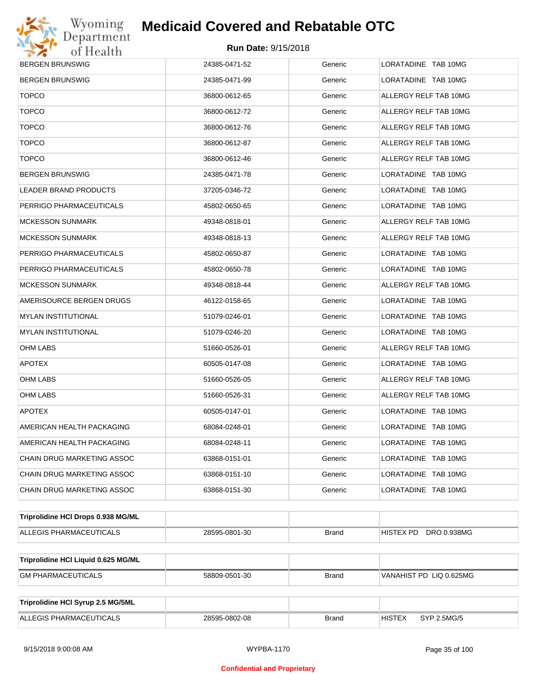

| <b>BERGEN BRUNSWIG</b>              | 24385-0471-52 | Generic      | LORATADINE TAB 10MG          |  |  |
|-------------------------------------|---------------|--------------|------------------------------|--|--|
| <b>BERGEN BRUNSWIG</b>              | 24385-0471-99 | Generic      | LORATADINE TAB 10MG          |  |  |
| <b>TOPCO</b>                        | 36800-0612-65 | Generic      | ALLERGY RELF TAB 10MG        |  |  |
| <b>TOPCO</b>                        | 36800-0612-72 | Generic      | ALLERGY RELF TAB 10MG        |  |  |
| <b>TOPCO</b>                        | 36800-0612-76 | Generic      | ALLERGY RELF TAB 10MG        |  |  |
| <b>TOPCO</b>                        | 36800-0612-87 | Generic      | ALLERGY RELF TAB 10MG        |  |  |
| <b>TOPCO</b>                        | 36800-0612-46 | Generic      | ALLERGY RELF TAB 10MG        |  |  |
| BERGEN BRUNSWIG                     | 24385-0471-78 | Generic      | LORATADINE TAB 10MG          |  |  |
| LEADER BRAND PRODUCTS               | 37205-0346-72 | Generic      | LORATADINE TAB 10MG          |  |  |
| PERRIGO PHARMACEUTICALS             | 45802-0650-65 | Generic      | LORATADINE TAB 10MG          |  |  |
| MCKESSON SUNMARK                    | 49348-0818-01 | Generic      | ALLERGY RELF TAB 10MG        |  |  |
| MCKESSON SUNMARK                    | 49348-0818-13 | Generic      | ALLERGY RELF TAB 10MG        |  |  |
| PERRIGO PHARMACEUTICALS             | 45802-0650-87 | Generic      | LORATADINE TAB 10MG          |  |  |
| PERRIGO PHARMACEUTICALS             | 45802-0650-78 | Generic      | LORATADINE TAB 10MG          |  |  |
| MCKESSON SUNMARK                    | 49348-0818-44 | Generic      | ALLERGY RELF TAB 10MG        |  |  |
| AMERISOURCE BERGEN DRUGS            | 46122-0158-65 | Generic      | LORATADINE TAB 10MG          |  |  |
| MYLAN INSTITUTIONAL                 | 51079-0246-01 | Generic      | LORATADINE TAB 10MG          |  |  |
| MYLAN INSTITUTIONAL                 | 51079-0246-20 | Generic      | LORATADINE TAB 10MG          |  |  |
| OHM LABS                            | 51660-0526-01 | Generic      | ALLERGY RELF TAB 10MG        |  |  |
| <b>APOTEX</b>                       | 60505-0147-08 | Generic      | LORATADINE TAB 10MG          |  |  |
| OHM LABS                            | 51660-0526-05 | Generic      | ALLERGY RELF TAB 10MG        |  |  |
| OHM LABS                            | 51660-0526-31 | Generic      | ALLERGY RELF TAB 10MG        |  |  |
| <b>APOTEX</b>                       | 60505-0147-01 | Generic      | LORATADINE TAB 10MG          |  |  |
| AMERICAN HEALTH PACKAGING           | 68084-0248-01 | Generic      | LORATADINE TAB 10MG          |  |  |
| AMERICAN HEALTH PACKAGING           | 68084-0248-11 | Generic      | LORATADINE TAB 10MG          |  |  |
| CHAIN DRUG MARKETING ASSOC          | 63868-0151-01 | Generic      | LORATADINE TAB 10MG          |  |  |
| CHAIN DRUG MARKETING ASSOC          | 63868-0151-10 | Generic      | LORATADINE TAB 10MG          |  |  |
| CHAIN DRUG MARKETING ASSOC          | 63868-0151-30 | Generic      | LORATADINE TAB 10MG          |  |  |
| Triprolidine HCI Drops 0.938 MG/ML  |               |              |                              |  |  |
| ALLEGIS PHARMACEUTICALS             | 28595-0801-30 | <b>Brand</b> | DRO 0.938MG<br>HISTEX PD     |  |  |
|                                     |               |              |                              |  |  |
| Triprolidine HCI Liquid 0.625 MG/ML |               |              |                              |  |  |
| <b>GM PHARMACEUTICALS</b>           | 58809-0501-30 | <b>Brand</b> | VANAHIST PD LIQ 0.625MG      |  |  |
| Triprolidine HCI Syrup 2.5 MG/5ML   |               |              |                              |  |  |
| ALLEGIS PHARMACEUTICALS             | 28595-0802-08 | <b>Brand</b> | <b>HISTEX</b><br>SYP 2.5MG/5 |  |  |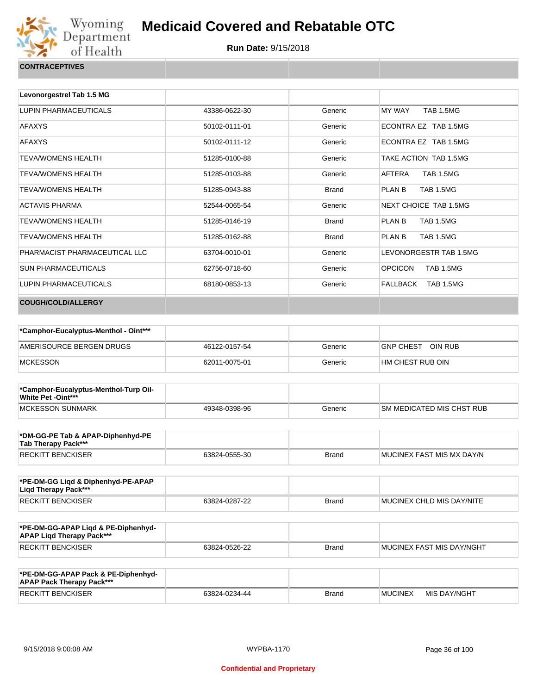

| CONTRACEPTIVES |  |
|----------------|--|
|                |  |

| Levonorgestrel Tab 1.5 MG     |               |              |                                    |
|-------------------------------|---------------|--------------|------------------------------------|
| LUPIN PHARMACEUTICALS         | 43386-0622-30 | Generic      | <b>TAB 1.5MG</b><br>MY WAY         |
| <b>AFAXYS</b>                 | 50102-0111-01 | Generic      | ECONTRA EZ TAB 1.5MG               |
| <b>AFAXYS</b>                 | 50102-0111-12 | Generic      | ECONTRA EZ TAB 1.5MG               |
| <b>TEVA/WOMENS HEALTH</b>     | 51285-0100-88 | Generic      | TAKE ACTION TAB 1.5MG              |
| <b>TEVA/WOMENS HEALTH</b>     | 51285-0103-88 | Generic      | AFTERA<br><b>TAB 1.5MG</b>         |
| <b>TEVA/WOMENS HEALTH</b>     | 51285-0943-88 | <b>Brand</b> | PLAN B<br><b>TAB 1.5MG</b>         |
| <b>ACTAVIS PHARMA</b>         | 52544-0065-54 | Generic      | NEXT CHOICE TAB 1.5MG              |
| <b>TEVA/WOMENS HEALTH</b>     | 51285-0146-19 | <b>Brand</b> | PLAN B<br><b>TAB 1.5MG</b>         |
| <b>TEVA/WOMENS HEALTH</b>     | 51285-0162-88 | <b>Brand</b> | PLAN B<br><b>TAB 1.5MG</b>         |
| PHARMACIST PHARMACEUTICAL LLC | 63704-0010-01 | Generic      | LEVONORGESTR TAB 1.5MG             |
| <b>SUN PHARMACEUTICALS</b>    | 62756-0718-60 | Generic      | <b>OPCICON</b><br><b>TAB 1.5MG</b> |
| LUPIN PHARMACEUTICALS         | 68180-0853-13 | Generic      | FALLBACK<br>TAB 1.5MG              |
| <b>COUGH/COLD/ALLERGY</b>     |               |              |                                    |

| *Camphor-Eucalyptus-Menthol - Oint*** |               |         |                   |
|---------------------------------------|---------------|---------|-------------------|
| AMERISOURCE BERGEN DRUGS              | 46122-0157-54 | Generic | GNP CHEST OIN RUB |
| <b>MCKESSON</b>                       | 62011-0075-01 | Generic | HM CHEST RUB OIN  |

| *Camphor-Eucalyptus-Menthol-Turp Oil-<br><b>White Pet -Oint***</b> |               |         |                                   |
|--------------------------------------------------------------------|---------------|---------|-----------------------------------|
| MCKESSON SUNMARK                                                   | 49348-0398-96 | Generic | <b>ISM MEDICATED MIS CHST RUB</b> |

| *DM-GG-PE Tab & APAP-Diphenhyd-PE<br>Tab Therapy Pack*** |               |       |                           |
|----------------------------------------------------------|---------------|-------|---------------------------|
| RECKITT BENCKISER                                        | 63824-0555-30 | Brand | MUCINEX FAST MIS MX DAY/N |

| *PE-DM-GG Ligd & Diphenhyd-PE-APAP<br>Ligd Therapy Pack*** |               |              |                                   |
|------------------------------------------------------------|---------------|--------------|-----------------------------------|
| RECKITT BENCKISER                                          | 63824-0287-22 | <b>Brand</b> | <b>IMUCINEX CHLD MIS DAY/NITE</b> |

| *PE-DM-GG-APAP Ligd & PE-Diphenhyd-<br><b>APAP Ligd Therapy Pack***</b> |               |       |                           |
|-------------------------------------------------------------------------|---------------|-------|---------------------------|
| RECKITT BENCKISER                                                       | 63824-0526-22 | Brand | MUCINEX FAST MIS DAY/NGHT |

| *PE-DM-GG-APAP Pack & PE-Diphenhyd-<br><b>APAP Pack Therapy Pack***</b> |               |              |                |              |
|-------------------------------------------------------------------------|---------------|--------------|----------------|--------------|
| <b>RECKITT BENCKISER</b>                                                | 63824-0234-44 | <b>Brand</b> | <b>MUCINEX</b> | MIS DAY/NGHT |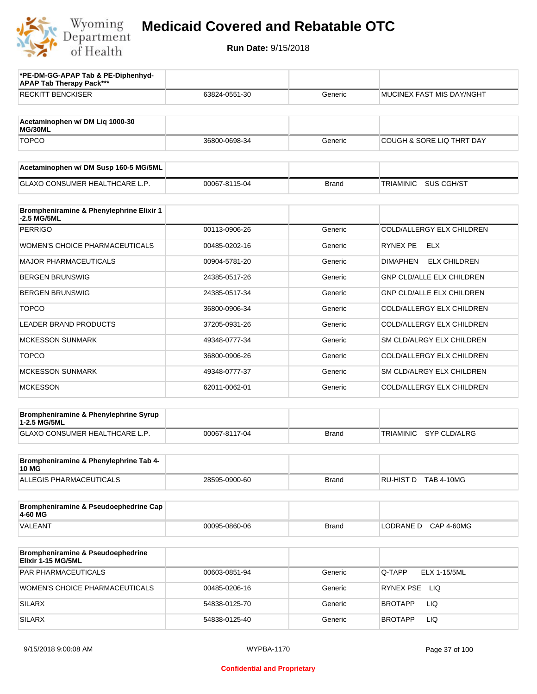

| *PE-DM-GG-APAP Tab & PE-Diphenhyd-<br><b>APAP Tab Therapy Pack***</b> |               |              |                                        |
|-----------------------------------------------------------------------|---------------|--------------|----------------------------------------|
| <b>RECKITT BENCKISER</b>                                              | 63824-0551-30 | Generic      | MUCINEX FAST MIS DAY/NGHT              |
|                                                                       |               |              |                                        |
| Acetaminophen w/ DM Lig 1000-30<br>MG/30ML                            |               |              |                                        |
| <b>TOPCO</b>                                                          | 36800-0698-34 | Generic      | COUGH & SORE LIQ THRT DAY              |
| Acetaminophen w/ DM Susp 160-5 MG/5ML                                 |               |              |                                        |
| <b>GLAXO CONSUMER HEALTHCARE L.P.</b>                                 | 00067-8115-04 | <b>Brand</b> | TRIAMINIC<br>SUS CGH/ST                |
| Brompheniramine & Phenylephrine Elixir 1<br>-2.5 MG/5ML               |               |              |                                        |
| <b>PERRIGO</b>                                                        | 00113-0906-26 | Generic      | COLD/ALLERGY ELX CHILDREN              |
| WOMEN'S CHOICE PHARMACEUTICALS                                        | 00485-0202-16 | Generic      | RYNEX PE<br><b>ELX</b>                 |
| <b>MAJOR PHARMACEUTICALS</b>                                          | 00904-5781-20 | Generic      | <b>ELX CHILDREN</b><br><b>DIMAPHEN</b> |
| <b>BERGEN BRUNSWIG</b>                                                | 24385-0517-26 | Generic      | <b>GNP CLD/ALLE ELX CHILDREN</b>       |
| <b>BERGEN BRUNSWIG</b>                                                | 24385-0517-34 | Generic      | GNP CLD/ALLE ELX CHILDREN              |
| <b>TOPCO</b>                                                          | 36800-0906-34 | Generic      | COLD/ALLERGY ELX CHILDREN              |
| <b>LEADER BRAND PRODUCTS</b>                                          | 37205-0931-26 | Generic      | COLD/ALLERGY ELX CHILDREN              |
| <b>MCKESSON SUNMARK</b>                                               | 49348-0777-34 | Generic      | SM CLD/ALRGY ELX CHILDREN              |
| <b>TOPCO</b>                                                          | 36800-0906-26 | Generic      | COLD/ALLERGY ELX CHILDREN              |
| <b>MCKESSON SUNMARK</b>                                               | 49348-0777-37 | Generic      | SM CLD/ALRGY ELX CHILDREN              |
| <b>MCKESSON</b>                                                       | 62011-0062-01 | Generic      | COLD/ALLERGY ELX CHILDREN              |
| Brompheniramine & Phenylephrine Syrup<br>1-2.5 MG/5ML                 |               |              |                                        |
| GLAXO CONSUMER HEALTHCARE L.P.                                        | 00067-8117-04 | <b>Brand</b> | SYP CLD/ALRG<br>TRIAMINIC              |
| Brompheniramine & Phenylephrine Tab 4-<br>10 MG                       |               |              |                                        |
| ALLEGIS PHARMACEUTICALS                                               | 28595-0900-60 | Brand        | RU-HIST D TAB 4-10MG                   |
| Brompheniramine & Pseudoephedrine Cap<br>4-60 MG                      |               |              |                                        |
| VALEANT                                                               | 00095-0860-06 | <b>Brand</b> | <b>CAP 4-60MG</b><br>LODRANE D         |
| Brompheniramine & Pseudoephedrine<br>Elixir 1-15 MG/5ML               |               |              |                                        |
| PAR PHARMACEUTICALS                                                   | 00603-0851-94 | Generic      | Q-TAPP<br><b>ELX 1-15/5ML</b>          |
| WOMEN'S CHOICE PHARMACEUTICALS                                        | 00485-0206-16 | Generic      | RYNEX PSE LIQ                          |
| <b>SILARX</b>                                                         | 54838-0125-70 | Generic      | BROTAPP<br>LIQ.                        |
| <b>SILARX</b>                                                         | 54838-0125-40 | Generic      | BROTAPP<br>LIQ.                        |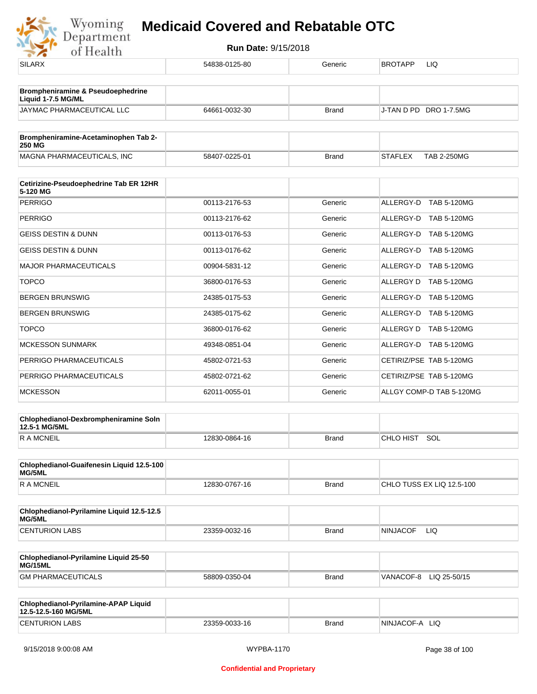

| <b>SILARX</b>                                                | 54838-0125-80 | Generic      | BROTAPP<br>LIQ                       |
|--------------------------------------------------------------|---------------|--------------|--------------------------------------|
| <b>Brompheniramine &amp; Pseudoephedrine</b>                 |               |              |                                      |
| Liquid 1-7.5 MG/ML                                           |               |              |                                      |
| JAYMAC PHARMACEUTICAL LLC                                    | 64661-0032-30 | <b>Brand</b> | J-TAN D PD DRO 1-7.5MG               |
| Brompheniramine-Acetaminophen Tab 2-                         |               |              |                                      |
| <b>250 MG</b>                                                |               |              |                                      |
| MAGNA PHARMACEUTICALS, INC                                   | 58407-0225-01 | <b>Brand</b> | <b>STAFLEX</b><br><b>TAB 2-250MG</b> |
| Cetirizine-Pseudoephedrine Tab ER 12HR<br>5-120 MG           |               |              |                                      |
| <b>PERRIGO</b>                                               | 00113-2176-53 | Generic      | ALLERGY-D TAB 5-120MG                |
| <b>PERRIGO</b>                                               | 00113-2176-62 | Generic      | ALLERGY-D TAB 5-120MG                |
| <b>GEISS DESTIN &amp; DUNN</b>                               | 00113-0176-53 | Generic      | <b>TAB 5-120MG</b><br>ALLERGY-D      |
| <b>GEISS DESTIN &amp; DUNN</b>                               | 00113-0176-62 | Generic      | ALLERGY-D TAB 5-120MG                |
| <b>MAJOR PHARMACEUTICALS</b>                                 | 00904-5831-12 | Generic      | <b>TAB 5-120MG</b><br>ALLERGY-D      |
| <b>TOPCO</b>                                                 | 36800-0176-53 | Generic      | ALLERGY D TAB 5-120MG                |
| <b>BERGEN BRUNSWIG</b>                                       | 24385-0175-53 | Generic      | <b>TAB 5-120MG</b><br>ALLERGY-D      |
| <b>BERGEN BRUNSWIG</b>                                       | 24385-0175-62 | Generic      | ALLERGY-D TAB 5-120MG                |
| <b>TOPCO</b>                                                 | 36800-0176-62 | Generic      | <b>TAB 5-120MG</b><br>ALLERGY D      |
| <b>MCKESSON SUNMARK</b>                                      | 49348-0851-04 | Generic      | ALLERGY-D TAB 5-120MG                |
| PERRIGO PHARMACEUTICALS                                      | 45802-0721-53 | Generic      | CETIRIZ/PSE TAB 5-120MG              |
| PERRIGO PHARMACEUTICALS                                      | 45802-0721-62 | Generic      | CETIRIZ/PSE TAB 5-120MG              |
| <b>MCKESSON</b>                                              | 62011-0055-01 | Generic      | ALLGY COMP-D TAB 5-120MG             |
| Chlophedianol-Dexbrompheniramine Soln<br>12.5-1 MG/5ML       |               |              |                                      |
| <b>RAMCNEIL</b>                                              | 12830-0864-16 | Brand        | CHLO HIST SOL                        |
|                                                              |               |              |                                      |
| Chlophedianol-Guaifenesin Liquid 12.5-100<br>MG/5ML          |               |              |                                      |
| <b>RAMCNEIL</b>                                              | 12830-0767-16 | <b>Brand</b> | CHLO TUSS EX LIQ 12.5-100            |
| Chlophedianol-Pyrilamine Liquid 12.5-12.5                    |               |              |                                      |
| MG/5ML                                                       |               |              |                                      |
| <b>CENTURION LABS</b>                                        | 23359-0032-16 | Brand        | NINJACOF<br>LIQ.                     |
| Chlophedianol-Pyrilamine Liquid 25-50<br>MG/15ML             |               |              |                                      |
| <b>GM PHARMACEUTICALS</b>                                    | 58809-0350-04 | Brand        | VANACOF-8 LIQ 25-50/15               |
|                                                              |               |              |                                      |
| Chlophedianol-Pyrilamine-APAP Liquid<br>12.5-12.5-160 MG/5ML |               |              |                                      |
| <b>CENTURION LABS</b>                                        | 23359-0033-16 | Brand        | NINJACOF-A LIQ                       |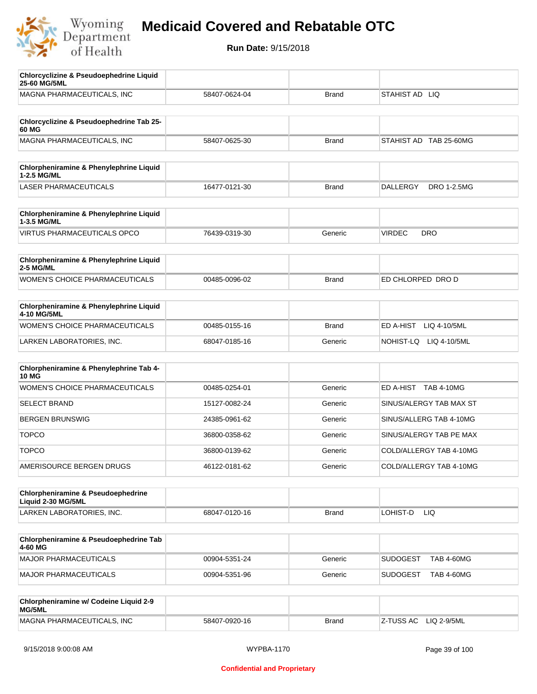

| <b>Chlorcyclizine &amp; Pseudoephedrine Liquid</b><br>25-60 MG/5ML |               |              |                                      |
|--------------------------------------------------------------------|---------------|--------------|--------------------------------------|
| MAGNA PHARMACEUTICALS, INC                                         | 58407-0624-04 | <b>Brand</b> | STAHIST AD LIQ                       |
|                                                                    |               |              |                                      |
| Chlorcyclizine & Pseudoephedrine Tab 25-<br>60 MG                  |               |              |                                      |
| MAGNA PHARMACEUTICALS, INC                                         | 58407-0625-30 | <b>Brand</b> | STAHIST AD TAB 25-60MG               |
|                                                                    |               |              |                                      |
| Chlorpheniramine & Phenylephrine Liquid<br>1-2.5 MG/ML             |               |              |                                      |
| <b>LASER PHARMACEUTICALS</b>                                       | 16477-0121-30 | <b>Brand</b> | DRO 1-2.5MG<br><b>DALLERGY</b>       |
| Chlorpheniramine & Phenylephrine Liquid<br>1-3.5 MG/ML             |               |              |                                      |
| <b>VIRTUS PHARMACEUTICALS OPCO</b>                                 | 76439-0319-30 | Generic      | <b>VIRDEC</b><br><b>DRO</b>          |
|                                                                    |               |              |                                      |
| Chlorpheniramine & Phenylephrine Liquid<br>2-5 MG/ML               |               |              |                                      |
| WOMEN'S CHOICE PHARMACEUTICALS                                     | 00485-0096-02 | <b>Brand</b> | ED CHLORPED DRO D                    |
| Chlorpheniramine & Phenylephrine Liquid                            |               |              |                                      |
| 4-10 MG/5ML                                                        |               |              |                                      |
| <b>WOMEN'S CHOICE PHARMACEUTICALS</b>                              | 00485-0155-16 | <b>Brand</b> | ED A-HIST<br>LIQ 4-10/5ML            |
| LARKEN LABORATORIES, INC.                                          | 68047-0185-16 | Generic      | NOHIST-LQ LIQ 4-10/5ML               |
| Chlorpheniramine & Phenylephrine Tab 4-                            |               |              |                                      |
| <b>10 MG</b>                                                       |               |              |                                      |
| <b>WOMEN'S CHOICE PHARMACEUTICALS</b>                              | 00485-0254-01 | Generic      | ED A-HIST TAB 4-10MG                 |
| <b>SELECT BRAND</b>                                                | 15127-0082-24 | Generic      | SINUS/ALERGY TAB MAX ST              |
| <b>BERGEN BRUNSWIG</b>                                             | 24385-0961-62 | Generic      | SINUS/ALLERG TAB 4-10MG              |
| <b>TOPCO</b>                                                       | 36800-0358-62 | Generic      | SINUS/ALERGY TAB PE MAX              |
| <b>TOPCO</b>                                                       | 36800-0139-62 | Generic      | COLD/ALLERGY TAB 4-10MG              |
| AMERISOURCE BERGEN DRUGS                                           | 46122-0181-62 | Generic      | COLD/ALLERGY TAB 4-10MG              |
| <b>Chlorpheniramine &amp; Pseudoephedrine</b>                      |               |              |                                      |
| Liquid 2-30 MG/5ML                                                 |               |              |                                      |
| LARKEN LABORATORIES, INC.                                          | 68047-0120-16 | <b>Brand</b> | LOHIST-D<br>LIQ                      |
| Chlorpheniramine & Pseudoephedrine Tab<br>4-60 MG                  |               |              |                                      |
| MAJOR PHARMACEUTICALS                                              | 00904-5351-24 | Generic      | <b>SUDOGEST</b><br><b>TAB 4-60MG</b> |
| MAJOR PHARMACEUTICALS                                              | 00904-5351-96 | Generic      | <b>SUDOGEST</b><br><b>TAB 4-60MG</b> |
|                                                                    |               |              |                                      |
| Chlorpheniramine w/ Codeine Liquid 2-9<br>MG/5ML                   |               |              |                                      |
| MAGNA PHARMACEUTICALS, INC                                         | 58407-0920-16 | <b>Brand</b> | Z-TUSS AC<br>LIQ 2-9/5ML             |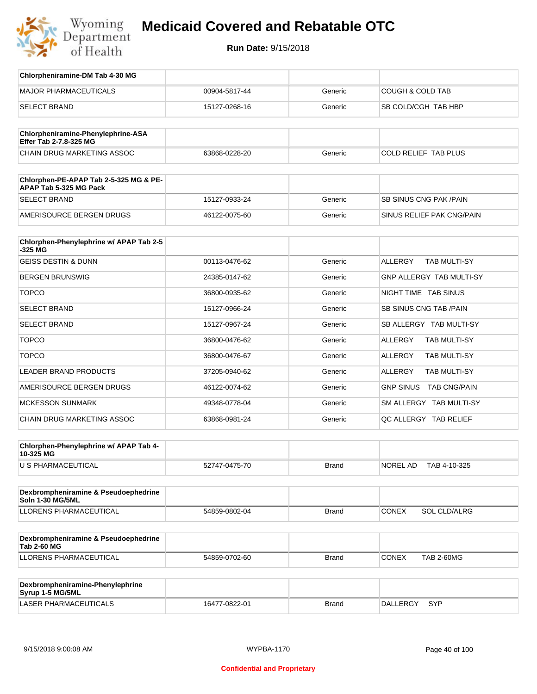

| Chlorpheniramine-DM Tab 4-30 MG                                  |               |              |                                       |
|------------------------------------------------------------------|---------------|--------------|---------------------------------------|
| <b>MAJOR PHARMACEUTICALS</b>                                     | 00904-5817-44 | Generic      | <b>COUGH &amp; COLD TAB</b>           |
| <b>SELECT BRAND</b>                                              | 15127-0268-16 | Generic      | SB COLD/CGH TAB HBP                   |
|                                                                  |               |              |                                       |
| Chlorpheniramine-Phenylephrine-ASA<br>Effer Tab 2-7.8-325 MG     |               |              |                                       |
| CHAIN DRUG MARKETING ASSOC                                       | 63868-0228-20 | Generic      | COLD RELIEF TAB PLUS                  |
|                                                                  |               |              |                                       |
| Chlorphen-PE-APAP Tab 2-5-325 MG & PE-<br>APAP Tab 5-325 MG Pack |               |              |                                       |
| <b>SELECT BRAND</b>                                              | 15127-0933-24 | Generic      | <b>SB SINUS CNG PAK/PAIN</b>          |
| AMERISOURCE BERGEN DRUGS                                         | 46122-0075-60 | Generic      | SINUS RELIEF PAK CNG/PAIN             |
|                                                                  |               |              |                                       |
| Chlorphen-Phenylephrine w/ APAP Tab 2-5<br>$-325$ MG             |               |              |                                       |
| <b>GEISS DESTIN &amp; DUNN</b>                                   | 00113-0476-62 | Generic      | <b>ALLERGY</b><br><b>TAB MULTI-SY</b> |
| <b>BERGEN BRUNSWIG</b>                                           | 24385-0147-62 | Generic      | <b>GNP ALLERGY TAB MULTI-SY</b>       |
| <b>TOPCO</b>                                                     | 36800-0935-62 | Generic      | NIGHT TIME TAB SINUS                  |
| <b>SELECT BRAND</b>                                              | 15127-0966-24 | Generic      | SB SINUS CNG TAB / PAIN               |
| <b>SELECT BRAND</b>                                              | 15127-0967-24 | Generic      | SB ALLERGY TAB MULTI-SY               |
| <b>TOPCO</b>                                                     | 36800-0476-62 | Generic      | <b>ALLERGY</b><br>TAB MULTI-SY        |
| <b>TOPCO</b>                                                     | 36800-0476-67 | Generic      | <b>ALLERGY</b><br><b>TAB MULTI-SY</b> |
| <b>LEADER BRAND PRODUCTS</b>                                     | 37205-0940-62 | Generic      | <b>ALLERGY</b><br>TAB MULTI-SY        |
| AMERISOURCE BERGEN DRUGS                                         | 46122-0074-62 | Generic      | GNP SINUS TAB CNG/PAIN                |
| <b>MCKESSON SUNMARK</b>                                          | 49348-0778-04 | Generic      | SM ALLERGY TAB MULTI-SY               |
| CHAIN DRUG MARKETING ASSOC                                       | 63868-0981-24 | Generic      | QC ALLERGY TAB RELIEF                 |
|                                                                  |               |              |                                       |
| Chlorphen-Phenylephrine w/ APAP Tab 4-<br>10-325 MG              |               |              |                                       |
| U S PHARMACEUTICAL                                               | 52747-0475-70 | Brand        | NOREL AD<br>TAB 4-10-325              |
|                                                                  |               |              |                                       |
| Dexbrompheniramine & Pseudoephedrine<br><b>Soln 1-30 MG/5ML</b>  |               |              |                                       |
| LLORENS PHARMACEUTICAL                                           | 54859-0802-04 | <b>Brand</b> | <b>CONEX</b><br>SOL CLD/ALRG          |
|                                                                  |               |              |                                       |
| Dexbrompheniramine & Pseudoephedrine<br><b>Tab 2-60 MG</b>       |               |              |                                       |
| <b>LLORENS PHARMACEUTICAL</b>                                    | 54859-0702-60 | <b>Brand</b> | <b>CONEX</b><br><b>TAB 2-60MG</b>     |
|                                                                  |               |              |                                       |
| Dexbrompheniramine-Phenylephrine<br>Syrup 1-5 MG/5ML             |               |              |                                       |
| LASER PHARMACEUTICALS                                            | 16477-0822-01 | <b>Brand</b> | DALLERGY<br>SYP                       |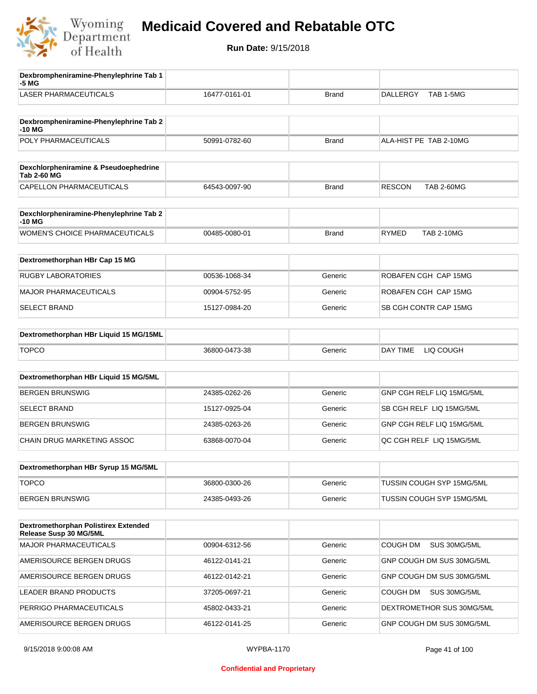

| Dexbrompheniramine-Phenylephrine Tab 1<br>-5 MG                       |               |              |                                    |
|-----------------------------------------------------------------------|---------------|--------------|------------------------------------|
| <b>LASER PHARMACEUTICALS</b>                                          | 16477-0161-01 | <b>Brand</b> | TAB 1-5MG<br><b>DALLERGY</b>       |
| Dexbrompheniramine-Phenylephrine Tab 2<br>-10 MG                      |               |              |                                    |
| POLY PHARMACEUTICALS                                                  | 50991-0782-60 | <b>Brand</b> | ALA-HIST PE TAB 2-10MG             |
| Dexchlorpheniramine & Pseudoephedrine<br><b>Tab 2-60 MG</b>           |               |              |                                    |
| CAPELLON PHARMACEUTICALS                                              | 64543-0097-90 | <b>Brand</b> | <b>RESCON</b><br><b>TAB 2-60MG</b> |
| Dexchlorpheniramine-Phenylephrine Tab 2<br>-10 MG                     |               |              |                                    |
| <b>WOMEN'S CHOICE PHARMACEUTICALS</b>                                 | 00485-0080-01 | <b>Brand</b> | <b>RYMED</b><br><b>TAB 2-10MG</b>  |
| Dextromethorphan HBr Cap 15 MG                                        |               |              |                                    |
| <b>RUGBY LABORATORIES</b>                                             | 00536-1068-34 | Generic      | ROBAFEN CGH CAP 15MG               |
| <b>MAJOR PHARMACEUTICALS</b>                                          | 00904-5752-95 | Generic      | ROBAFEN CGH CAP 15MG               |
| <b>SELECT BRAND</b>                                                   | 15127-0984-20 | Generic      | SB CGH CONTR CAP 15MG              |
| Dextromethorphan HBr Liquid 15 MG/15ML                                |               |              |                                    |
| <b>TOPCO</b>                                                          | 36800-0473-38 | Generic      | DAY TIME<br>LIQ COUGH              |
| Dextromethorphan HBr Liquid 15 MG/5ML                                 |               |              |                                    |
| <b>BERGEN BRUNSWIG</b>                                                | 24385-0262-26 | Generic      | GNP CGH RELF LIQ 15MG/5ML          |
| <b>SELECT BRAND</b>                                                   | 15127-0925-04 | Generic      | SB CGH RELF LIQ 15MG/5ML           |
| <b>BERGEN BRUNSWIG</b>                                                | 24385-0263-26 | Generic      | GNP CGH RELF LIQ 15MG/5ML          |
| CHAIN DRUG MARKETING ASSOC                                            | 63868-0070-04 | Generic      | QC CGH RELF LIQ 15MG/5ML           |
| Dextromethorphan HBr Syrup 15 MG/5ML                                  |               |              |                                    |
| <b>TOPCO</b>                                                          | 36800-0300-26 | Generic      | TUSSIN COUGH SYP 15MG/5ML          |
| <b>BERGEN BRUNSWIG</b>                                                | 24385-0493-26 | Generic      | TUSSIN COUGH SYP 15MG/5ML          |
| <b>Dextromethorphan Polistirex Extended</b><br>Release Susp 30 MG/5ML |               |              |                                    |
| MAJOR PHARMACEUTICALS                                                 | 00904-6312-56 | Generic      | <b>COUGH DM</b><br>SUS 30MG/5ML    |
| AMERISOURCE BERGEN DRUGS                                              | 46122-0141-21 | Generic      | GNP COUGH DM SUS 30MG/5ML          |
| AMERISOURCE BERGEN DRUGS                                              | 46122-0142-21 | Generic      | GNP COUGH DM SUS 30MG/5ML          |
| LEADER BRAND PRODUCTS                                                 | 37205-0697-21 | Generic      | COUGH DM<br>SUS 30MG/5ML           |
| PERRIGO PHARMACEUTICALS                                               | 45802-0433-21 | Generic      | DEXTROMETHOR SUS 30MG/5ML          |
| AMERISOURCE BERGEN DRUGS                                              | 46122-0141-25 | Generic      | GNP COUGH DM SUS 30MG/5ML          |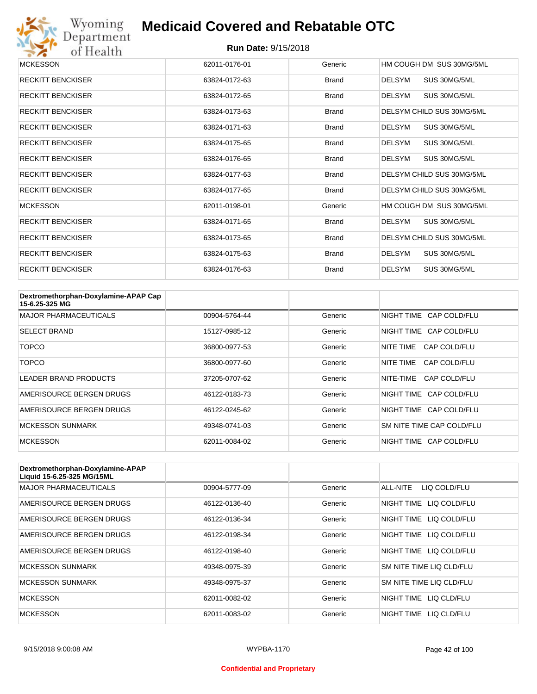

| <b>MCKESSON</b>          | 62011-0176-01 | Generic      | HM COUGH DM SUS 30MG/5ML      |
|--------------------------|---------------|--------------|-------------------------------|
| <b>RECKITT BENCKISER</b> | 63824-0172-63 | <b>Brand</b> | SUS 30MG/5ML<br><b>DELSYM</b> |
| <b>RECKITT BENCKISER</b> | 63824-0172-65 | <b>Brand</b> | SUS 30MG/5ML<br><b>DELSYM</b> |
| <b>RECKITT BENCKISER</b> | 63824-0173-63 | <b>Brand</b> | DELSYM CHILD SUS 30MG/5ML     |
| <b>RECKITT BENCKISER</b> | 63824-0171-63 | <b>Brand</b> | SUS 30MG/5ML<br><b>DELSYM</b> |
| <b>RECKITT BENCKISER</b> | 63824-0175-65 | <b>Brand</b> | <b>DELSYM</b><br>SUS 30MG/5ML |
| <b>RECKITT BENCKISER</b> | 63824-0176-65 | <b>Brand</b> | <b>DELSYM</b><br>SUS 30MG/5ML |
| <b>RECKITT BENCKISER</b> | 63824-0177-63 | <b>Brand</b> | DELSYM CHILD SUS 30MG/5ML     |
| <b>RECKITT BENCKISER</b> | 63824-0177-65 | <b>Brand</b> | DELSYM CHILD SUS 30MG/5ML     |
| <b>MCKESSON</b>          | 62011-0198-01 | Generic      | HM COUGH DM SUS 30MG/5ML      |
| <b>RECKITT BENCKISER</b> | 63824-0171-65 | <b>Brand</b> | DELSYM<br>SUS 30MG/5ML        |
| <b>RECKITT BENCKISER</b> | 63824-0173-65 | <b>Brand</b> | DELSYM CHILD SUS 30MG/5ML     |
| <b>RECKITT BENCKISER</b> | 63824-0175-63 | <b>Brand</b> | <b>DELSYM</b><br>SUS 30MG/5ML |
| <b>RECKITT BENCKISER</b> | 63824-0176-63 | <b>Brand</b> | <b>DELSYM</b><br>SUS 30MG/5ML |

| Dextromethorphan-Doxylamine-APAP Cap<br>15-6.25-325 MG |               |         |                           |
|--------------------------------------------------------|---------------|---------|---------------------------|
| <b>MAJOR PHARMACEUTICALS</b>                           | 00904-5764-44 | Generic | NIGHT TIME CAP COLD/FLU   |
| <b>SELECT BRAND</b>                                    | 15127-0985-12 | Generic | NIGHT TIME CAP COLD/FLU   |
| TOPCO                                                  | 36800-0977-53 | Generic | NITF TIMF<br>CAP COLD/FLU |
| <b>TOPCO</b>                                           | 36800-0977-60 | Generic | NITF TIMF<br>CAP COLD/FLU |
| LEADER BRAND PRODUCTS                                  | 37205-0707-62 | Generic | NITE-TIME<br>CAP COLD/FLU |
| AMERISOURCE BERGEN DRUGS                               | 46122-0183-73 | Generic | NIGHT TIME CAP COLD/FLU   |
| AMERISOURCE BERGEN DRUGS                               | 46122-0245-62 | Generic | NIGHT TIME CAP COLD/FLU   |
| <b>MCKESSON SUNMARK</b>                                | 49348-0741-03 | Generic | SM NITE TIME CAP COLD/FLU |
| <b>MCKESSON</b>                                        | 62011-0084-02 | Generic | NIGHT TIME CAP COLD/FLU   |

| Dextromethorphan-Doxylamine-APAP<br>Liquid 15-6.25-325 MG/15ML |               |         |                            |
|----------------------------------------------------------------|---------------|---------|----------------------------|
| <b>MAJOR PHARMACEUTICALS</b>                                   | 00904-5777-09 | Generic | ALL-NITE<br>LIQ COLD/FLU   |
| AMERISOURCE BERGEN DRUGS                                       | 46122-0136-40 | Generic | NIGHT TIME<br>LIQ COLD/FLU |
| AMERISOURCE BERGEN DRUGS                                       | 46122-0136-34 | Generic | NIGHT TIME<br>LIQ COLD/FLU |
| AMERISOURCE BERGEN DRUGS                                       | 46122-0198-34 | Generic | NIGHT TIME<br>LIQ COLD/FLU |
| AMERISOURCE BERGEN DRUGS                                       | 46122-0198-40 | Generic | NIGHT TIME LIQ COLD/FLU    |
| <b>MCKESSON SUNMARK</b>                                        | 49348-0975-39 | Generic | SM NITE TIME LIQ CLD/FLU   |
| <b>MCKESSON SUNMARK</b>                                        | 49348-0975-37 | Generic | SM NITE TIME LIQ CLD/FLU   |
| <b>MCKESSON</b>                                                | 62011-0082-02 | Generic | NIGHT TIME<br>LIQ CLD/FLU  |
| <b>MCKESSON</b>                                                | 62011-0083-02 | Generic | NIGHT TIME<br>LIO CLD/FLU  |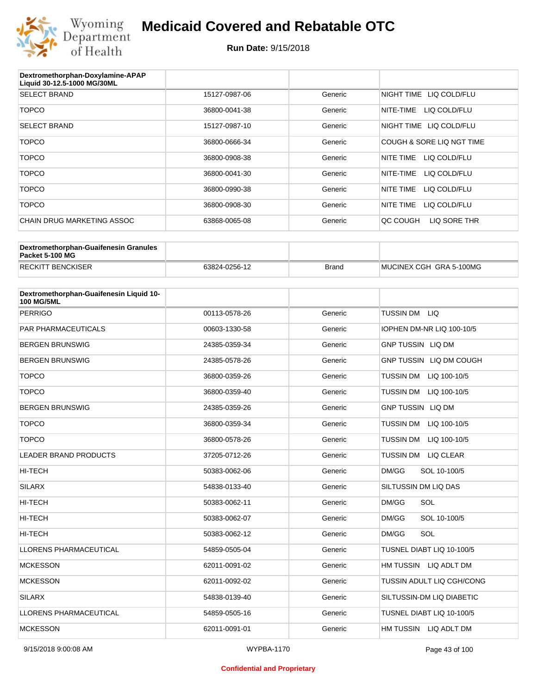

| Dextromethorphan-Doxylamine-APAP<br>Liquid 30-12.5-1000 MG/30ML |               |         |                           |
|-----------------------------------------------------------------|---------------|---------|---------------------------|
| <b>SELECT BRAND</b>                                             | 15127-0987-06 | Generic | NIGHT TIME LIQ COLD/FLU   |
| <b>TOPCO</b>                                                    | 36800-0041-38 | Generic | NITE-TIME<br>LIQ COLD/FLU |
| <b>SELECT BRAND</b>                                             | 15127-0987-10 | Generic | NIGHT TIME LIQ COLD/FLU   |
| <b>TOPCO</b>                                                    | 36800-0666-34 | Generic | COUGH & SORE LIQ NGT TIME |
| <b>TOPCO</b>                                                    | 36800-0908-38 | Generic | NITE TIME<br>LIQ COLD/FLU |
| <b>TOPCO</b>                                                    | 36800-0041-30 | Generic | NITE-TIME<br>LIQ COLD/FLU |
| <b>TOPCO</b>                                                    | 36800-0990-38 | Generic | NITE TIME<br>LIQ COLD/FLU |
| <b>TOPCO</b>                                                    | 36800-0908-30 | Generic | NITE TIME<br>LIQ COLD/FLU |
| CHAIN DRUG MARKETING ASSOC                                      | 63868-0065-08 | Generic | LIQ SORE THR<br>QC COUGH  |

| Dextromethorphan-Guaifenesin Granules<br>Packet 5-100 MG |               |              |                         |
|----------------------------------------------------------|---------------|--------------|-------------------------|
| <b>RECKITT BENCKISER</b>                                 | 63824-0256-12 | <b>Brand</b> | MUCINEX CGH GRA 5-100MG |

| Dextromethorphan-Guaifenesin Liquid 10-<br><b>100 MG/5ML</b> |               |         |                                      |
|--------------------------------------------------------------|---------------|---------|--------------------------------------|
| <b>PERRIGO</b>                                               | 00113-0578-26 | Generic | TUSSIN DM LIQ                        |
| <b>PAR PHARMACEUTICALS</b>                                   | 00603-1330-58 | Generic | IOPHEN DM-NR LIQ 100-10/5            |
| <b>BERGEN BRUNSWIG</b>                                       | 24385-0359-34 | Generic | <b>GNP TUSSIN LIQ DM</b>             |
| <b>BERGEN BRUNSWIG</b>                                       | 24385-0578-26 | Generic | GNP TUSSIN LIQ DM COUGH              |
| <b>TOPCO</b>                                                 | 36800-0359-26 | Generic | TUSSIN DM LIQ 100-10/5               |
| <b>TOPCO</b>                                                 | 36800-0359-40 | Generic | <b>TUSSIN DM</b><br>LIQ 100-10/5     |
| <b>BERGEN BRUNSWIG</b>                                       | 24385-0359-26 | Generic | <b>GNP TUSSIN LIQ DM</b>             |
| <b>TOPCO</b>                                                 | 36800-0359-34 | Generic | TUSSIN DM LIQ 100-10/5               |
| <b>TOPCO</b>                                                 | 36800-0578-26 | Generic | <b>TUSSIN DM</b><br>LIQ 100-10/5     |
| <b>LEADER BRAND PRODUCTS</b>                                 | 37205-0712-26 | Generic | <b>TUSSIN DM</b><br><b>LIQ CLEAR</b> |
| HI-TECH                                                      | 50383-0062-06 | Generic | DM/GG<br>SOL 10-100/5                |
| <b>SILARX</b>                                                | 54838-0133-40 | Generic | SILTUSSIN DM LIQ DAS                 |
| <b>HI-TECH</b>                                               | 50383-0062-11 | Generic | DM/GG<br>SOL                         |
| <b>HI-TECH</b>                                               | 50383-0062-07 | Generic | DM/GG<br>SOL 10-100/5                |
| <b>HI-TECH</b>                                               | 50383-0062-12 | Generic | SOL<br>DM/GG                         |
| <b>LLORENS PHARMACEUTICAL</b>                                | 54859-0505-04 | Generic | TUSNEL DIABT LIQ 10-100/5            |
| <b>MCKESSON</b>                                              | 62011-0091-02 | Generic | HM TUSSIN LIQ ADLT DM                |
| <b>MCKESSON</b>                                              | 62011-0092-02 | Generic | TUSSIN ADULT LIQ CGH/CONG            |
| <b>SILARX</b>                                                | 54838-0139-40 | Generic | SILTUSSIN-DM LIQ DIABETIC            |
| <b>LLORENS PHARMACEUTICAL</b>                                | 54859-0505-16 | Generic | TUSNEL DIABT LIQ 10-100/5            |
| <b>MCKESSON</b>                                              | 62011-0091-01 | Generic | HM TUSSIN LIQ ADLT DM                |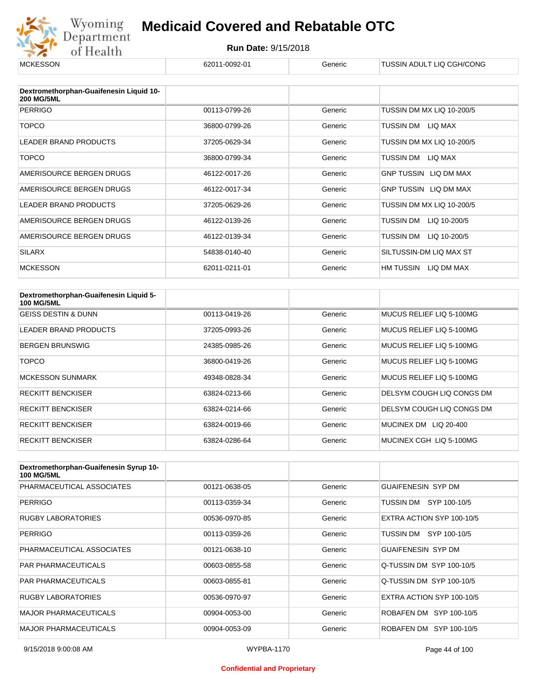

| <b>MCKESSON</b>                                              | 62011-0092-01 | Generic | TUSSIN ADULT LIQ CGH/CONG    |
|--------------------------------------------------------------|---------------|---------|------------------------------|
| Dextromethorphan-Guaifenesin Liquid 10-<br><b>200 MG/5ML</b> |               |         |                              |
| <b>PERRIGO</b>                                               | 00113-0799-26 | Generic | TUSSIN DM MX LIQ 10-200/5    |
| <b>TOPCO</b>                                                 | 36800-0799-26 | Generic | TUSSIN DM<br>LIQ MAX         |
| <b>LEADER BRAND PRODUCTS</b>                                 | 37205-0629-34 | Generic | TUSSIN DM MX LIQ 10-200/5    |
| <b>TOPCO</b>                                                 | 36800-0799-34 | Generic | TUSSIN DM<br>LIQ MAX         |
| AMERISOURCE BERGEN DRUGS                                     | 46122-0017-26 | Generic | <b>GNP TUSSIN LIQ DM MAX</b> |
| AMERISOURCE BERGEN DRUGS                                     | 46122-0017-34 | Generic | <b>GNP TUSSIN LIQ DM MAX</b> |
| LEADER BRAND PRODUCTS                                        | 37205-0629-26 | Generic | TUSSIN DM MX LIQ 10-200/5    |
| AMERISOURCE BERGEN DRUGS                                     | 46122-0139-26 | Generic | TUSSIN DM<br>LIQ 10-200/5    |
| AMERISOURCE BERGEN DRUGS                                     | 46122-0139-34 | Generic | TUSSIN DM<br>LIQ 10-200/5    |
| <b>SILARX</b>                                                | 54838-0140-40 | Generic | SILTUSSIN-DM LIQ MAX ST      |
| <b>MCKESSON</b>                                              | 62011-0211-01 | Generic | HM TUSSIN<br>LIQ DM MAX      |

| Dextromethorphan-Guaifenesin Liquid 5-<br><b>100 MG/5ML</b> |               |         |                           |
|-------------------------------------------------------------|---------------|---------|---------------------------|
| <b>GEISS DESTIN &amp; DUNN</b>                              | 00113-0419-26 | Generic | MUCUS RELIEF LIQ 5-100MG  |
| <b>LEADER BRAND PRODUCTS</b>                                | 37205-0993-26 | Generic | MUCUS RELIEF LIQ 5-100MG  |
| <b>BERGEN BRUNSWIG</b>                                      | 24385-0985-26 | Generic | MUCUS RELIEF LIQ 5-100MG  |
| <b>TOPCO</b>                                                | 36800-0419-26 | Generic | MUCUS RELIEF LIQ 5-100MG  |
| <b>MCKESSON SUNMARK</b>                                     | 49348-0828-34 | Generic | MUCUS RELIEF LIQ 5-100MG  |
| <b>RECKITT BENCKISER</b>                                    | 63824-0213-66 | Generic | DELSYM COUGH LIQ CONGS DM |
| <b>RECKITT BENCKISER</b>                                    | 63824-0214-66 | Generic | DELSYM COUGH LIQ CONGS DM |
| <b>RECKITT BENCKISER</b>                                    | 63824-0019-66 | Generic | LIQ 20-400<br>MUCINEX DM  |
| <b>RECKITT BENCKISER</b>                                    | 63824-0286-64 | Generic | MUCINEX CGH LIQ 5-100MG   |

| Dextromethorphan-Guaifenesin Syrup 10-<br><b>100 MG/5ML</b> |               |         |                           |
|-------------------------------------------------------------|---------------|---------|---------------------------|
| PHARMACEUTICAL ASSOCIATES                                   | 00121-0638-05 | Generic | <b>GUAIFENESIN SYP DM</b> |
| <b>PERRIGO</b>                                              | 00113-0359-34 | Generic | TUSSIN DM SYP 100-10/5    |
| <b>RUGBY LABORATORIES</b>                                   | 00536-0970-85 | Generic | EXTRA ACTION SYP 100-10/5 |
| <b>PERRIGO</b>                                              | 00113-0359-26 | Generic | SYP 100-10/5<br>TUSSIN DM |
| PHARMACEUTICAL ASSOCIATES                                   | 00121-0638-10 | Generic | <b>GUAIFENESIN SYP DM</b> |
| <b>PAR PHARMACEUTICALS</b>                                  | 00603-0855-58 | Generic | Q-TUSSIN DM SYP 100-10/5  |
| <b>PAR PHARMACEUTICALS</b>                                  | 00603-0855-81 | Generic | Q-TUSSIN DM SYP 100-10/5  |
| <b>RUGBY LABORATORIES</b>                                   | 00536-0970-97 | Generic | EXTRA ACTION SYP 100-10/5 |
| <b>MAJOR PHARMACEUTICALS</b>                                | 00904-0053-00 | Generic | ROBAFEN DM SYP 100-10/5   |
| <b>MAJOR PHARMACEUTICALS</b>                                | 00904-0053-09 | Generic | ROBAFEN DM SYP 100-10/5   |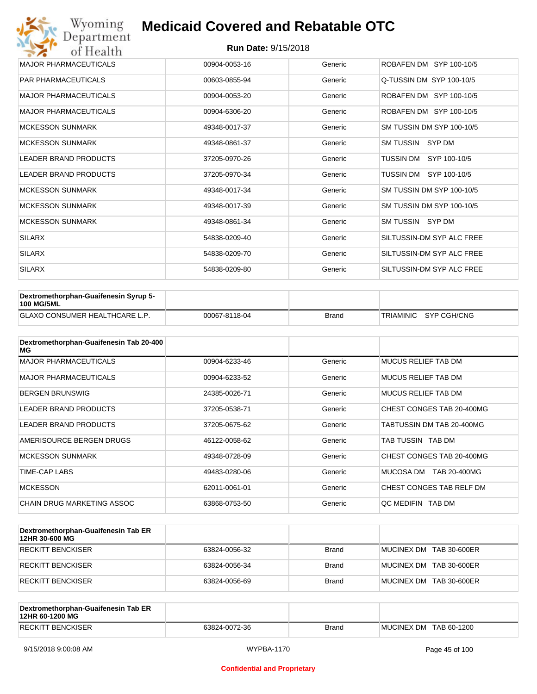| Wyoming<br>Department        | <b>Medicaid Covered and Rebatable OTC</b> |         |                           |  |  |
|------------------------------|-------------------------------------------|---------|---------------------------|--|--|
| of Health                    | <b>Run Date: 9/15/2018</b>                |         |                           |  |  |
| <b>MAJOR PHARMACEUTICALS</b> | 00904-0053-16                             | Generic | ROBAFEN DM SYP 100-10/5   |  |  |
| <b>PAR PHARMACEUTICALS</b>   | 00603-0855-94                             | Generic | Q-TUSSIN DM SYP 100-10/5  |  |  |
| <b>MAJOR PHARMACEUTICALS</b> | 00904-0053-20                             | Generic | ROBAFEN DM SYP 100-10/5   |  |  |
| <b>MAJOR PHARMACEUTICALS</b> | 00904-6306-20                             | Generic | ROBAFEN DM SYP 100-10/5   |  |  |
| <b>MCKESSON SUNMARK</b>      | 49348-0017-37                             | Generic | SM TUSSIN DM SYP 100-10/5 |  |  |
| <b>MCKESSON SUNMARK</b>      | 49348-0861-37                             | Generic | SM TUSSIN<br>SYP DM       |  |  |
| <b>LEADER BRAND PRODUCTS</b> | 37205-0970-26                             | Generic | TUSSIN DM SYP 100-10/5    |  |  |
| <b>LEADER BRAND PRODUCTS</b> | 37205-0970-34                             | Generic | TUSSIN DM SYP 100-10/5    |  |  |
| <b>MCKESSON SUNMARK</b>      | 49348-0017-34                             | Generic | SM TUSSIN DM SYP 100-10/5 |  |  |
| <b>MCKESSON SUNMARK</b>      | 49348-0017-39                             | Generic | SM TUSSIN DM SYP 100-10/5 |  |  |
| <b>MCKESSON SUNMARK</b>      | 49348-0861-34                             | Generic | SM TUSSIN SYP DM          |  |  |
| <b>SILARX</b>                | 54838-0209-40                             | Generic | SILTUSSIN-DM SYP ALC FREE |  |  |
| <b>SILARX</b>                | 54838-0209-70                             | Generic | SILTUSSIN-DM SYP ALC FREE |  |  |
| <b>SILARX</b>                | 54838-0209-80                             | Generic | SILTUSSIN-DM SYP ALC FREE |  |  |

| Dextromethorphan-Guaifenesin Syrup 5-<br><b>100 MG/5ML</b> |               |              |                       |
|------------------------------------------------------------|---------------|--------------|-----------------------|
| <b>GLAXO CONSUMER HEALTHCARE L.P.</b>                      | 00067-8118-04 | <b>Brand</b> | TRIAMINIC SYP CGH/CNG |

| Dextromethorphan-Guaifenesin Tab 20-400<br>MG |               |         |                            |
|-----------------------------------------------|---------------|---------|----------------------------|
| <b>MAJOR PHARMACEUTICALS</b>                  | 00904-6233-46 | Generic | <b>MUCUS RELIEF TAB DM</b> |
| <b>MAJOR PHARMACEUTICALS</b>                  | 00904-6233-52 | Generic | MUCUS RELIEF TAB DM        |
| <b>BERGEN BRUNSWIG</b>                        | 24385-0026-71 | Generic | MUCUS RELIEF TAB DM        |
| LEADER BRAND PRODUCTS                         | 37205-0538-71 | Generic | CHEST CONGES TAB 20-400MG  |
| LEADER BRAND PRODUCTS                         | 37205-0675-62 | Generic | TABTUSSIN DM TAB 20-400MG  |
| AMERISOURCE BERGEN DRUGS                      | 46122-0058-62 | Generic | TAB TUSSIN TAB DM          |
| <b>MCKESSON SUNMARK</b>                       | 49348-0728-09 | Generic | CHEST CONGES TAB 20-400MG  |
| TIME-CAP LABS                                 | 49483-0280-06 | Generic | MUCOSA DM<br>TAB 20-400MG  |
| <b>MCKESSON</b>                               | 62011-0061-01 | Generic | CHEST CONGES TAB RELF DM   |
| CHAIN DRUG MARKETING ASSOC                    | 63868-0753-50 | Generic | OC MEDIFIN TAB DM          |

| Dextromethorphan-Guaifenesin Tab ER<br>12HR 30-600 MG |               |              |                         |
|-------------------------------------------------------|---------------|--------------|-------------------------|
| RECKITT BENCKISER                                     | 63824-0056-32 | <b>Brand</b> | MUCINEX DM TAB 30-600ER |
| <b>IRECKITT BENCKISER</b>                             | 63824-0056-34 | <b>Brand</b> | MUCINEX DM TAB 30-600ER |
| <b>RECKITT BENCKISER</b>                              | 63824-0056-69 | <b>Brand</b> | MUCINEX DM TAB 30-600ER |

| Dextromethorphan-Guaifenesin Tab ER<br>12HR 60-1200 MG |               |       |                        |
|--------------------------------------------------------|---------------|-------|------------------------|
| <b>RECKITT BENCKISER</b>                               | 63824-0072-36 | Brand | MUCINEX DM TAB 60-1200 |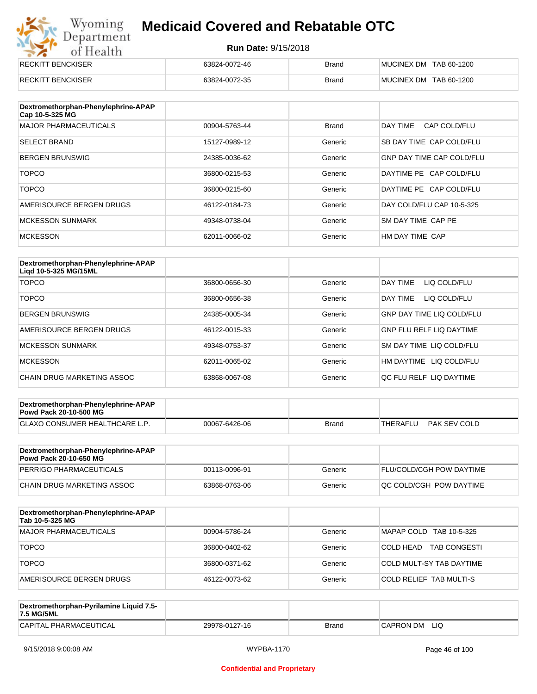# Wyoming<br>Department<br>of Health

### **Medicaid Covered and Rebatable OTC**

| <b>RECKITT BENCKISER</b> | 63824-0072-46 | <b>Brand</b> | MUCINEX DM TAB 60-1200 |
|--------------------------|---------------|--------------|------------------------|
| <b>RECKITT BENCKISER</b> | 63824-0072-35 | <b>Brand</b> | MUCINEX DM TAB 60-1200 |

| Dextromethorphan-Phenylephrine-APAP<br>Cap 10-5-325 MG |               |              |                                  |
|--------------------------------------------------------|---------------|--------------|----------------------------------|
| <b>MAJOR PHARMACEUTICALS</b>                           | 00904-5763-44 | <b>Brand</b> | DAY TIME<br>CAP COLD/FLU         |
| <b>SELECT BRAND</b>                                    | 15127-0989-12 | Generic      | SB DAY TIME CAP COLD/FLU         |
| <b>BERGEN BRUNSWIG</b>                                 | 24385-0036-62 | Generic      | <b>GNP DAY TIME CAP COLD/FLU</b> |
| <b>TOPCO</b>                                           | 36800-0215-53 | Generic      | DAYTIME PE CAP COLD/FLU          |
| <b>TOPCO</b>                                           | 36800-0215-60 | Generic      | DAYTIME PE CAP COLD/FLU          |
| AMERISOURCE BERGEN DRUGS                               | 46122-0184-73 | Generic      | DAY COLD/FLU CAP 10-5-325        |
| <b>MCKESSON SUNMARK</b>                                | 49348-0738-04 | Generic      | SM DAY TIME CAP PE               |
| <b>MCKESSON</b>                                        | 62011-0066-02 | Generic      | HM DAY TIME CAP                  |

| Dextromethorphan-Phenylephrine-APAP<br>Ligd 10-5-325 MG/15ML |               |         |                                  |
|--------------------------------------------------------------|---------------|---------|----------------------------------|
| <b>TOPCO</b>                                                 | 36800-0656-30 | Generic | LIQ COLD/FLU<br>DAY TIME         |
| <b>TOPCO</b>                                                 | 36800-0656-38 | Generic | DAY TIME<br>LIQ COLD/FLU         |
| <b>BERGEN BRUNSWIG</b>                                       | 24385-0005-34 | Generic | <b>GNP DAY TIME LIQ COLD/FLU</b> |
| AMERISOURCE BERGEN DRUGS                                     | 46122-0015-33 | Generic | <b>GNP FLU RELF LIQ DAYTIME</b>  |
| <b>MCKESSON SUNMARK</b>                                      | 49348-0753-37 | Generic | SM DAY TIME LIQ COLD/FLU         |
| <b>MCKESSON</b>                                              | 62011-0065-02 | Generic | HM DAYTIME LIQ COLD/FLU          |
| CHAIN DRUG MARKETING ASSOC                                   | 63868-0067-08 | Generic | OC FLU RELF LIO DAYTIME          |

| Dextromethorphan-Phenylephrine-APAP<br><b>Powd Pack 20-10-500 MG</b> |               |       |          |              |
|----------------------------------------------------------------------|---------------|-------|----------|--------------|
| <b>GLAXO CONSUMER HEALTHCARE L.P.</b>                                | 00067-6426-06 | Brand | THERAFLU | PAK SEV COLD |
|                                                                      |               |       |          |              |

| Dextromethorphan-Phenylephrine-APAP<br><b>Powd Pack 20-10-650 MG</b> |               |         |                                 |
|----------------------------------------------------------------------|---------------|---------|---------------------------------|
| PERRIGO PHARMACEUTICALS                                              | 00113-0096-91 | Generic | <b>FLU/COLD/CGH POW DAYTIME</b> |
| ICHAIN DRUG MARKETING ASSOC                                          | 63868-0763-06 | Generic | IQC COLD/CGH POW DAYTIME        |

| Dextromethorphan-Phenylephrine-APAP<br>Tab 10-5-325 MG |               |         |                                  |
|--------------------------------------------------------|---------------|---------|----------------------------------|
| MAJOR PHARMACEUTICALS                                  | 00904-5786-24 | Generic | MAPAP COLD TAB 10-5-325          |
| <b>TOPCO</b>                                           | 36800-0402-62 | Generic | COLD HEAD<br><b>TAB CONGESTI</b> |
| <b>TOPCO</b>                                           | 36800-0371-62 | Generic | COLD MULT-SY TAB DAYTIME         |
| AMERISOURCE BERGEN DRUGS                               | 46122-0073-62 | Generic | COLD RELIEF TAB MULTI-S          |

| Dextromethorphan-Pyrilamine Liquid 7.5-<br>7.5 MG/5ML |               |       |                  |
|-------------------------------------------------------|---------------|-------|------------------|
| CAPITAL PHARMACEUTICAL                                | 29978-0127-16 | Brand | LIQ<br>CAPRON DM |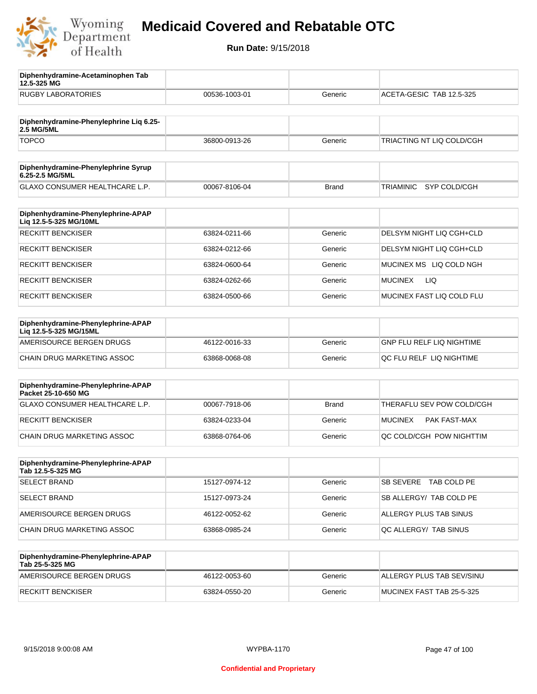

**12.5-325 MG**

**Diphenhydramine-Acetaminophen Tab** 

## **Medicaid Covered and Rebatable OTC**

| <b>RUGBY LABORATORIES</b>                                    | 00536-1003-01 | Generic      | ACETA-GESIC TAB 12.5-325        |
|--------------------------------------------------------------|---------------|--------------|---------------------------------|
| Diphenhydramine-Phenylephrine Lig 6.25-<br>2.5 MG/5ML        |               |              |                                 |
| <b>TOPCO</b>                                                 | 36800-0913-26 | Generic      | TRIACTING NT LIQ COLD/CGH       |
| Diphenhydramine-Phenylephrine Syrup<br>6.25-2.5 MG/5ML       |               |              |                                 |
| GLAXO CONSUMER HEALTHCARE L.P.                               | 00067-8106-04 | <b>Brand</b> | SYP COLD/CGH<br>TRIAMINIC       |
| Diphenhydramine-Phenylephrine-APAP<br>Liq 12.5-5-325 MG/10ML |               |              |                                 |
| <b>RECKITT BENCKISER</b>                                     | 63824-0211-66 | Generic      | DELSYM NIGHT LIQ CGH+CLD        |
| <b>RECKITT BENCKISER</b>                                     | 63824-0212-66 | Generic      | DELSYM NIGHT LIQ CGH+CLD        |
| <b>RECKITT BENCKISER</b>                                     | 63824-0600-64 | Generic      | MUCINEX MS LIQ COLD NGH         |
| <b>RECKITT BENCKISER</b>                                     | 63824-0262-66 | Generic      | LIQ<br><b>MUCINEX</b>           |
| <b>RECKITT BENCKISER</b>                                     | 63824-0500-66 | Generic      | MUCINEX FAST LIQ COLD FLU       |
| Diphenhydramine-Phenylephrine-APAP<br>Liq 12.5-5-325 MG/15ML |               |              |                                 |
| AMERISOURCE BERGEN DRUGS                                     | 46122-0016-33 | Generic      | GNP FLU RELF LIQ NIGHTIME       |
| CHAIN DRUG MARKETING ASSOC                                   | 63868-0068-08 | Generic      | QC FLU RELF LIQ NIGHTIME        |
| Diphenhydramine-Phenylephrine-APAP<br>Packet 25-10-650 MG    |               |              |                                 |
| GLAXO CONSUMER HEALTHCARE L.P.                               | 00067-7918-06 | <b>Brand</b> | THERAFLU SEV POW COLD/CGH       |
| <b>RECKITT BENCKISER</b>                                     | 63824-0233-04 | Generic      | <b>MUCINEX</b><br>PAK FAST-MAX  |
| <b>CHAIN DRUG MARKETING ASSOC</b>                            | 63868-0764-06 | Generic      | QC COLD/CGH POW NIGHTTIM        |
| Diphenhydramine-Phenylephrine-APAP<br>Tab 12.5-5-325 MG      |               |              |                                 |
| <b>SELECT BRAND</b>                                          | 15127-0974-12 | Generic      | <b>SB SEVERE</b><br>TAB COLD PE |
| <b>SELECT BRAND</b>                                          | 15127-0973-24 | Generic      | SB ALLERGY/ TAB COLD PE         |
| AMERISOURCE BERGEN DRUGS                                     | 46122-0052-62 | Generic      | ALLERGY PLUS TAB SINUS          |
| <b>CHAIN DRUG MARKETING ASSOC</b>                            | 63868-0985-24 | Generic      | QC ALLERGY/ TAB SINUS           |
| Diphenhydramine-Phenylephrine-APAP<br>Tab 25-5-325 MG        |               |              |                                 |
| AMERISOURCE BERGEN DRUGS                                     | 46122-0053-60 | Generic      | ALLERGY PLUS TAB SEV/SINU       |
| <b>RECKITT BENCKISER</b>                                     | 63824-0550-20 | Generic      | MUCINEX FAST TAB 25-5-325       |
|                                                              |               |              |                                 |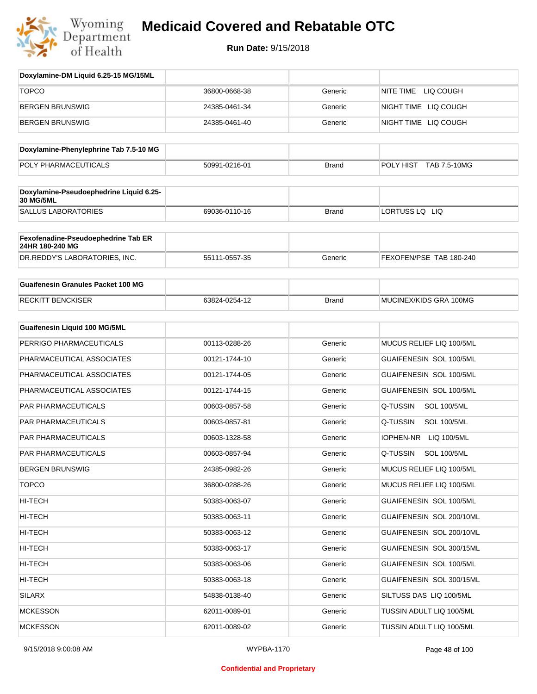

| Doxylamine-DM Liquid 6.25-15 MG/15ML                   |               |              |                                |
|--------------------------------------------------------|---------------|--------------|--------------------------------|
| <b>TOPCO</b>                                           | 36800-0668-38 | Generic      | NITE TIME<br>LIQ COUGH         |
| <b>BERGEN BRUNSWIG</b>                                 | 24385-0461-34 | Generic      | NIGHT TIME LIQ COUGH           |
| <b>BERGEN BRUNSWIG</b>                                 | 24385-0461-40 | Generic      | NIGHT TIME LIQ COUGH           |
| Doxylamine-Phenylephrine Tab 7.5-10 MG                 |               |              |                                |
| POLY PHARMACEUTICALS                                   | 50991-0216-01 | <b>Brand</b> | POLY HIST TAB 7.5-10MG         |
| Doxylamine-Pseudoephedrine Liquid 6.25-                |               |              |                                |
| 30 MG/5ML                                              |               |              |                                |
| <b>SALLUS LABORATORIES</b>                             | 69036-0110-16 | <b>Brand</b> | LORTUSS LQ LIQ                 |
| Fexofenadine-Pseudoephedrine Tab ER<br>24HR 180-240 MG |               |              |                                |
| DR.REDDY'S LABORATORIES, INC.                          | 55111-0557-35 | Generic      | FEXOFEN/PSE TAB 180-240        |
| <b>Guaifenesin Granules Packet 100 MG</b>              |               |              |                                |
| <b>RECKITT BENCKISER</b>                               | 63824-0254-12 | <b>Brand</b> | MUCINEX/KIDS GRA 100MG         |
| <b>Guaifenesin Liquid 100 MG/5ML</b>                   |               |              |                                |
| PERRIGO PHARMACEUTICALS                                | 00113-0288-26 | Generic      | MUCUS RELIEF LIQ 100/5ML       |
| PHARMACEUTICAL ASSOCIATES                              | 00121-1744-10 | Generic      | GUAIFENESIN SOL 100/5ML        |
| PHARMACEUTICAL ASSOCIATES                              | 00121-1744-05 | Generic      | GUAIFENESIN SOL 100/5ML        |
| PHARMACEUTICAL ASSOCIATES                              | 00121-1744-15 | Generic      | GUAIFENESIN SOL 100/5ML        |
| PAR PHARMACEUTICALS                                    | 00603-0857-58 | Generic      | Q-TUSSIN<br><b>SOL 100/5ML</b> |
| PAR PHARMACEUTICALS                                    | 00603-0857-81 | Generic      | Q-TUSSIN<br><b>SOL 100/5ML</b> |
| PAR PHARMACEUTICALS                                    | 00603-1328-58 | Generic      | IOPHEN-NR LIQ 100/5ML          |
| <b>PAR PHARMACEUTICALS</b>                             | 00603-0857-94 | Generic      | Q-TUSSIN<br><b>SOL 100/5ML</b> |
| <b>BERGEN BRUNSWIG</b>                                 | 24385-0982-26 | Generic      | MUCUS RELIEF LIQ 100/5ML       |
| <b>TOPCO</b>                                           | 36800-0288-26 | Generic      | MUCUS RELIEF LIQ 100/5ML       |
| HI-TECH                                                | 50383-0063-07 | Generic      | GUAIFENESIN SOL 100/5ML        |
| HI-TECH                                                | 50383-0063-11 | Generic      | GUAIFENESIN SOL 200/10ML       |
| HI-TECH                                                | 50383-0063-12 | Generic      | GUAIFENESIN SOL 200/10ML       |
| HI-TECH                                                | 50383-0063-17 | Generic      | GUAIFENESIN SOL 300/15ML       |
| HI-TECH                                                | 50383-0063-06 | Generic      | GUAIFENESIN SOL 100/5ML        |
| HI-TECH                                                | 50383-0063-18 | Generic      | GUAIFENESIN SOL 300/15ML       |
| SILARX                                                 | 54838-0138-40 | Generic      | SILTUSS DAS LIQ 100/5ML        |
| <b>MCKESSON</b>                                        | 62011-0089-01 | Generic      | TUSSIN ADULT LIQ 100/5ML       |
| <b>MCKESSON</b>                                        | 62011-0089-02 | Generic      | TUSSIN ADULT LIQ 100/5ML       |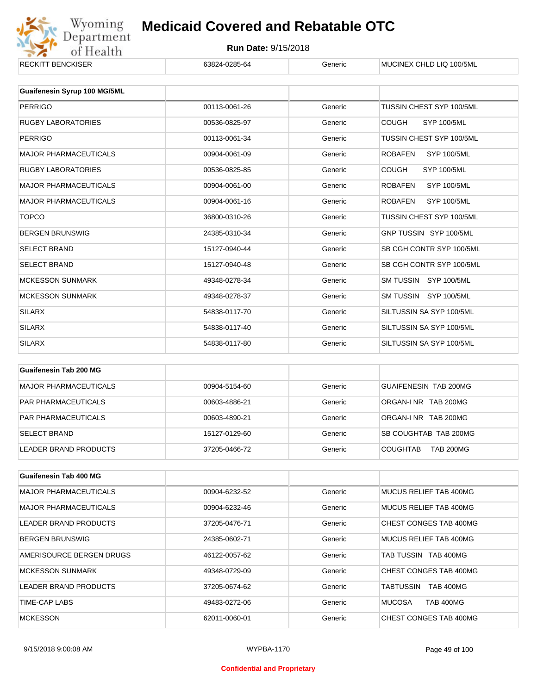

| <b>RECKITT BENCKISER</b>     | 63824-0285-64 | Generic | MUCINEX CHLD LIQ 100/5ML             |
|------------------------------|---------------|---------|--------------------------------------|
|                              |               |         |                                      |
| Guaifenesin Syrup 100 MG/5ML |               |         |                                      |
| <b>PERRIGO</b>               | 00113-0061-26 | Generic | TUSSIN CHEST SYP 100/5ML             |
| <b>RUGBY LABORATORIES</b>    | 00536-0825-97 | Generic | <b>COUGH</b><br><b>SYP 100/5ML</b>   |
| <b>PERRIGO</b>               | 00113-0061-34 | Generic | TUSSIN CHEST SYP 100/5ML             |
| <b>MAJOR PHARMACEUTICALS</b> | 00904-0061-09 | Generic | <b>ROBAFEN</b><br><b>SYP 100/5ML</b> |
| <b>RUGBY LABORATORIES</b>    | 00536-0825-85 | Generic | <b>COUGH</b><br><b>SYP 100/5ML</b>   |
| <b>MAJOR PHARMACEUTICALS</b> | 00904-0061-00 | Generic | <b>ROBAFEN</b><br><b>SYP 100/5ML</b> |
| <b>MAJOR PHARMACEUTICALS</b> | 00904-0061-16 | Generic | <b>ROBAFEN</b><br><b>SYP 100/5ML</b> |
| <b>TOPCO</b>                 | 36800-0310-26 | Generic | TUSSIN CHEST SYP 100/5ML             |
| <b>BERGEN BRUNSWIG</b>       | 24385-0310-34 | Generic | GNP TUSSIN SYP 100/5ML               |
| <b>SELECT BRAND</b>          | 15127-0940-44 | Generic | SB CGH CONTR SYP 100/5ML             |
| <b>SELECT BRAND</b>          | 15127-0940-48 | Generic | SB CGH CONTR SYP 100/5ML             |
| <b>MCKESSON SUNMARK</b>      | 49348-0278-34 | Generic | SM TUSSIN SYP 100/5ML                |
| <b>MCKESSON SUNMARK</b>      | 49348-0278-37 | Generic | SM TUSSIN SYP 100/5ML                |
| <b>SILARX</b>                | 54838-0117-70 | Generic | SILTUSSIN SA SYP 100/5ML             |
| <b>SILARX</b>                | 54838-0117-40 | Generic | SILTUSSIN SA SYP 100/5ML             |
| <b>SILARX</b>                | 54838-0117-80 | Generic | SILTUSSIN SA SYP 100/5ML             |
|                              |               |         |                                      |

| Guaifenesin Tab 200 MG       |               |         |                                     |
|------------------------------|---------------|---------|-------------------------------------|
| <b>MAJOR PHARMACEUTICALS</b> | 00904-5154-60 | Generic | GUAIFENESIN TAB 200MG               |
| <b>PAR PHARMACEUTICALS</b>   | 00603-4886-21 | Generic | ORGAN-INR TAB 200MG                 |
| <b>PAR PHARMACEUTICALS</b>   | 00603-4890-21 | Generic | ORGAN-LNR TAB 200MG                 |
| <b>SELECT BRAND</b>          | 15127-0129-60 | Generic | SB COUGHTAB TAB 200MG               |
| LEADER BRAND PRODUCTS        | 37205-0466-72 | Generic | <b>TAB 200MG</b><br><b>COUGHTAB</b> |

| Guaifenesin Tab 400 MG       |               |         |                                   |
|------------------------------|---------------|---------|-----------------------------------|
| <b>MAJOR PHARMACEUTICALS</b> | 00904-6232-52 | Generic | MUCUS RELIEF TAB 400MG            |
| <b>MAJOR PHARMACEUTICALS</b> | 00904-6232-46 | Generic | MUCUS RELIEF TAB 400MG            |
| LEADER BRAND PRODUCTS        | 37205-0476-71 | Generic | CHEST CONGES TAB 400MG            |
| <b>BERGEN BRUNSWIG</b>       | 24385-0602-71 | Generic | MUCUS RELIEF TAB 400MG            |
| AMERISOURCE BERGEN DRUGS     | 46122-0057-62 | Generic | TAB TUSSIN TAB 400MG              |
| <b>MCKESSON SUNMARK</b>      | 49348-0729-09 | Generic | CHEST CONGES TAB 400MG            |
| LEADER BRAND PRODUCTS        | 37205-0674-62 | Generic | TABTUSSIN<br><b>TAB 400MG</b>     |
| TIME-CAP LABS                | 49483-0272-06 | Generic | <b>MUCOSA</b><br><b>TAB 400MG</b> |
| <b>MCKESSON</b>              | 62011-0060-01 | Generic | CHEST CONGES TAB 400MG            |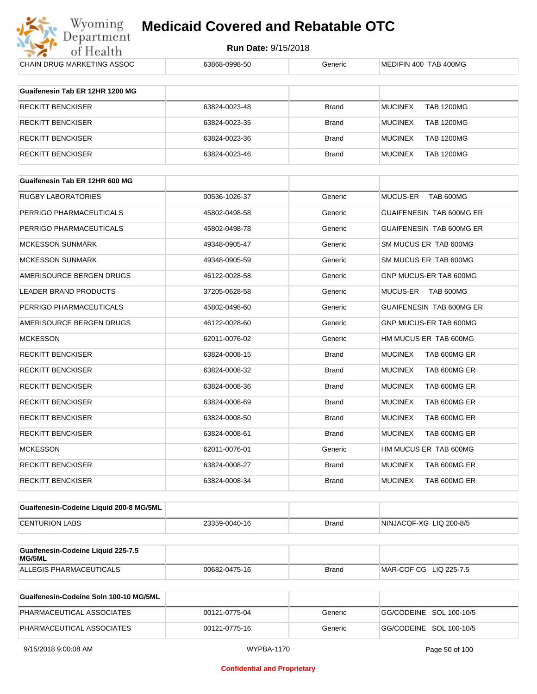

| CHAIN DRUG MARKETING ASSOC                   | 63868-0998-50 | Generic      | MEDIFIN 400 TAB 400MG               |
|----------------------------------------------|---------------|--------------|-------------------------------------|
|                                              |               |              |                                     |
| Guaifenesin Tab ER 12HR 1200 MG              |               |              |                                     |
| <b>RECKITT BENCKISER</b>                     | 63824-0023-48 | <b>Brand</b> | <b>MUCINEX</b><br><b>TAB 1200MG</b> |
| <b>RECKITT BENCKISER</b>                     | 63824-0023-35 | <b>Brand</b> | <b>MUCINEX</b><br><b>TAB 1200MG</b> |
| <b>RECKITT BENCKISER</b>                     | 63824-0023-36 | <b>Brand</b> | <b>MUCINEX</b><br><b>TAB 1200MG</b> |
| <b>RECKITT BENCKISER</b>                     | 63824-0023-46 | <b>Brand</b> | <b>MUCINEX</b><br><b>TAB 1200MG</b> |
|                                              |               |              |                                     |
| Guaifenesin Tab ER 12HR 600 MG               |               |              |                                     |
| <b>RUGBY LABORATORIES</b>                    | 00536-1026-37 | Generic      | MUCUS-ER<br>TAB 600MG               |
| PERRIGO PHARMACEUTICALS                      | 45802-0498-58 | Generic      | GUAIFENESIN TAB 600MG ER            |
| PERRIGO PHARMACEUTICALS                      | 45802-0498-78 | Generic      | GUAIFENESIN TAB 600MG ER            |
| <b>MCKESSON SUNMARK</b>                      | 49348-0905-47 | Generic      | SM MUCUS ER TAB 600MG               |
| <b>MCKESSON SUNMARK</b>                      | 49348-0905-59 | Generic      | SM MUCUS ER TAB 600MG               |
| AMERISOURCE BERGEN DRUGS                     | 46122-0028-58 | Generic      | GNP MUCUS-ER TAB 600MG              |
| <b>LEADER BRAND PRODUCTS</b>                 | 37205-0628-58 | Generic      | MUCUS-ER TAB 600MG                  |
| PERRIGO PHARMACEUTICALS                      | 45802-0498-60 | Generic      | GUAIFENESIN TAB 600MG ER            |
| AMERISOURCE BERGEN DRUGS                     | 46122-0028-60 | Generic      | GNP MUCUS-ER TAB 600MG              |
| <b>MCKESSON</b>                              | 62011-0076-02 | Generic      | HM MUCUS ER TAB 600MG               |
| <b>RECKITT BENCKISER</b>                     | 63824-0008-15 | <b>Brand</b> | <b>MUCINEX</b><br>TAB 600MG ER      |
| <b>RECKITT BENCKISER</b>                     | 63824-0008-32 | <b>Brand</b> | <b>MUCINEX</b><br>TAB 600MG ER      |
| <b>RECKITT BENCKISER</b>                     | 63824-0008-36 | <b>Brand</b> | <b>MUCINEX</b><br>TAB 600MG ER      |
| <b>RECKITT BENCKISER</b>                     | 63824-0008-69 | <b>Brand</b> | <b>MUCINEX</b><br>TAB 600MG ER      |
| <b>RECKITT BENCKISER</b>                     | 63824-0008-50 | <b>Brand</b> | <b>MUCINEX</b><br>TAB 600MG ER      |
| <b>RECKITT BENCKISER</b>                     | 63824-0008-61 | <b>Brand</b> | <b>MUCINEX</b><br>TAB 600MG ER      |
| <b>MCKESSON</b>                              | 62011-0076-01 | Generic      | HM MUCUS ER TAB 600MG               |
| RECKITT BENCKISER                            | 63824-0008-27 | <b>Brand</b> | <b>MUCINEX</b><br>TAB 600MG ER      |
| <b>RECKITT BENCKISER</b>                     | 63824-0008-34 | <b>Brand</b> | <b>MUCINEX</b><br>TAB 600MG ER      |
|                                              |               |              |                                     |
| Guaifenesin-Codeine Liquid 200-8 MG/5ML      |               |              |                                     |
| <b>CENTURION LABS</b>                        | 23359-0040-16 | <b>Brand</b> | NINJACOF-XG LIQ 200-8/5             |
| Guaifenesin-Codeine Liquid 225-7.5<br>MG/5ML |               |              |                                     |
| ALLEGIS PHARMACEUTICALS                      | 00682-0475-16 | <b>Brand</b> | MAR-COF CG LIQ 225-7.5              |
|                                              |               |              |                                     |
| Guaifenesin-Codeine Soln 100-10 MG/5ML       |               |              |                                     |

| Guaifenesin-Codeine Soln 100-10 MG/5ML |               |         |                         |
|----------------------------------------|---------------|---------|-------------------------|
| PHARMACEUTICAL ASSOCIATES              | 00121-0775-04 | Generic | GG/CODEINE SOL 100-10/5 |
| PHARMACEUTICAL ASSOCIATES              | 00121-0775-16 | Generic | GG/CODEINE SOL 100-10/5 |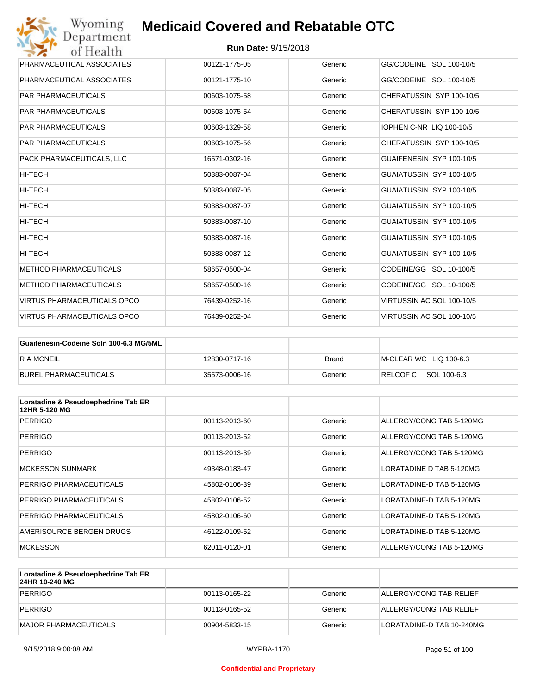| Wyoming<br>Department              | <b>Medicaid Covered and Rebatable OTC</b> |         |                                 |
|------------------------------------|-------------------------------------------|---------|---------------------------------|
| of Health                          | <b>Run Date: 9/15/2018</b>                |         |                                 |
| PHARMACEUTICAL ASSOCIATES          | 00121-1775-05                             | Generic | GG/CODEINE SOL 100-10/5         |
| PHARMACEUTICAL ASSOCIATES          | 00121-1775-10                             | Generic | GG/CODEINE SOL 100-10/5         |
| <b>PAR PHARMACEUTICALS</b>         | 00603-1075-58                             | Generic | CHERATUSSIN SYP 100-10/5        |
| <b>PAR PHARMACEUTICALS</b>         | 00603-1075-54                             | Generic | CHERATUSSIN SYP 100-10/5        |
| <b>PAR PHARMACEUTICALS</b>         | 00603-1329-58                             | Generic | <b>IOPHEN C-NR LIQ 100-10/5</b> |
| <b>PAR PHARMACEUTICALS</b>         | 00603-1075-56                             | Generic | CHERATUSSIN SYP 100-10/5        |
| PACK PHARMACEUTICALS, LLC          | 16571-0302-16                             | Generic | GUAIFENESIN SYP 100-10/5        |
| <b>HI-TECH</b>                     | 50383-0087-04                             | Generic | GUAIATUSSIN SYP 100-10/5        |
| HI-TECH                            | 50383-0087-05                             | Generic | GUAIATUSSIN SYP 100-10/5        |
| HI-TECH                            | 50383-0087-07                             | Generic | GUAIATUSSIN SYP 100-10/5        |
| HI-TECH                            | 50383-0087-10                             | Generic | GUAIATUSSIN SYP 100-10/5        |
| <b>HI-TECH</b>                     | 50383-0087-16                             | Generic | GUAIATUSSIN SYP 100-10/5        |
| HI-TECH                            | 50383-0087-12                             | Generic | GUAIATUSSIN SYP 100-10/5        |
| <b>METHOD PHARMACEUTICALS</b>      | 58657-0500-04                             | Generic | CODEINE/GG SOL 10-100/5         |
| <b>METHOD PHARMACEUTICALS</b>      | 58657-0500-16                             | Generic | CODEINE/GG SOL 10-100/5         |
| <b>VIRTUS PHARMACEUTICALS OPCO</b> | 76439-0252-16                             | Generic | VIRTUSSIN AC SOL 100-10/5       |
| <b>VIRTUS PHARMACEUTICALS OPCO</b> | 76439-0252-04                             | Generic | VIRTUSSIN AC SOL 100-10/5       |

| Guaifenesin-Codeine Soln 100-6.3 MG/5ML |               |         |                        |
|-----------------------------------------|---------------|---------|------------------------|
| <b>RAMCNEIL</b>                         | 12830-0717-16 | Brand   | M-CLEAR WC LIQ 100-6.3 |
| BUREL PHARMACEUTICALS                   | 35573-0006-16 | Generic | RELCOFC SOL 100-6.3    |

| Loratadine & Pseudoephedrine Tab ER<br>12HR 5-120 MG |               |         |                          |
|------------------------------------------------------|---------------|---------|--------------------------|
| <b>PERRIGO</b>                                       | 00113-2013-60 | Generic | ALLERGY/CONG TAB 5-120MG |
| <b>PERRIGO</b>                                       | 00113-2013-52 | Generic | ALLERGY/CONG TAB 5-120MG |
| <b>PERRIGO</b>                                       | 00113-2013-39 | Generic | ALLERGY/CONG TAB 5-120MG |
| <b>MCKESSON SUNMARK</b>                              | 49348-0183-47 | Generic | LORATADINE D TAB 5-120MG |
| PERRIGO PHARMACEUTICALS                              | 45802-0106-39 | Generic | LORATADINE-D TAB 5-120MG |
| PERRIGO PHARMACEUTICALS                              | 45802-0106-52 | Generic | LORATADINE-D TAB 5-120MG |
| PERRIGO PHARMACEUTICALS                              | 45802-0106-60 | Generic | LORATADINE-D TAB 5-120MG |
| AMERISOURCE BERGEN DRUGS                             | 46122-0109-52 | Generic | LORATADINE-D TAB 5-120MG |
| <b>MCKESSON</b>                                      | 62011-0120-01 | Generic | ALLERGY/CONG TAB 5-120MG |

| Loratadine & Pseudoephedrine Tab ER<br>24HR 10-240 MG |               |         |                           |
|-------------------------------------------------------|---------------|---------|---------------------------|
| PERRIGO                                               | 00113-0165-22 | Generic | ALLERGY/CONG TAB RELIEF   |
| PERRIGO                                               | 00113-0165-52 | Generic | ALLERGY/CONG TAB RELIEF   |
| MAJOR PHARMACEUTICALS                                 | 00904-5833-15 | Generic | LORATADINE-D TAB 10-240MG |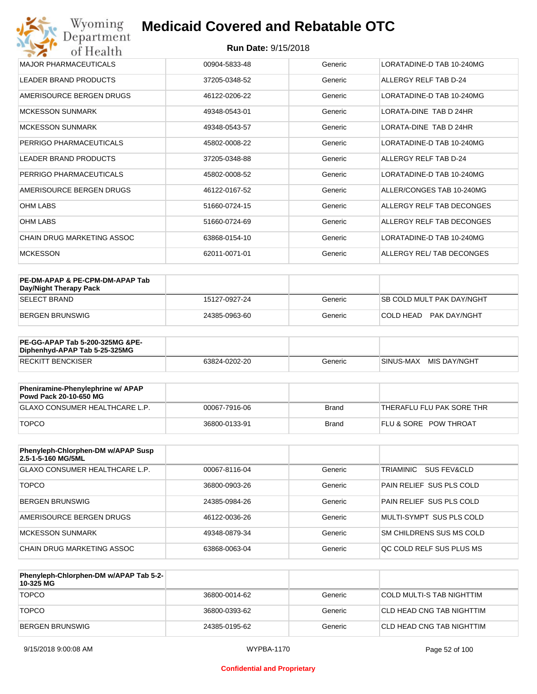#### **Run Date:** 9/15/2018

| Wyoming<br><b>Medicaid Covered and Rebatable OTC</b><br>Department |                            |         |                           |  |  |
|--------------------------------------------------------------------|----------------------------|---------|---------------------------|--|--|
| of Health                                                          | <b>Run Date: 9/15/2018</b> |         |                           |  |  |
| <b>MAJOR PHARMACEUTICALS</b>                                       | 00904-5833-48              | Generic | LORATADINE-D TAB 10-240MG |  |  |
| <b>LEADER BRAND PRODUCTS</b>                                       | 37205-0348-52              | Generic | ALLERGY RELF TAB D-24     |  |  |
| AMERISOURCE BERGEN DRUGS                                           | 46122-0206-22              | Generic | LORATADINE-D TAB 10-240MG |  |  |
| <b>MCKESSON SUNMARK</b>                                            | 49348-0543-01              | Generic | LORATA-DINE TAB D 24HR    |  |  |
| <b>MCKESSON SUNMARK</b>                                            | 49348-0543-57              | Generic | LORATA-DINE TAB D 24HR    |  |  |
| PERRIGO PHARMACEUTICALS                                            | 45802-0008-22              | Generic | LORATADINE-D TAB 10-240MG |  |  |
| <b>LEADER BRAND PRODUCTS</b>                                       | 37205-0348-88              | Generic | ALLERGY RELF TAB D-24     |  |  |
| PERRIGO PHARMACEUTICALS                                            | 45802-0008-52              | Generic | LORATADINE-D TAB 10-240MG |  |  |
| AMERISOURCE BERGEN DRUGS                                           | 46122-0167-52              | Generic | ALLER/CONGES TAB 10-240MG |  |  |
| <b>OHM LABS</b>                                                    | 51660-0724-15              | Generic | ALLERGY RELF TAB DECONGES |  |  |
| <b>OHM LABS</b>                                                    | 51660-0724-69              | Generic | ALLERGY RELF TAB DECONGES |  |  |
| CHAIN DRUG MARKETING ASSOC                                         | 63868-0154-10              | Generic | LORATADINE-D TAB 10-240MG |  |  |
| <b>MCKESSON</b>                                                    | 62011-0071-01              | Generic | ALLERGY REL/TAB DECONGES  |  |  |

| PE-DM-APAP & PE-CPM-DM-APAP Tab<br>Day/Night Therapy Pack |               |         |                                  |
|-----------------------------------------------------------|---------------|---------|----------------------------------|
| <b>SELECT BRAND</b>                                       | 15127-0927-24 | Generic | <b>SB COLD MULT PAK DAY/NGHT</b> |
| BERGEN BRUNSWIG                                           | 24385-0963-60 | Generic | COLD HEAD PAK DAY/NGHT           |

| <b>PE-GG-APAP Tab 5-200-325MG &amp;PE-</b><br>Diphenhyd-APAP Tab 5-25-325MG |               |         |                           |
|-----------------------------------------------------------------------------|---------------|---------|---------------------------|
| <b>RECKITT BENCKISER</b>                                                    | 63824-0202-20 | Generic | MIS DAY/NGHT<br>SINUS-MAX |

| Pheniramine-Phenylephrine w/ APAP<br>Powd Pack 20-10-650 MG |               |       |                                  |
|-------------------------------------------------------------|---------------|-------|----------------------------------|
| GLAXO CONSUMER HEALTHCARE L.P.                              | 00067-7916-06 | Brand | 'THERAFLU FLU PAK SORE THR       |
| <b>TOPCO</b>                                                | 36800-0133-91 | Brand | <b>FLU &amp; SORE POW THROAT</b> |

| Phenyleph-Chlorphen-DM w/APAP Susp<br>2.5-1-5-160 MG/5ML |               |         |                          |
|----------------------------------------------------------|---------------|---------|--------------------------|
| <b>GLAXO CONSUMER HEALTHCARE L.P.</b>                    | 00067-8116-04 | Generic | SUS FEV&CLD<br>TRIAMINIC |
| <b>TOPCO</b>                                             | 36800-0903-26 | Generic | PAIN RELIEF SUS PLS COLD |
| <b>BERGEN BRUNSWIG</b>                                   | 24385-0984-26 | Generic | PAIN RELIEF SUS PLS COLD |
| AMERISOURCE BERGEN DRUGS                                 | 46122-0036-26 | Generic | MULTI-SYMPT SUS PLS COLD |
| <b>MCKESSON SUNMARK</b>                                  | 49348-0879-34 | Generic | SM CHILDRENS SUS MS COLD |
| CHAIN DRUG MARKETING ASSOC                               | 63868-0063-04 | Generic | OC COLD RELF SUS PLUS MS |

| Phenyleph-Chlorphen-DM w/APAP Tab 5-2-<br>10-325 MG |               |         |                            |
|-----------------------------------------------------|---------------|---------|----------------------------|
| <b>TOPCO</b>                                        | 36800-0014-62 | Generic | COLD MULTI-S TAB NIGHTTIM  |
| <b>TOPCO</b>                                        | 36800-0393-62 | Generic | CLD HEAD CNG TAB NIGHTTIM  |
| <b>BERGEN BRUNSWIG</b>                              | 24385-0195-62 | Generic | ICLD HEAD CNG TAB NIGHTTIM |

#### **Confidential and Proprietary**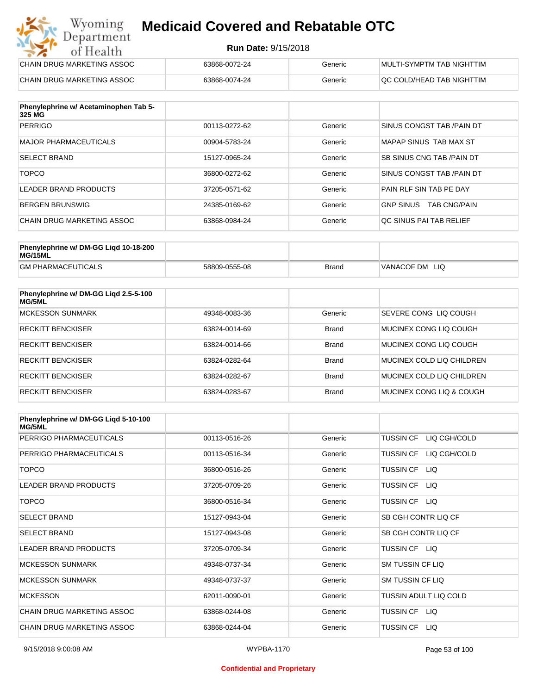#### **Run Date:** 9/15/2018

| Wyoming<br><b>Medicaid Covered and Rebatable OTC</b><br>Department |                            |         |                           |
|--------------------------------------------------------------------|----------------------------|---------|---------------------------|
| of Health                                                          | <b>Run Date: 9/15/2018</b> |         |                           |
| CHAIN DRUG MARKETING ASSOC                                         | 63868-0072-24              | Generic | MULTI-SYMPTM TAB NIGHTTIM |
| CHAIN DRUG MARKETING ASSOC                                         | 63868-0074-24              | Generic | OC COLD/HEAD TAB NIGHTTIM |

| Phenylephrine w/ Acetaminophen Tab 5-<br>325 MG |               |         |                                         |
|-------------------------------------------------|---------------|---------|-----------------------------------------|
| <b>PERRIGO</b>                                  | 00113-0272-62 | Generic | SINUS CONGST TAB / PAIN DT              |
| MAJOR PHARMACEUTICALS                           | 00904-5783-24 | Generic | MAPAP SINUS TAB MAX ST                  |
| <b>SELECT BRAND</b>                             | 15127-0965-24 | Generic | SB SINUS CNG TAB / PAIN DT              |
| <b>TOPCO</b>                                    | 36800-0272-62 | Generic | SINUS CONGST TAB /PAIN DT               |
| LEADER BRAND PRODUCTS                           | 37205-0571-62 | Generic | PAIN RLF SIN TAB PE DAY                 |
| BERGEN BRUNSWIG                                 | 24385-0169-62 | Generic | <b>GNP SINUS</b><br><b>TAB CNG/PAIN</b> |
| CHAIN DRUG MARKETING ASSOC                      | 63868-0984-24 | Generic | OC SINUS PAI TAB RELIEF                 |

| Phenylephrine w/ DM-GG Ligd 10-18-200<br>MG/15ML |               |              |                   |
|--------------------------------------------------|---------------|--------------|-------------------|
| <b>GM PHARMACEUTICALS</b>                        | 58809-0555-08 | <b>Brand</b> | VANACOF DM<br>LIQ |

| Phenylephrine w/ DM-GG Ligd 2.5-5-100<br>MG/5ML |               |              |                           |
|-------------------------------------------------|---------------|--------------|---------------------------|
| <b>MCKESSON SUNMARK</b>                         | 49348-0083-36 | Generic      | SEVERE CONG LIO COUGH     |
| <b>RECKITT BENCKISER</b>                        | 63824-0014-69 | <b>Brand</b> | MUCINEX CONG LIO COUGH    |
| <b>RECKITT BENCKISER</b>                        | 63824-0014-66 | <b>Brand</b> | MUCINEX CONG LIO COUGH    |
| <b>RECKITT BENCKISER</b>                        | 63824-0282-64 | <b>Brand</b> | MUCINEX COLD LIQ CHILDREN |
| <b>RECKITT BENCKISER</b>                        | 63824-0282-67 | <b>Brand</b> | MUCINEX COLD LIQ CHILDREN |
| <b>RECKITT BENCKISER</b>                        | 63824-0283-67 | <b>Brand</b> | MUCINEX CONG LIO & COUGH  |

| Phenylephrine w/ DM-GG Ligd 5-10-100<br><b>MG/5ML</b> |               |         |                                  |
|-------------------------------------------------------|---------------|---------|----------------------------------|
| PERRIGO PHARMACEUTICALS                               | 00113-0516-26 | Generic | LIQ CGH/COLD<br><b>TUSSIN CF</b> |
| PERRIGO PHARMACEUTICALS                               | 00113-0516-34 | Generic | LIQ CGH/COLD<br><b>TUSSIN CF</b> |
| <b>TOPCO</b>                                          | 36800-0516-26 | Generic | <b>TUSSIN CF</b><br>LIQ.         |
| <b>LEADER BRAND PRODUCTS</b>                          | 37205-0709-26 | Generic | <b>TUSSIN CF</b><br><b>LIQ</b>   |
| <b>TOPCO</b>                                          | 36800-0516-34 | Generic | TUSSIN CF LIQ                    |
| <b>SELECT BRAND</b>                                   | 15127-0943-04 | Generic | SB CGH CONTR LIQ CF              |
| <b>SELECT BRAND</b>                                   | 15127-0943-08 | Generic | SB CGH CONTR LIQ CF              |
| <b>LEADER BRAND PRODUCTS</b>                          | 37205-0709-34 | Generic | TUSSIN CF LIQ                    |
| <b>MCKESSON SUNMARK</b>                               | 49348-0737-34 | Generic | <b>SM TUSSIN CF LIQ</b>          |
| <b>MCKESSON SUNMARK</b>                               | 49348-0737-37 | Generic | SM TUSSIN CF LIQ                 |
| <b>MCKESSON</b>                                       | 62011-0090-01 | Generic | TUSSIN ADULT LIQ COLD            |
| CHAIN DRUG MARKETING ASSOC                            | 63868-0244-08 | Generic | TUSSIN CF LIQ                    |
| CHAIN DRUG MARKETING ASSOC                            | 63868-0244-04 | Generic | <b>TUSSIN CF</b><br>LIQ.         |

#### **Confidential and Proprietary**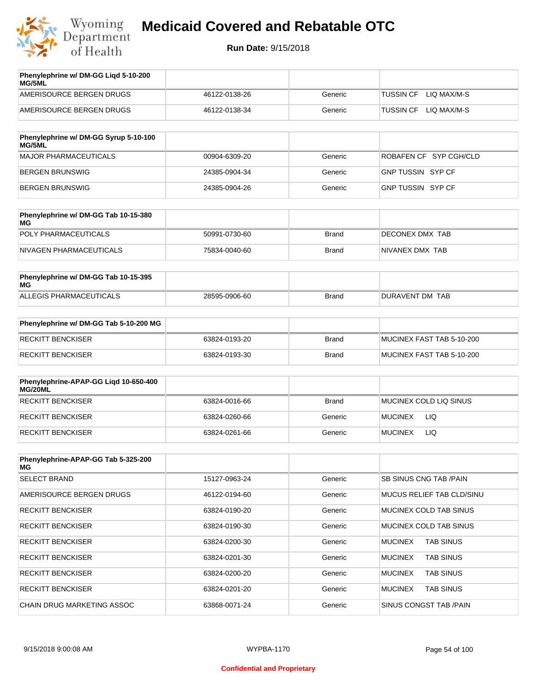

| Phenylephrine w/ DM-GG Ligd 5-10-200<br><b>MG/5ML</b> |               |         |                                 |
|-------------------------------------------------------|---------------|---------|---------------------------------|
| AMERISOURCE BERGEN DRUGS                              | 46122-0138-26 | Generic | LIO MAX/M-S<br><b>TUSSIN CF</b> |
| AMERISOURCE BERGEN DRUGS                              | 46122-0138-34 | Generic | LIO MAX/M-S<br><b>TUSSIN CF</b> |
|                                                       |               |         |                                 |

| Phenylephrine w/ DM-GG Syrup 5-10-100<br>MG/5ML |               |         |                          |
|-------------------------------------------------|---------------|---------|--------------------------|
| MAJOR PHARMACEUTICALS                           | 00904-6309-20 | Generic | ROBAFEN CF SYP CGH/CLD   |
| BERGEN BRUNSWIG                                 | 24385-0904-34 | Generic | <b>GNP TUSSIN SYP CF</b> |
| BERGEN BRUNSWIG                                 | 24385-0904-26 | Generic | GNP TUSSIN SYP CF        |

| Phenylephrine w/ DM-GG Tab 10-15-380<br>MG |               |              |                 |
|--------------------------------------------|---------------|--------------|-----------------|
| POLY PHARMACEUTICALS                       | 50991-0730-60 | <b>Brand</b> | DECONEX DMX TAB |
| NIVAGEN PHARMACEUTICALS                    | 75834-0040-60 | Brand        | NIVANEX DMX TAB |

| Phenylephrine w/ DM-GG Tab 10-15-395<br>MG |               |       |                 |
|--------------------------------------------|---------------|-------|-----------------|
| ALLEGIS PHARMACEUTICALS                    | 28595-0906-60 | Brand | DURAVENT DM TAB |

| Phenylephrine w/ DM-GG Tab 5-10-200 MG |               |       |                           |
|----------------------------------------|---------------|-------|---------------------------|
| RECKITT BENCKISER                      | 63824-0193-20 | Brand | MUCINEX FAST TAB 5-10-200 |
| RECKITT BENCKISER                      | 63824-0193-30 | Brand | MUCINEX FAST TAB 5-10-200 |

| Phenylephrine-APAP-GG Ligd 10-650-400<br>MG/20ML |               |              |                        |
|--------------------------------------------------|---------------|--------------|------------------------|
| RECKITT BENCKISER                                | 63824-0016-66 | <b>Brand</b> | MUCINEX COLD LIQ SINUS |
| RECKITT BENCKISER                                | 63824-0260-66 | Generic      | <b>MUCINEX</b><br>LIQ  |
| RECKITT BENCKISER                                | 63824-0261-66 | Generic      | LIQ<br><b>MUCINEX</b>  |

| Phenylephrine-APAP-GG Tab 5-325-200<br>MG |               |         |                                    |
|-------------------------------------------|---------------|---------|------------------------------------|
| <b>SELECT BRAND</b>                       | 15127-0963-24 | Generic | <b>SB SINUS CNG TAB /PAIN</b>      |
| AMERISOURCE BERGEN DRUGS                  | 46122-0194-60 | Generic | MUCUS RELIEF TAB CLD/SINU          |
| <b>RECKITT BENCKISER</b>                  | 63824-0190-20 | Generic | MUCINEX COLD TAB SINUS             |
| <b>RECKITT BENCKISER</b>                  | 63824-0190-30 | Generic | MUCINEX COLD TAB SINUS             |
| <b>RECKITT BENCKISER</b>                  | 63824-0200-30 | Generic | <b>MUCINEX</b><br><b>TAB SINUS</b> |
| <b>RECKITT BENCKISER</b>                  | 63824-0201-30 | Generic | <b>MUCINEX</b><br><b>TAB SINUS</b> |
| <b>RECKITT BENCKISER</b>                  | 63824-0200-20 | Generic | <b>MUCINEX</b><br><b>TAB SINUS</b> |
| <b>RECKITT BENCKISER</b>                  | 63824-0201-20 | Generic | <b>MUCINEX</b><br><b>TAB SINUS</b> |
| CHAIN DRUG MARKETING ASSOC                | 63868-0071-24 | Generic | SINUS CONGST TAB /PAIN             |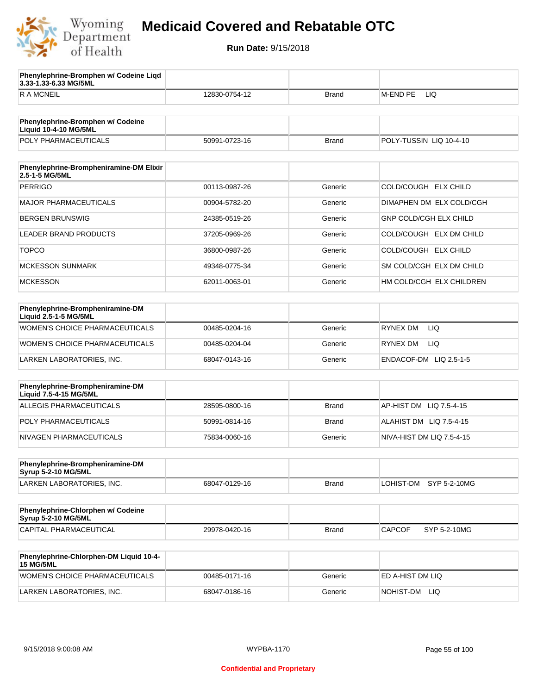

**3.33-1.33-6.33 MG/5ML**

**Phenylephrine-Bromphen w/ Codeine Liqd** 

## **Medicaid Covered and Rebatable OTC**

| <b>RAMCNEIL</b>                                                   | 12830-0754-12 | <b>Brand</b> | M-END PE<br>LIQ               |
|-------------------------------------------------------------------|---------------|--------------|-------------------------------|
|                                                                   |               |              |                               |
| Phenylephrine-Bromphen w/ Codeine<br><b>Liquid 10-4-10 MG/5ML</b> |               |              |                               |
| POLY PHARMACEUTICALS                                              | 50991-0723-16 | <b>Brand</b> | POLY-TUSSIN LIQ 10-4-10       |
|                                                                   |               |              |                               |
| Phenylephrine-Brompheniramine-DM Elixir<br>2.5-1-5 MG/5ML         |               |              |                               |
| <b>PERRIGO</b>                                                    | 00113-0987-26 | Generic      | COLD/COUGH ELX CHILD          |
| <b>MAJOR PHARMACEUTICALS</b>                                      | 00904-5782-20 | Generic      | DIMAPHEN DM ELX COLD/CGH      |
| <b>BERGEN BRUNSWIG</b>                                            | 24385-0519-26 | Generic      | <b>GNP COLD/CGH ELX CHILD</b> |
| LEADER BRAND PRODUCTS                                             | 37205-0969-26 | Generic      | COLD/COUGH ELX DM CHILD       |
| <b>TOPCO</b>                                                      | 36800-0987-26 | Generic      | COLD/COUGH ELX CHILD          |
| <b>MCKESSON SUNMARK</b>                                           | 49348-0775-34 | Generic      | SM COLD/CGH ELX DM CHILD      |
| <b>MCKESSON</b>                                                   | 62011-0063-01 | Generic      | HM COLD/CGH ELX CHILDREN      |
|                                                                   |               |              |                               |
| Phenylephrine-Brompheniramine-DM<br>Liquid 2.5-1-5 MG/5ML         |               |              |                               |
| WOMEN'S CHOICE PHARMACEUTICALS                                    | 00485-0204-16 | Generic      | RYNEX DM<br>LIQ.              |
| <b>WOMEN'S CHOICE PHARMACEUTICALS</b>                             | 00485-0204-04 | Generic      | RYNEX DM<br>LIQ.              |
| LARKEN LABORATORIES, INC.                                         | 68047-0143-16 | Generic      | ENDACOF-DM LIQ 2.5-1-5        |
|                                                                   |               |              |                               |
| Phenylephrine-Brompheniramine-DM<br>Liquid 7.5-4-15 MG/5ML        |               |              |                               |
| ALLEGIS PHARMACEUTICALS                                           | 28595-0800-16 | <b>Brand</b> | AP-HIST DM<br>LIQ 7.5-4-15    |
| POLY PHARMACEUTICALS                                              | 50991-0814-16 | Brand        | ALAHIST DM LIQ 7.5-4-15       |
| NIVAGEN PHARMACEUTICALS                                           | 75834-0060-16 | Generic      | NIVA-HIST DM LIQ 7.5-4-15     |
|                                                                   |               |              |                               |
| Phenylephrine-Brompheniramine-DM<br><b>Syrup 5-2-10 MG/5ML</b>    |               |              |                               |
| LARKEN LABORATORIES, INC.                                         | 68047-0129-16 | <b>Brand</b> | LOHIST-DM SYP 5-2-10MG        |
|                                                                   |               |              |                               |
| Phenylephrine-Chlorphen w/ Codeine<br><b>Syrup 5-2-10 MG/5ML</b>  |               |              |                               |
| CAPITAL PHARMACEUTICAL                                            | 29978-0420-16 | <b>Brand</b> | SYP 5-2-10MG<br><b>CAPCOF</b> |
|                                                                   |               |              |                               |
| Phenylephrine-Chlorphen-DM Liquid 10-4-<br><b>15 MG/5ML</b>       |               |              |                               |
| WOMEN'S CHOICE PHARMACEUTICALS                                    | 00485-0171-16 | Generic      | ED A-HIST DM LIQ              |
| LARKEN LABORATORIES, INC.                                         | 68047-0186-16 | Generic      | NOHIST-DM LIQ                 |
|                                                                   |               |              |                               |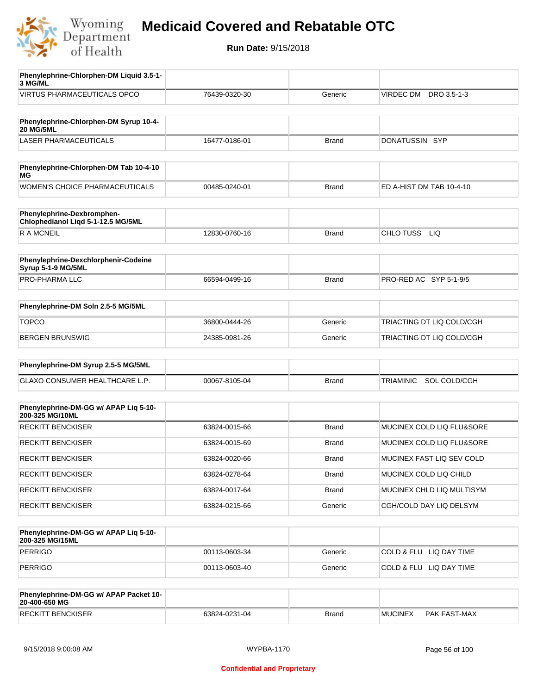

| Phenylephrine-Chlorphen-DM Liquid 3.5-1-                         |               |              |                                  |
|------------------------------------------------------------------|---------------|--------------|----------------------------------|
| 3 MG/ML<br><b>VIRTUS PHARMACEUTICALS OPCO</b>                    | 76439-0320-30 | Generic      | VIRDEC DM DRO 3.5-1-3            |
|                                                                  |               |              |                                  |
| Phenylephrine-Chlorphen-DM Syrup 10-4-<br><b>20 MG/5ML</b>       |               |              |                                  |
| <b>LASER PHARMACEUTICALS</b>                                     | 16477-0186-01 | <b>Brand</b> | DONATUSSIN SYP                   |
|                                                                  |               |              |                                  |
| Phenylephrine-Chlorphen-DM Tab 10-4-10<br>ΜG                     |               |              |                                  |
| WOMEN'S CHOICE PHARMACEUTICALS                                   | 00485-0240-01 | <b>Brand</b> | ED A-HIST DM TAB 10-4-10         |
| Phenylephrine-Dexbromphen-<br>Chlophedianol Liqd 5-1-12.5 MG/5ML |               |              |                                  |
| R A MCNEIL                                                       | 12830-0760-16 | <b>Brand</b> | CHLO TUSS<br>LIQ                 |
|                                                                  |               |              |                                  |
| Phenylephrine-Dexchlorphenir-Codeine<br>Syrup 5-1-9 MG/5ML       |               |              |                                  |
| PRO-PHARMA LLC                                                   | 66594-0499-16 | <b>Brand</b> | PRO-RED AC SYP 5-1-9/5           |
| Phenylephrine-DM Soln 2.5-5 MG/5ML                               |               |              |                                  |
| <b>TOPCO</b>                                                     | 36800-0444-26 | Generic      | TRIACTING DT LIQ COLD/CGH        |
| <b>BERGEN BRUNSWIG</b>                                           | 24385-0981-26 | Generic      | TRIACTING DT LIQ COLD/CGH        |
|                                                                  |               |              |                                  |
| Phenylephrine-DM Syrup 2.5-5 MG/5ML                              |               |              |                                  |
| GLAXO CONSUMER HEALTHCARE L.P.                                   | 00067-8105-04 | <b>Brand</b> | SOL COLD/CGH<br><b>TRIAMINIC</b> |
| Phenylephrine-DM-GG w/ APAP Liq 5-10-<br>200-325 MG/10ML         |               |              |                                  |
| <b>RECKITT BENCKISER</b>                                         | 63824-0015-66 | <b>Brand</b> | MUCINEX COLD LIQ FLU&SORE        |
| <b>RECKITT BENCKISER</b>                                         | 63824-0015-69 | <b>Brand</b> | MUCINEX COLD LIQ FLU&SORE        |
| <b>RECKITT BENCKISER</b>                                         | 63824-0020-66 | Brand        | MUCINEX FAST LIQ SEV COLD        |
| <b>RECKITT BENCKISER</b>                                         | 63824-0278-64 | Brand        | MUCINEX COLD LIQ CHILD           |
| <b>RECKITT BENCKISER</b>                                         | 63824-0017-64 | <b>Brand</b> | MUCINEX CHLD LIQ MULTISYM        |
| RECKITT BENCKISER                                                | 63824-0215-66 | Generic      | CGH/COLD DAY LIQ DELSYM          |
|                                                                  |               |              |                                  |
| Phenylephrine-DM-GG w/ APAP Lig 5-10-<br>200-325 MG/15ML         |               |              |                                  |
| <b>PERRIGO</b>                                                   | 00113-0603-34 | Generic      | COLD & FLU LIQ DAY TIME          |
| <b>PERRIGO</b>                                                   | 00113-0603-40 | Generic      | COLD & FLU LIQ DAY TIME          |
| Phenylephrine-DM-GG w/ APAP Packet 10-<br>20-400-650 MG          |               |              |                                  |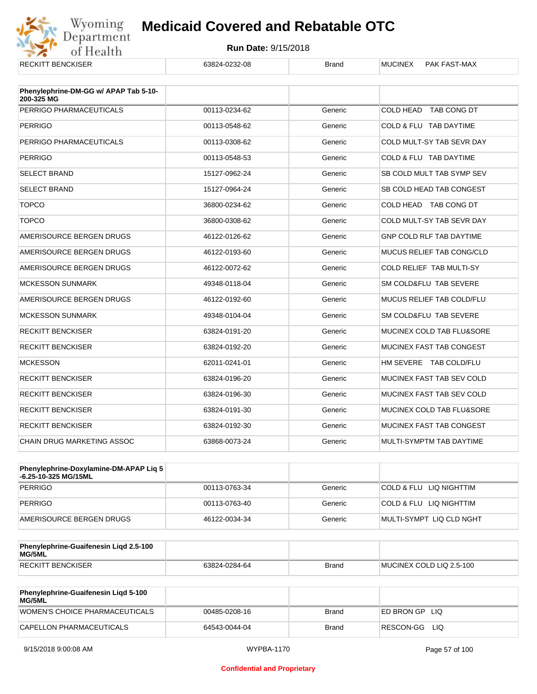

| <b>RECKITT BENCKISER</b>                            | 63824-0232-08 | <b>Brand</b> | <b>MUCINEX</b><br><b>PAK FAST-MAX</b> |
|-----------------------------------------------------|---------------|--------------|---------------------------------------|
| Phenylephrine-DM-GG w/ APAP Tab 5-10-<br>200-325 MG |               |              |                                       |
| PERRIGO PHARMACEUTICALS                             | 00113-0234-62 | Generic      | COLD HEAD TAB CONG DT                 |
| <b>PERRIGO</b>                                      | 00113-0548-62 | Generic      | COLD & FLU TAB DAYTIME                |
| PERRIGO PHARMACEUTICALS                             | 00113-0308-62 | Generic      | COLD MULT-SY TAB SEVR DAY             |
| <b>PERRIGO</b>                                      | 00113-0548-53 | Generic      | COLD & FLU TAB DAYTIME                |
| <b>SELECT BRAND</b>                                 | 15127-0962-24 | Generic      | SB COLD MULT TAB SYMP SEV             |
| <b>SELECT BRAND</b>                                 | 15127-0964-24 | Generic      | SB COLD HEAD TAB CONGEST              |
| <b>TOPCO</b>                                        | 36800-0234-62 | Generic      | COLD HEAD TAB CONG DT                 |
| <b>TOPCO</b>                                        | 36800-0308-62 | Generic      | COLD MULT-SY TAB SEVR DAY             |
| AMERISOURCE BERGEN DRUGS                            | 46122-0126-62 | Generic      | <b>GNP COLD RLF TAB DAYTIME</b>       |
| AMERISOURCE BERGEN DRUGS                            | 46122-0193-60 | Generic      | <b>MUCUS RELIEF TAB CONG/CLD</b>      |
| AMERISOURCE BERGEN DRUGS                            | 46122-0072-62 | Generic      | COLD RELIEF TAB MULTI-SY              |
| <b>MCKESSON SUNMARK</b>                             | 49348-0118-04 | Generic      | SM COLD&FLU TAB SEVERE                |
| AMERISOURCE BERGEN DRUGS                            | 46122-0192-60 | Generic      | <b>MUCUS RELIEF TAB COLD/FLU</b>      |
| <b>MCKESSON SUNMARK</b>                             | 49348-0104-04 | Generic      | SM COLD&FLU TAB SEVERE                |
| <b>RECKITT BENCKISER</b>                            | 63824-0191-20 | Generic      | MUCINEX COLD TAB FLU&SORE             |
| <b>RECKITT BENCKISER</b>                            | 63824-0192-20 | Generic      | MUCINEX FAST TAB CONGEST              |
| <b>MCKESSON</b>                                     | 62011-0241-01 | Generic      | HM SEVERE TAB COLD/FLU                |
| <b>RECKITT BENCKISER</b>                            | 63824-0196-20 | Generic      | MUCINEX FAST TAB SEV COLD             |
| <b>RECKITT BENCKISER</b>                            | 63824-0196-30 | Generic      | MUCINEX FAST TAB SEV COLD             |
| <b>RECKITT BENCKISER</b>                            | 63824-0191-30 | Generic      | MUCINEX COLD TAB FLU&SORE             |
| <b>RECKITT BENCKISER</b>                            | 63824-0192-30 | Generic      | MUCINEX FAST TAB CONGEST              |
| CHAIN DRUG MARKETING ASSOC                          | 63868-0073-24 | Generic      | MULTI-SYMPTM TAB DAYTIME              |

| <b>Phenylephrine-Doxylamine-DM-APAP Lig 5</b><br>-6.25-10-325 MG/15ML |               |         |                          |
|-----------------------------------------------------------------------|---------------|---------|--------------------------|
| <b>PERRIGO</b>                                                        | 00113-0763-34 | Generic | COLD & FLU LIQ NIGHTTIM  |
| <b>PERRIGO</b>                                                        | 00113-0763-40 | Generic | COLD & FLU LIQ NIGHTTIM  |
| AMERISOURCE BERGEN DRUGS                                              | 46122-0034-34 | Generic | MULTI-SYMPT LIQ CLD NGHT |

| Phenylephrine-Guaifenesin Ligd 2.5-100<br>MG/5ML |               |              |                          |
|--------------------------------------------------|---------------|--------------|--------------------------|
| <b>RECKITT BENCKISER</b>                         | 63824-0284-64 | <b>Brand</b> | MUCINEX COLD LIQ 2.5-100 |

| Phenylephrine-Guaifenesin Ligd 5-100<br>MG/5ML |               |       |                    |
|------------------------------------------------|---------------|-------|--------------------|
| WOMEN'S CHOICE PHARMACEUTICALS                 | 00485-0208-16 | Brand | ED BRON GPLIO      |
| CAPELLON PHARMACEUTICALS                       | 64543-0044-04 | Brand | RESCON-GG<br>– LIQ |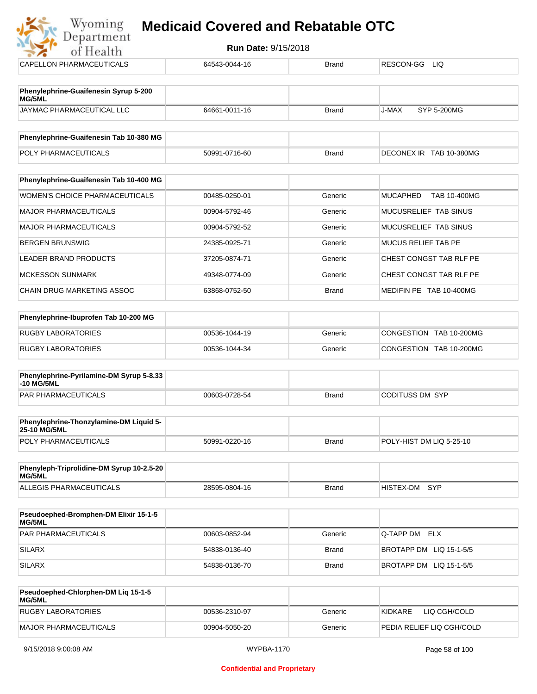| Wyoming<br>Department                           | <b>Medicaid Covered and Rebatable OTC</b> |                            |                                 |  |  |
|-------------------------------------------------|-------------------------------------------|----------------------------|---------------------------------|--|--|
| of Health                                       |                                           | <b>Run Date: 9/15/2018</b> |                                 |  |  |
| <b>CAPELLON PHARMACEUTICALS</b>                 | 64543-0044-16                             | <b>Brand</b>               | RESCON-GG<br>LIQ.               |  |  |
| Phenylephrine-Guaifenesin Syrup 5-200<br>MG/5ML |                                           |                            |                                 |  |  |
| JAYMAC PHARMACEUTICAL LLC                       | 64661-0011-16                             | <b>Brand</b>               | J-MAX<br>SYP 5-200MG            |  |  |
| Phenylephrine-Guaifenesin Tab 10-380 MG         |                                           |                            |                                 |  |  |
| POLY PHARMACEUTICALS                            | 50991-0716-60                             | <b>Brand</b>               | DECONEX IR TAB 10-380MG         |  |  |
| Phenylephrine-Guaifenesin Tab 10-400 MG         |                                           |                            |                                 |  |  |
| <b>WOMEN'S CHOICE PHARMACEUTICALS</b>           | 00485-0250-01                             | Generic                    | <b>MUCAPHED</b><br>TAB 10-400MG |  |  |
| <b>MAJOR PHARMACEUTICALS</b>                    | 00904-5792-46                             | Generic                    | MUCUSRELIEF TAB SINUS           |  |  |
| <b>MAJOR PHARMACEUTICALS</b>                    | 00904-5792-52                             | Generic                    | MUCUSRELIEF TAB SINUS           |  |  |
| <b>BERGEN BRUNSWIG</b>                          | 24385-0925-71                             | Generic                    | <b>MUCUS RELIEF TAB PE</b>      |  |  |
| <b>LEADER BRAND PRODUCTS</b>                    | 37205-0874-71                             | Generic                    | CHEST CONGST TAB RLF PE         |  |  |
| <b>MCKESSON SUNMARK</b>                         | 49348-0774-09                             | Generic                    | CHEST CONGST TAB RLF PE         |  |  |
| <b>CHAIN DRUG MARKETING ASSOC</b>               | 63868-0752-50                             | <b>Brand</b>               | MEDIFIN PE TAB 10-400MG         |  |  |
| Phenylephrine-Ibuprofen Tab 10-200 MG           |                                           |                            |                                 |  |  |
| <b>RUGBY LABORATORIES</b>                       | 00536-1044-19                             | Generic                    | CONGESTION TAB 10-200MG         |  |  |
| <b>RUGBY LABORATORIES</b>                       | 00536-1044-34                             | Generic                    | CONGESTION TAB 10-200MG         |  |  |

| <b>Phenylephrine-Pyrilamine-DM Syrup 5-8.33</b><br>$-10$ MG/5ML |               |              |                 |
|-----------------------------------------------------------------|---------------|--------------|-----------------|
| <b>PAR PHARMACEUTICALS</b>                                      | 00603-0728-54 | <b>Brand</b> | CODITUSS DM SYP |

| <b>Phenylephrine-Thonzylamine-DM Liquid 5-</b><br><b>25-10 MG/5ML</b> |               |       |                          |
|-----------------------------------------------------------------------|---------------|-------|--------------------------|
| <b>POLY PHARMACEUTICALS</b>                                           | 50991-0220-16 | Brand | POLY-HIST DM LIQ 5-25-10 |

| Phenyleph-Triprolidine-DM Syrup 10-2.5-20<br>MG/5ML |               |       |               |  |
|-----------------------------------------------------|---------------|-------|---------------|--|
| ALLEGIS PHARMACEUTICALS                             | 28595-0804-16 | Brand | HISTEX-DM SYP |  |

| <b>Pseudoephed-Bromphen-DM Elixir 15-1-5</b><br><b>MG/5ML</b> |               |         |                         |
|---------------------------------------------------------------|---------------|---------|-------------------------|
| <b>PAR PHARMACEUTICALS</b>                                    | 00603-0852-94 | Generic | <b>Q-TAPP DM ELX</b>    |
| <b>SILARX</b>                                                 | 54838-0136-40 | Brand   | BROTAPP DM LIQ 15-1-5/5 |
| <b>SILARX</b>                                                 | 54838-0136-70 | Brand   | BROTAPP DM LIQ 15-1-5/5 |

| Pseudoephed-Chlorphen-DM Lig 15-1-5<br><b>MG/5ML</b> |               |         |                            |
|------------------------------------------------------|---------------|---------|----------------------------|
| RUGBY LABORATORIES                                   | 00536-2310-97 | Generic | LIQ CGH/COLD<br>KIDKARF    |
| MAJOR PHARMACEUTICALS                                | 00904-5050-20 | Generic | IPEDIA RELIEF LIQ CGH/COLD |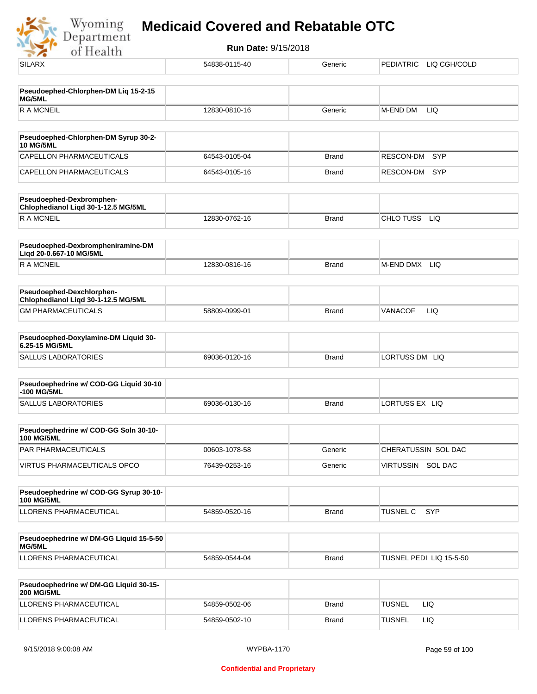

| <b>SILARX</b>                                                    | 54838-0115-40 | Generic      | PEDIATRIC LIQ CGH/COLD  |
|------------------------------------------------------------------|---------------|--------------|-------------------------|
| Pseudoephed-Chlorphen-DM Liq 15-2-15                             |               |              |                         |
| MG/5ML                                                           |               |              |                         |
| <b>RAMCNEIL</b>                                                  | 12830-0810-16 | Generic      | M-END DM<br>LIQ         |
| Pseudoephed-Chlorphen-DM Syrup 30-2-                             |               |              |                         |
| <b>10 MG/5ML</b>                                                 |               |              |                         |
| CAPELLON PHARMACEUTICALS                                         | 64543-0105-04 | <b>Brand</b> | RESCON-DM<br><b>SYP</b> |
| CAPELLON PHARMACEUTICALS                                         | 64543-0105-16 | Brand        | RESCON-DM SYP           |
| Pseudoephed-Dexbromphen-<br>Chlophedianol Liqd 30-1-12.5 MG/5ML  |               |              |                         |
| <b>RAMCNEIL</b>                                                  | 12830-0762-16 | <b>Brand</b> | CHLO TUSS<br>LIQ        |
| Pseudoephed-Dexbrompheniramine-DM<br>Liqd 20-0.667-10 MG/5ML     |               |              |                         |
| <b>RAMCNEIL</b>                                                  | 12830-0816-16 | <b>Brand</b> | M-END DMX LIQ           |
| Pseudoephed-Dexchlorphen-<br>Chlophedianol Liqd 30-1-12.5 MG/5ML |               |              |                         |
| <b>GM PHARMACEUTICALS</b>                                        | 58809-0999-01 | <b>Brand</b> | VANACOF<br>LIQ          |
|                                                                  |               |              |                         |
| Pseudoephed-Doxylamine-DM Liquid 30-<br>6.25-15 MG/5ML           |               |              |                         |
| <b>SALLUS LABORATORIES</b>                                       | 69036-0120-16 | <b>Brand</b> | LORTUSS DM LIQ          |
| Pseudoephedrine w/ COD-GG Liquid 30-10                           |               |              |                         |
| -100 MG/5ML                                                      |               |              |                         |
| <b>SALLUS LABORATORIES</b>                                       | 69036-0130-16 | <b>Brand</b> | LORTUSS EX LIQ          |
| Pseudoephedrine w/ COD-GG Soln 30-10-<br><b>100 MG/5ML</b>       |               |              |                         |
| PAR PHARMACEUTICALS                                              | 00603-1078-58 | Generic      | CHERATUSSIN SOL DAC     |
| <b>VIRTUS PHARMACEUTICALS OPCO</b>                               | 76439-0253-16 | Generic      | VIRTUSSIN SOL DAC       |
|                                                                  |               |              |                         |
| Pseudoephedrine w/ COD-GG Syrup 30-10-<br><b>100 MG/5ML</b>      |               |              |                         |
| LLORENS PHARMACEUTICAL                                           | 54859-0520-16 | <b>Brand</b> | <b>SYP</b><br>TUSNEL C  |
| Pseudoephedrine w/ DM-GG Liquid 15-5-50                          |               |              |                         |
| MG/5ML                                                           |               |              |                         |
| LLORENS PHARMACEUTICAL                                           | 54859-0544-04 | <b>Brand</b> | TUSNEL PEDI LIQ 15-5-50 |
| Pseudoephedrine w/ DM-GG Liquid 30-15-<br><b>200 MG/5ML</b>      |               |              |                         |
| LLORENS PHARMACEUTICAL                                           | 54859-0502-06 | Brand        | <b>TUSNEL</b><br>LIQ.   |
| LLORENS PHARMACEUTICAL                                           | 54859-0502-10 | <b>Brand</b> | <b>TUSNEL</b><br>LIQ    |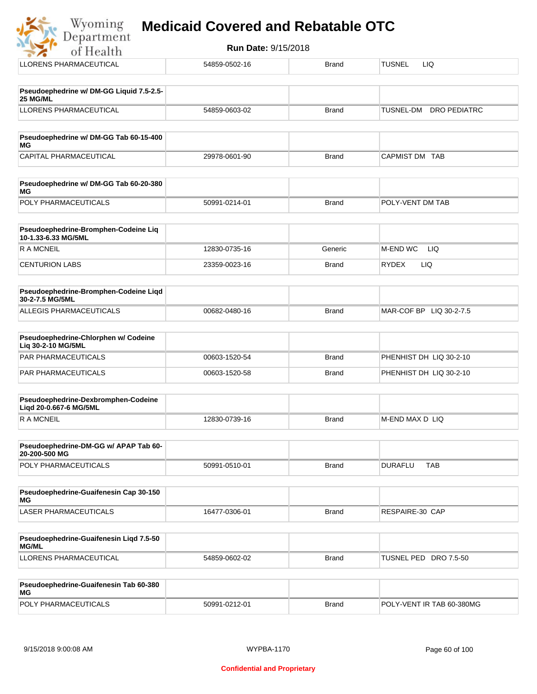| of Health                                                     | <b>Run Date: 9/15/2018</b> |              |                                         |
|---------------------------------------------------------------|----------------------------|--------------|-----------------------------------------|
| LLORENS PHARMACEUTICAL                                        | 54859-0502-16              | <b>Brand</b> | LIQ.<br>TUSNEL                          |
| Pseudoephedrine w/ DM-GG Liquid 7.5-2.5-<br>25 MG/ML          |                            |              |                                         |
| <b>LLORENS PHARMACEUTICAL</b>                                 | 54859-0603-02              | <b>Brand</b> | <b>TUSNEL-DM</b><br><b>DRO PEDIATRC</b> |
| Pseudoephedrine w/ DM-GG Tab 60-15-400<br>ΜG                  |                            |              |                                         |
| <b>CAPITAL PHARMACEUTICAL</b>                                 | 29978-0601-90              | <b>Brand</b> | CAPMIST DM TAB                          |
| Pseudoephedrine w/ DM-GG Tab 60-20-380<br>МG                  |                            |              |                                         |
| POLY PHARMACEUTICALS                                          | 50991-0214-01              | <b>Brand</b> | POLY-VENT DM TAB                        |
| Pseudoephedrine-Bromphen-Codeine Liq<br>10-1.33-6.33 MG/5ML   |                            |              |                                         |
| <b>RAMCNEIL</b>                                               | 12830-0735-16              | Generic      | M-END WC<br><b>LIQ</b>                  |
| <b>CENTURION LABS</b>                                         | 23359-0023-16              | <b>Brand</b> | <b>RYDEX</b><br>LIQ.                    |
| Pseudoephedrine-Bromphen-Codeine Liqd<br>30-2-7.5 MG/5ML      |                            |              |                                         |
| ALLEGIS PHARMACEUTICALS                                       | 00682-0480-16              | <b>Brand</b> | MAR-COF BP LIQ 30-2-7.5                 |
| Pseudoephedrine-Chlorphen w/ Codeine<br>Liq 30-2-10 MG/5ML    |                            |              |                                         |
| <b>PAR PHARMACEUTICALS</b>                                    | 00603-1520-54              | <b>Brand</b> | PHENHIST DH LIQ 30-2-10                 |
| PAR PHARMACEUTICALS                                           | 00603-1520-58              | <b>Brand</b> | PHENHIST DH LIQ 30-2-10                 |
| Pseudoephedrine-Dexbromphen-Codeine<br>Liqd 20-0.667-6 MG/5ML |                            |              |                                         |
| <b>RAMCNEIL</b>                                               | 12830-0739-16              | <b>Brand</b> | M-END MAX D LIQ                         |
| Pseudoephedrine-DM-GG w/ APAP Tab 60-<br>20-200-500 MG        |                            |              |                                         |
| POLY PHARMACEUTICALS                                          | 50991-0510-01              | <b>Brand</b> | <b>DURAFLU</b><br><b>TAB</b>            |
| Pseudoephedrine-Guaifenesin Cap 30-150<br>МG                  |                            |              |                                         |
| <b>LASER PHARMACEUTICALS</b>                                  | 16477-0306-01              | <b>Brand</b> | RESPAIRE-30 CAP                         |
| $C$ uaifeneain Lind 7 E EC                                    |                            |              |                                         |

| Pseudoephedrine-Guaifenesin Ligd 7.5-50<br><b>MG/ML</b> |               |       |                          |
|---------------------------------------------------------|---------------|-------|--------------------------|
| LLORENS PHARMACEUTICAL                                  | 54859-0602-02 | Brand | TUSNEL PED<br>DRO 7.5-50 |

| <b>Pseudoephedrine-Guaifenesin Tab 60-380</b><br>MG |               |       |                           |
|-----------------------------------------------------|---------------|-------|---------------------------|
| <b>POLY PHARMACEUTICALS</b>                         | 50991-0212-01 | Brand | POLY-VENT IR TAB 60-380MG |

 $\frac{1}{2}$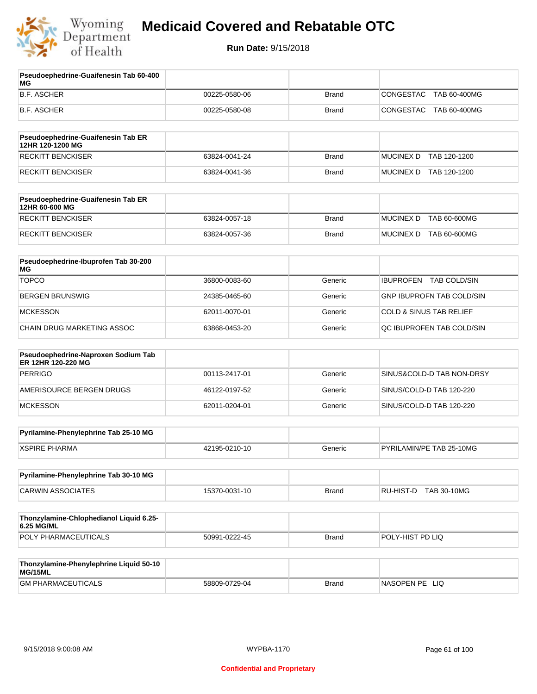

**Pseudoephedrine-Guaifenesin Tab 60-400** 

## **Medicaid Covered and Rebatable OTC**

| МG                                                        |               |              |                                    |
|-----------------------------------------------------------|---------------|--------------|------------------------------------|
| <b>B.F. ASCHER</b>                                        | 00225-0580-06 | <b>Brand</b> | <b>CONGESTAC</b><br>TAB 60-400MG   |
| <b>B.F. ASCHER</b>                                        | 00225-0580-08 | <b>Brand</b> | CONGESTAC<br>TAB 60-400MG          |
| Pseudoephedrine-Guaifenesin Tab ER<br>12HR 120-1200 MG    |               |              |                                    |
| <b>RECKITT BENCKISER</b>                                  | 63824-0041-24 | <b>Brand</b> | <b>MUCINEX D</b><br>TAB 120-1200   |
| <b>RECKITT BENCKISER</b>                                  | 63824-0041-36 | <b>Brand</b> | MUCINEX D TAB 120-1200             |
| Pseudoephedrine-Guaifenesin Tab ER<br>12HR 60-600 MG      |               |              |                                    |
| <b>RECKITT BENCKISER</b>                                  | 63824-0057-18 | <b>Brand</b> | <b>MUCINEX D</b><br>TAB 60-600MG   |
| RECKITT BENCKISER                                         | 63824-0057-36 | <b>Brand</b> | MUCINEX D<br>TAB 60-600MG          |
| Pseudoephedrine-Ibuprofen Tab 30-200<br>МG                |               |              |                                    |
| <b>TOPCO</b>                                              | 36800-0083-60 | Generic      | IBUPROFEN TAB COLD/SIN             |
| <b>BERGEN BRUNSWIG</b>                                    | 24385-0465-60 | Generic      | <b>GNP IBUPROFN TAB COLD/SIN</b>   |
| <b>MCKESSON</b>                                           | 62011-0070-01 | Generic      | <b>COLD &amp; SINUS TAB RELIEF</b> |
| CHAIN DRUG MARKETING ASSOC                                | 63868-0453-20 | Generic      | QC IBUPROFEN TAB COLD/SIN          |
| Pseudoephedrine-Naproxen Sodium Tab<br>ER 12HR 120-220 MG |               |              |                                    |
| <b>PERRIGO</b>                                            | 00113-2417-01 | Generic      | SINUS&COLD-D TAB NON-DRSY          |
| AMERISOURCE BERGEN DRUGS                                  | 46122-0197-52 | Generic      | SINUS/COLD-D TAB 120-220           |
| <b>MCKESSON</b>                                           | 62011-0204-01 | Generic      | SINUS/COLD-D TAB 120-220           |
| Pyrilamine-Phenylephrine Tab 25-10 MG                     |               |              |                                    |
| <b>XSPIRE PHARMA</b>                                      | 42195-0210-10 | Generic      | PYRILAMIN/PE TAB 25-10MG           |
| Pyrilamine-Phenylephrine Tab 30-10 MG                     |               |              |                                    |
| <b>CARWIN ASSOCIATES</b>                                  | 15370-0031-10 | <b>Brand</b> | RU-HIST-D TAB 30-10MG              |
| Thonzylamine-Chlophedianol Liquid 6.25-<br>6.25 MG/ML     |               |              |                                    |
| POLY PHARMACEUTICALS                                      | 50991-0222-45 | <b>Brand</b> | POLY-HIST PD LIQ                   |
| Thonzylamine-Phenylephrine Liquid 50-10<br>MG/15ML        |               |              |                                    |
| <b>GM PHARMACEUTICALS</b>                                 | 58809-0729-04 | <b>Brand</b> | NASOPEN PE LIQ                     |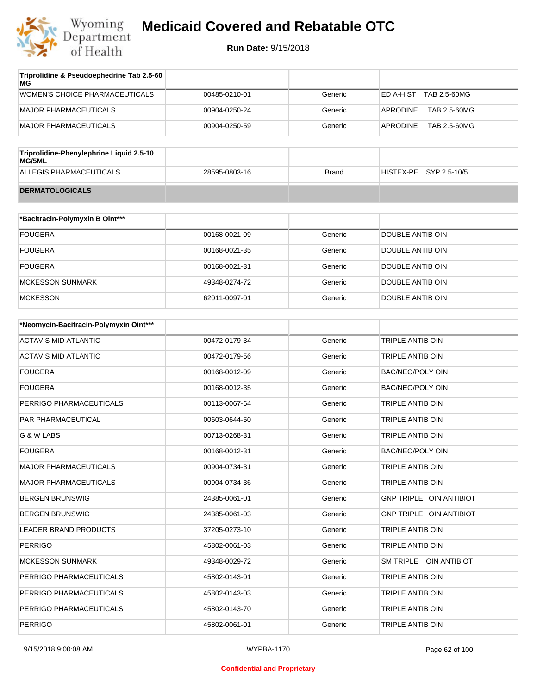

| Triprolidine & Pseudoephedrine Tab 2.5-60<br>МG |               |         |                           |
|-------------------------------------------------|---------------|---------|---------------------------|
| WOMEN'S CHOICE PHARMACEUTICALS                  | 00485-0210-01 | Generic | TAB 2.5-60MG<br>ED A-HIST |
| MAJOR PHARMACEUTICALS                           | 00904-0250-24 | Generic | TAB 2.5-60MG<br>APRODINE  |
| MAJOR PHARMACEUTICALS                           | 00904-0250-59 | Generic | TAB 2.5-60MG<br>APRODINE  |

| Triprolidine-Phenylephrine Liquid 2.5-10<br>MG/5ML |               |       |                        |
|----------------------------------------------------|---------------|-------|------------------------|
| ALLEGIS PHARMACEUTICALS                            | 28595-0803-16 | Brand | HISTEX-PE SYP 2.5-10/5 |
| <b>DERMATOLOGICALS</b>                             |               |       |                        |

| *Bacitracin-Polymyxin B Oint*** |               |         |                  |
|---------------------------------|---------------|---------|------------------|
| <b>FOUGERA</b>                  | 00168-0021-09 | Generic | DOUBLE ANTIB OIN |
| <b>FOUGERA</b>                  | 00168-0021-35 | Generic | DOUBLE ANTIB OIN |
| <b>FOUGERA</b>                  | 00168-0021-31 | Generic | DOUBLE ANTIB OIN |
| MCKESSON SUNMARK                | 49348-0274-72 | Generic | DOUBLE ANTIB OIN |
| <b>MCKESSON</b>                 | 62011-0097-01 | Generic | DOUBLE ANTIB OIN |

| *Neomycin-Bacitracin-Polymyxin Oint*** |               |         |                                |
|----------------------------------------|---------------|---------|--------------------------------|
| <b>ACTAVIS MID ATLANTIC</b>            | 00472-0179-34 | Generic | TRIPLE ANTIB OIN               |
| <b>ACTAVIS MID ATLANTIC</b>            | 00472-0179-56 | Generic | TRIPLE ANTIB OIN               |
| <b>FOUGERA</b>                         | 00168-0012-09 | Generic | <b>BAC/NEO/POLY OIN</b>        |
| <b>FOUGERA</b>                         | 00168-0012-35 | Generic | <b>BAC/NEO/POLY OIN</b>        |
| PERRIGO PHARMACEUTICALS                | 00113-0067-64 | Generic | TRIPLE ANTIB OIN               |
| PAR PHARMACEUTICAL                     | 00603-0644-50 | Generic | <b>TRIPLE ANTIB OIN</b>        |
| G & W LABS                             | 00713-0268-31 | Generic | <b>TRIPLE ANTIB OIN</b>        |
| <b>FOUGERA</b>                         | 00168-0012-31 | Generic | <b>BAC/NEO/POLY OIN</b>        |
| <b>MAJOR PHARMACEUTICALS</b>           | 00904-0734-31 | Generic | TRIPLE ANTIB OIN               |
| <b>MAJOR PHARMACEUTICALS</b>           | 00904-0734-36 | Generic | TRIPLE ANTIB OIN               |
| <b>BERGEN BRUNSWIG</b>                 | 24385-0061-01 | Generic | <b>GNP TRIPLE OIN ANTIBIOT</b> |
| <b>BERGEN BRUNSWIG</b>                 | 24385-0061-03 | Generic | GNP TRIPLE OIN ANTIBIOT        |
| <b>LEADER BRAND PRODUCTS</b>           | 37205-0273-10 | Generic | TRIPLE ANTIB OIN               |
| <b>PERRIGO</b>                         | 45802-0061-03 | Generic | TRIPLE ANTIB OIN               |
| <b>MCKESSON SUNMARK</b>                | 49348-0029-72 | Generic | SM TRIPLE OIN ANTIBIOT         |
| PERRIGO PHARMACEUTICALS                | 45802-0143-01 | Generic | <b>TRIPLE ANTIB OIN</b>        |
| PERRIGO PHARMACEUTICALS                | 45802-0143-03 | Generic | <b>TRIPLE ANTIB OIN</b>        |
| PERRIGO PHARMACEUTICALS                | 45802-0143-70 | Generic | <b>TRIPLE ANTIB OIN</b>        |
| <b>PERRIGO</b>                         | 45802-0061-01 | Generic | <b>TRIPLE ANTIB OIN</b>        |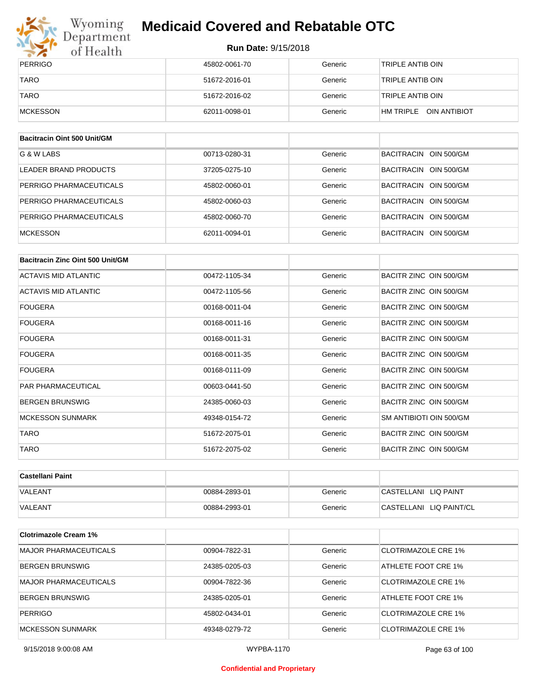

## Wyoming<br>Department<br>of Health

## **Medicaid Covered and Rebatable OTC**

#### **Run Date:** 9/15/2018

| PERRIGO     | 45802-0061-70 | Generic | TRIPLE ANTIB OIN       |
|-------------|---------------|---------|------------------------|
| <b>TARO</b> | 51672-2016-01 | Generic | TRIPLE ANTIB OIN       |
| <b>TARO</b> | 51672-2016-02 | Generic | TRIPLE ANTIB OIN       |
| MCKESSON    | 62011-0098-01 | Generic | HM TRIPLE OIN ANTIBIOT |

| Bacitracin Oint 500 Unit/GM |               |         |                       |
|-----------------------------|---------------|---------|-----------------------|
| G & W LABS                  | 00713-0280-31 | Generic | BACITRACIN OIN 500/GM |
| LEADER BRAND PRODUCTS       | 37205-0275-10 | Generic | BACITRACIN OIN 500/GM |
| PERRIGO PHARMACEUTICALS     | 45802-0060-01 | Generic | BACITRACIN OIN 500/GM |
| PERRIGO PHARMACEUTICALS     | 45802-0060-03 | Generic | BACITRACIN OIN 500/GM |
| PERRIGO PHARMACEUTICALS     | 45802-0060-70 | Generic | BACITRACIN OIN 500/GM |
| <b>MCKESSON</b>             | 62011-0094-01 | Generic | BACITRACIN OIN 500/GM |

| Bacitracin Zinc Oint 500 Unit/GM |               |         |                         |
|----------------------------------|---------------|---------|-------------------------|
| ACTAVIS MID ATLANTIC             | 00472-1105-34 | Generic | BACITR ZINC OIN 500/GM  |
| ACTAVIS MID ATLANTIC             | 00472-1105-56 | Generic | BACITR ZINC OIN 500/GM  |
| <b>FOUGERA</b>                   | 00168-0011-04 | Generic | BACITR ZINC OIN 500/GM  |
| <b>FOUGERA</b>                   | 00168-0011-16 | Generic | BACITR ZINC OIN 500/GM  |
| <b>FOUGERA</b>                   | 00168-0011-31 | Generic | BACITR ZINC OIN 500/GM  |
| <b>FOUGERA</b>                   | 00168-0011-35 | Generic | BACITR ZINC OIN 500/GM  |
| <b>FOUGERA</b>                   | 00168-0111-09 | Generic | BACITR ZINC OIN 500/GM  |
| <b>PAR PHARMACEUTICAL</b>        | 00603-0441-50 | Generic | BACITR ZINC OIN 500/GM  |
| <b>BERGEN BRUNSWIG</b>           | 24385-0060-03 | Generic | BACITR ZINC OIN 500/GM  |
| <b>MCKESSON SUNMARK</b>          | 49348-0154-72 | Generic | SM ANTIBIOTI OIN 500/GM |
| <b>TARO</b>                      | 51672-2075-01 | Generic | BACITR ZINC OIN 500/GM  |
| <b>TARO</b>                      | 51672-2075-02 | Generic | BACITR ZINC OIN 500/GM  |

| ∣Castellani Paint |               |         |                         |
|-------------------|---------------|---------|-------------------------|
| VALEANT           | 00884-2893-01 | Generic | CASTELLANI LIQ PAINT    |
| <b>VALEANT</b>    | 00884-2993-01 | Generic | CASTELLANI LIQ PAINT/CL |

| <b>Clotrimazole Cream 1%</b> |               |         |                            |
|------------------------------|---------------|---------|----------------------------|
| <b>MAJOR PHARMACEUTICALS</b> | 00904-7822-31 | Generic | CLOTRIMAZOLE CRE 1%        |
| <b>BERGEN BRUNSWIG</b>       | 24385-0205-03 | Generic | ATHLETE FOOT CRE 1%        |
| <b>MAJOR PHARMACEUTICALS</b> | 00904-7822-36 | Generic | CLOTRIMAZOLE CRE 1%        |
| <b>BERGEN BRUNSWIG</b>       | 24385-0205-01 | Generic | ATHLETE FOOT CRE 1%        |
| <b>PERRIGO</b>               | 45802-0434-01 | Generic | CLOTRIMAZOLE CRE 1%        |
| <b>MCKESSON SUNMARK</b>      | 49348-0279-72 | Generic | <b>CLOTRIMAZOLE CRE 1%</b> |

9/15/2018 9:00:08 AM WYPBA-1170 Page 63 of 100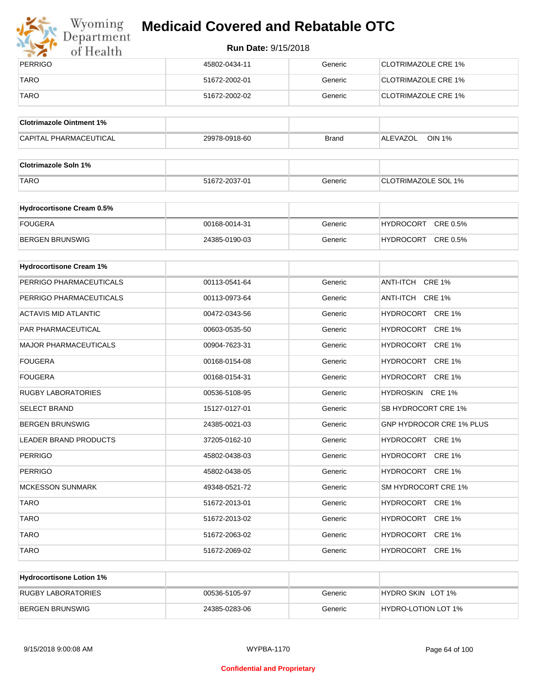

## Wyoming<br>Department<br>of Health

## **Medicaid Covered and Rebatable OTC**

| PERRIGO     | 45802-0434-11 | Generic | CLOTRIMAZOLE CRE 1% |
|-------------|---------------|---------|---------------------|
| <b>TARO</b> | 51672-2002-01 | Generic | CLOTRIMAZOLE CRE 1% |
| <b>TARO</b> | 51672-2002-02 | Generic | CLOTRIMAZOLE CRE 1% |

| <b>Clotrimazole Ointment 1%</b> |               |              |                    |
|---------------------------------|---------------|--------------|--------------------|
| <b>CAPITAL PHARMACEUTICAL</b>   | 29978-0918-60 | <b>Brand</b> | OIN 1%<br>ALEVAZOL |

| <b>Clotrimazole Soln 1%</b> |               |         |                            |
|-----------------------------|---------------|---------|----------------------------|
| <b>TARO</b>                 | 51672-2037-01 | Generic | <b>CLOTRIMAZOLE SOL 1%</b> |

| <b>Hydrocortisone Cream 0.5%</b> |               |         |                              |
|----------------------------------|---------------|---------|------------------------------|
| FOUGERA                          | 00168-0014-31 | Generic | CRE 0.5%<br><b>HYDROCORT</b> |
| BERGEN BRUNSWIG                  | 24385-0190-03 | Generic | CRE 0.5%<br><b>HYDROCORT</b> |

| <b>Hydrocortisone Cream 1%</b> |               |         |                                 |
|--------------------------------|---------------|---------|---------------------------------|
| PERRIGO PHARMACEUTICALS        | 00113-0541-64 | Generic | ANTI-ITCH CRE 1%                |
| PERRIGO PHARMACEUTICALS        | 00113-0973-64 | Generic | ANTI-ITCH CRE 1%                |
| <b>ACTAVIS MID ATLANTIC</b>    | 00472-0343-56 | Generic | HYDROCORT CRE 1%                |
| <b>PAR PHARMACEUTICAL</b>      | 00603-0535-50 | Generic | HYDROCORT CRE 1%                |
| <b>MAJOR PHARMACEUTICALS</b>   | 00904-7623-31 | Generic | HYDROCORT CRE 1%                |
| <b>FOUGERA</b>                 | 00168-0154-08 | Generic | HYDROCORT CRE 1%                |
| <b>FOUGERA</b>                 | 00168-0154-31 | Generic | HYDROCORT CRE 1%                |
| <b>RUGBY LABORATORIES</b>      | 00536-5108-95 | Generic | HYDROSKIN CRE 1%                |
| <b>SELECT BRAND</b>            | 15127-0127-01 | Generic | SB HYDROCORT CRE 1%             |
| <b>BERGEN BRUNSWIG</b>         | 24385-0021-03 | Generic | <b>GNP HYDROCOR CRE 1% PLUS</b> |
| <b>LEADER BRAND PRODUCTS</b>   | 37205-0162-10 | Generic | HYDROCORT CRE 1%                |
| <b>PERRIGO</b>                 | 45802-0438-03 | Generic | HYDROCORT CRE 1%                |
| <b>PERRIGO</b>                 | 45802-0438-05 | Generic | HYDROCORT CRE 1%                |
| <b>MCKESSON SUNMARK</b>        | 49348-0521-72 | Generic | SM HYDROCORT CRE 1%             |
| <b>TARO</b>                    | 51672-2013-01 | Generic | HYDROCORT CRE 1%                |
| <b>TARO</b>                    | 51672-2013-02 | Generic | HYDROCORT CRE 1%                |
| <b>TARO</b>                    | 51672-2063-02 | Generic | HYDROCORT CRE 1%                |
| <b>TARO</b>                    | 51672-2069-02 | Generic | HYDROCORT CRE 1%                |

| <b>Hydrocortisone Lotion 1%</b> |               |         |                            |
|---------------------------------|---------------|---------|----------------------------|
| RUGBY LABORATORIES              | 00536-5105-97 | Generic | HYDRO SKIN LOT 1%          |
| BERGEN BRUNSWIG                 | 24385-0283-06 | Generic | <b>HYDRO-LOTION LOT 1%</b> |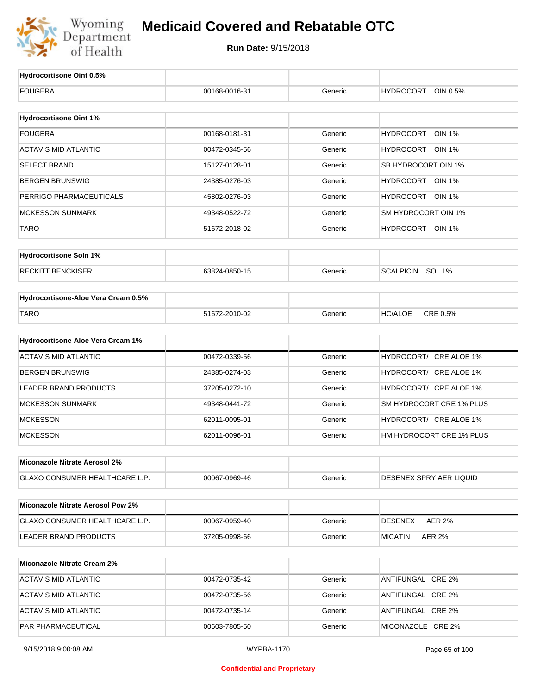

| <b>FOUGERA</b><br><b>HYDROCORT</b><br>OIN 0.5%<br>00168-0016-31<br>Generic<br><b>Hydrocortisone Oint 1%</b><br><b>FOUGERA</b><br>Generic<br><b>HYDROCORT</b><br><b>OIN 1%</b><br>00168-0181-31<br><b>ACTAVIS MID ATLANTIC</b><br>Generic<br>HYDROCORT OIN 1%<br>00472-0345-56<br><b>SELECT BRAND</b><br>Generic<br>SB HYDROCORT OIN 1%<br>15127-0128-01<br><b>BERGEN BRUNSWIG</b><br>Generic<br>HYDROCORT OIN 1%<br>24385-0276-03<br>PERRIGO PHARMACEUTICALS<br>HYDROCORT OIN 1%<br>Generic<br>45802-0276-03<br><b>MCKESSON SUNMARK</b><br>Generic<br>SM HYDROCORT OIN 1%<br>49348-0522-72<br>TARO<br>Generic<br>HYDROCORT OIN 1%<br>51672-2018-02<br><b>Hydrocortisone Soln 1%</b><br><b>RECKITT BENCKISER</b><br>SCALPICIN SOL 1%<br>63824-0850-15<br>Generic<br>Hydrocortisone-Aloe Vera Cream 0.5%<br><b>TARO</b><br>CRE 0.5%<br>51672-2010-02<br>Generic<br><b>HC/ALOE</b><br>Hydrocortisone-Aloe Vera Cream 1%<br><b>ACTAVIS MID ATLANTIC</b><br>HYDROCORT/ CRE ALOE 1%<br>00472-0339-56<br>Generic<br><b>BERGEN BRUNSWIG</b><br>HYDROCORT/ CRE ALOE 1%<br>24385-0274-03<br>Generic<br><b>LEADER BRAND PRODUCTS</b><br>HYDROCORT/ CRE ALOE 1%<br>37205-0272-10<br>Generic<br><b>MCKESSON SUNMARK</b><br>SM HYDROCORT CRE 1% PLUS<br>49348-0441-72<br>Generic<br><b>MCKESSON</b><br>HYDROCORT/ CRE ALOE 1%<br>62011-0095-01<br>Generic<br><b>MCKESSON</b><br>HM HYDROCORT CRE 1% PLUS<br>62011-0096-01<br>Generic<br>Miconazole Nitrate Aerosol 2%<br>DESENEX SPRY AER LIQUID<br><b>GLAXO CONSUMER HEALTHCARE L.P.</b><br>00067-0969-46<br>Generic<br><b>Miconazole Nitrate Aerosol Pow 2%</b><br>GLAXO CONSUMER HEALTHCARE L.P.<br><b>AER 2%</b><br>00067-0959-40<br>Generic<br><b>DESENEX</b><br><b>LEADER BRAND PRODUCTS</b><br><b>AER 2%</b><br>37205-0998-66<br>Generic<br><b>MICATIN</b><br><b>Miconazole Nitrate Cream 2%</b><br><b>ACTAVIS MID ATLANTIC</b><br>Generic<br>ANTIFUNGAL CRE 2%<br>00472-0735-42<br><b>ACTAVIS MID ATLANTIC</b><br>00472-0735-56<br>Generic<br>ANTIFUNGAL CRE 2%<br><b>ACTAVIS MID ATLANTIC</b><br>00472-0735-14<br>Generic<br>ANTIFUNGAL CRE 2%<br>PAR PHARMACEUTICAL<br>MICONAZOLE CRE 2%<br>00603-7805-50<br>Generic | Hydrocortisone Oint 0.5% |  |  |
|------------------------------------------------------------------------------------------------------------------------------------------------------------------------------------------------------------------------------------------------------------------------------------------------------------------------------------------------------------------------------------------------------------------------------------------------------------------------------------------------------------------------------------------------------------------------------------------------------------------------------------------------------------------------------------------------------------------------------------------------------------------------------------------------------------------------------------------------------------------------------------------------------------------------------------------------------------------------------------------------------------------------------------------------------------------------------------------------------------------------------------------------------------------------------------------------------------------------------------------------------------------------------------------------------------------------------------------------------------------------------------------------------------------------------------------------------------------------------------------------------------------------------------------------------------------------------------------------------------------------------------------------------------------------------------------------------------------------------------------------------------------------------------------------------------------------------------------------------------------------------------------------------------------------------------------------------------------------------------------------------------------------------------------------------------------------------------------------------------------------------------------------------------------|--------------------------|--|--|
|                                                                                                                                                                                                                                                                                                                                                                                                                                                                                                                                                                                                                                                                                                                                                                                                                                                                                                                                                                                                                                                                                                                                                                                                                                                                                                                                                                                                                                                                                                                                                                                                                                                                                                                                                                                                                                                                                                                                                                                                                                                                                                                                                                  |                          |  |  |
|                                                                                                                                                                                                                                                                                                                                                                                                                                                                                                                                                                                                                                                                                                                                                                                                                                                                                                                                                                                                                                                                                                                                                                                                                                                                                                                                                                                                                                                                                                                                                                                                                                                                                                                                                                                                                                                                                                                                                                                                                                                                                                                                                                  |                          |  |  |
|                                                                                                                                                                                                                                                                                                                                                                                                                                                                                                                                                                                                                                                                                                                                                                                                                                                                                                                                                                                                                                                                                                                                                                                                                                                                                                                                                                                                                                                                                                                                                                                                                                                                                                                                                                                                                                                                                                                                                                                                                                                                                                                                                                  |                          |  |  |
|                                                                                                                                                                                                                                                                                                                                                                                                                                                                                                                                                                                                                                                                                                                                                                                                                                                                                                                                                                                                                                                                                                                                                                                                                                                                                                                                                                                                                                                                                                                                                                                                                                                                                                                                                                                                                                                                                                                                                                                                                                                                                                                                                                  |                          |  |  |
|                                                                                                                                                                                                                                                                                                                                                                                                                                                                                                                                                                                                                                                                                                                                                                                                                                                                                                                                                                                                                                                                                                                                                                                                                                                                                                                                                                                                                                                                                                                                                                                                                                                                                                                                                                                                                                                                                                                                                                                                                                                                                                                                                                  |                          |  |  |
|                                                                                                                                                                                                                                                                                                                                                                                                                                                                                                                                                                                                                                                                                                                                                                                                                                                                                                                                                                                                                                                                                                                                                                                                                                                                                                                                                                                                                                                                                                                                                                                                                                                                                                                                                                                                                                                                                                                                                                                                                                                                                                                                                                  |                          |  |  |
|                                                                                                                                                                                                                                                                                                                                                                                                                                                                                                                                                                                                                                                                                                                                                                                                                                                                                                                                                                                                                                                                                                                                                                                                                                                                                                                                                                                                                                                                                                                                                                                                                                                                                                                                                                                                                                                                                                                                                                                                                                                                                                                                                                  |                          |  |  |
|                                                                                                                                                                                                                                                                                                                                                                                                                                                                                                                                                                                                                                                                                                                                                                                                                                                                                                                                                                                                                                                                                                                                                                                                                                                                                                                                                                                                                                                                                                                                                                                                                                                                                                                                                                                                                                                                                                                                                                                                                                                                                                                                                                  |                          |  |  |
|                                                                                                                                                                                                                                                                                                                                                                                                                                                                                                                                                                                                                                                                                                                                                                                                                                                                                                                                                                                                                                                                                                                                                                                                                                                                                                                                                                                                                                                                                                                                                                                                                                                                                                                                                                                                                                                                                                                                                                                                                                                                                                                                                                  |                          |  |  |
|                                                                                                                                                                                                                                                                                                                                                                                                                                                                                                                                                                                                                                                                                                                                                                                                                                                                                                                                                                                                                                                                                                                                                                                                                                                                                                                                                                                                                                                                                                                                                                                                                                                                                                                                                                                                                                                                                                                                                                                                                                                                                                                                                                  |                          |  |  |
|                                                                                                                                                                                                                                                                                                                                                                                                                                                                                                                                                                                                                                                                                                                                                                                                                                                                                                                                                                                                                                                                                                                                                                                                                                                                                                                                                                                                                                                                                                                                                                                                                                                                                                                                                                                                                                                                                                                                                                                                                                                                                                                                                                  |                          |  |  |
|                                                                                                                                                                                                                                                                                                                                                                                                                                                                                                                                                                                                                                                                                                                                                                                                                                                                                                                                                                                                                                                                                                                                                                                                                                                                                                                                                                                                                                                                                                                                                                                                                                                                                                                                                                                                                                                                                                                                                                                                                                                                                                                                                                  |                          |  |  |
|                                                                                                                                                                                                                                                                                                                                                                                                                                                                                                                                                                                                                                                                                                                                                                                                                                                                                                                                                                                                                                                                                                                                                                                                                                                                                                                                                                                                                                                                                                                                                                                                                                                                                                                                                                                                                                                                                                                                                                                                                                                                                                                                                                  |                          |  |  |
|                                                                                                                                                                                                                                                                                                                                                                                                                                                                                                                                                                                                                                                                                                                                                                                                                                                                                                                                                                                                                                                                                                                                                                                                                                                                                                                                                                                                                                                                                                                                                                                                                                                                                                                                                                                                                                                                                                                                                                                                                                                                                                                                                                  |                          |  |  |
|                                                                                                                                                                                                                                                                                                                                                                                                                                                                                                                                                                                                                                                                                                                                                                                                                                                                                                                                                                                                                                                                                                                                                                                                                                                                                                                                                                                                                                                                                                                                                                                                                                                                                                                                                                                                                                                                                                                                                                                                                                                                                                                                                                  |                          |  |  |
|                                                                                                                                                                                                                                                                                                                                                                                                                                                                                                                                                                                                                                                                                                                                                                                                                                                                                                                                                                                                                                                                                                                                                                                                                                                                                                                                                                                                                                                                                                                                                                                                                                                                                                                                                                                                                                                                                                                                                                                                                                                                                                                                                                  |                          |  |  |
|                                                                                                                                                                                                                                                                                                                                                                                                                                                                                                                                                                                                                                                                                                                                                                                                                                                                                                                                                                                                                                                                                                                                                                                                                                                                                                                                                                                                                                                                                                                                                                                                                                                                                                                                                                                                                                                                                                                                                                                                                                                                                                                                                                  |                          |  |  |
|                                                                                                                                                                                                                                                                                                                                                                                                                                                                                                                                                                                                                                                                                                                                                                                                                                                                                                                                                                                                                                                                                                                                                                                                                                                                                                                                                                                                                                                                                                                                                                                                                                                                                                                                                                                                                                                                                                                                                                                                                                                                                                                                                                  |                          |  |  |
|                                                                                                                                                                                                                                                                                                                                                                                                                                                                                                                                                                                                                                                                                                                                                                                                                                                                                                                                                                                                                                                                                                                                                                                                                                                                                                                                                                                                                                                                                                                                                                                                                                                                                                                                                                                                                                                                                                                                                                                                                                                                                                                                                                  |                          |  |  |
|                                                                                                                                                                                                                                                                                                                                                                                                                                                                                                                                                                                                                                                                                                                                                                                                                                                                                                                                                                                                                                                                                                                                                                                                                                                                                                                                                                                                                                                                                                                                                                                                                                                                                                                                                                                                                                                                                                                                                                                                                                                                                                                                                                  |                          |  |  |
|                                                                                                                                                                                                                                                                                                                                                                                                                                                                                                                                                                                                                                                                                                                                                                                                                                                                                                                                                                                                                                                                                                                                                                                                                                                                                                                                                                                                                                                                                                                                                                                                                                                                                                                                                                                                                                                                                                                                                                                                                                                                                                                                                                  |                          |  |  |
|                                                                                                                                                                                                                                                                                                                                                                                                                                                                                                                                                                                                                                                                                                                                                                                                                                                                                                                                                                                                                                                                                                                                                                                                                                                                                                                                                                                                                                                                                                                                                                                                                                                                                                                                                                                                                                                                                                                                                                                                                                                                                                                                                                  |                          |  |  |
|                                                                                                                                                                                                                                                                                                                                                                                                                                                                                                                                                                                                                                                                                                                                                                                                                                                                                                                                                                                                                                                                                                                                                                                                                                                                                                                                                                                                                                                                                                                                                                                                                                                                                                                                                                                                                                                                                                                                                                                                                                                                                                                                                                  |                          |  |  |
|                                                                                                                                                                                                                                                                                                                                                                                                                                                                                                                                                                                                                                                                                                                                                                                                                                                                                                                                                                                                                                                                                                                                                                                                                                                                                                                                                                                                                                                                                                                                                                                                                                                                                                                                                                                                                                                                                                                                                                                                                                                                                                                                                                  |                          |  |  |
|                                                                                                                                                                                                                                                                                                                                                                                                                                                                                                                                                                                                                                                                                                                                                                                                                                                                                                                                                                                                                                                                                                                                                                                                                                                                                                                                                                                                                                                                                                                                                                                                                                                                                                                                                                                                                                                                                                                                                                                                                                                                                                                                                                  |                          |  |  |
|                                                                                                                                                                                                                                                                                                                                                                                                                                                                                                                                                                                                                                                                                                                                                                                                                                                                                                                                                                                                                                                                                                                                                                                                                                                                                                                                                                                                                                                                                                                                                                                                                                                                                                                                                                                                                                                                                                                                                                                                                                                                                                                                                                  |                          |  |  |
|                                                                                                                                                                                                                                                                                                                                                                                                                                                                                                                                                                                                                                                                                                                                                                                                                                                                                                                                                                                                                                                                                                                                                                                                                                                                                                                                                                                                                                                                                                                                                                                                                                                                                                                                                                                                                                                                                                                                                                                                                                                                                                                                                                  |                          |  |  |
|                                                                                                                                                                                                                                                                                                                                                                                                                                                                                                                                                                                                                                                                                                                                                                                                                                                                                                                                                                                                                                                                                                                                                                                                                                                                                                                                                                                                                                                                                                                                                                                                                                                                                                                                                                                                                                                                                                                                                                                                                                                                                                                                                                  |                          |  |  |
|                                                                                                                                                                                                                                                                                                                                                                                                                                                                                                                                                                                                                                                                                                                                                                                                                                                                                                                                                                                                                                                                                                                                                                                                                                                                                                                                                                                                                                                                                                                                                                                                                                                                                                                                                                                                                                                                                                                                                                                                                                                                                                                                                                  |                          |  |  |
|                                                                                                                                                                                                                                                                                                                                                                                                                                                                                                                                                                                                                                                                                                                                                                                                                                                                                                                                                                                                                                                                                                                                                                                                                                                                                                                                                                                                                                                                                                                                                                                                                                                                                                                                                                                                                                                                                                                                                                                                                                                                                                                                                                  |                          |  |  |
|                                                                                                                                                                                                                                                                                                                                                                                                                                                                                                                                                                                                                                                                                                                                                                                                                                                                                                                                                                                                                                                                                                                                                                                                                                                                                                                                                                                                                                                                                                                                                                                                                                                                                                                                                                                                                                                                                                                                                                                                                                                                                                                                                                  |                          |  |  |
|                                                                                                                                                                                                                                                                                                                                                                                                                                                                                                                                                                                                                                                                                                                                                                                                                                                                                                                                                                                                                                                                                                                                                                                                                                                                                                                                                                                                                                                                                                                                                                                                                                                                                                                                                                                                                                                                                                                                                                                                                                                                                                                                                                  |                          |  |  |
|                                                                                                                                                                                                                                                                                                                                                                                                                                                                                                                                                                                                                                                                                                                                                                                                                                                                                                                                                                                                                                                                                                                                                                                                                                                                                                                                                                                                                                                                                                                                                                                                                                                                                                                                                                                                                                                                                                                                                                                                                                                                                                                                                                  |                          |  |  |
|                                                                                                                                                                                                                                                                                                                                                                                                                                                                                                                                                                                                                                                                                                                                                                                                                                                                                                                                                                                                                                                                                                                                                                                                                                                                                                                                                                                                                                                                                                                                                                                                                                                                                                                                                                                                                                                                                                                                                                                                                                                                                                                                                                  |                          |  |  |
|                                                                                                                                                                                                                                                                                                                                                                                                                                                                                                                                                                                                                                                                                                                                                                                                                                                                                                                                                                                                                                                                                                                                                                                                                                                                                                                                                                                                                                                                                                                                                                                                                                                                                                                                                                                                                                                                                                                                                                                                                                                                                                                                                                  |                          |  |  |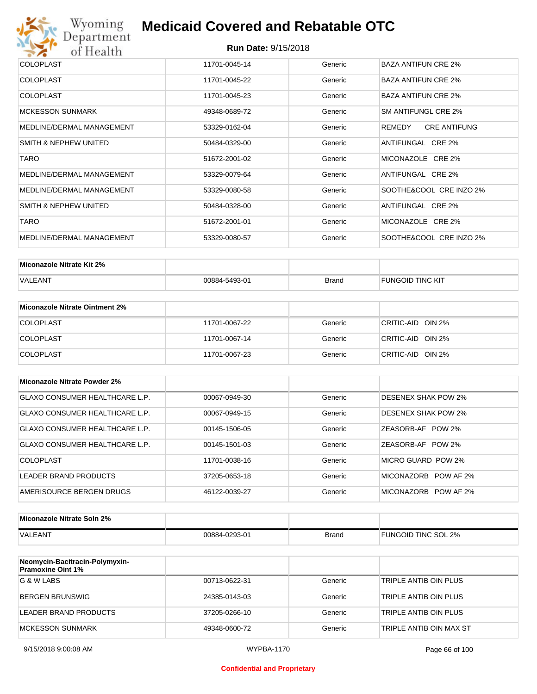

| COLOPLAST                 | 11701-0045-14 | Generic | BAZA ANTIFUN CRE 2%           |
|---------------------------|---------------|---------|-------------------------------|
| <b>COLOPLAST</b>          | 11701-0045-22 | Generic | <b>BAZA ANTIFUN CRE 2%</b>    |
| <b>COLOPLAST</b>          | 11701-0045-23 | Generic | <b>BAZA ANTIFUN CRE 2%</b>    |
| <b>MCKESSON SUNMARK</b>   | 49348-0689-72 | Generic | SM ANTIFUNGL CRE 2%           |
| MEDLINE/DERMAL MANAGEMENT | 53329-0162-04 | Generic | <b>CRE ANTIFUNG</b><br>REMEDY |
| SMITH & NEPHEW UNITED     | 50484-0329-00 | Generic | ANTIFUNGAL CRE 2%             |
| <b>TARO</b>               | 51672-2001-02 | Generic | MICONAZOLE CRE 2%             |
| MEDLINE/DERMAL MANAGEMENT | 53329-0079-64 | Generic | ANTIFUNGAL CRE 2%             |
| MEDLINE/DERMAL MANAGEMENT | 53329-0080-58 | Generic | SOOTHE&COOL CRE INZO 2%       |
| SMITH & NEPHEW UNITED     | 50484-0328-00 | Generic | ANTIFUNGAL CRE 2%             |
| <b>TARO</b>               | 51672-2001-01 | Generic | MICONAZOLE CRE 2%             |
| MEDLINE/DERMAL MANAGEMENT | 53329-0080-57 | Generic | SOOTHE&COOL CRE INZO 2%       |

| Miconazole Nitrate Kit 2% |               |              |                         |
|---------------------------|---------------|--------------|-------------------------|
| <b>VALEANT</b>            | 00884-5493-01 | <b>Brand</b> | <b>FUNGOID TINC KIT</b> |

| Miconazole Nitrate Ointment 2% |               |         |                   |
|--------------------------------|---------------|---------|-------------------|
| <b>COLOPLAST</b>               | 11701-0067-22 | Generic | CRITIC-AID OIN 2% |
| <b>COLOPLAST</b>               | 11701-0067-14 | Generic | CRITIC-AID OIN 2% |
| <b>COLOPLAST</b>               | 11701-0067-23 | Generic | CRITIC-AID OIN 2% |

| Miconazole Nitrate Powder 2%   |               |         |                            |
|--------------------------------|---------------|---------|----------------------------|
| GLAXO CONSUMER HEALTHCARE L.P. | 00067-0949-30 | Generic | DESENEX SHAK POW 2%        |
| GLAXO CONSUMER HEALTHCARE L.P. | 00067-0949-15 | Generic | <b>DESENEX SHAK POW 2%</b> |
| GLAXO CONSUMER HEALTHCARE L.P. | 00145-1506-05 | Generic | ZEASORB-AF POW 2%          |
| GLAXO CONSUMER HEALTHCARE L.P. | 00145-1501-03 | Generic | ZEASORB-AF POW 2%          |
| COLOPLAST                      | 11701-0038-16 | Generic | MICRO GUARD POW 2%         |
| LEADER BRAND PRODUCTS          | 37205-0653-18 | Generic | MICONAZORB POW AF 2%       |
| AMERISOURCE BERGEN DRUGS       | 46122-0039-27 | Generic | MICONAZORB POW AF 2%       |

| Miconazole Nitrate Soln 2% |               |       |                     |
|----------------------------|---------------|-------|---------------------|
| <b>VALEANT</b>             | 00884-0293-01 | Brand | FUNGOID TINC SOL 2% |

| Neomycin-Bacitracin-Polymyxin-<br><b>Pramoxine Oint 1%</b> |               |         |                         |
|------------------------------------------------------------|---------------|---------|-------------------------|
| G & W LABS                                                 | 00713-0622-31 | Generic | TRIPLE ANTIB OIN PLUS   |
| <b>BERGEN BRUNSWIG</b>                                     | 24385-0143-03 | Generic | TRIPLE ANTIB OIN PLUS   |
| LEADER BRAND PRODUCTS                                      | 37205-0266-10 | Generic | TRIPLE ANTIB OIN PLUS   |
| MCKESSON SUNMARK                                           | 49348-0600-72 | Generic | TRIPLE ANTIB OIN MAX ST |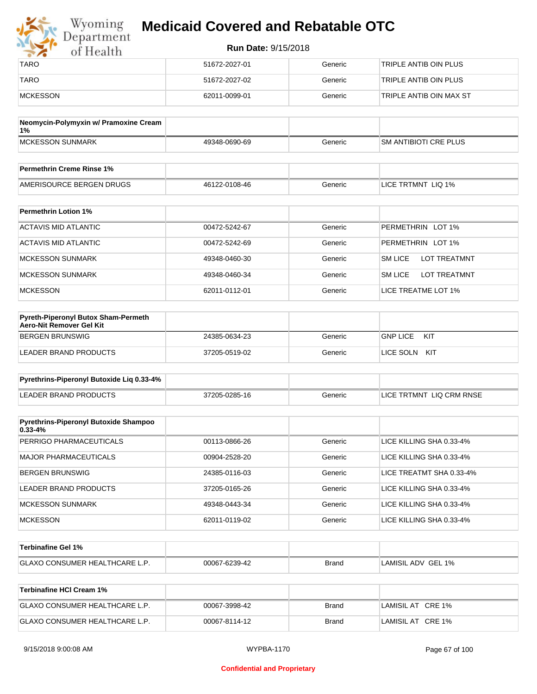| Wyoming<br>Department | <b>Medicaid Covered and Rebatable OTC</b> |         |                         |  |  |
|-----------------------|-------------------------------------------|---------|-------------------------|--|--|
| of Health             | <b>Run Date: 9/15/2018</b>                |         |                         |  |  |
| <b>TARO</b>           | 51672-2027-01                             | Generic | TRIPLE ANTIB OIN PLUS   |  |  |
| <b>TARO</b>           | 51672-2027-02                             | Generic | TRIPLE ANTIB OIN PLUS   |  |  |
| MCKESSON              | 62011-0099-01                             | Generic | TRIPLE ANTIB OIN MAX ST |  |  |

| Neomycin-Polymyxin w/ Pramoxine Cream<br>$1\%$ |               |         |                              |
|------------------------------------------------|---------------|---------|------------------------------|
| MCKESSON SUNMARK                               | 49348-0690-69 | Generic | <b>SM ANTIBIOTI CRE PLUS</b> |
|                                                |               |         |                              |
| <b>Permethrin Creme Rinse 1%</b>               |               |         |                              |

| Fermeurin Creme Rinse T%                               |               |              |                                 |
|--------------------------------------------------------|---------------|--------------|---------------------------------|
| <b>DRUGS</b><br><b>AMFR</b><br>URCE BERGEN I<br>∴ שופי | 46122-0108-46 | ieneric<br>. | LIQ 1%<br><b>TRTMNT</b><br>∟ICE |

| <b>Permethrin Lotion 1%</b> |               |         |                                       |
|-----------------------------|---------------|---------|---------------------------------------|
| ACTAVIS MID ATLANTIC        | 00472-5242-67 | Generic | PERMETHRIN LOT 1%                     |
| ACTAVIS MID ATLANTIC        | 00472-5242-69 | Generic | PERMETHRIN LOT 1%                     |
| <b>MCKESSON SUNMARK</b>     | 49348-0460-30 | Generic | <b>SM LICE</b><br><b>LOT TREATMNT</b> |
| <b>MCKESSON SUNMARK</b>     | 49348-0460-34 | Generic | <b>SM LICE</b><br><b>LOT TREATMNT</b> |
| <b>MCKESSON</b>             | 62011-0112-01 | Generic | LICE TREATME LOT 1%                   |

| <b>Pyreth-Piperonyl Butox Sham-Permeth</b><br>Aero-Nit Remover Gel Kit |               |         |                        |
|------------------------------------------------------------------------|---------------|---------|------------------------|
| BERGEN BRUNSWIG                                                        | 24385-0634-23 | Generic | <b>GNP LICE</b><br>KIT |
| LEADER BRAND PRODUCTS                                                  | 37205-0519-02 | Generic | LICE SOLN<br>KIT       |

| Pyrethrins-Piperonyl Butoxide Lig 0.33-4% |               |         |                          |
|-------------------------------------------|---------------|---------|--------------------------|
| LEADER BRAND PRODUCTS                     | 37205-0285-16 | Generic | LICE TRTMNT LIQ CRM RNSE |

| <b>Pyrethrins-Piperonyl Butoxide Shampoo</b><br>$0.33 - 4%$ |               |         |                          |
|-------------------------------------------------------------|---------------|---------|--------------------------|
| PERRIGO PHARMACEUTICALS                                     | 00113-0866-26 | Generic | LICE KILLING SHA 0.33-4% |
| MAJOR PHARMACEUTICALS                                       | 00904-2528-20 | Generic | LICE KILLING SHA 0.33-4% |
| BERGEN BRUNSWIG                                             | 24385-0116-03 | Generic | LICE TREATMT SHA 0.33-4% |
| LEADER BRAND PRODUCTS                                       | 37205-0165-26 | Generic | LICE KILLING SHA 0.33-4% |
| MCKESSON SUNMARK                                            | 49348-0443-34 | Generic | LICE KILLING SHA 0.33-4% |
| <b>MCKESSON</b>                                             | 62011-0119-02 | Generic | LICE KILLING SHA 0.33-4% |

| <b>⊺Terbinafine Gel 1%</b>           |               |              |                    |
|--------------------------------------|---------------|--------------|--------------------|
| <b>GLAXO CONSUMER HEALTHCARE L.P</b> | 00067-6239-42 | <b>Brand</b> | LAMISIL ADV GEL 1% |

| Terbinafine HCI Cream 1%              |               |       |                   |
|---------------------------------------|---------------|-------|-------------------|
| <b>GLAXO CONSUMER HEALTHCARE L.P.</b> | 00067-3998-42 | Brand | LAMISIL AT CRE 1% |
| <b>GLAXO CONSUMER HEALTHCARE L.P.</b> | 00067-8114-12 | Brand | LAMISIL AT CRE 1% |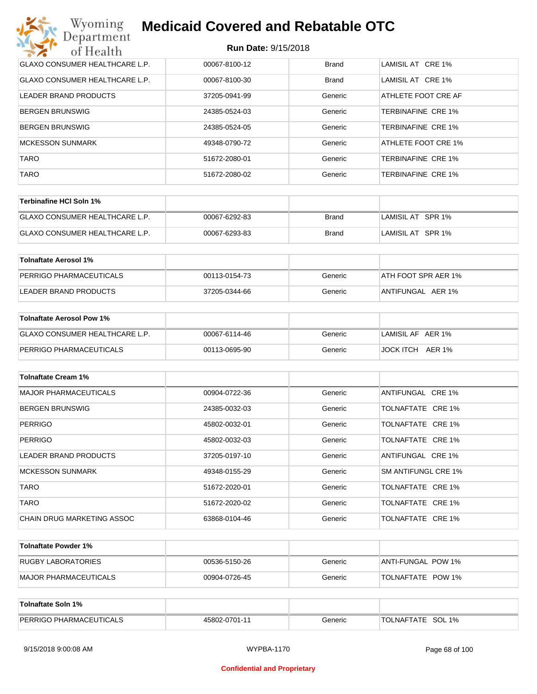| Wyoming<br><b>Medicaid Covered and Rebatable OTC</b><br>Department |                            |              |                           |  |
|--------------------------------------------------------------------|----------------------------|--------------|---------------------------|--|
| of Health                                                          | <b>Run Date: 9/15/2018</b> |              |                           |  |
| <b>GLAXO CONSUMER HEALTHCARE L.P.</b>                              | 00067-8100-12              | <b>Brand</b> | LAMISIL AT CRE 1%         |  |
| <b>GLAXO CONSUMER HEALTHCARE L.P.</b>                              | 00067-8100-30              | <b>Brand</b> | LAMISIL AT CRE 1%         |  |
| LEADER BRAND PRODUCTS                                              | 37205-0941-99              | Generic      | ATHLETE FOOT CRE AF       |  |
| <b>BERGEN BRUNSWIG</b>                                             | 24385-0524-03              | Generic      | <b>TERBINAFINE CRE 1%</b> |  |
| <b>BERGEN BRUNSWIG</b>                                             | 24385-0524-05              | Generic      | <b>TERBINAFINE CRE 1%</b> |  |
| <b>MCKESSON SUNMARK</b>                                            | 49348-0790-72              | Generic      | ATHLETE FOOT CRE 1%       |  |
| <b>TARO</b>                                                        | 51672-2080-01              | Generic      | <b>TERBINAFINE CRE 1%</b> |  |
| <b>TARO</b>                                                        | 51672-2080-02              | Generic      | <b>TERBINAFINE CRE 1%</b> |  |

| Terbinafine HCI Soln 1%        |               |       |                   |
|--------------------------------|---------------|-------|-------------------|
| GLAXO CONSUMER HEALTHCARE L.P. | 00067-6292-83 | Brand | LAMISIL AT SPR 1% |
| GLAXO CONSUMER HEALTHCARE L.P. | 00067-6293-83 | Brand | LAMISIL AT SPR 1% |

| Tolnaftate Aerosol 1%   |               |         |                     |
|-------------------------|---------------|---------|---------------------|
| PERRIGO PHARMACEUTICALS | 00113-0154-73 | Generic | ATH FOOT SPR AER 1% |
| LEADER BRAND PRODUCTS   | 37205-0344-66 | Generic | ANTIFUNGAL AER 1%   |

| Tolnaftate Aerosol Pow 1%      |               |         |                   |
|--------------------------------|---------------|---------|-------------------|
| GLAXO CONSUMER HEALTHCARE L.P. | 00067-6114-46 | Generic | LAMISIL AF AER 1% |
| <b>PERRIGO PHARMACEUTICALS</b> | 00113-0695-90 | Generic | JOCK ITCH AER 1%  |

| <b>Tolnaftate Cream 1%</b>   |               |         |                     |
|------------------------------|---------------|---------|---------------------|
| <b>MAJOR PHARMACEUTICALS</b> | 00904-0722-36 | Generic | ANTIFUNGAL CRE 1%   |
| <b>BERGEN BRUNSWIG</b>       | 24385-0032-03 | Generic | TOLNAFTATE CRE 1%   |
| <b>PERRIGO</b>               | 45802-0032-01 | Generic | TOLNAFTATE CRE 1%   |
| <b>PERRIGO</b>               | 45802-0032-03 | Generic | TOLNAFTATE CRE 1%   |
| LEADER BRAND PRODUCTS        | 37205-0197-10 | Generic | ANTIFUNGAL CRE 1%   |
| <b>MCKESSON SUNMARK</b>      | 49348-0155-29 | Generic | SM ANTIFUNGL CRE 1% |
| <b>TARO</b>                  | 51672-2020-01 | Generic | TOLNAFTATE CRE 1%   |
| <b>TARO</b>                  | 51672-2020-02 | Generic | TOLNAFTATE CRE 1%   |
| CHAIN DRUG MARKETING ASSOC   | 63868-0104-46 | Generic | TOLNAFTATE CRE 1%   |

| Tolnaftate Powder 1%  |               |         |                     |
|-----------------------|---------------|---------|---------------------|
| RUGBY LABORATORIES    | 00536-5150-26 | Generic | IANTI-FUNGAL POW 1% |
| MAJOR PHARMACEUTICALS | 00904-0726-45 | Generic | TOLNAFTATE POW 1%   |

| Tolnaftate Soln 1%             |               |         |                      |
|--------------------------------|---------------|---------|----------------------|
| <b>PERRIGO PHARMACEUTICALS</b> | 45802-0701-11 | Generic | SOL 1%<br>TOLNAFTATE |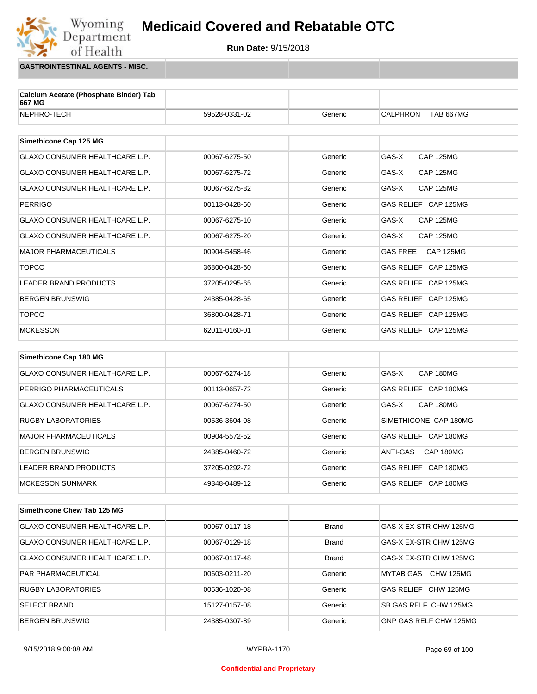

**GASTROINTESTINAL AGENTS - MISC.**

Wyoming<br>Department

of Health

| Calcium Acetate (Phosphate Binder) Tab<br>667 MG |               |         |                                     |
|--------------------------------------------------|---------------|---------|-------------------------------------|
| NEPHRO-TECH                                      | 59528-0331-02 | Generic | <b>CALPHRON</b><br><b>TAB 667MG</b> |
|                                                  |               |         |                                     |
| Simethicone Cap 125 MG                           |               |         |                                     |
| GLAXO CONSUMER HEALTHCARE L.P.                   | 00067-6275-50 | Generic | GAS-X<br><b>CAP 125MG</b>           |
| <b>GLAXO CONSUMER HEALTHCARE L.P.</b>            | 00067-6275-72 | Generic | GAS-X<br><b>CAP 125MG</b>           |
| <b>GLAXO CONSUMER HEALTHCARE L.P.</b>            | 00067-6275-82 | Generic | GAS-X<br><b>CAP 125MG</b>           |
| <b>PERRIGO</b>                                   | 00113-0428-60 | Generic | GAS RELIEF CAP 125MG                |
| <b>GLAXO CONSUMER HEALTHCARE L.P.</b>            | 00067-6275-10 | Generic | GAS-X<br><b>CAP 125MG</b>           |
| <b>GLAXO CONSUMER HEALTHCARE L.P.</b>            | 00067-6275-20 | Generic | GAS-X<br><b>CAP 125MG</b>           |
| <b>MAJOR PHARMACEUTICALS</b>                     | 00904-5458-46 | Generic | <b>GAS FREE</b><br><b>CAP 125MG</b> |
| <b>TOPCO</b>                                     | 36800-0428-60 | Generic | GAS RELIEF CAP 125MG                |
| <b>LEADER BRAND PRODUCTS</b>                     | 37205-0295-65 | Generic | GAS RELIEF CAP 125MG                |
| <b>BERGEN BRUNSWIG</b>                           | 24385-0428-65 | Generic | GAS RELIEF CAP 125MG                |
| <b>TOPCO</b>                                     | 36800-0428-71 | Generic | GAS RELIEF CAP 125MG                |
| <b>MCKESSON</b>                                  | 62011-0160-01 | Generic | GAS RELIEF CAP 125MG                |
|                                                  |               |         |                                     |
| Simethicone Cap 180 MG                           |               |         |                                     |

| GLAXO CONSUMER HEALTHCARE L.P. | 00067-6274-18 | Generic | GAS-X<br>CAP 180MG             |
|--------------------------------|---------------|---------|--------------------------------|
| PERRIGO PHARMACEUTICALS        | 00113-0657-72 | Generic | GAS RELIEF CAP 180MG           |
| GLAXO CONSUMER HEALTHCARE L.P. | 00067-6274-50 | Generic | <b>CAP 180MG</b><br>GAS-X      |
| <b>RUGBY LABORATORIES</b>      | 00536-3604-08 | Generic | SIMETHICONE CAP 180MG          |
| MAJOR PHARMACEUTICALS          | 00904-5572-52 | Generic | CAP 180MG<br>GAS RELIEF        |
| BERGEN BRUNSWIG                | 24385-0460-72 | Generic | CAP 180MG<br>ANTI-GAS          |
| LEADER BRAND PRODUCTS          | 37205-0292-72 | Generic | CAP 180MG<br><b>GAS RELIEF</b> |
| IMCKESSON SUNMARK              | 49348-0489-12 | Generic | GAS RELIEF CAP 180MG           |

| Simethicone Chew Tab 125 MG    |               |              |                        |
|--------------------------------|---------------|--------------|------------------------|
| GLAXO CONSUMER HEALTHCARE L.P. | 00067-0117-18 | <b>Brand</b> | GAS-X EX-STR CHW 125MG |
| GLAXO CONSUMER HEALTHCARE L.P. | 00067-0129-18 | <b>Brand</b> | GAS-X EX-STR CHW 125MG |
| GLAXO CONSUMER HEALTHCARE L.P. | 00067-0117-48 | <b>Brand</b> | GAS-X EX-STR CHW 125MG |
| <b>PAR PHARMACEUTICAL</b>      | 00603-0211-20 | Generic      | MYTAB GAS CHW 125MG    |
| <b>RUGBY LABORATORIES</b>      | 00536-1020-08 | Generic      | GAS RELIEF CHW 125MG   |
| <b>SELECT BRAND</b>            | 15127-0157-08 | Generic      | SB GAS RELF CHW 125MG  |
| <b>BERGEN BRUNSWIG</b>         | 24385-0307-89 | Generic      | GNP GAS RELF CHW 125MG |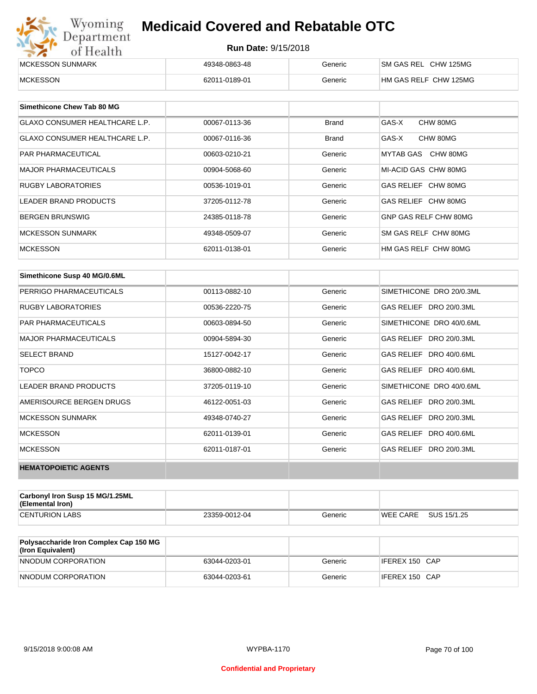| Wyoming<br>Department | <b>Medicaid Covered and Rebatable OTC</b><br><b>Run Date: 9/15/2018</b> |         |                       |  |  |
|-----------------------|-------------------------------------------------------------------------|---------|-----------------------|--|--|
| of Health             |                                                                         |         |                       |  |  |
| MCKESSON SUNMARK      | 49348-0863-48                                                           | Generic | SM GAS REL CHW 125MG  |  |  |
| <b>MCKESSON</b>       | 62011-0189-01                                                           | Generic | HM GAS RELF CHW 125MG |  |  |

| Simethicone Chew Tab 80 MG            |               |              |                       |
|---------------------------------------|---------------|--------------|-----------------------|
| <b>GLAXO CONSUMER HEALTHCARE L.P.</b> | 00067-0113-36 | Brand        | GAS-X<br>CHW 80MG     |
| GLAXO CONSUMER HEALTHCARE L.P.        | 00067-0116-36 | <b>Brand</b> | GAS-X<br>CHW 80MG     |
| <b>PAR PHARMACEUTICAL</b>             | 00603-0210-21 | Generic      | MYTAB GAS CHW 80MG    |
| <b>MAJOR PHARMACEUTICALS</b>          | 00904-5068-60 | Generic      | MI-ACID GAS CHW 80MG  |
| <b>RUGBY LABORATORIES</b>             | 00536-1019-01 | Generic      | GAS RELIEF CHW 80MG   |
| LEADER BRAND PRODUCTS                 | 37205-0112-78 | Generic      | GAS RELIEF CHW 80MG   |
| <b>BERGEN BRUNSWIG</b>                | 24385-0118-78 | Generic      | GNP GAS RELF CHW 80MG |
| <b>MCKESSON SUNMARK</b>               | 49348-0509-07 | Generic      | SM GAS RELF CHW 80MG  |
| <b>MCKESSON</b>                       | 62011-0138-01 | Generic      | HM GAS RELF CHW 80MG  |

| Simethicone Susp 40 MG/0.6ML |               |         |                          |
|------------------------------|---------------|---------|--------------------------|
| PERRIGO PHARMACEUTICALS      | 00113-0882-10 | Generic | SIMETHICONE DRO 20/0.3ML |
| <b>RUGBY LABORATORIES</b>    | 00536-2220-75 | Generic | GAS RELIEF DRO 20/0.3ML  |
| <b>PAR PHARMACEUTICALS</b>   | 00603-0894-50 | Generic | SIMETHICONE DRO 40/0.6ML |
| <b>MAJOR PHARMACEUTICALS</b> | 00904-5894-30 | Generic | GAS RELIEF DRO 20/0.3ML  |
| <b>SELECT BRAND</b>          | 15127-0042-17 | Generic | GAS RELIEF DRO 40/0.6ML  |
| <b>TOPCO</b>                 | 36800-0882-10 | Generic | GAS RELIEF DRO 40/0.6ML  |
| <b>LEADER BRAND PRODUCTS</b> | 37205-0119-10 | Generic | SIMETHICONE DRO 40/0.6ML |
| AMERISOURCE BERGEN DRUGS     | 46122-0051-03 | Generic | GAS RELIEF DRO 20/0.3ML  |
| <b>MCKESSON SUNMARK</b>      | 49348-0740-27 | Generic | GAS RELIEF DRO 20/0.3ML  |
| <b>MCKESSON</b>              | 62011-0139-01 | Generic | GAS RELIEF DRO 40/0.6ML  |
| <b>MCKESSON</b>              | 62011-0187-01 | Generic | GAS RELIEF DRO 20/0.3ML  |
| <b>HEMATOPOIETIC AGENTS</b>  |               |         |                          |

| Carbonyl Iron Susp 15 MG/1.25ML<br>(Elemental Iron) |               |         |                 |             |
|-----------------------------------------------------|---------------|---------|-----------------|-------------|
| <b>CENTURION LABS</b>                               | 23359-0012-04 | Generic | <b>WEE CARE</b> | SUS 15/1.25 |

| <b>Polysaccharide Iron Complex Cap 150 MG</b><br>(Iron Equivalent) |               |         |                |
|--------------------------------------------------------------------|---------------|---------|----------------|
| NNODUM CORPORATION                                                 | 63044-0203-01 | Generic | IFEREX 150 CAP |
| NNODUM CORPORATION                                                 | 63044-0203-61 | Generic | IFEREX 150 CAP |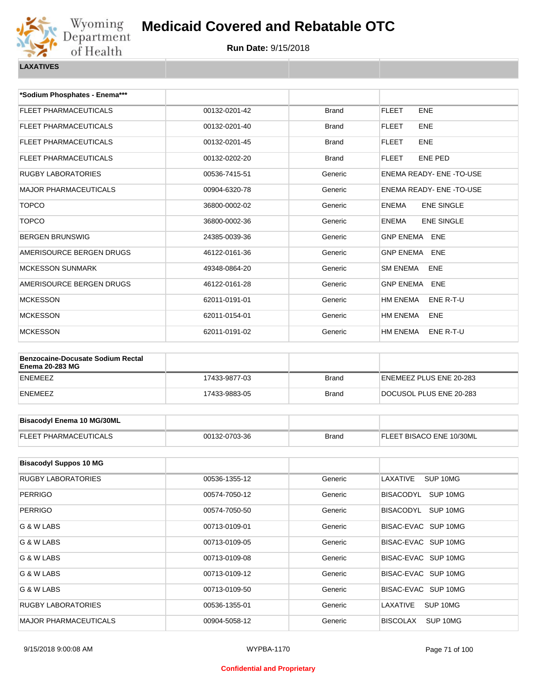

| *Sodium Phosphates - Enema***                                      |               |              |                                   |
|--------------------------------------------------------------------|---------------|--------------|-----------------------------------|
| <b>FLEET PHARMACEUTICALS</b>                                       | 00132-0201-42 | <b>Brand</b> | <b>FLEET</b><br><b>ENE</b>        |
| FLEET PHARMACEUTICALS                                              | 00132-0201-40 | <b>Brand</b> | <b>ENE</b><br><b>FLEET</b>        |
| FLEET PHARMACEUTICALS                                              | 00132-0201-45 | <b>Brand</b> | <b>FLEET</b><br><b>ENE</b>        |
| FLEET PHARMACEUTICALS                                              | 00132-0202-20 | <b>Brand</b> | <b>FLEET</b><br>ENE PED           |
| <b>RUGBY LABORATORIES</b>                                          | 00536-7415-51 | Generic      | ENEMA READY- ENE - TO-USE         |
| <b>MAJOR PHARMACEUTICALS</b>                                       | 00904-6320-78 | Generic      | <b>ENEMA READY- ENE -TO-USE</b>   |
| <b>TOPCO</b>                                                       | 36800-0002-02 | Generic      | <b>ENEMA</b><br><b>ENE SINGLE</b> |
| <b>TOPCO</b>                                                       | 36800-0002-36 | Generic      | <b>ENE SINGLE</b><br><b>ENEMA</b> |
| <b>BERGEN BRUNSWIG</b>                                             | 24385-0039-36 | Generic      | <b>GNP ENEMA</b><br><b>ENE</b>    |
| AMERISOURCE BERGEN DRUGS                                           | 46122-0161-36 | Generic      | <b>GNP ENEMA</b><br><b>ENE</b>    |
| <b>MCKESSON SUNMARK</b>                                            | 49348-0864-20 | Generic      | <b>SM ENEMA</b><br><b>ENE</b>     |
| AMERISOURCE BERGEN DRUGS                                           | 46122-0161-28 | Generic      | <b>GNP ENEMA</b><br><b>ENE</b>    |
| <b>MCKESSON</b>                                                    | 62011-0191-01 | Generic      | <b>HM ENEMA</b><br>ENE R-T-U      |
| <b>MCKESSON</b>                                                    | 62011-0154-01 | Generic      | HM ENEMA<br>ENE                   |
| <b>MCKESSON</b>                                                    | 62011-0191-02 | Generic      | HM ENEMA<br>ENE R-T-U             |
|                                                                    |               |              |                                   |
| <b>Benzocaine-Docusate Sodium Rectal</b><br><b>Enema 20-283 MG</b> |               |              |                                   |
| <b>ENEMEEZ</b>                                                     | 17433-9877-03 | <b>Brand</b> | ENEMEEZ PLUS ENE 20-283           |
| <b>ENEMEEZ</b>                                                     | 17433-9883-05 | <b>Brand</b> | DOCUSOL PLUS ENE 20-283           |
|                                                                    |               |              |                                   |
| <b>Bisacodyl Enema 10 MG/30ML</b>                                  |               |              |                                   |
| <b>FLEET PHARMACEUTICALS</b>                                       | 00132-0703-36 | <b>Brand</b> | FLEET BISACO ENE 10/30ML          |
|                                                                    |               |              |                                   |
| <b>Bisacodyl Suppos 10 MG</b>                                      |               |              |                                   |
| RUGBY LABORATORIES                                                 | 00536-1355-12 | Generic      | SUP 10MG<br>LAXATIVE              |
| PERRIGO                                                            | 00574-7050-12 | Generic      | BISACODYL SUP 10MG                |
| PERRIGO                                                            | 00574-7050-50 | Generic      | BISACODYL SUP 10MG                |
| G & W LABS                                                         | 00713-0109-01 | Generic      | BISAC-EVAC SUP 10MG               |
| G & W LABS                                                         | 00713-0109-05 | Generic      | BISAC-EVAC SUP 10MG               |

| G & W LABS                   | 00713-0109-01 | Generic | BISAC-EVAC SUP 10MG         |
|------------------------------|---------------|---------|-----------------------------|
| G & W LABS                   | 00713-0109-05 | Generic | BISAC-EVAC SUP 10MG         |
| G & W LABS                   | 00713-0109-08 | Generic | BISAC-EVAC SUP 10MG         |
| G & W LABS                   | 00713-0109-12 | Generic | BISAC-EVAC SUP 10MG         |
| G & W LABS                   | 00713-0109-50 | Generic | BISAC-EVAC SUP 10MG         |
| <b>RUGBY LABORATORIES</b>    | 00536-1355-01 | Generic | SUP 10MG<br>LAXATIVE        |
| <b>MAJOR PHARMACEUTICALS</b> | 00904-5058-12 | Generic | <b>BISCOLAX</b><br>SUP 10MG |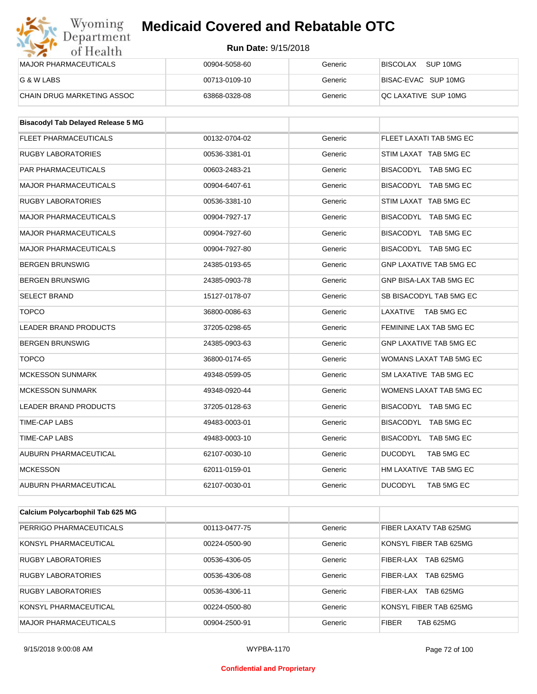#### **Run Date:** 9/15/2018

| Wyoming<br>Department        | <b>Medicaid Covered and Rebatable OTC</b><br><b>Run Date: 9/15/2018</b> |         |                             |  |  |
|------------------------------|-------------------------------------------------------------------------|---------|-----------------------------|--|--|
| of Health                    |                                                                         |         |                             |  |  |
| <b>MAJOR PHARMACEUTICALS</b> | 00904-5058-60                                                           | Generic | <b>BISCOLAX</b><br>SUP 10MG |  |  |
| G & W LABS                   | 00713-0109-10                                                           | Generic | BISAC-EVAC SUP 10MG         |  |  |
| CHAIN DRUG MARKETING ASSOC   | 63868-0328-08                                                           | Generic | QC LAXATIVE SUP 10MG        |  |  |

| <b>Bisacodyl Tab Delayed Release 5 MG</b> |               |         |                                |
|-------------------------------------------|---------------|---------|--------------------------------|
| <b>FLEET PHARMACEUTICALS</b>              | 00132-0704-02 | Generic | FLEET LAXATI TAB 5MG EC        |
| <b>RUGBY LABORATORIES</b>                 | 00536-3381-01 | Generic | STIM LAXAT TAB 5MG EC          |
| <b>PAR PHARMACEUTICALS</b>                | 00603-2483-21 | Generic | BISACODYL TAB 5MG EC           |
| <b>MAJOR PHARMACEUTICALS</b>              | 00904-6407-61 | Generic | BISACODYL TAB 5MG EC           |
| <b>RUGBY LABORATORIES</b>                 | 00536-3381-10 | Generic | STIM LAXAT TAB 5MG EC          |
| <b>MAJOR PHARMACEUTICALS</b>              | 00904-7927-17 | Generic | BISACODYL TAB 5MG EC           |
| <b>MAJOR PHARMACEUTICALS</b>              | 00904-7927-60 | Generic | BISACODYL TAB 5MG EC           |
| <b>MAJOR PHARMACEUTICALS</b>              | 00904-7927-80 | Generic | BISACODYL TAB 5MG EC           |
| <b>BERGEN BRUNSWIG</b>                    | 24385-0193-65 | Generic | <b>GNP LAXATIVE TAB 5MG EC</b> |
| <b>BERGEN BRUNSWIG</b>                    | 24385-0903-78 | Generic | GNP BISA-LAX TAB 5MG EC        |
| <b>SELECT BRAND</b>                       | 15127-0178-07 | Generic | SB BISACODYL TAB 5MG EC        |
| <b>TOPCO</b>                              | 36800-0086-63 | Generic | LAXATIVE<br>TAB 5MG EC         |
| <b>LEADER BRAND PRODUCTS</b>              | 37205-0298-65 | Generic | FEMININE LAX TAB 5MG EC        |
| <b>BERGEN BRUNSWIG</b>                    | 24385-0903-63 | Generic | <b>GNP LAXATIVE TAB 5MG EC</b> |
| <b>TOPCO</b>                              | 36800-0174-65 | Generic | WOMANS LAXAT TAB 5MG EC        |
| <b>MCKESSON SUNMARK</b>                   | 49348-0599-05 | Generic | SM LAXATIVE TAB 5MG EC         |
| <b>MCKESSON SUNMARK</b>                   | 49348-0920-44 | Generic | WOMENS LAXAT TAB 5MG EC        |
| LEADER BRAND PRODUCTS                     | 37205-0128-63 | Generic | BISACODYL TAB 5MG EC           |
| <b>TIME-CAP LABS</b>                      | 49483-0003-01 | Generic | BISACODYL TAB 5MG EC           |
| <b>TIME-CAP LABS</b>                      | 49483-0003-10 | Generic | BISACODYL TAB 5MG EC           |
| AUBURN PHARMACEUTICAL                     | 62107-0030-10 | Generic | <b>DUCODYL</b><br>TAB 5MG EC   |
| <b>MCKESSON</b>                           | 62011-0159-01 | Generic | HM LAXATIVE TAB 5MG EC         |
| <b>AUBURN PHARMACEUTICAL</b>              | 62107-0030-01 | Generic | <b>DUCODYL</b><br>TAB 5MG EC   |

| Calcium Polycarbophil Tab 625 MG |               |         |                                  |
|----------------------------------|---------------|---------|----------------------------------|
| PERRIGO PHARMACEUTICALS          | 00113-0477-75 | Generic | FIBER LAXATV TAB 625MG           |
| KONSYL PHARMACEUTICAL            | 00224-0500-90 | Generic | KONSYL FIBER TAB 625MG           |
| <b>RUGBY LABORATORIES</b>        | 00536-4306-05 | Generic | TAB 625MG<br>FIBER-LAX           |
| <b>RUGBY LABORATORIES</b>        | 00536-4306-08 | Generic | FIBER-LAX<br><b>TAB 625MG</b>    |
| <b>RUGBY LABORATORIES</b>        | 00536-4306-11 | Generic | <b>TAB 625MG</b><br>FIBER-LAX    |
| KONSYL PHARMACEUTICAL            | 00224-0500-80 | Generic | KONSYL FIBER TAB 625MG           |
| MAJOR PHARMACEUTICALS            | 00904-2500-91 | Generic | <b>FIBER</b><br><b>TAB 625MG</b> |

#### **Confidential and Proprietary**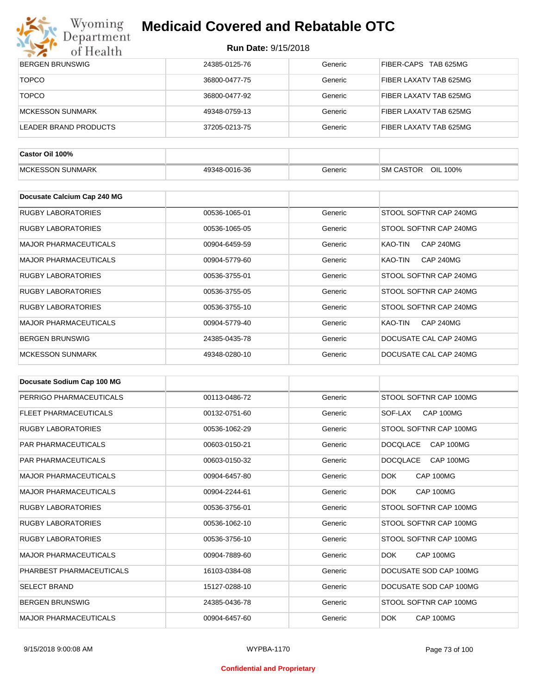

| $\bullet$ $\bullet$<br>0111001111 |               |         |                                    |
|-----------------------------------|---------------|---------|------------------------------------|
| <b>BERGEN BRUNSWIG</b>            | 24385-0125-76 | Generic | FIBER-CAPS TAB 625MG               |
| <b>TOPCO</b>                      | 36800-0477-75 | Generic | FIBER LAXATV TAB 625MG             |
| <b>TOPCO</b>                      | 36800-0477-92 | Generic | FIBER LAXATV TAB 625MG             |
| <b>MCKESSON SUNMARK</b>           | 49348-0759-13 | Generic | FIBER LAXATV TAB 625MG             |
| <b>LEADER BRAND PRODUCTS</b>      | 37205-0213-75 | Generic | FIBER LAXATV TAB 625MG             |
|                                   |               |         |                                    |
| Castor Oil 100%                   |               |         |                                    |
| <b>MCKESSON SUNMARK</b>           | 49348-0016-36 | Generic | SM CASTOR OIL 100%                 |
|                                   |               |         |                                    |
| Docusate Calcium Cap 240 MG       |               |         |                                    |
| <b>RUGBY LABORATORIES</b>         | 00536-1065-01 | Generic | STOOL SOFTNR CAP 240MG             |
| <b>RUGBY LABORATORIES</b>         | 00536-1065-05 | Generic | STOOL SOFTNR CAP 240MG             |
| <b>MAJOR PHARMACEUTICALS</b>      | 00904-6459-59 | Generic | <b>KAO-TIN</b><br>CAP 240MG        |
| <b>MAJOR PHARMACEUTICALS</b>      | 00904-5779-60 | Generic | <b>KAO-TIN</b><br><b>CAP 240MG</b> |
| <b>RUGBY LABORATORIES</b>         | 00536-3755-01 | Generic | STOOL SOFTNR CAP 240MG             |
| <b>RUGBY LABORATORIES</b>         | 00536-3755-05 | Generic | STOOL SOFTNR CAP 240MG             |
| <b>RUGBY LABORATORIES</b>         | 00536-3755-10 | Generic | STOOL SOFTNR CAP 240MG             |
| <b>MAJOR PHARMACEUTICALS</b>      | 00904-5779-40 | Generic | CAP 240MG<br>KAO-TIN               |
| <b>BERGEN BRUNSWIG</b>            | 24385-0435-78 | Generic | DOCUSATE CAL CAP 240MG             |
| <b>MCKESSON SUNMARK</b>           | 49348-0280-10 | Generic | DOCUSATE CAL CAP 240MG             |

| Docusate Sodium Cap 100 MG   |               |         |                              |
|------------------------------|---------------|---------|------------------------------|
| PERRIGO PHARMACEUTICALS      | 00113-0486-72 | Generic | STOOL SOFTNR CAP 100MG       |
| <b>FLEET PHARMACEUTICALS</b> | 00132-0751-60 | Generic | CAP 100MG<br>SOF-LAX         |
| <b>RUGBY LABORATORIES</b>    | 00536-1062-29 | Generic | STOOL SOFTNR CAP 100MG       |
| <b>PAR PHARMACEUTICALS</b>   | 00603-0150-21 | Generic | <b>DOCOLACE</b><br>CAP 100MG |
| <b>PAR PHARMACEUTICALS</b>   | 00603-0150-32 | Generic | <b>DOCQLACE</b><br>CAP 100MG |
| <b>MAJOR PHARMACEUTICALS</b> | 00904-6457-80 | Generic | <b>DOK</b><br>CAP 100MG      |
| <b>MAJOR PHARMACEUTICALS</b> | 00904-2244-61 | Generic | <b>DOK</b><br>CAP 100MG      |
| <b>RUGBY LABORATORIES</b>    | 00536-3756-01 | Generic | STOOL SOFTNR CAP 100MG       |
| <b>RUGBY LABORATORIES</b>    | 00536-1062-10 | Generic | STOOL SOFTNR CAP 100MG       |
| <b>RUGBY LABORATORIES</b>    | 00536-3756-10 | Generic | STOOL SOFTNR CAP 100MG       |
| <b>MAJOR PHARMACEUTICALS</b> | 00904-7889-60 | Generic | CAP 100MG<br>DOK.            |
| PHARBEST PHARMACEUTICALS     | 16103-0384-08 | Generic | DOCUSATE SOD CAP 100MG       |
| <b>SELECT BRAND</b>          | 15127-0288-10 | Generic | DOCUSATE SOD CAP 100MG       |
| <b>BERGEN BRUNSWIG</b>       | 24385-0436-78 | Generic | STOOL SOFTNR CAP 100MG       |
| <b>MAJOR PHARMACEUTICALS</b> | 00904-6457-60 | Generic | <b>DOK</b><br>CAP 100MG      |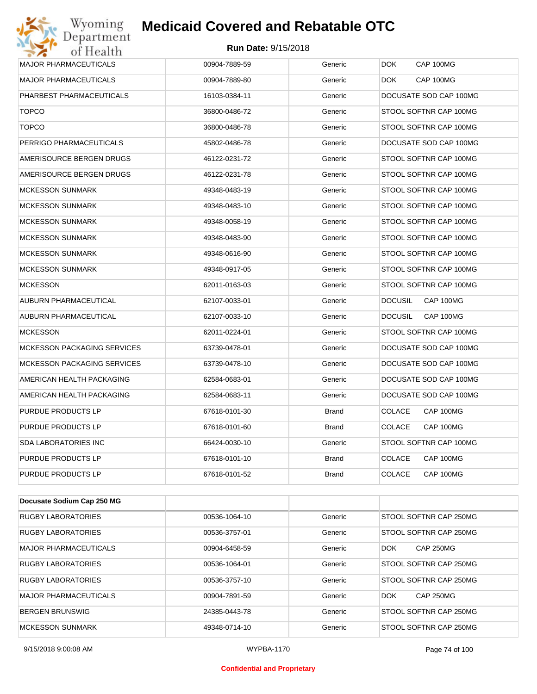#### **Run Date:** 9/15/2018

| Wyoming<br>Department              | <b>Medicaid Covered and Rebatable OTC</b> |              |                             |
|------------------------------------|-------------------------------------------|--------------|-----------------------------|
| of Health                          | <b>Run Date: 9/15/2018</b>                |              |                             |
| <b>MAJOR PHARMACEUTICALS</b>       | 00904-7889-59                             | Generic      | DOK.<br>CAP 100MG           |
| <b>MAJOR PHARMACEUTICALS</b>       | 00904-7889-80                             | Generic      | CAP 100MG<br>DOK.           |
| PHARBEST PHARMACEUTICALS           | 16103-0384-11                             | Generic      | DOCUSATE SOD CAP 100MG      |
| <b>TOPCO</b>                       | 36800-0486-72                             | Generic      | STOOL SOFTNR CAP 100MG      |
| <b>TOPCO</b>                       | 36800-0486-78                             | Generic      | STOOL SOFTNR CAP 100MG      |
| PERRIGO PHARMACEUTICALS            | 45802-0486-78                             | Generic      | DOCUSATE SOD CAP 100MG      |
| AMERISOURCE BERGEN DRUGS           | 46122-0231-72                             | Generic      | STOOL SOFTNR CAP 100MG      |
| AMERISOURCE BERGEN DRUGS           | 46122-0231-78                             | Generic      | STOOL SOFTNR CAP 100MG      |
| <b>MCKESSON SUNMARK</b>            | 49348-0483-19                             | Generic      | STOOL SOFTNR CAP 100MG      |
| <b>MCKESSON SUNMARK</b>            | 49348-0483-10                             | Generic      | STOOL SOFTNR CAP 100MG      |
| <b>MCKESSON SUNMARK</b>            | 49348-0058-19                             | Generic      | STOOL SOFTNR CAP 100MG      |
| <b>MCKESSON SUNMARK</b>            | 49348-0483-90                             | Generic      | STOOL SOFTNR CAP 100MG      |
| <b>MCKESSON SUNMARK</b>            | 49348-0616-90                             | Generic      | STOOL SOFTNR CAP 100MG      |
| <b>MCKESSON SUNMARK</b>            | 49348-0917-05                             | Generic      | STOOL SOFTNR CAP 100MG      |
| <b>MCKESSON</b>                    | 62011-0163-03                             | Generic      | STOOL SOFTNR CAP 100MG      |
| AUBURN PHARMACEUTICAL              | 62107-0033-01                             | Generic      | <b>DOCUSIL</b><br>CAP 100MG |
| AUBURN PHARMACEUTICAL              | 62107-0033-10                             | Generic      | CAP 100MG<br><b>DOCUSIL</b> |
| <b>MCKESSON</b>                    | 62011-0224-01                             | Generic      | STOOL SOFTNR CAP 100MG      |
| <b>MCKESSON PACKAGING SERVICES</b> | 63739-0478-01                             | Generic      | DOCUSATE SOD CAP 100MG      |
| <b>MCKESSON PACKAGING SERVICES</b> | 63739-0478-10                             | Generic      | DOCUSATE SOD CAP 100MG      |
| AMERICAN HEALTH PACKAGING          | 62584-0683-01                             | Generic      | DOCUSATE SOD CAP 100MG      |
| AMERICAN HEALTH PACKAGING          | 62584-0683-11                             | Generic      | DOCUSATE SOD CAP 100MG      |
| PURDUE PRODUCTS LP                 | 67618-0101-30                             | Brand        | <b>COLACE</b><br>CAP 100MG  |
| PURDUE PRODUCTS LP                 | 67618-0101-60                             | <b>Brand</b> | <b>COLACE</b><br>CAP 100MG  |
| SDA LABORATORIES INC               | 66424-0030-10                             | Generic      | STOOL SOFTNR CAP 100MG      |
| PURDUE PRODUCTS LP                 | 67618-0101-10                             | Brand        | <b>COLACE</b><br>CAP 100MG  |
| PURDUE PRODUCTS LP                 | 67618-0101-52                             | <b>Brand</b> | <b>COLACE</b><br>CAP 100MG  |
|                                    |                                           |              |                             |
| Docusate Sodium Cap 250 MG         |                                           |              |                             |

| <b>RUGBY LABORATORIES</b> | 00536-1064-10 | Generic | STOOL SOFTNR CAP 250MG         |
|---------------------------|---------------|---------|--------------------------------|
| <b>RUGBY LABORATORIES</b> | 00536-3757-01 | Generic | STOOL SOFTNR CAP 250MG         |
| MAJOR PHARMACEUTICALS     | 00904-6458-59 | Generic | <b>CAP 250MG</b><br><b>DOK</b> |
| <b>RUGBY LABORATORIES</b> | 00536-1064-01 | Generic | STOOL SOFTNR CAP 250MG         |
| <b>RUGBY LABORATORIES</b> | 00536-3757-10 | Generic | STOOL SOFTNR CAP 250MG         |
| MAJOR PHARMACEUTICALS     | 00904-7891-59 | Generic | <b>DOK</b><br>CAP 250MG        |
| <b>BERGEN BRUNSWIG</b>    | 24385-0443-78 | Generic | STOOL SOFTNR CAP 250MG         |
| <b>MCKESSON SUNMARK</b>   | 49348-0714-10 | Generic | STOOL SOFTNR CAP 250MG         |

#### **Confidential and Proprietary**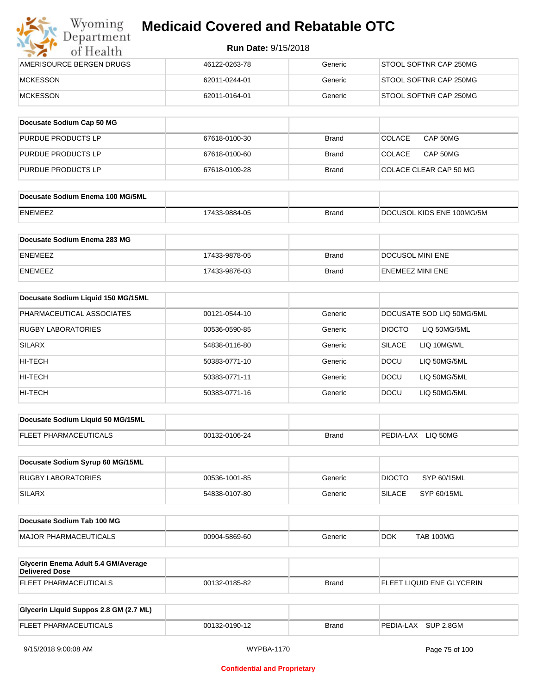| Wyoming<br>Department    | <b>Medicaid Covered and Rebatable OTC</b> |         |                        |  |  |
|--------------------------|-------------------------------------------|---------|------------------------|--|--|
| of Health                | <b>Run Date: 9/15/2018</b>                |         |                        |  |  |
| AMERISOURCE BERGEN DRUGS | 46122-0263-78                             | Generic | STOOL SOFTNR CAP 250MG |  |  |
| <b>MCKESSON</b>          | 62011-0244-01                             | Generic | STOOL SOFTNR CAP 250MG |  |  |
| <b>MCKESSON</b>          | 62011-0164-01                             | Generic | STOOL SOFTNR CAP 250MG |  |  |

| Docusate Sodium Cap 50 MG |               |              |                           |
|---------------------------|---------------|--------------|---------------------------|
| <b>PURDUE PRODUCTS LP</b> | 67618-0100-30 | Brand        | CAP 50MG<br><b>COLACE</b> |
| <b>PURDUE PRODUCTS LP</b> | 67618-0100-60 | Brand        | CAP 50MG<br>COLACE        |
| PURDUE PRODUCTS LP        | 67618-0109-28 | <b>Brand</b> | COLACE CLEAR CAP 50 MG    |

| Docusate Sodium Enema 100 MG/5ML |               |              |                           |
|----------------------------------|---------------|--------------|---------------------------|
| ENEMEEZ                          | 17433-9884-05 | <b>Brand</b> | DOCUSOL KIDS ENE 100MG/5M |

| Docusate Sodium Enema 283 MG |               |       |                          |
|------------------------------|---------------|-------|--------------------------|
| ENEMEEZ                      | 17433-9878-05 | Brand | <b>IDOCUSOL MINI ENE</b> |
| ENEMEEZ                      | 17433-9876-03 | Brand | ENEMEEZ MINI ENE         |

| Docusate Sodium Liquid 150 MG/15ML |               |         |                              |
|------------------------------------|---------------|---------|------------------------------|
| PHARMACEUTICAL ASSOCIATES          | 00121-0544-10 | Generic | DOCUSATE SOD LIQ 50MG/5ML    |
| <b>RUGBY LABORATORIES</b>          | 00536-0590-85 | Generic | DIOCTO<br>LIQ 50MG/5ML       |
| <b>SILARX</b>                      | 54838-0116-80 | Generic | <b>SILACE</b><br>LIQ 10MG/ML |
| HI-TECH                            | 50383-0771-10 | Generic | <b>DOCU</b><br>LIQ 50MG/5ML  |
| HI-TECH                            | 50383-0771-11 | Generic | LIO 50MG/5ML<br><b>DOCU</b>  |
| HI-TECH                            | 50383-0771-16 | Generic | <b>DOCU</b><br>LIQ 50MG/5ML  |

| Docusate Sodium Liquid 50 MG/15ML |               |       |                       |
|-----------------------------------|---------------|-------|-----------------------|
| <b>FLEET PHARMACEUTICALS</b>      | 00132-0106-24 | Brand | LIO 50MG<br>PEDIA-LAX |

| Docusate Sodium Syrup 60 MG/15ML |               |         |               |             |
|----------------------------------|---------------|---------|---------------|-------------|
| RUGBY LABORATORIES               | 00536-1001-85 | Generic | <b>DIOCTO</b> | SYP 60/15ML |
| <b>SILARX</b>                    | 54838-0107-80 | Generic | <b>SILACE</b> | SYP 60/15ML |

| Docusate Sodium Tab 100 MG |               |         |     |           |
|----------------------------|---------------|---------|-----|-----------|
| MAJOR PHARMACEUTICALS      | 00904-5869-60 | Generic | DOK | TAB 100MG |

| <b>Glycerin Enema Adult 5.4 GM/Average</b><br>Delivered Dose |               |       |                           |
|--------------------------------------------------------------|---------------|-------|---------------------------|
| <b>FLEET PHARMACEUTICALS</b>                                 | 00132-0185-82 | Brand | FLEET LIQUID ENE GLYCERIN |

| Glycerin Liquid Suppos 2.8 GM (2.7 ML) |               |              |                     |
|----------------------------------------|---------------|--------------|---------------------|
| <b>FLEET PHARMACEUTICALS</b>           | 00132-0190-12 | <b>Brand</b> | PEDIA-LAX SUP 2.8GM |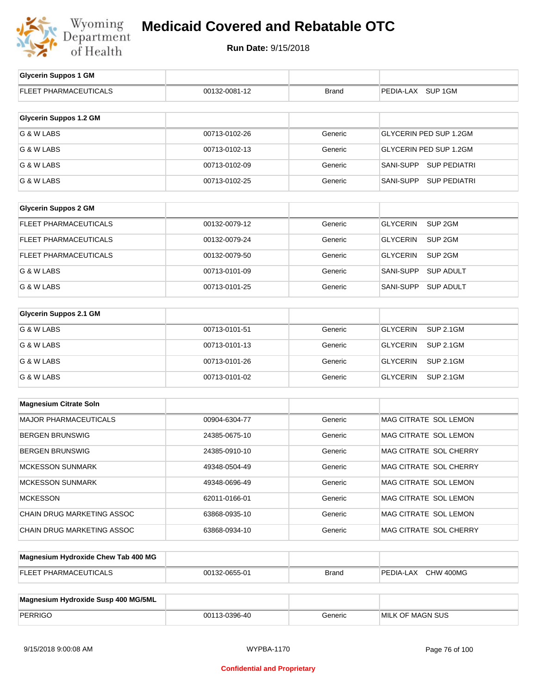

| <b>Glycerin Suppos 1 GM</b>         |               |         |                                       |
|-------------------------------------|---------------|---------|---------------------------------------|
| FLEET PHARMACEUTICALS               | 00132-0081-12 | Brand   | PEDIA-LAX SUP 1GM                     |
|                                     |               |         |                                       |
| <b>Glycerin Suppos 1.2 GM</b>       |               |         |                                       |
| G & W LABS                          | 00713-0102-26 | Generic | <b>GLYCERIN PED SUP 1.2GM</b>         |
| G & W LABS                          | 00713-0102-13 | Generic | <b>GLYCERIN PED SUP 1.2GM</b>         |
| G & W LABS                          | 00713-0102-09 | Generic | SANI-SUPP SUP PEDIATRI                |
| G & W LABS                          | 00713-0102-25 | Generic | SANI-SUPP<br><b>SUP PEDIATRI</b>      |
|                                     |               |         |                                       |
| <b>Glycerin Suppos 2 GM</b>         |               |         |                                       |
| FLEET PHARMACEUTICALS               | 00132-0079-12 | Generic | <b>GLYCERIN</b><br>SUP <sub>2GM</sub> |
| FLEET PHARMACEUTICALS               | 00132-0079-24 | Generic | <b>GLYCERIN</b><br>SUP <sub>2GM</sub> |
| FLEET PHARMACEUTICALS               | 00132-0079-50 | Generic | <b>GLYCERIN</b><br>SUP <sub>2GM</sub> |
| G & W LABS                          | 00713-0101-09 | Generic | SANI-SUPP<br><b>SUP ADULT</b>         |
| G & W LABS                          | 00713-0101-25 | Generic | <b>SANI-SUPP</b><br><b>SUP ADULT</b>  |
|                                     |               |         |                                       |
| <b>Glycerin Suppos 2.1 GM</b>       |               |         |                                       |
| G & W LABS                          | 00713-0101-51 | Generic | <b>GLYCERIN</b><br><b>SUP 2.1GM</b>   |
| G & W LABS                          | 00713-0101-13 | Generic | <b>GLYCERIN</b><br><b>SUP 2.1GM</b>   |
| G & W LABS                          | 00713-0101-26 | Generic | <b>GLYCERIN</b><br><b>SUP 2.1GM</b>   |
| G & W LABS                          | 00713-0101-02 | Generic | <b>GLYCERIN</b><br><b>SUP 2.1GM</b>   |
|                                     |               |         |                                       |
| <b>Magnesium Citrate Soln</b>       |               |         |                                       |
| <b>MAJOR PHARMACEUTICALS</b>        | 00904-6304-77 | Generic | MAG CITRATE SOL LEMON                 |
| <b>BERGEN BRUNSWIG</b>              | 24385-0675-10 | Generic | MAG CITRATE SOL LEMON                 |
| <b>BERGEN BRUNSWIG</b>              | 24385-0910-10 | Generic | MAG CITRATE SOL CHERRY                |
| MCKESSON SUNMARK                    | 49348-0504-49 | Generic | MAG CITRATE SOL CHERRY                |
| <b>MCKESSON SUNMARK</b>             | 49348-0696-49 | Generic | MAG CITRATE SOL LEMON                 |
| <b>MCKESSON</b>                     | 62011-0166-01 | Generic | MAG CITRATE SOL LEMON                 |
| CHAIN DRUG MARKETING ASSOC          | 63868-0935-10 | Generic | MAG CITRATE SOL LEMON                 |
| CHAIN DRUG MARKETING ASSOC          | 63868-0934-10 | Generic | MAG CITRATE SOL CHERRY                |
|                                     |               |         |                                       |
| Magnesium Hydroxide Chew Tab 400 MG |               |         |                                       |

| <b>FLEET PHARMACEUTICALS</b>        | 00132-0655-01 | <b>Brand</b> | PEDIA-LAX CHW 400MG     |
|-------------------------------------|---------------|--------------|-------------------------|
|                                     |               |              |                         |
| Magnesium Hydroxide Susp 400 MG/5ML |               |              |                         |
| PERRIGO                             | 00113-0396-40 | Generic      | <b>MILK OF MAGN SUS</b> |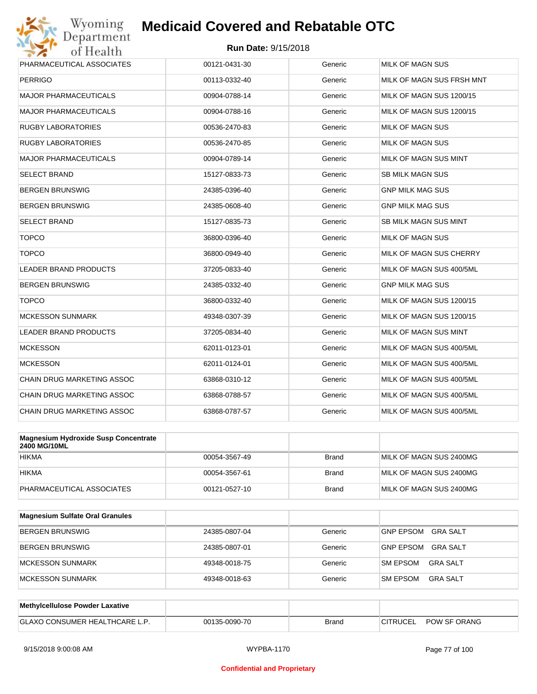

| PHARMACEUTICAL ASSOCIATES    | 00121-0431-30 | Generic | <b>MILK OF MAGN SUS</b>      |
|------------------------------|---------------|---------|------------------------------|
| <b>PERRIGO</b>               | 00113-0332-40 | Generic | MILK OF MAGN SUS FRSH MNT    |
| MAJOR PHARMACEUTICALS        | 00904-0788-14 | Generic | MILK OF MAGN SUS 1200/15     |
| MAJOR PHARMACEUTICALS        | 00904-0788-16 | Generic | MILK OF MAGN SUS 1200/15     |
| RUGBY LABORATORIES           | 00536-2470-83 | Generic | <b>MILK OF MAGN SUS</b>      |
| RUGBY LABORATORIES           | 00536-2470-85 | Generic | <b>MILK OF MAGN SUS</b>      |
| <b>MAJOR PHARMACEUTICALS</b> | 00904-0789-14 | Generic | MILK OF MAGN SUS MINT        |
| SELECT BRAND                 | 15127-0833-73 | Generic | <b>SB MILK MAGN SUS</b>      |
| BERGEN BRUNSWIG              | 24385-0396-40 | Generic | <b>GNP MILK MAG SUS</b>      |
| <b>BERGEN BRUNSWIG</b>       | 24385-0608-40 | Generic | <b>GNP MILK MAG SUS</b>      |
| SELECT BRAND                 | 15127-0835-73 | Generic | <b>SB MILK MAGN SUS MINT</b> |
| <b>TOPCO</b>                 | 36800-0396-40 | Generic | <b>MILK OF MAGN SUS</b>      |
| <b>TOPCO</b>                 | 36800-0949-40 | Generic | MILK OF MAGN SUS CHERRY      |
| LEADER BRAND PRODUCTS        | 37205-0833-40 | Generic | MILK OF MAGN SUS 400/5ML     |
| BERGEN BRUNSWIG              | 24385-0332-40 | Generic | <b>GNP MILK MAG SUS</b>      |
| <b>TOPCO</b>                 | 36800-0332-40 | Generic | MILK OF MAGN SUS 1200/15     |
| <b>MCKESSON SUNMARK</b>      | 49348-0307-39 | Generic | MILK OF MAGN SUS 1200/15     |
| <b>LEADER BRAND PRODUCTS</b> | 37205-0834-40 | Generic | MILK OF MAGN SUS MINT        |
| <b>MCKESSON</b>              | 62011-0123-01 | Generic | MILK OF MAGN SUS 400/5ML     |
| <b>MCKESSON</b>              | 62011-0124-01 | Generic | MILK OF MAGN SUS 400/5ML     |
| CHAIN DRUG MARKETING ASSOC   | 63868-0310-12 | Generic | MILK OF MAGN SUS 400/5ML     |
| CHAIN DRUG MARKETING ASSOC   | 63868-0788-57 | Generic | MILK OF MAGN SUS 400/5ML     |
| CHAIN DRUG MARKETING ASSOC   | 63868-0787-57 | Generic | MILK OF MAGN SUS 400/5ML     |
|                              |               |         |                              |

| Magnesium Hydroxide Susp Concentrate<br>2400 MG/10ML |               |              |                         |
|------------------------------------------------------|---------------|--------------|-------------------------|
| <b>HIKMA</b>                                         | 00054-3567-49 | <b>Brand</b> | MILK OF MAGN SUS 2400MG |
| <b>HIKMA</b>                                         | 00054-3567-61 | <b>Brand</b> | MILK OF MAGN SUS 2400MG |
| PHARMACEUTICAL ASSOCIATES                            | 00121-0527-10 | <b>Brand</b> | MILK OF MAGN SUS 2400MG |

| <b>Magnesium Sulfate Oral Granules</b> |               |         |                                     |
|----------------------------------------|---------------|---------|-------------------------------------|
| <b>BERGEN BRUNSWIG</b>                 | 24385-0807-04 | Generic | <b>GNP EPSOM</b><br><b>GRA SALT</b> |
| <b>BERGEN BRUNSWIG</b>                 | 24385-0807-01 | Generic | <b>GNP EPSOM</b><br><b>GRA SALT</b> |
| MCKESSON SUNMARK                       | 49348-0018-75 | Generic | <b>SM EPSOM</b><br>GRA SALT         |
| MCKESSON SUNMARK                       | 49348-0018-63 | Generic | GRA SALT<br><b>SM EPSOM</b>         |

| <b>Methylcellulose Powder Laxative</b> |               |       |                 |              |
|----------------------------------------|---------------|-------|-----------------|--------------|
| <b>GLAXO CONSUMER HEALTHCARE L.</b>    | 00135-0090-70 | Brand | <b>CITRUCEL</b> | POW SF ORANG |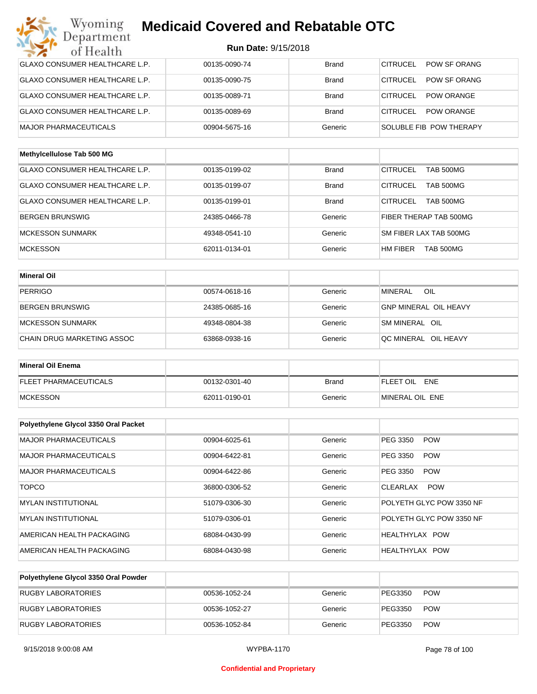#### **Run Date:** 9/15/2018

| Wyoming                               | <b>Medicaid Covered and Rebatable OTC</b> |              |                                      |
|---------------------------------------|-------------------------------------------|--------------|--------------------------------------|
| Department<br>of Health               | <b>Run Date: 9/15/2018</b>                |              |                                      |
| <b>GLAXO CONSUMER HEALTHCARE L.P.</b> | 00135-0090-74                             | <b>Brand</b> | <b>CITRUCEL</b><br>POW SF ORANG      |
| <b>GLAXO CONSUMER HEALTHCARE L.P.</b> | 00135-0090-75                             | <b>Brand</b> | <b>CITRUCEL</b><br>POW SF ORANG      |
| <b>GLAXO CONSUMER HEALTHCARE L.P.</b> | 00135-0089-71                             | <b>Brand</b> | <b>CITRUCEL</b><br><b>POW ORANGE</b> |
| <b>GLAXO CONSUMER HEALTHCARE L.P.</b> | 00135-0089-69                             | <b>Brand</b> | <b>CITRUCEL</b><br><b>POW ORANGE</b> |
| <b>MAJOR PHARMACEUTICALS</b>          | 00904-5675-16                             | Generic      | SOLUBLE FIB POW THERAPY              |
| Methylcellulose Tab 500 MG            |                                           |              |                                      |
| <b>GLAXO CONSUMER HEALTHCARE L.P.</b> | 00135-0199-02                             | <b>Brand</b> | <b>CITRUCEL</b><br>TAB 500MG         |
| <b>GLAXO CONSUMER HEALTHCARE L.P.</b> | 00135-0199-07                             | <b>Brand</b> | <b>CITRUCEL</b><br>TAB 500MG         |
| GLAXO CONSUMER HEALTHCARE L.P.        | 00135-0199-01                             | <b>Brand</b> | <b>CITRUCEL</b><br>TAB 500MG         |
| <b>BERGEN BRUNSWIG</b>                | 24385-0466-78                             | Generic      | FIBER THERAP TAB 500MG               |
| <b>MCKESSON SUNMARK</b>               | 49348-0541-10                             | Generic      | SM FIBER LAX TAB 500MG               |
| <b>MCKESSON</b>                       | 62011-0134-01                             | Generic      | HM FIBER<br>TAB 500MG                |
| <b>Mineral Oil</b>                    |                                           |              |                                      |
| <b>PERRIGO</b>                        | 00574-0618-16                             | Generic      | <b>MINERAL</b><br>OIL                |
| <b>BERGEN BRUNSWIG</b>                | 24385-0685-16                             | Generic      | <b>GNP MINERAL OIL HEAVY</b>         |
| <b>MCKESSON SUNMARK</b>               | 49348-0804-38                             | Generic      | SM MINERAL OIL                       |
| CHAIN DRUG MARKETING ASSOC            | 63868-0938-16                             | Generic      | QC MINERAL OIL HEAVY                 |
| <b>Mineral Oil Enema</b>              |                                           |              |                                      |
| <b>FLEET PHARMACEUTICALS</b>          | 00132-0301-40                             | <b>Brand</b> | FLEET OIL ENE                        |
| <b>MCKESSON</b>                       | 62011-0190-01                             | Generic      | MINERAL OIL ENE                      |
| Polyethylene Glycol 3350 Oral Packet  |                                           |              |                                      |
| MAJOR PHARMACEUTICALS                 | 00904-6025-61                             | Generic      | PEG 3350<br><b>POW</b>               |
| MAJOR PHARMACEUTICALS                 | 00904-6422-81                             | Generic      | PEG 3350<br><b>POW</b>               |
| <b>MAJOR PHARMACEUTICALS</b>          | 00904-6422-86                             | Generic      | PEG 3350<br><b>POW</b>               |
| <b>TOPCO</b>                          | 36800-0306-52                             | Generic      | <b>POW</b><br><b>CLEARLAX</b>        |
| MYLAN INSTITUTIONAL                   | 51079-0306-30                             | Generic      | POLYETH GLYC POW 3350 NF             |
| MYLAN INSTITUTIONAL                   | 51079-0306-01                             | Generic      | POLYETH GLYC POW 3350 NF             |
| AMERICAN HEALTH PACKAGING             | 68084-0430-99                             | Generic      | HEALTHYLAX POW                       |

| Polyethylene Glycol 3350 Oral Powder |               |         |         |            |
|--------------------------------------|---------------|---------|---------|------------|
| RUGBY LABORATORIES                   | 00536-1052-24 | Generic | PEG3350 | <b>POW</b> |
| <b>RUGBY LABORATORIES</b>            | 00536-1052-27 | Generic | PEG3350 | <b>POW</b> |
| <b>RUGBY LABORATORIES</b>            | 00536-1052-84 | Generic | PEG3350 | <b>POW</b> |

AMERICAN HEALTH PACKAGING **68084-0430-98** 68084-0430-98 Generic HEALTHYLAX POW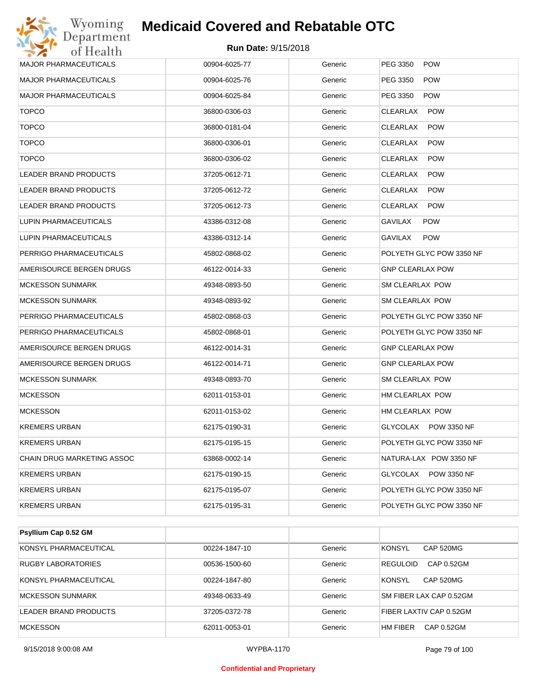

| Wyoming<br>Department        | <b>Medicaid Covered and Rebatable OTC</b> |         |                               |
|------------------------------|-------------------------------------------|---------|-------------------------------|
| of Health                    | Run Date: 9/15/2018                       |         |                               |
| <b>MAJOR PHARMACEUTICALS</b> | 00904-6025-77                             | Generic | PEG 3350<br><b>POW</b>        |
| MAJOR PHARMACEUTICALS        | 00904-6025-76                             | Generic | PEG 3350<br><b>POW</b>        |
| MAJOR PHARMACEUTICALS        | 00904-6025-84                             | Generic | PEG 3350<br><b>POW</b>        |
| <b>TOPCO</b>                 | 36800-0306-03                             | Generic | <b>CLEARLAX</b><br><b>POW</b> |
| <b>TOPCO</b>                 | 36800-0181-04                             | Generic | <b>CLEARLAX</b><br><b>POW</b> |
| <b>TOPCO</b>                 | 36800-0306-01                             | Generic | CLEARLAX<br><b>POW</b>        |
| <b>TOPCO</b>                 | 36800-0306-02                             | Generic | CLEARLAX<br><b>POW</b>        |
| LEADER BRAND PRODUCTS        | 37205-0612-71                             | Generic | CLEARLAX<br><b>POW</b>        |
| LEADER BRAND PRODUCTS        | 37205-0612-72                             | Generic | CLEARLAX<br><b>POW</b>        |
| LEADER BRAND PRODUCTS        | 37205-0612-73                             | Generic | CLEARLAX<br><b>POW</b>        |
| LUPIN PHARMACEUTICALS        | 43386-0312-08                             | Generic | <b>GAVILAX</b><br><b>POW</b>  |
| LUPIN PHARMACEUTICALS        | 43386-0312-14                             | Generic | <b>GAVILAX</b><br><b>POW</b>  |
| PERRIGO PHARMACEUTICALS      | 45802-0868-02                             | Generic | POLYETH GLYC POW 3350 NF      |
| AMERISOURCE BERGEN DRUGS     | 46122-0014-33                             | Generic | <b>GNP CLEARLAX POW</b>       |
| <b>MCKESSON SUNMARK</b>      | 49348-0893-50                             | Generic | SM CLEARLAX POW               |
| MCKESSON SUNMARK             | 49348-0893-92                             | Generic | SM CLEARLAX POW               |
| PERRIGO PHARMACEUTICALS      | 45802-0868-03                             | Generic | POLYETH GLYC POW 3350 NF      |
| PERRIGO PHARMACEUTICALS      | 45802-0868-01                             | Generic | POLYETH GLYC POW 3350 NF      |
| AMERISOURCE BERGEN DRUGS     | 46122-0014-31                             | Generic | <b>GNP CLEARLAX POW</b>       |
| AMERISOURCE BERGEN DRUGS     | 46122-0014-71                             | Generic | <b>GNP CLEARLAX POW</b>       |
| <b>MCKESSON SUNMARK</b>      | 49348-0893-70                             | Generic | SM CLEARLAX POW               |
| <b>MCKESSON</b>              | 62011-0153-01                             | Generic | HM CLEARLAX POW               |
| MCKESSON                     | 62011-0153-02                             | Generic | HM CLEARLAX POW               |
| KREMERS URBAN                | 62175-0190-31                             | Generic | GLYCOLAX POW 3350 NF          |
| KREMERS URBAN                | 62175-0195-15                             | Generic | POLYETH GLYC POW 3350 NF      |
| CHAIN DRUG MARKETING ASSOC   | 63868-0002-14                             | Generic | NATURA-LAX POW 3350 NF        |
| KREMERS URBAN                | 62175-0190-15                             | Generic | GLYCOLAX POW 3350 NF          |
| KREMERS URBAN                | 62175-0195-07                             | Generic | POLYETH GLYC POW 3350 NF      |
| KREMERS URBAN                | 62175-0195-31                             | Generic | POLYETH GLYC POW 3350 NF      |
|                              |                                           |         |                               |

| <b>Psyllium Cap 0.52 GM</b> |               |         |                               |
|-----------------------------|---------------|---------|-------------------------------|
| KONSYL PHARMACEUTICAL       | 00224-1847-10 | Generic | KONSYL<br><b>CAP 520MG</b>    |
| RUGBY LABORATORIES          | 00536-1500-60 | Generic | <b>REGULOID</b><br>CAP 0.52GM |
| KONSYL PHARMACEUTICAL       | 00224-1847-80 | Generic | KONSYL<br><b>CAP 520MG</b>    |
| MCKESSON SUNMARK            | 49348-0633-49 | Generic | SM FIBER LAX CAP 0.52GM       |
| LEADER BRAND PRODUCTS       | 37205-0372-78 | Generic | FIBER LAXTIV CAP 0.52GM       |
| <b>MCKESSON</b>             | 62011-0053-01 | Generic | <b>HM FIBER</b><br>CAP 0.52GM |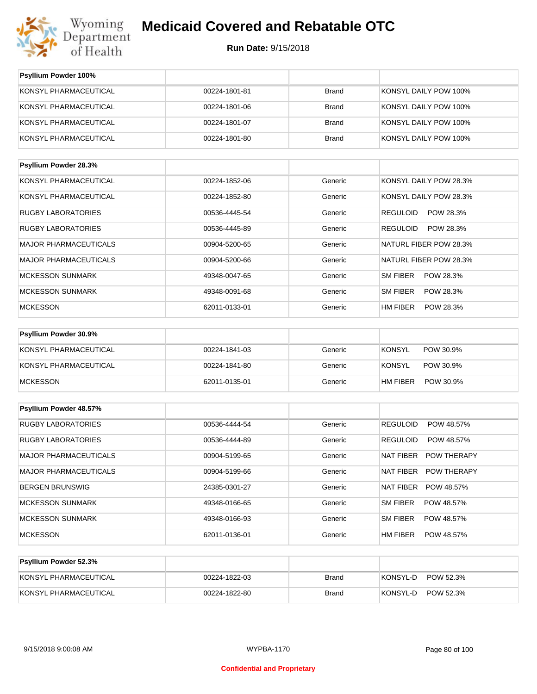

| Psyllium Powder 100%         |               |              |                               |
|------------------------------|---------------|--------------|-------------------------------|
| KONSYL PHARMACEUTICAL        | 00224-1801-81 | <b>Brand</b> | KONSYL DAILY POW 100%         |
| KONSYL PHARMACEUTICAL        | 00224-1801-06 | <b>Brand</b> | KONSYL DAILY POW 100%         |
| KONSYL PHARMACEUTICAL        | 00224-1801-07 | <b>Brand</b> | KONSYL DAILY POW 100%         |
| KONSYL PHARMACEUTICAL        | 00224-1801-80 | <b>Brand</b> | KONSYL DAILY POW 100%         |
| Psyllium Powder 28.3%        |               |              |                               |
| KONSYL PHARMACEUTICAL        | 00224-1852-06 | Generic      | KONSYL DAILY POW 28.3%        |
| KONSYL PHARMACEUTICAL        | 00224-1852-80 | Generic      | KONSYL DAILY POW 28.3%        |
| <b>RUGBY LABORATORIES</b>    | 00536-4445-54 | Generic      | REGULOID<br>POW 28.3%         |
| <b>RUGBY LABORATORIES</b>    | 00536-4445-89 | Generic      | REGULOID<br>POW 28.3%         |
| <b>MAJOR PHARMACEUTICALS</b> | 00904-5200-65 | Generic      | <b>NATURL FIBER POW 28.3%</b> |
| MAJOR PHARMACEUTICALS        | 00904-5200-66 | Generic      | NATURL FIBER POW 28.3%        |
| <b>MCKESSON SUNMARK</b>      | 49348-0047-65 | Generic      | SM FIBER<br>POW 28.3%         |
| <b>MCKESSON SUNMARK</b>      | 49348-0091-68 | Generic      | SM FIBER<br>POW 28.3%         |
| <b>MCKESSON</b>              | 62011-0133-01 | Generic      | HM FIBER<br>POW 28.3%         |
| Psyllium Powder 30.9%        |               |              |                               |
| KONSYL PHARMACEUTICAL        | 00224-1841-03 | Generic      | <b>KONSYL</b><br>POW 30.9%    |
| KONSYL PHARMACEUTICAL        | 00224-1841-80 | Generic      | KONSYL<br>POW 30.9%           |
| <b>MCKESSON</b>              | 62011-0135-01 | Generic      | HM FIBER<br>POW 30.9%         |
| Psyllium Powder 48.57%       |               |              |                               |
| <b>RUGBY LABORATORIES</b>    | 00536-4444-54 | Generic      | <b>REGULOID</b><br>POW 48.57% |
| <b>RUGBY LABORATORIES</b>    | 00536-4444-89 | Generic      | REGULOID<br>POW 48.57%        |
| <b>MAJOR PHARMACEUTICALS</b> | 00904-5199-65 | Generic      | NAT FIBER<br>POW THERAPY      |
| <b>MAJOR PHARMACEUTICALS</b> | 00904-5199-66 | Generic      | NAT FIBER<br>POW THERAPY      |
| <b>BERGEN BRUNSWIG</b>       | 24385-0301-27 | Generic      | NAT FIBER<br>POW 48.57%       |
| <b>MCKESSON SUNMARK</b>      | 49348-0166-65 | Generic      | SM FIBER<br>POW 48.57%        |
| <b>MCKESSON SUNMARK</b>      | 49348-0166-93 | Generic      | SM FIBER<br>POW 48.57%        |
| <b>MCKESSON</b>              | 62011-0136-01 | Generic      | HM FIBER<br>POW 48.57%        |
|                              |               |              |                               |

| KONSYL PHARMACEUTICAL | 00224-1822-03 | Brand | POW 52.3%<br>KONSYL-D |
|-----------------------|---------------|-------|-----------------------|
| KONSYL PHARMACEUTICAL | 00224-1822-80 | Brand | POW 52.3%<br>KONSYL-D |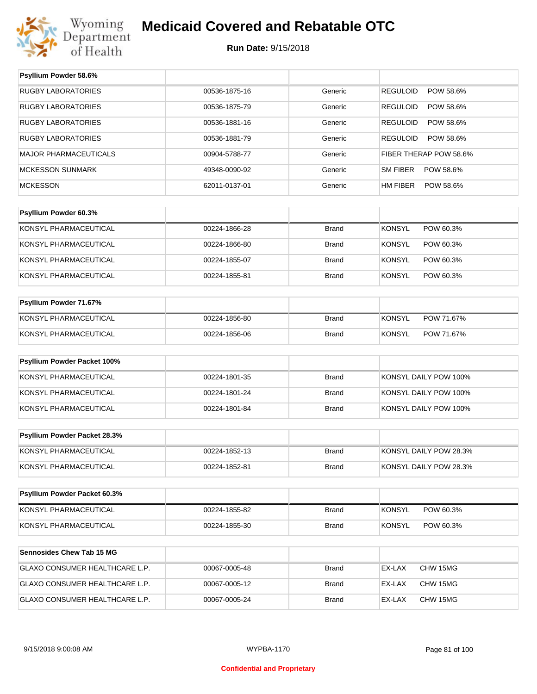

#### **Run Date:** 9/15/2018

| Psyllium Powder 58.6%          |               |              |                              |  |  |
|--------------------------------|---------------|--------------|------------------------------|--|--|
| <b>RUGBY LABORATORIES</b>      | 00536-1875-16 | Generic      | <b>REGULOID</b><br>POW 58.6% |  |  |
| <b>RUGBY LABORATORIES</b>      | 00536-1875-79 | Generic      | POW 58.6%<br><b>REGULOID</b> |  |  |
| <b>RUGBY LABORATORIES</b>      | 00536-1881-16 | Generic      | <b>REGULOID</b><br>POW 58.6% |  |  |
| <b>RUGBY LABORATORIES</b>      | 00536-1881-79 | Generic      | <b>REGULOID</b><br>POW 58.6% |  |  |
| <b>MAJOR PHARMACEUTICALS</b>   | 00904-5788-77 | Generic      | FIBER THERAP POW 58.6%       |  |  |
| <b>MCKESSON SUNMARK</b>        | 49348-0090-92 | Generic      | <b>SM FIBER</b><br>POW 58.6% |  |  |
| <b>MCKESSON</b>                | 62011-0137-01 | Generic      | HM FIBER<br>POW 58.6%        |  |  |
|                                |               |              |                              |  |  |
| Psyllium Powder 60.3%          |               |              |                              |  |  |
| KONSYL PHARMACEUTICAL          | 00224-1866-28 | <b>Brand</b> | <b>KONSYL</b><br>POW 60.3%   |  |  |
| KONSYL PHARMACEUTICAL          | 00224-1866-80 | <b>Brand</b> | <b>KONSYL</b><br>POW 60.3%   |  |  |
| KONSYL PHARMACEUTICAL          | 00224-1855-07 | <b>Brand</b> | <b>KONSYL</b><br>POW 60.3%   |  |  |
| KONSYL PHARMACEUTICAL          | 00224-1855-81 | <b>Brand</b> | <b>KONSYL</b><br>POW 60.3%   |  |  |
|                                |               |              |                              |  |  |
| Psyllium Powder 71.67%         |               |              |                              |  |  |
| KONSYL PHARMACEUTICAL          | 00224-1856-80 | <b>Brand</b> | <b>KONSYL</b><br>POW 71.67%  |  |  |
| KONSYL PHARMACEUTICAL          | 00224-1856-06 | <b>Brand</b> | <b>KONSYL</b><br>POW 71.67%  |  |  |
| Psyllium Powder Packet 100%    |               |              |                              |  |  |
| KONSYL PHARMACEUTICAL          | 00224-1801-35 | <b>Brand</b> | KONSYL DAILY POW 100%        |  |  |
| KONSYL PHARMACEUTICAL          | 00224-1801-24 | <b>Brand</b> | KONSYL DAILY POW 100%        |  |  |
| KONSYL PHARMACEUTICAL          | 00224-1801-84 | <b>Brand</b> | KONSYL DAILY POW 100%        |  |  |
|                                |               |              |                              |  |  |
| Psyllium Powder Packet 28.3%   |               |              |                              |  |  |
| KONSYL PHARMACEUTICAL          | 00224-1852-13 | <b>Brand</b> | KONSYL DAILY POW 28.3%       |  |  |
| KONSYL PHARMACEUTICAL          | 00224-1852-81 | Brand        | KONSYL DAILY POW 28.3%       |  |  |
| Psyllium Powder Packet 60.3%   |               |              |                              |  |  |
| KONSYL PHARMACEUTICAL          | 00224-1855-82 | <b>Brand</b> | <b>KONSYL</b><br>POW 60.3%   |  |  |
| KONSYL PHARMACEUTICAL          | 00224-1855-30 | Brand        | <b>KONSYL</b><br>POW 60.3%   |  |  |
|                                |               |              |                              |  |  |
| Sennosides Chew Tab 15 MG      |               |              |                              |  |  |
| GLAXO CONSUMER HEALTHCARE L.P. | 00067-0005-48 | Brand        | EX-LAX<br>CHW 15MG           |  |  |
| GLAXO CONSUMER HEALTHCARE L.P. | 00067-0005-12 | Brand        | EX-LAX<br>CHW 15MG           |  |  |
| GLAXO CONSUMER HEALTHCARE L.P. | 00067-0005-24 | <b>Brand</b> | EX-LAX<br>CHW 15MG           |  |  |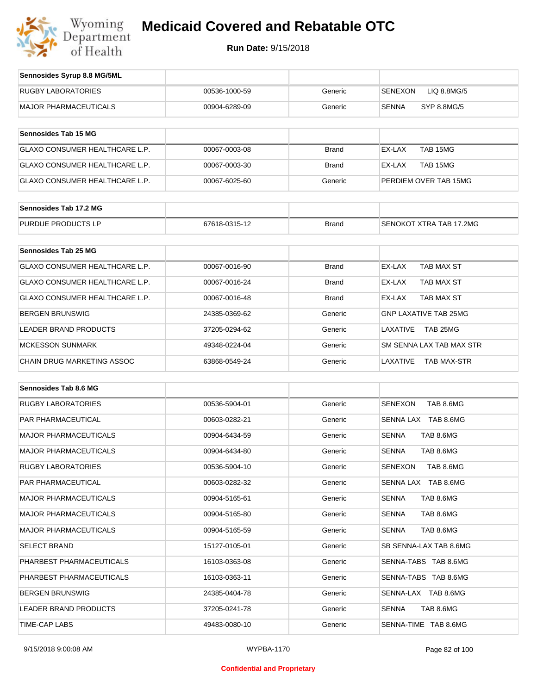

| Sennosides Syrup 8.8 MG/5ML           |               |              |                               |
|---------------------------------------|---------------|--------------|-------------------------------|
| <b>RUGBY LABORATORIES</b>             | 00536-1000-59 | Generic      | <b>SENEXON</b><br>LIQ 8.8MG/5 |
| <b>MAJOR PHARMACEUTICALS</b>          | 00904-6289-09 | Generic      | <b>SENNA</b><br>SYP 8.8MG/5   |
|                                       |               |              |                               |
| Sennosides Tab 15 MG                  |               |              |                               |
| <b>GLAXO CONSUMER HEALTHCARE L.P.</b> | 00067-0003-08 | <b>Brand</b> | EX-LAX<br>TAB 15MG            |
| <b>GLAXO CONSUMER HEALTHCARE L.P.</b> | 00067-0003-30 | <b>Brand</b> | EX-LAX<br>TAB 15MG            |
| <b>GLAXO CONSUMER HEALTHCARE L.P.</b> | 00067-6025-60 | Generic      | PERDIEM OVER TAB 15MG         |
| Sennosides Tab 17.2 MG                |               |              |                               |
|                                       |               |              |                               |
| PURDUE PRODUCTS LP                    | 67618-0315-12 | <b>Brand</b> | SENOKOT XTRA TAB 17,2MG       |
| <b>Sennosides Tab 25 MG</b>           |               |              |                               |
|                                       |               |              |                               |
| <b>GLAXO CONSUMER HEALTHCARE L.P.</b> | 00067-0016-90 | <b>Brand</b> | EX-LAX<br><b>TAB MAX ST</b>   |
| <b>GLAXO CONSUMER HEALTHCARE L.P.</b> | 00067-0016-24 | <b>Brand</b> | EX-LAX<br>TAB MAX ST          |
| <b>GLAXO CONSUMER HEALTHCARE L.P.</b> | 00067-0016-48 | <b>Brand</b> | EX-LAX<br>TAB MAX ST          |
| <b>BERGEN BRUNSWIG</b>                | 24385-0369-62 | Generic      | <b>GNP LAXATIVE TAB 25MG</b>  |

| BERGEN BRUNSWIG             | 24385-0369-62 | Generic | GNP LAXATIVE TAB 25MG          |
|-----------------------------|---------------|---------|--------------------------------|
| LEADER BRAND PRODUCTS       | 37205-0294-62 | Generic | TAB 25MG<br>I AXATIVF          |
| MCKESSON SUNMARK            | 49348-0224-04 | Generic | SM SENNA LAX TAB MAX STR       |
| ICHAIN DRUG MARKETING ASSOC | 63868-0549-24 | Generic | <b>TAB MAX-STR</b><br>LAXATIVE |

| Sennosides Tab 8.6 MG        |               |         |                             |
|------------------------------|---------------|---------|-----------------------------|
| <b>RUGBY LABORATORIES</b>    | 00536-5904-01 | Generic | TAB 8.6MG<br><b>SENEXON</b> |
| <b>PAR PHARMACEUTICAL</b>    | 00603-0282-21 | Generic | SENNA LAX TAB 8.6MG         |
| <b>MAJOR PHARMACEUTICALS</b> | 00904-6434-59 | Generic | TAB 8.6MG<br><b>SENNA</b>   |
| <b>MAJOR PHARMACEUTICALS</b> | 00904-6434-80 | Generic | TAB 8.6MG<br><b>SENNA</b>   |
| RUGBY LABORATORIES           | 00536-5904-10 | Generic | <b>SENEXON</b><br>TAB 8.6MG |
| <b>PAR PHARMACEUTICAL</b>    | 00603-0282-32 | Generic | SENNA LAX TAB 8.6MG         |
| <b>MAJOR PHARMACEUTICALS</b> | 00904-5165-61 | Generic | TAB 8.6MG<br><b>SENNA</b>   |
| <b>MAJOR PHARMACEUTICALS</b> | 00904-5165-80 | Generic | TAB 8.6MG<br><b>SENNA</b>   |
| <b>MAJOR PHARMACEUTICALS</b> | 00904-5165-59 | Generic | <b>SENNA</b><br>TAB 8.6MG   |
| <b>SELECT BRAND</b>          | 15127-0105-01 | Generic | SB SENNA-LAX TAB 8.6MG      |
| PHARBEST PHARMACEUTICALS     | 16103-0363-08 | Generic | SENNA-TABS TAB 8.6MG        |
| PHARBEST PHARMACEUTICALS     | 16103-0363-11 | Generic | SENNA-TABS TAB 8.6MG        |
| <b>BERGEN BRUNSWIG</b>       | 24385-0404-78 | Generic | SENNA-LAX TAB 8.6MG         |
| <b>LEADER BRAND PRODUCTS</b> | 37205-0241-78 | Generic | <b>SENNA</b><br>TAB 8.6MG   |
| <b>TIME-CAP LABS</b>         | 49483-0080-10 | Generic | SENNA-TIME TAB 8.6MG        |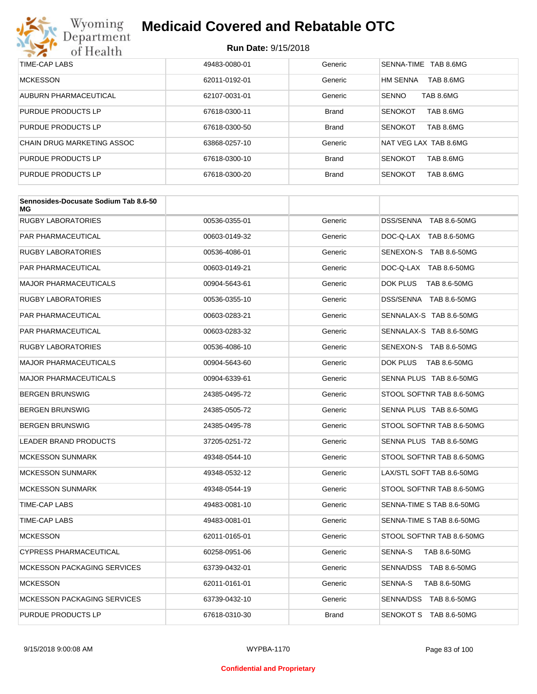

| TIME-CAP LABS              | 49483-0080-01 | Generic      | SENNA-TIME<br>TAB 8.6MG      |
|----------------------------|---------------|--------------|------------------------------|
| <b>MCKESSON</b>            | 62011-0192-01 | Generic      | <b>HM SENNA</b><br>TAB 8.6MG |
| AUBURN PHARMACEUTICAL      | 62107-0031-01 | Generic      | <b>SENNO</b><br>TAB 8.6MG    |
| PURDUE PRODUCTS LP         | 67618-0300-11 | <b>Brand</b> | TAB 8.6MG<br><b>SENOKOT</b>  |
| PURDUE PRODUCTS LP         | 67618-0300-50 | <b>Brand</b> | <b>SENOKOT</b><br>TAB 8.6MG  |
| CHAIN DRUG MARKETING ASSOC | 63868-0257-10 | Generic      | NAT VEG LAX TAB 8.6MG        |
| PURDUE PRODUCTS LP         | 67618-0300-10 | <b>Brand</b> | <b>SENOKOT</b><br>TAB 8.6MG  |
| PURDUE PRODUCTS LP         | 67618-0300-20 | <b>Brand</b> | <b>SENOKOT</b><br>TAB 8.6MG  |

| Sennosides-Docusate Sodium Tab 8.6-50<br>ΜG |               |              |                           |
|---------------------------------------------|---------------|--------------|---------------------------|
| <b>RUGBY LABORATORIES</b>                   | 00536-0355-01 | Generic      | DSS/SENNA TAB 8.6-50MG    |
| PAR PHARMACEUTICAL                          | 00603-0149-32 | Generic      | DOC-Q-LAX TAB 8.6-50MG    |
| <b>RUGBY LABORATORIES</b>                   | 00536-4086-01 | Generic      | SENEXON-S TAB 8.6-50MG    |
| <b>PAR PHARMACEUTICAL</b>                   | 00603-0149-21 | Generic      | DOC-Q-LAX TAB 8.6-50MG    |
| <b>MAJOR PHARMACEUTICALS</b>                | 00904-5643-61 | Generic      | DOK PLUS<br>TAB 8.6-50MG  |
| <b>RUGBY LABORATORIES</b>                   | 00536-0355-10 | Generic      | DSS/SENNA TAB 8.6-50MG    |
| <b>PAR PHARMACEUTICAL</b>                   | 00603-0283-21 | Generic      | SENNALAX-S TAB 8.6-50MG   |
| PAR PHARMACEUTICAL                          | 00603-0283-32 | Generic      | SENNALAX-S TAB 8.6-50MG   |
| RUGBY LABORATORIES                          | 00536-4086-10 | Generic      | SENEXON-S TAB 8.6-50MG    |
| <b>MAJOR PHARMACEUTICALS</b>                | 00904-5643-60 | Generic      | DOK PLUS<br>TAB 8.6-50MG  |
| <b>MAJOR PHARMACEUTICALS</b>                | 00904-6339-61 | Generic      | SENNA PLUS TAB 8.6-50MG   |
| <b>BERGEN BRUNSWIG</b>                      | 24385-0495-72 | Generic      | STOOL SOFTNR TAB 8.6-50MG |
| <b>BERGEN BRUNSWIG</b>                      | 24385-0505-72 | Generic      | SENNA PLUS TAB 8.6-50MG   |
| <b>BERGEN BRUNSWIG</b>                      | 24385-0495-78 | Generic      | STOOL SOFTNR TAB 8.6-50MG |
| <b>LEADER BRAND PRODUCTS</b>                | 37205-0251-72 | Generic      | SENNA PLUS TAB 8.6-50MG   |
| <b>MCKESSON SUNMARK</b>                     | 49348-0544-10 | Generic      | STOOL SOFTNR TAB 8.6-50MG |
| <b>MCKESSON SUNMARK</b>                     | 49348-0532-12 | Generic      | LAX/STL SOFT TAB 8.6-50MG |
| <b>MCKESSON SUNMARK</b>                     | 49348-0544-19 | Generic      | STOOL SOFTNR TAB 8.6-50MG |
| TIME-CAP LABS                               | 49483-0081-10 | Generic      | SENNA-TIME S TAB 8.6-50MG |
| <b>TIME-CAP LABS</b>                        | 49483-0081-01 | Generic      | SENNA-TIME S TAB 8.6-50MG |
| <b>MCKESSON</b>                             | 62011-0165-01 | Generic      | STOOL SOFTNR TAB 8.6-50MG |
| <b>CYPRESS PHARMACEUTICAL</b>               | 60258-0951-06 | Generic      | SENNA-S<br>TAB 8.6-50MG   |
| <b>MCKESSON PACKAGING SERVICES</b>          | 63739-0432-01 | Generic      | SENNA/DSS TAB 8.6-50MG    |
| <b>MCKESSON</b>                             | 62011-0161-01 | Generic      | SENNA-S<br>TAB 8.6-50MG   |
| <b>MCKESSON PACKAGING SERVICES</b>          | 63739-0432-10 | Generic      | SENNA/DSS TAB 8.6-50MG    |
| PURDUE PRODUCTS LP                          | 67618-0310-30 | <b>Brand</b> | SENOKOT S TAB 8.6-50MG    |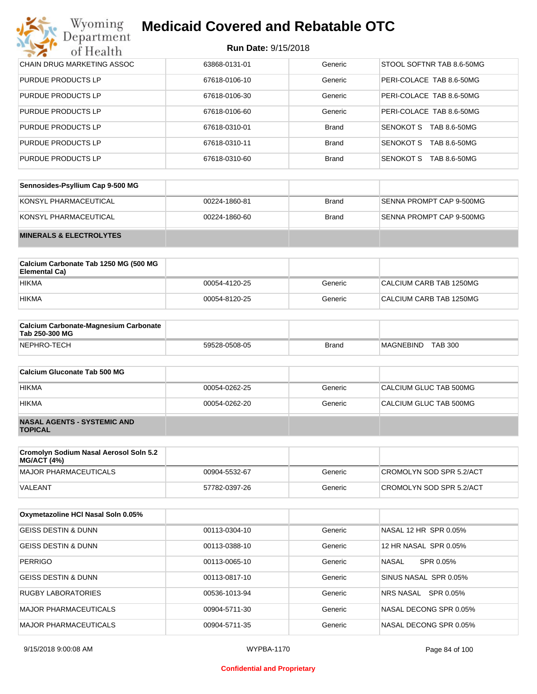#### **Run Date:** 9/15/2018

| Wyoming<br><b>Department</b>      | <b>Medicaid Covered and Rebatable OTC</b> |              |                           |  |  |
|-----------------------------------|-------------------------------------------|--------------|---------------------------|--|--|
| of Health                         | <b>Run Date: 9/15/2018</b>                |              |                           |  |  |
| <b>CHAIN DRUG MARKETING ASSOC</b> | 63868-0131-01                             | Generic      | STOOL SOFTNR TAB 8.6-50MG |  |  |
| <b>PURDUE PRODUCTS LP</b>         | 67618-0106-10                             | Generic      | PERI-COLACE TAB 8.6-50MG  |  |  |
| <b>PURDUE PRODUCTS LP</b>         | 67618-0106-30                             | Generic      | PERI-COLACE TAB 8.6-50MG  |  |  |
| <b>PURDUE PRODUCTS LP</b>         | 67618-0106-60                             | Generic      | PERI-COLACE TAB 8.6-50MG  |  |  |
| <b>PURDUE PRODUCTS LP</b>         | 67618-0310-01                             | <b>Brand</b> | SENOKOT S<br>TAB 8.6-50MG |  |  |
| <b>PURDUE PRODUCTS LP</b>         | 67618-0310-11                             | <b>Brand</b> | SENOKOT S<br>TAB 8.6-50MG |  |  |
| <b>PURDUE PRODUCTS LP</b>         | 67618-0310-60                             | <b>Brand</b> | SENOKOT S<br>TAB 8.6-50MG |  |  |

| Sennosides-Psyllium Cap 9-500 MG   |               |       |                          |
|------------------------------------|---------------|-------|--------------------------|
| KONSYL PHARMACEUTICAL              | 00224-1860-81 | Brand | SENNA PROMPT CAP 9-500MG |
| KONSYL PHARMACEUTICAL              | 00224-1860-60 | Brand | SENNA PROMPT CAP 9-500MG |
| <b>MINERALS &amp; ELECTROLYTES</b> |               |       |                          |

| Calcium Carbonate Tab 1250 MG (500 MG<br>Elemental Ca) |               |         |                         |
|--------------------------------------------------------|---------------|---------|-------------------------|
| <b>HIKMA</b>                                           | 00054-4120-25 | Generic | CALCIUM CARB TAB 1250MG |
| <b>HIKMA</b>                                           | 00054-8120-25 | Generic | CALCIUM CARB TAB 1250MG |

| <b>Calcium Carbonate-Magnesium Carbonate</b><br>Tab 250-300 MG |               |              |                                    |  |
|----------------------------------------------------------------|---------------|--------------|------------------------------------|--|
| NEPHRO-TECH                                                    | 59528-0508-05 | <b>Brand</b> | <b>TAB 300</b><br><b>MAGNEBIND</b> |  |

| Calcium Gluconate Tab 500 MG                         |               |         |                        |
|------------------------------------------------------|---------------|---------|------------------------|
| <b>HIKMA</b>                                         | 00054-0262-25 | Generic | CALCIUM GLUC TAB 500MG |
| <b>HIKMA</b>                                         | 00054-0262-20 | Generic | CALCIUM GLUC TAB 500MG |
| <b>NASAL AGENTS - SYSTEMIC AND</b><br><b>TOPICAL</b> |               |         |                        |

| Cromolyn Sodium Nasal Aerosol Soln 5.2<br>MG/ACT (4%) |               |         |                          |
|-------------------------------------------------------|---------------|---------|--------------------------|
| MAJOR PHARMACEUTICALS                                 | 00904-5532-67 | Generic | CROMOLYN SOD SPR 5.2/ACT |
| VALEANT                                               | 57782-0397-26 | Generic | CROMOLYN SOD SPR 5.2/ACT |

| Oxymetazoline HCI Nasal Soln 0.05% |               |         |                           |
|------------------------------------|---------------|---------|---------------------------|
| <b>GEISS DESTIN &amp; DUNN</b>     | 00113-0304-10 | Generic | NASAL 12 HR SPR 0.05%     |
| <b>GEISS DESTIN &amp; DUNN</b>     | 00113-0388-10 | Generic | 12 HR NASAL SPR 0.05%     |
| <b>PERRIGO</b>                     | 00113-0065-10 | Generic | <b>NASAL</b><br>SPR 0.05% |
| <b>GEISS DESTIN &amp; DUNN</b>     | 00113-0817-10 | Generic | SINUS NASAL SPR 0.05%     |
| <b>RUGBY LABORATORIES</b>          | 00536-1013-94 | Generic | SPR 0.05%<br>NRS NASAL    |
| <b>MAJOR PHARMACEUTICALS</b>       | 00904-5711-30 | Generic | NASAL DECONG SPR 0.05%    |
| MAJOR PHARMACEUTICALS              | 00904-5711-35 | Generic | NASAL DECONG SPR 0.05%    |

#### **Confidential and Proprietary**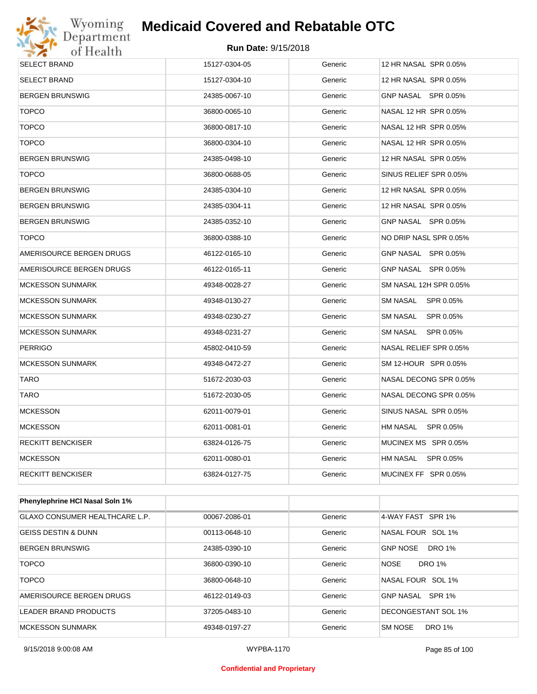

| SELECT BRAND             | 15127-0304-05 | Generic | 12 HR NASAL SPR 0.05%  |
|--------------------------|---------------|---------|------------------------|
| SELECT BRAND             | 15127-0304-10 | Generic | 12 HR NASAL SPR 0.05%  |
| <b>BERGEN BRUNSWIG</b>   | 24385-0067-10 | Generic | GNP NASAL SPR 0.05%    |
| <b>TOPCO</b>             | 36800-0065-10 | Generic | NASAL 12 HR SPR 0.05%  |
| <b>TOPCO</b>             | 36800-0817-10 | Generic | NASAL 12 HR SPR 0.05%  |
| <b>TOPCO</b>             | 36800-0304-10 | Generic | NASAL 12 HR SPR 0.05%  |
| BERGEN BRUNSWIG          | 24385-0498-10 | Generic | 12 HR NASAL SPR 0.05%  |
| <b>TOPCO</b>             | 36800-0688-05 | Generic | SINUS RELIEF SPR 0.05% |
| BERGEN BRUNSWIG          | 24385-0304-10 | Generic | 12 HR NASAL SPR 0.05%  |
| BERGEN BRUNSWIG          | 24385-0304-11 | Generic | 12 HR NASAL SPR 0.05%  |
| BERGEN BRUNSWIG          | 24385-0352-10 | Generic | GNP NASAL SPR 0.05%    |
| <b>TOPCO</b>             | 36800-0388-10 | Generic | NO DRIP NASL SPR 0.05% |
| AMERISOURCE BERGEN DRUGS | 46122-0165-10 | Generic | GNP NASAL SPR 0.05%    |
| AMERISOURCE BERGEN DRUGS | 46122-0165-11 | Generic | GNP NASAL SPR 0.05%    |
| <b>MCKESSON SUNMARK</b>  | 49348-0028-27 | Generic | SM NASAL 12H SPR 0.05% |
| <b>MCKESSON SUNMARK</b>  | 49348-0130-27 | Generic | SM NASAL SPR 0.05%     |
| <b>MCKESSON SUNMARK</b>  | 49348-0230-27 | Generic | SM NASAL<br>SPR 0.05%  |
| <b>MCKESSON SUNMARK</b>  | 49348-0231-27 | Generic | SM NASAL SPR 0.05%     |
| <b>PERRIGO</b>           | 45802-0410-59 | Generic | NASAL RELIEF SPR 0.05% |
| <b>MCKESSON SUNMARK</b>  | 49348-0472-27 | Generic | SM 12-HOUR SPR 0.05%   |
| <b>TARO</b>              | 51672-2030-03 | Generic | NASAL DECONG SPR 0.05% |
| <b>TARO</b>              | 51672-2030-05 | Generic | NASAL DECONG SPR 0.05% |
| <b>MCKESSON</b>          | 62011-0079-01 | Generic | SINUS NASAL SPR 0.05%  |
| <b>MCKESSON</b>          | 62011-0081-01 | Generic | HM NASAL SPR 0.05%     |
| RECKITT BENCKISER        | 63824-0126-75 | Generic | MUCINEX MS SPR 0.05%   |
| <b>MCKESSON</b>          | 62011-0080-01 | Generic | HM NASAL SPR 0.05%     |
| RECKITT BENCKISER        | 63824-0127-75 | Generic | MUCINEX FF SPR 0.05%   |
|                          |               |         |                        |

| <b>Phenylephrine HCI Nasal Soln 1%</b> |               |         |                                  |
|----------------------------------------|---------------|---------|----------------------------------|
| GLAXO CONSUMER HEALTHCARE L.P.         | 00067-2086-01 | Generic | 4-WAY FAST SPR 1%                |
| GEISS DESTIN & DUNN                    | 00113-0648-10 | Generic | NASAL FOUR SOL 1%                |
| <b>BERGEN BRUNSWIG</b>                 | 24385-0390-10 | Generic | <b>DRO 1%</b><br><b>GNP NOSE</b> |
| <b>TOPCO</b>                           | 36800-0390-10 | Generic | <b>DRO 1%</b><br><b>NOSE</b>     |
| <b>TOPCO</b>                           | 36800-0648-10 | Generic | NASAL FOUR SOL 1%                |
| AMERISOURCE BERGEN DRUGS               | 46122-0149-03 | Generic | GNP NASAL SPR 1%                 |
| LEADER BRAND PRODUCTS                  | 37205-0483-10 | Generic | DECONGESTANT SOL 1%              |
| <b>MCKESSON SUNMARK</b>                | 49348-0197-27 | Generic | <b>DRO 1%</b><br><b>SM NOSE</b>  |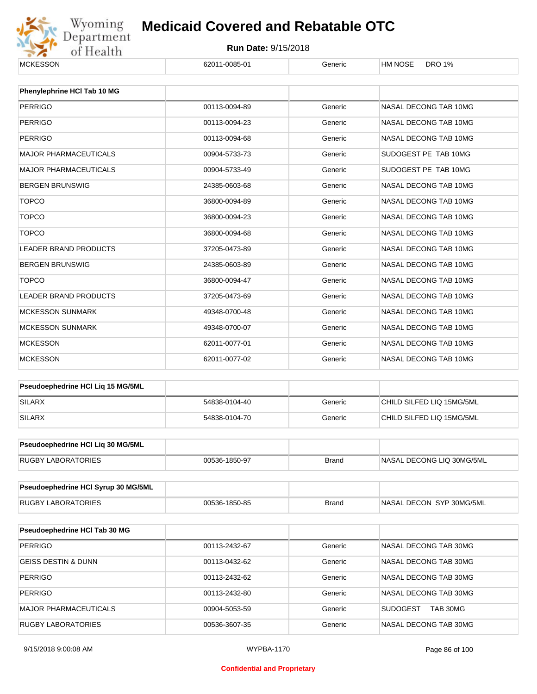

| <b>MCKESSON</b>                     | 62011-0085-01 | Generic      | <b>HM NOSE</b><br><b>DRO 1%</b> |  |
|-------------------------------------|---------------|--------------|---------------------------------|--|
| Phenylephrine HCI Tab 10 MG         |               |              |                                 |  |
| <b>PERRIGO</b>                      | 00113-0094-89 | Generic      | NASAL DECONG TAB 10MG           |  |
| <b>PERRIGO</b>                      | 00113-0094-23 | Generic      | NASAL DECONG TAB 10MG           |  |
| <b>PERRIGO</b>                      | 00113-0094-68 | Generic      | NASAL DECONG TAB 10MG           |  |
| <b>MAJOR PHARMACEUTICALS</b>        | 00904-5733-73 | Generic      | SUDOGEST PE TAB 10MG            |  |
| <b>MAJOR PHARMACEUTICALS</b>        | 00904-5733-49 | Generic      | SUDOGEST PE TAB 10MG            |  |
| <b>BERGEN BRUNSWIG</b>              | 24385-0603-68 | Generic      | NASAL DECONG TAB 10MG           |  |
| <b>TOPCO</b>                        | 36800-0094-89 | Generic      | NASAL DECONG TAB 10MG           |  |
| <b>TOPCO</b>                        | 36800-0094-23 | Generic      | NASAL DECONG TAB 10MG           |  |
|                                     |               |              |                                 |  |
| <b>TOPCO</b>                        | 36800-0094-68 | Generic      | NASAL DECONG TAB 10MG           |  |
| <b>LEADER BRAND PRODUCTS</b>        | 37205-0473-89 | Generic      | NASAL DECONG TAB 10MG           |  |
| <b>BERGEN BRUNSWIG</b>              | 24385-0603-89 | Generic      | NASAL DECONG TAB 10MG           |  |
| <b>TOPCO</b>                        | 36800-0094-47 | Generic      | NASAL DECONG TAB 10MG           |  |
| <b>LEADER BRAND PRODUCTS</b>        | 37205-0473-69 | Generic      | NASAL DECONG TAB 10MG           |  |
| <b>MCKESSON SUNMARK</b>             | 49348-0700-48 | Generic      | NASAL DECONG TAB 10MG           |  |
| <b>MCKESSON SUNMARK</b>             | 49348-0700-07 | Generic      | NASAL DECONG TAB 10MG           |  |
| <b>MCKESSON</b>                     | 62011-0077-01 | Generic      | NASAL DECONG TAB 10MG           |  |
| <b>MCKESSON</b>                     | 62011-0077-02 | Generic      | NASAL DECONG TAB 10MG           |  |
|                                     |               |              |                                 |  |
| Pseudoephedrine HCI Liq 15 MG/5ML   |               |              |                                 |  |
| <b>SILARX</b>                       | 54838-0104-40 | Generic      | CHILD SILFED LIQ 15MG/5ML       |  |
| <b>SILARX</b>                       | 54838-0104-70 | Generic      | CHILD SILFED LIQ 15MG/5ML       |  |
| Pseudoephedrine HCl Liq 30 MG/5ML   |               |              |                                 |  |
| <b>RUGBY LABORATORIES</b>           | 00536-1850-97 | <b>Brand</b> | NASAL DECONG LIQ 30MG/5ML       |  |
|                                     |               |              |                                 |  |
| Pseudoephedrine HCI Syrup 30 MG/5ML |               |              |                                 |  |
| <b>RUGBY LABORATORIES</b>           | 00536-1850-85 | <b>Brand</b> | NASAL DECON SYP 30MG/5ML        |  |
|                                     |               |              |                                 |  |
| Pseudoephedrine HCI Tab 30 MG       |               |              |                                 |  |
| <b>PERRIGO</b>                      | 00113-2432-67 | Generic      | NASAL DECONG TAB 30MG           |  |
| <b>GEISS DESTIN &amp; DUNN</b>      | 00113-0432-62 | Generic      | NASAL DECONG TAB 30MG           |  |
| <b>PERRIGO</b>                      | 00113-2432-62 | Generic      | NASAL DECONG TAB 30MG           |  |
| <b>PERRIGO</b>                      | 00113-2432-80 | Generic      | NASAL DECONG TAB 30MG           |  |
| MAJOR PHARMACEUTICALS               | 00904-5053-59 | Generic      | <b>SUDOGEST</b><br>TAB 30MG     |  |
| <b>RUGBY LABORATORIES</b>           | 00536-3607-35 | Generic      | NASAL DECONG TAB 30MG           |  |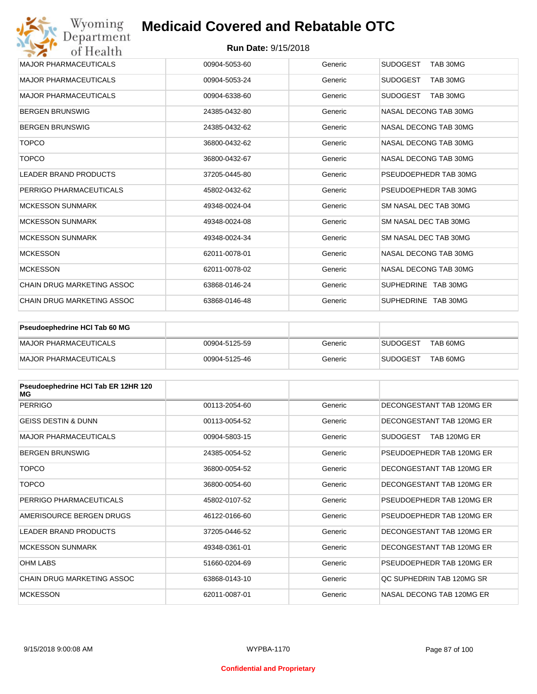| Wyoming<br>Department             | <b>Medicaid Covered and Rebatable OTC</b> |         |                             |
|-----------------------------------|-------------------------------------------|---------|-----------------------------|
| of Health                         | <b>Run Date: 9/15/2018</b>                |         |                             |
| <b>MAJOR PHARMACEUTICALS</b>      | 00904-5053-60                             | Generic | <b>SUDOGEST</b><br>TAB 30MG |
| <b>MAJOR PHARMACEUTICALS</b>      | 00904-5053-24                             | Generic | <b>SUDOGEST</b><br>TAB 30MG |
| <b>MAJOR PHARMACEUTICALS</b>      | 00904-6338-60                             | Generic | <b>SUDOGEST</b><br>TAB 30MG |
| <b>BERGEN BRUNSWIG</b>            | 24385-0432-80                             | Generic | NASAL DECONG TAB 30MG       |
| <b>BERGEN BRUNSWIG</b>            | 24385-0432-62                             | Generic | NASAL DECONG TAB 30MG       |
| <b>TOPCO</b>                      | 36800-0432-62                             | Generic | NASAL DECONG TAB 30MG       |
| <b>TOPCO</b>                      | 36800-0432-67                             | Generic | NASAL DECONG TAB 30MG       |
| <b>LEADER BRAND PRODUCTS</b>      | 37205-0445-80                             | Generic | PSEUDOEPHEDR TAB 30MG       |
| PERRIGO PHARMACEUTICALS           | 45802-0432-62                             | Generic | PSEUDOEPHEDR TAB 30MG       |
| <b>MCKESSON SUNMARK</b>           | 49348-0024-04                             | Generic | SM NASAL DEC TAB 30MG       |
| <b>MCKESSON SUNMARK</b>           | 49348-0024-08                             | Generic | SM NASAL DEC TAB 30MG       |
| <b>MCKESSON SUNMARK</b>           | 49348-0024-34                             | Generic | SM NASAL DEC TAB 30MG       |
| <b>MCKESSON</b>                   | 62011-0078-01                             | Generic | NASAL DECONG TAB 30MG       |
| <b>MCKESSON</b>                   | 62011-0078-02                             | Generic | NASAL DECONG TAB 30MG       |
| <b>CHAIN DRUG MARKETING ASSOC</b> | 63868-0146-24                             | Generic | SUPHEDRINE TAB 30MG         |
| CHAIN DRUG MARKETING ASSOC        | 63868-0146-48                             | Generic | SUPHEDRINE TAB 30MG         |

| Pseudoephedrine HCI Tab 60 MG |               |         |                             |
|-------------------------------|---------------|---------|-----------------------------|
| <b>IMAJOR PHARMACEUTICALS</b> | 00904-5125-59 | Generic | TAB 60MG<br>SUDOGEST        |
| <b>IMAJOR PHARMACEUTICALS</b> | 00904-5125-46 | Generic | TAB 60MG<br><b>SUDOGEST</b> |

| Pseudoephedrine HCI Tab ER 12HR 120<br>МG |               |         |                                 |
|-------------------------------------------|---------------|---------|---------------------------------|
| <b>PERRIGO</b>                            | 00113-2054-60 | Generic | DECONGESTANT TAB 120MG ER       |
| <b>GEISS DESTIN &amp; DUNN</b>            | 00113-0054-52 | Generic | DECONGESTANT TAB 120MG ER       |
| <b>MAJOR PHARMACEUTICALS</b>              | 00904-5803-15 | Generic | <b>SUDOGEST</b><br>TAB 120MG ER |
| <b>BERGEN BRUNSWIG</b>                    | 24385-0054-52 | Generic | PSEUDOFPHEDR TAB 120MG FR       |
| <b>TOPCO</b>                              | 36800-0054-52 | Generic | DECONGESTANT TAB 120MG ER       |
| <b>TOPCO</b>                              | 36800-0054-60 | Generic | DECONGESTANT TAB 120MG ER       |
| PERRIGO PHARMACEUTICALS                   | 45802-0107-52 | Generic | PSEUDOEPHEDR TAB 120MG ER       |
| AMERISOURCE BERGEN DRUGS                  | 46122-0166-60 | Generic | PSEUDOEPHEDR TAB 120MG ER       |
| LEADER BRAND PRODUCTS                     | 37205-0446-52 | Generic | DECONGESTANT TAB 120MG ER       |
| <b>MCKESSON SUNMARK</b>                   | 49348-0361-01 | Generic | DECONGESTANT TAB 120MG ER       |
| <b>OHM LABS</b>                           | 51660-0204-69 | Generic | PSEUDOEPHEDR TAB 120MG ER       |
| CHAIN DRUG MARKETING ASSOC                | 63868-0143-10 | Generic | OC SUPHEDRIN TAB 120MG SR       |
| <b>MCKESSON</b>                           | 62011-0087-01 | Generic | NASAL DECONG TAB 120MG FR       |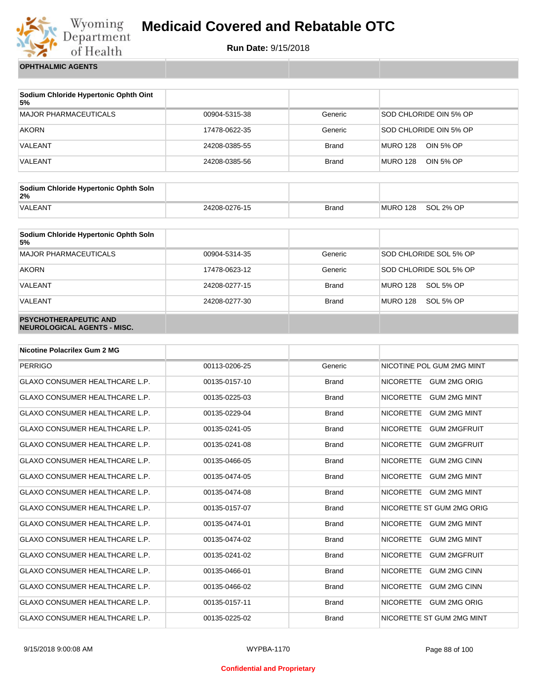

**Run Date:** 9/15/2018

**OPHTHALMIC AGENTS**

| Sodium Chloride Hypertonic Ophth Oint<br>5% |               |              |                              |
|---------------------------------------------|---------------|--------------|------------------------------|
| MAJOR PHARMACEUTICALS                       | 00904-5315-38 | Generic      | SOD CHLORIDE OIN 5% OP       |
| <b>AKORN</b>                                | 17478-0622-35 | Generic      | SOD CHLORIDE OIN 5% OP       |
| VALEANT                                     | 24208-0385-55 | <b>Brand</b> | MURO 128<br>OIN 5% OP        |
| VALEANT                                     | 24208-0385-56 | <b>Brand</b> | MURO 128<br><b>OIN 5% OP</b> |

| Sodium Chloride Hypertonic Ophth Soln<br>2% |               |              |          |           |
|---------------------------------------------|---------------|--------------|----------|-----------|
| <b>VALEANT</b>                              | 24208-0276-15 | <b>Brand</b> | MURO 128 | SOL 2% OP |

| Sodium Chloride Hypertonic Ophth Soln<br>5%                 |               |              |                              |
|-------------------------------------------------------------|---------------|--------------|------------------------------|
| MAJOR PHARMACEUTICALS                                       | 00904-5314-35 | Generic      | SOD CHLORIDE SOL 5% OP       |
| <b>AKORN</b>                                                | 17478-0623-12 | Generic      | SOD CHLORIDE SOL 5% OP       |
| VALEANT                                                     | 24208-0277-15 | <b>Brand</b> | SOL 5% OP<br><b>MURO 128</b> |
| VALEANT                                                     | 24208-0277-30 | <b>Brand</b> | <b>MURO 128</b><br>SOL 5% OP |
| <b>PSYCHOTHERAPEUTIC AND</b><br>NEUROLOGICAL AGENTS - MISC. |               |              |                              |

| <b>Nicotine Polacrilex Gum 2 MG</b>   |               |              |                                         |
|---------------------------------------|---------------|--------------|-----------------------------------------|
| <b>PERRIGO</b>                        | 00113-0206-25 | Generic      | NICOTINE POL GUM 2MG MINT               |
| <b>GLAXO CONSUMER HEALTHCARE L.P.</b> | 00135-0157-10 | <b>Brand</b> | <b>NICORETTE</b><br><b>GUM 2MG ORIG</b> |
| <b>GLAXO CONSUMER HEALTHCARE L.P.</b> | 00135-0225-03 | <b>Brand</b> | <b>GUM 2MG MINT</b><br><b>NICORETTE</b> |
| <b>GLAXO CONSUMER HEALTHCARE L.P.</b> | 00135-0229-04 | <b>Brand</b> | <b>NICORETTE</b><br><b>GUM 2MG MINT</b> |
| GLAXO CONSUMER HEALTHCARE L.P.        | 00135-0241-05 | <b>Brand</b> | <b>NICORETTE</b><br><b>GUM 2MGFRUIT</b> |
| GLAXO CONSUMER HEALTHCARE L.P.        | 00135-0241-08 | <b>Brand</b> | <b>NICORETTE</b><br><b>GUM 2MGFRUIT</b> |
| <b>GLAXO CONSUMER HEALTHCARE L.P.</b> | 00135-0466-05 | <b>Brand</b> | <b>NICORETTE</b><br><b>GUM 2MG CINN</b> |
| <b>GLAXO CONSUMER HEALTHCARE L.P.</b> | 00135-0474-05 | <b>Brand</b> | <b>NICORETTE</b><br><b>GUM 2MG MINT</b> |
| <b>GLAXO CONSUMER HEALTHCARE L.P.</b> | 00135-0474-08 | <b>Brand</b> | <b>NICORETTE</b><br><b>GUM 2MG MINT</b> |
| <b>GLAXO CONSUMER HEALTHCARE L.P.</b> | 00135-0157-07 | <b>Brand</b> | NICORETTE ST GUM 2MG ORIG               |
| <b>GLAXO CONSUMER HEALTHCARE L.P.</b> | 00135-0474-01 | <b>Brand</b> | <b>NICORETTE</b><br><b>GUM 2MG MINT</b> |
| GLAXO CONSUMER HEALTHCARE L.P.        | 00135-0474-02 | <b>Brand</b> | <b>NICORETTE</b><br><b>GUM 2MG MINT</b> |
| GLAXO CONSUMER HEALTHCARE L.P.        | 00135-0241-02 | <b>Brand</b> | <b>NICORETTE</b><br><b>GUM 2MGFRUIT</b> |
| <b>GLAXO CONSUMER HEALTHCARE L.P.</b> | 00135-0466-01 | <b>Brand</b> | <b>NICORETTE</b><br><b>GUM 2MG CINN</b> |
| <b>GLAXO CONSUMER HEALTHCARE L.P.</b> | 00135-0466-02 | <b>Brand</b> | <b>NICORETTE</b><br><b>GUM 2MG CINN</b> |
| <b>GLAXO CONSUMER HEALTHCARE L.P.</b> | 00135-0157-11 | <b>Brand</b> | <b>NICORETTE</b><br><b>GUM 2MG ORIG</b> |
| <b>GLAXO CONSUMER HEALTHCARE L.P.</b> | 00135-0225-02 | <b>Brand</b> | NICORETTE ST GUM 2MG MINT               |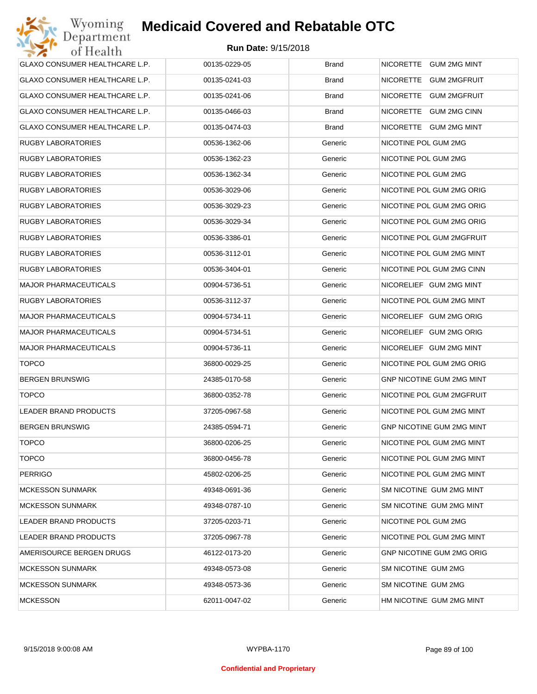| GLAXO CONSUMER HEALTHCARE L.P. | 00135-0229-05 | <b>Brand</b> | NICORETTE GUM 2MG MINT           |
|--------------------------------|---------------|--------------|----------------------------------|
| GLAXO CONSUMER HEALTHCARE L.P. | 00135-0241-03 | <b>Brand</b> | NICORETTE GUM 2MGFRUIT           |
| GLAXO CONSUMER HEALTHCARE L.P. | 00135-0241-06 | <b>Brand</b> | NICORETTE GUM 2MGFRUIT           |
| GLAXO CONSUMER HEALTHCARE L.P. | 00135-0466-03 | <b>Brand</b> | NICORETTE GUM 2MG CINN           |
| GLAXO CONSUMER HEALTHCARE L.P. | 00135-0474-03 | <b>Brand</b> | NICORETTE GUM 2MG MINT           |
| <b>RUGBY LABORATORIES</b>      | 00536-1362-06 | Generic      | NICOTINE POL GUM 2MG             |
| <b>RUGBY LABORATORIES</b>      | 00536-1362-23 | Generic      | NICOTINE POL GUM 2MG             |
| <b>RUGBY LABORATORIES</b>      | 00536-1362-34 | Generic      | NICOTINE POL GUM 2MG             |
| <b>RUGBY LABORATORIES</b>      | 00536-3029-06 | Generic      | NICOTINE POL GUM 2MG ORIG        |
| <b>RUGBY LABORATORIES</b>      | 00536-3029-23 | Generic      | NICOTINE POL GUM 2MG ORIG        |
| <b>RUGBY LABORATORIES</b>      | 00536-3029-34 | Generic      | NICOTINE POL GUM 2MG ORIG        |
| <b>RUGBY LABORATORIES</b>      | 00536-3386-01 | Generic      | NICOTINE POL GUM 2MGFRUIT        |
| <b>RUGBY LABORATORIES</b>      | 00536-3112-01 | Generic      | NICOTINE POL GUM 2MG MINT        |
| <b>RUGBY LABORATORIES</b>      | 00536-3404-01 | Generic      | NICOTINE POL GUM 2MG CINN        |
| <b>MAJOR PHARMACEUTICALS</b>   | 00904-5736-51 | Generic      | NICORELIEF GUM 2MG MINT          |
| <b>RUGBY LABORATORIES</b>      | 00536-3112-37 | Generic      | NICOTINE POL GUM 2MG MINT        |
| <b>MAJOR PHARMACEUTICALS</b>   | 00904-5734-11 | Generic      | NICORELIEF GUM 2MG ORIG          |
| <b>MAJOR PHARMACEUTICALS</b>   | 00904-5734-51 | Generic      | NICORELIEF GUM 2MG ORIG          |
| <b>MAJOR PHARMACEUTICALS</b>   | 00904-5736-11 | Generic      | NICORELIEF GUM 2MG MINT          |
| <b>TOPCO</b>                   | 36800-0029-25 | Generic      | NICOTINE POL GUM 2MG ORIG        |
| <b>BERGEN BRUNSWIG</b>         | 24385-0170-58 | Generic      | <b>GNP NICOTINE GUM 2MG MINT</b> |
| <b>TOPCO</b>                   | 36800-0352-78 | Generic      | NICOTINE POL GUM 2MGFRUIT        |
| LEADER BRAND PRODUCTS          | 37205-0967-58 | Generic      | NICOTINE POL GUM 2MG MINT        |
| <b>BERGEN BRUNSWIG</b>         | 24385-0594-71 | Generic      | <b>GNP NICOTINE GUM 2MG MINT</b> |
| <b>TOPCO</b>                   | 36800-0206-25 | Generic      | NICOTINE POL GUM 2MG MINT        |
| <b>TOPCO</b>                   | 36800-0456-78 | Generic      | NICOTINE POL GUM 2MG MINT        |
| <b>PERRIGO</b>                 | 45802-0206-25 | Generic      | NICOTINE POL GUM 2MG MINT        |
| <b>MCKESSON SUNMARK</b>        | 49348-0691-36 | Generic      | SM NICOTINE GUM 2MG MINT         |
| <b>MCKESSON SUNMARK</b>        | 49348-0787-10 | Generic      | SM NICOTINE GUM 2MG MINT         |
| LEADER BRAND PRODUCTS          | 37205-0203-71 | Generic      | NICOTINE POL GUM 2MG             |
| LEADER BRAND PRODUCTS          | 37205-0967-78 | Generic      | NICOTINE POL GUM 2MG MINT        |
| AMERISOURCE BERGEN DRUGS       | 46122-0173-20 | Generic      | <b>GNP NICOTINE GUM 2MG ORIG</b> |
| <b>MCKESSON SUNMARK</b>        | 49348-0573-08 | Generic      | SM NICOTINE GUM 2MG              |
| <b>MCKESSON SUNMARK</b>        | 49348-0573-36 | Generic      | SM NICOTINE GUM 2MG              |
| <b>MCKESSON</b>                | 62011-0047-02 | Generic      | HM NICOTINE GUM 2MG MINT         |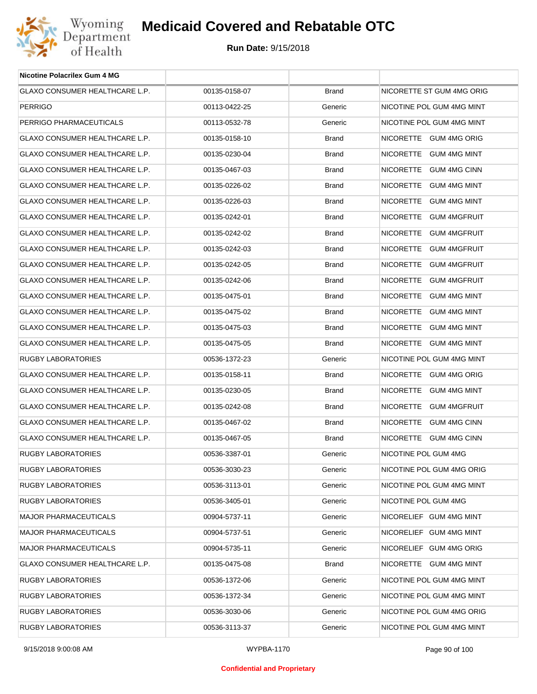

| <b>Nicotine Polacrilex Gum 4 MG</b>   |               |              |                                  |
|---------------------------------------|---------------|--------------|----------------------------------|
| <b>GLAXO CONSUMER HEALTHCARE L.P.</b> | 00135-0158-07 | <b>Brand</b> | NICORETTE ST GUM 4MG ORIG        |
| PERRIGO                               | 00113-0422-25 | Generic      | NICOTINE POL GUM 4MG MINT        |
| PERRIGO PHARMACEUTICALS               | 00113-0532-78 | Generic      | NICOTINE POL GUM 4MG MINT        |
| GLAXO CONSUMER HEALTHCARE L.P.        | 00135-0158-10 | <b>Brand</b> | NICORETTE GUM 4MG ORIG           |
| GLAXO CONSUMER HEALTHCARE L.P.        | 00135-0230-04 | <b>Brand</b> | NICORETTE GUM 4MG MINT           |
| GLAXO CONSUMER HEALTHCARE L.P.        | 00135-0467-03 | <b>Brand</b> | NICORETTE GUM 4MG CINN           |
| GLAXO CONSUMER HEALTHCARE L.P.        | 00135-0226-02 | <b>Brand</b> | NICORETTE GUM 4MG MINT           |
| GLAXO CONSUMER HEALTHCARE L.P.        | 00135-0226-03 | <b>Brand</b> | NICORETTE GUM 4MG MINT           |
| GLAXO CONSUMER HEALTHCARE L.P.        | 00135-0242-01 | <b>Brand</b> | NICORETTE GUM 4MGFRUIT           |
| GLAXO CONSUMER HEALTHCARE L.P.        | 00135-0242-02 | <b>Brand</b> | NICORETTE<br><b>GUM 4MGFRUIT</b> |
| GLAXO CONSUMER HEALTHCARE L.P.        | 00135-0242-03 | <b>Brand</b> | NICORETTE GUM 4MGFRUIT           |
| GLAXO CONSUMER HEALTHCARE L.P.        | 00135-0242-05 | <b>Brand</b> | NICORETTE<br><b>GUM 4MGFRUIT</b> |
| GLAXO CONSUMER HEALTHCARE L.P.        | 00135-0242-06 | <b>Brand</b> | NICORETTE<br><b>GUM 4MGFRUIT</b> |
| GLAXO CONSUMER HEALTHCARE L.P.        | 00135-0475-01 | <b>Brand</b> | NICORETTE GUM 4MG MINT           |
| GLAXO CONSUMER HEALTHCARE L.P.        | 00135-0475-02 | <b>Brand</b> | NICORETTE GUM 4MG MINT           |
| GLAXO CONSUMER HEALTHCARE L.P.        | 00135-0475-03 | <b>Brand</b> | NICORETTE GUM 4MG MINT           |
| GLAXO CONSUMER HEALTHCARE L.P.        | 00135-0475-05 | <b>Brand</b> | NICORETTE GUM 4MG MINT           |
| RUGBY LABORATORIES                    | 00536-1372-23 | Generic      | NICOTINE POL GUM 4MG MINT        |
| GLAXO CONSUMER HEALTHCARE L.P.        | 00135-0158-11 | <b>Brand</b> | NICORETTE GUM 4MG ORIG           |
| GLAXO CONSUMER HEALTHCARE L.P.        | 00135-0230-05 | <b>Brand</b> | NICORETTE GUM 4MG MINT           |
| <b>GLAXO CONSUMER HEALTHCARE L.P.</b> | 00135-0242-08 | <b>Brand</b> | NICORETTE<br><b>GUM 4MGFRUIT</b> |
| GLAXO CONSUMER HEALTHCARE L.P.        | 00135-0467-02 | <b>Brand</b> | NICORETTE GUM 4MG CINN           |
| GLAXO CONSUMER HEALTHCARE L.P.        | 00135-0467-05 | <b>Brand</b> | NICORETTE GUM 4MG CINN           |
| RUGBY LABORATORIES                    | 00536-3387-01 | Generic      | NICOTINE POL GUM 4MG             |
| RUGBY LABORATORIES                    | 00536-3030-23 | Generic      | NICOTINE POL GUM 4MG ORIG        |
| <b>RUGBY LABORATORIES</b>             | 00536-3113-01 | Generic      | NICOTINE POL GUM 4MG MINT        |
| RUGBY LABORATORIES                    | 00536-3405-01 | Generic      | NICOTINE POL GUM 4MG             |
| <b>MAJOR PHARMACEUTICALS</b>          | 00904-5737-11 | Generic      | NICORELIEF GUM 4MG MINT          |
| <b>MAJOR PHARMACEUTICALS</b>          | 00904-5737-51 | Generic      | NICORELIEF GUM 4MG MINT          |
| <b>MAJOR PHARMACEUTICALS</b>          | 00904-5735-11 | Generic      | NICORELIEF GUM 4MG ORIG          |
| GLAXO CONSUMER HEALTHCARE L.P.        | 00135-0475-08 | <b>Brand</b> | NICORETTE GUM 4MG MINT           |
| RUGBY LABORATORIES                    | 00536-1372-06 | Generic      | NICOTINE POL GUM 4MG MINT        |
| RUGBY LABORATORIES                    | 00536-1372-34 | Generic      | NICOTINE POL GUM 4MG MINT        |
| RUGBY LABORATORIES                    | 00536-3030-06 | Generic      | NICOTINE POL GUM 4MG ORIG        |
| RUGBY LABORATORIES                    | 00536-3113-37 | Generic      | NICOTINE POL GUM 4MG MINT        |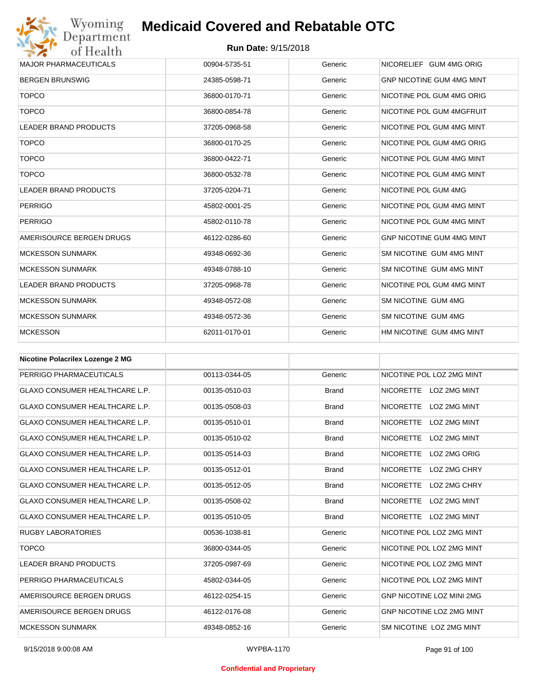

| <b>BERGEN BRUNSWIG</b><br>Generic<br><b>GNP NICOTINE GUM 4MG MINT</b><br>24385-0598-71<br><b>TOPCO</b><br>36800-0170-71<br>Generic<br>NICOTINE POL GUM 4MG ORIG<br><b>TOPCO</b><br>NICOTINE POL GUM 4MGFRUIT<br>36800-0854-78<br>Generic<br><b>LEADER BRAND PRODUCTS</b><br>NICOTINE POL GUM 4MG MINT<br>37205-0968-58<br>Generic | <b>MAJOR PHARMACEUTICALS</b> |
|-----------------------------------------------------------------------------------------------------------------------------------------------------------------------------------------------------------------------------------------------------------------------------------------------------------------------------------|------------------------------|
|                                                                                                                                                                                                                                                                                                                                   |                              |
|                                                                                                                                                                                                                                                                                                                                   |                              |
|                                                                                                                                                                                                                                                                                                                                   |                              |
|                                                                                                                                                                                                                                                                                                                                   |                              |
| <b>TOPCO</b><br>NICOTINE POL GUM 4MG ORIG<br>36800-0170-25<br>Generic                                                                                                                                                                                                                                                             |                              |
| <b>TOPCO</b><br>NICOTINE POL GUM 4MG MINT<br>36800-0422-71<br>Generic                                                                                                                                                                                                                                                             |                              |
| <b>TOPCO</b><br>NICOTINE POL GUM 4MG MINT<br>36800-0532-78<br>Generic                                                                                                                                                                                                                                                             |                              |
| NICOTINE POL GUM 4MG<br><b>LEADER BRAND PRODUCTS</b><br>Generic<br>37205-0204-71                                                                                                                                                                                                                                                  |                              |
| <b>PERRIGO</b><br>NICOTINE POL GUM 4MG MINT<br>45802-0001-25<br>Generic                                                                                                                                                                                                                                                           |                              |
| <b>PERRIGO</b><br>NICOTINE POL GUM 4MG MINT<br>45802-0110-78<br>Generic                                                                                                                                                                                                                                                           |                              |
| AMERISOURCE BERGEN DRUGS<br><b>GNP NICOTINE GUM 4MG MINT</b><br>46122-0286-60<br>Generic                                                                                                                                                                                                                                          |                              |
| <b>MCKESSON SUNMARK</b><br>SM NICOTINE GUM 4MG MINT<br>49348-0692-36<br>Generic                                                                                                                                                                                                                                                   |                              |
| <b>MCKESSON SUNMARK</b><br>Generic<br>SM NICOTINE GUM 4MG MINT<br>49348-0788-10                                                                                                                                                                                                                                                   |                              |
| <b>LEADER BRAND PRODUCTS</b><br>NICOTINE POL GUM 4MG MINT<br>37205-0968-78<br>Generic                                                                                                                                                                                                                                             |                              |
| SM NICOTINE GUM 4MG<br><b>MCKESSON SUNMARK</b><br>Generic<br>49348-0572-08                                                                                                                                                                                                                                                        |                              |
| <b>MCKESSON SUNMARK</b><br>SM NICOTINE GUM 4MG<br>49348-0572-36<br>Generic                                                                                                                                                                                                                                                        |                              |
| <b>MCKESSON</b><br>HM NICOTINE GUM 4MG MINT<br>62011-0170-01<br>Generic                                                                                                                                                                                                                                                           |                              |

| <b>Nicotine Polacrilex Lozenge 2 MG</b> |               |              |                                         |
|-----------------------------------------|---------------|--------------|-----------------------------------------|
| PERRIGO PHARMACEUTICALS                 | 00113-0344-05 | Generic      | NICOTINE POL LOZ 2MG MINT               |
| <b>GLAXO CONSUMER HEALTHCARE L.P.</b>   | 00135-0510-03 | <b>Brand</b> | <b>NICORETTE</b><br>LOZ 2MG MINT        |
| <b>GLAXO CONSUMER HEALTHCARE L.P.</b>   | 00135-0508-03 | <b>Brand</b> | LOZ 2MG MINT<br><b>NICORETTE</b>        |
| <b>GLAXO CONSUMER HEALTHCARE L.P.</b>   | 00135-0510-01 | <b>Brand</b> | <b>NICORETTE</b><br><b>LOZ 2MG MINT</b> |
| <b>GLAXO CONSUMER HEALTHCARE L.P.</b>   | 00135-0510-02 | <b>Brand</b> | <b>NICORETTE</b><br>LOZ 2MG MINT        |
| <b>GLAXO CONSUMER HEALTHCARE L.P.</b>   | 00135-0514-03 | <b>Brand</b> | <b>NICORETTE</b><br>LOZ 2MG ORIG        |
| <b>GLAXO CONSUMER HEALTHCARE L.P.</b>   | 00135-0512-01 | <b>Brand</b> | <b>NICORETTE</b><br>LOZ 2MG CHRY        |
| <b>GLAXO CONSUMER HEALTHCARE L.P.</b>   | 00135-0512-05 | <b>Brand</b> | <b>NICORETTE</b><br>LOZ 2MG CHRY        |
| <b>GLAXO CONSUMER HEALTHCARE L.P.</b>   | 00135-0508-02 | <b>Brand</b> | <b>NICORETTE</b><br><b>LOZ 2MG MINT</b> |
| <b>GLAXO CONSUMER HEALTHCARE L.P.</b>   | 00135-0510-05 | <b>Brand</b> | <b>NICORETTE</b><br>LOZ 2MG MINT        |
| <b>RUGBY LABORATORIES</b>               | 00536-1038-81 | Generic      | NICOTINE POL LOZ 2MG MINT               |
| <b>TOPCO</b>                            | 36800-0344-05 | Generic      | NICOTINE POL LOZ 2MG MINT               |
| <b>LEADER BRAND PRODUCTS</b>            | 37205-0987-69 | Generic      | NICOTINE POL LOZ 2MG MINT               |
| PERRIGO PHARMACEUTICALS                 | 45802-0344-05 | Generic      | NICOTINE POL LOZ 2MG MINT               |
| AMERISOURCE BERGEN DRUGS                | 46122-0254-15 | Generic      | <b>GNP NICOTINE LOZ MINI 2MG</b>        |
| AMERISOURCE BERGEN DRUGS                | 46122-0176-08 | Generic      | <b>GNP NICOTINE LOZ 2MG MINT</b>        |
| <b>MCKESSON SUNMARK</b>                 | 49348-0852-16 | Generic      | SM NICOTINE LOZ 2MG MINT                |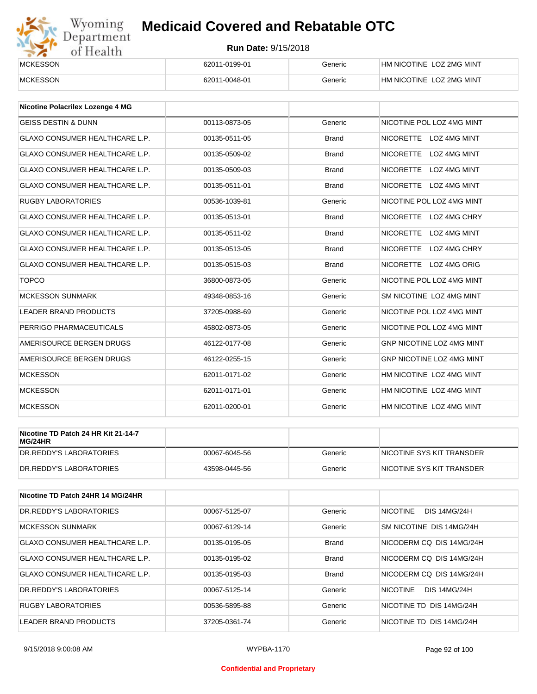# Wyoming<br>Department<br>of Health

## **Medicaid Covered and Rebatable OTC**

| <b>MCKESSON</b> | 62011-0199-01 | Generic | HM NICOTINE LOZ 2MG MINT |
|-----------------|---------------|---------|--------------------------|
| <b>MCKESSON</b> | 62011-0048-01 | Generic | HM NICOTINE LOZ 2MG MINT |

| <b>Nicotine Polacrilex Lozenge 4 MG</b> |               |              |                                         |
|-----------------------------------------|---------------|--------------|-----------------------------------------|
| <b>GEISS DESTIN &amp; DUNN</b>          | 00113-0873-05 | Generic      | NICOTINE POL LOZ 4MG MINT               |
| <b>GLAXO CONSUMER HEALTHCARE L.P.</b>   | 00135-0511-05 | <b>Brand</b> | NICORETTE LOZ 4MG MINT                  |
| <b>GLAXO CONSUMER HEALTHCARE L.P.</b>   | 00135-0509-02 | <b>Brand</b> | <b>NICORETTE</b><br>LOZ 4MG MINT        |
| <b>GLAXO CONSUMER HEALTHCARE L.P.</b>   | 00135-0509-03 | <b>Brand</b> | <b>NICORETTE</b><br><b>LOZ 4MG MINT</b> |
| <b>GLAXO CONSUMER HEALTHCARE L.P.</b>   | 00135-0511-01 | <b>Brand</b> | NICORETTE LOZ 4MG MINT                  |
| <b>RUGBY LABORATORIES</b>               | 00536-1039-81 | Generic      | NICOTINE POL LOZ 4MG MINT               |
| <b>GLAXO CONSUMER HEALTHCARE L.P.</b>   | 00135-0513-01 | <b>Brand</b> | NICORETTE LOZ 4MG CHRY                  |
| <b>GLAXO CONSUMER HEALTHCARE L.P.</b>   | 00135-0511-02 | <b>Brand</b> | <b>NICORETTE</b><br><b>LOZ 4MG MINT</b> |
| <b>GLAXO CONSUMER HEALTHCARE L.P.</b>   | 00135-0513-05 | <b>Brand</b> | NICORETTE LOZ 4MG CHRY                  |
| <b>GLAXO CONSUMER HEALTHCARE L.P.</b>   | 00135-0515-03 | <b>Brand</b> | NICORETTE LOZ 4MG ORIG                  |
| <b>TOPCO</b>                            | 36800-0873-05 | Generic      | NICOTINE POL LOZ 4MG MINT               |
| <b>MCKESSON SUNMARK</b>                 | 49348-0853-16 | Generic      | SM NICOTINE LOZ 4MG MINT                |
| <b>LEADER BRAND PRODUCTS</b>            | 37205-0988-69 | Generic      | NICOTINE POL LOZ 4MG MINT               |
| PERRIGO PHARMACEUTICALS                 | 45802-0873-05 | Generic      | NICOTINE POL LOZ 4MG MINT               |
| AMERISOURCE BERGEN DRUGS                | 46122-0177-08 | Generic      | GNP NICOTINE LOZ 4MG MINT               |
| AMERISOURCE BERGEN DRUGS                | 46122-0255-15 | Generic      | <b>GNP NICOTINE LOZ 4MG MINT</b>        |
| <b>MCKESSON</b>                         | 62011-0171-02 | Generic      | HM NICOTINE LOZ 4MG MINT                |
| <b>MCKESSON</b>                         | 62011-0171-01 | Generic      | HM NICOTINE LOZ 4MG MINT                |
| <b>MCKESSON</b>                         | 62011-0200-01 | Generic      | HM NICOTINE LOZ 4MG MINT                |

| Nicotine TD Patch 24 HR Kit 21-14-7<br>MG/24HR |               |         |                            |
|------------------------------------------------|---------------|---------|----------------------------|
| IDR.REDDY'S LABORATORIES                       | 00067-6045-56 | Generic | INICOTINE SYS KIT TRANSDER |
| IDR.REDDY'S LABORATORIES                       | 43598-0445-56 | Generic | INICOTINE SYS KIT TRANSDER |

| Nicotine TD Patch 24HR 14 MG/24HR     |               |              |                                        |
|---------------------------------------|---------------|--------------|----------------------------------------|
| DR. REDDY'S LABORATORIES              | 00067-5125-07 | Generic      | <b>NICOTINE</b><br><b>DIS 14MG/24H</b> |
| <b>MCKESSON SUNMARK</b>               | 00067-6129-14 | Generic      | SM NICOTINE DIS 14MG/24H               |
| <b>GLAXO CONSUMER HEALTHCARE L.P.</b> | 00135-0195-05 | <b>Brand</b> | NICODERM CO DIS 14MG/24H               |
| <b>GLAXO CONSUMER HEALTHCARE L.P.</b> | 00135-0195-02 | <b>Brand</b> | NICODERM CO DIS 14MG/24H               |
| <b>GLAXO CONSUMER HEALTHCARE L.P.</b> | 00135-0195-03 | <b>Brand</b> | NICODERM CO DIS 14MG/24H               |
| DR. REDDY'S LABORATORIES              | 00067-5125-14 | Generic      | <b>DIS 14MG/24H</b><br>NICOTINE        |
| <b>RUGBY LABORATORIES</b>             | 00536-5895-88 | Generic      | NICOTINE TD DIS 14MG/24H               |
| <b>LEADER BRAND PRODUCTS</b>          | 37205-0361-74 | Generic      | NICOTINE TD DIS 14MG/24H               |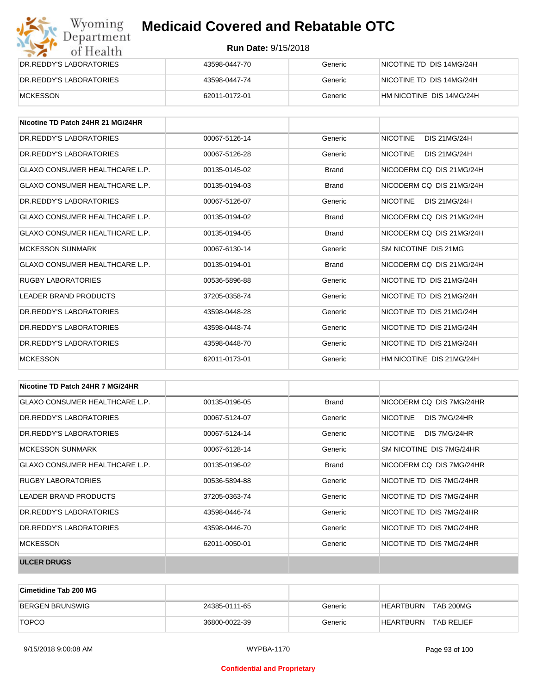| Wyoming<br>Department   | <b>Medicaid Covered and Rebatable OTC</b> |         |                          |
|-------------------------|-------------------------------------------|---------|--------------------------|
| of Health               | <b>Run Date: 9/15/2018</b>                |         |                          |
| DR.REDDY'S LABORATORIES | 43598-0447-70                             | Generic | NICOTINE TD DIS 14MG/24H |
| DR.REDDY'S LABORATORIES | 43598-0447-74                             | Generic | NICOTINE TD DIS 14MG/24H |
| <b>MCKESSON</b>         | 62011-0172-01                             | Generic | HM NICOTINE DIS 14MG/24H |

| Nicotine TD Patch 24HR 21 MG/24HR |               |              |                                        |
|-----------------------------------|---------------|--------------|----------------------------------------|
| DR. REDDY'S LABORATORIES          | 00067-5126-14 | Generic      | <b>DIS 21MG/24H</b><br><b>NICOTINE</b> |
| DR. REDDY'S LABORATORIES          | 00067-5126-28 | Generic      | <b>NICOTINE</b><br><b>DIS 21MG/24H</b> |
| GLAXO CONSUMER HEALTHCARE L.P.    | 00135-0145-02 | <b>Brand</b> | NICODERM CO DIS 21MG/24H               |
| GLAXO CONSUMER HEALTHCARE L.P.    | 00135-0194-03 | <b>Brand</b> | NICODERM CO DIS 21MG/24H               |
| DR. REDDY'S LABORATORIES          | 00067-5126-07 | Generic      | <b>NICOTINE</b><br>DIS 21MG/24H        |
| GLAXO CONSUMER HEALTHCARE L.P.    | 00135-0194-02 | <b>Brand</b> | NICODERM CO DIS 21MG/24H               |
| GLAXO CONSUMER HEALTHCARE L.P.    | 00135-0194-05 | <b>Brand</b> | NICODERM CO DIS 21MG/24H               |
| <b>MCKESSON SUNMARK</b>           | 00067-6130-14 | Generic      | SM NICOTINE DIS 21MG                   |
| GLAXO CONSUMER HEALTHCARE L.P.    | 00135-0194-01 | <b>Brand</b> | NICODERM CO DIS 21MG/24H               |
| <b>RUGBY LABORATORIES</b>         | 00536-5896-88 | Generic      | NICOTINE TD DIS 21MG/24H               |
| <b>LEADER BRAND PRODUCTS</b>      | 37205-0358-74 | Generic      | NICOTINE TD DIS 21MG/24H               |
| DR.REDDY'S LABORATORIES           | 43598-0448-28 | Generic      | NICOTINE TD DIS 21MG/24H               |
| DR. REDDY'S LABORATORIES          | 43598-0448-74 | Generic      | NICOTINE TD DIS 21MG/24H               |
| DR.REDDY'S LABORATORIES           | 43598-0448-70 | Generic      | NICOTINE TD DIS 21MG/24H               |
| <b>MCKESSON</b>                   | 62011-0173-01 | Generic      | HM NICOTINE DIS 21MG/24H               |

| Nicotine TD Patch 24HR 7 MG/24HR      |               |              |                                 |
|---------------------------------------|---------------|--------------|---------------------------------|
| GLAXO CONSUMER HEALTHCARE L.P.        | 00135-0196-05 | <b>Brand</b> | NICODERM CO DIS 7MG/24HR        |
| DR. REDDY'S LABORATORIES              | 00067-5124-07 | Generic      | <b>NICOTINE</b><br>DIS 7MG/24HR |
| DR. REDDY'S LABORATORIES              | 00067-5124-14 | Generic      | <b>NICOTINE</b><br>DIS 7MG/24HR |
| MCKESSON SUNMARK                      | 00067-6128-14 | Generic      | SM NICOTINE DIS 7MG/24HR        |
| <b>GLAXO CONSUMER HEALTHCARE L.P.</b> | 00135-0196-02 | Brand        | NICODERM CQ DIS 7MG/24HR        |
| RUGBY LABORATORIES                    | 00536-5894-88 | Generic      | NICOTINE TD DIS 7MG/24HR        |
| LEADER BRAND PRODUCTS                 | 37205-0363-74 | Generic      | NICOTINE TD DIS 7MG/24HR        |
| DR. REDDY'S LABORATORIES              | 43598-0446-74 | Generic      | NICOTINE TD DIS 7MG/24HR        |
| DR. REDDY'S LABORATORIES              | 43598-0446-70 | Generic      | NICOTINE TD DIS 7MG/24HR        |
| <b>MCKESSON</b>                       | 62011-0050-01 | Generic      | NICOTINE TD DIS 7MG/24HR        |
| <b>ULCER DRUGS</b>                    |               |              |                                 |

| <b>Cimetidine Tab 200 MG</b> |               |         |                               |
|------------------------------|---------------|---------|-------------------------------|
| BERGEN BRUNSWIG              | 24385-0111-65 | Generic | <b>TAB 200MG</b><br>HEARTBURN |
| <b>TOPCO</b>                 | 36800-0022-39 | Generic | HEARTBURN<br>TAB RELIEF       |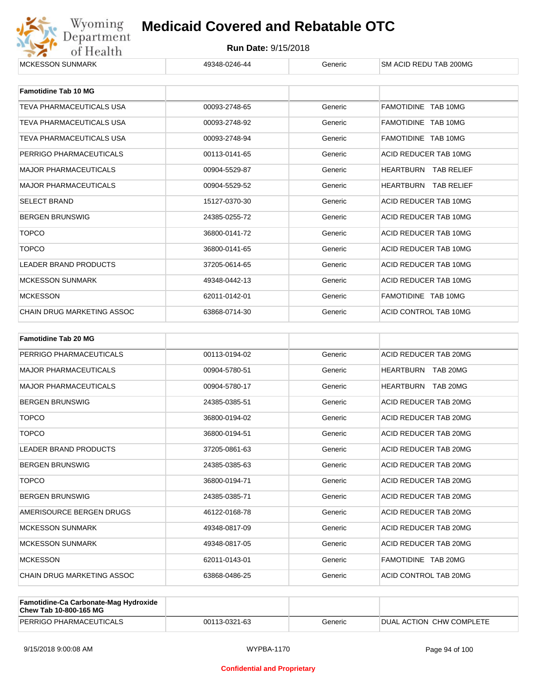

| <b>Famotidine Tab 10 MG</b>       |               |         |                             |
|-----------------------------------|---------------|---------|-----------------------------|
| TEVA PHARMACEUTICALS USA          | 00093-2748-65 | Generic | FAMOTIDINE TAB 10MG         |
| <b>TEVA PHARMACEUTICALS USA</b>   | 00093-2748-92 | Generic | FAMOTIDINE TAB 10MG         |
| TEVA PHARMACEUTICALS USA          | 00093-2748-94 | Generic | FAMOTIDINE TAB 10MG         |
| PERRIGO PHARMACEUTICALS           | 00113-0141-65 | Generic | ACID REDUCER TAB 10MG       |
| <b>MAJOR PHARMACEUTICALS</b>      | 00904-5529-87 | Generic | HEARTBURN<br>TAB RELIEF     |
| <b>MAJOR PHARMACEUTICALS</b>      | 00904-5529-52 | Generic | <b>HEARTBURN TAB RELIEF</b> |
| <b>SELECT BRAND</b>               | 15127-0370-30 | Generic | ACID REDUCER TAB 10MG       |
| <b>BERGEN BRUNSWIG</b>            | 24385-0255-72 | Generic | ACID REDUCER TAB 10MG       |
| <b>TOPCO</b>                      | 36800-0141-72 | Generic | ACID REDUCER TAB 10MG       |
| <b>TOPCO</b>                      | 36800-0141-65 | Generic | ACID REDUCER TAB 10MG       |
| <b>LEADER BRAND PRODUCTS</b>      | 37205-0614-65 | Generic | ACID REDUCER TAB 10MG       |
| <b>MCKESSON SUNMARK</b>           | 49348-0442-13 | Generic | ACID REDUCER TAB 10MG       |
| <b>MCKESSON</b>                   | 62011-0142-01 | Generic | FAMOTIDINE TAB 10MG         |
| <b>CHAIN DRUG MARKETING ASSOC</b> | 63868-0714-30 | Generic | ACID CONTROL TAB 10MG       |

| <b>Famotidine Tab 20 MG</b>  |               |         |                           |
|------------------------------|---------------|---------|---------------------------|
| PERRIGO PHARMACEUTICALS      | 00113-0194-02 | Generic | ACID REDUCER TAB 20MG     |
| <b>MAJOR PHARMACEUTICALS</b> | 00904-5780-51 | Generic | <b>HEARTBURN TAB 20MG</b> |
| <b>MAJOR PHARMACEUTICALS</b> | 00904-5780-17 | Generic | HEARTBURN TAB 20MG        |
| <b>BERGEN BRUNSWIG</b>       | 24385-0385-51 | Generic | ACID REDUCER TAB 20MG     |
| <b>TOPCO</b>                 | 36800-0194-02 | Generic | ACID REDUCER TAB 20MG     |
| <b>TOPCO</b>                 | 36800-0194-51 | Generic | ACID REDUCER TAB 20MG     |
| <b>LEADER BRAND PRODUCTS</b> | 37205-0861-63 | Generic | ACID REDUCER TAB 20MG     |
| <b>BERGEN BRUNSWIG</b>       | 24385-0385-63 | Generic | ACID REDUCER TAB 20MG     |
| <b>TOPCO</b>                 | 36800-0194-71 | Generic | ACID REDUCER TAB 20MG     |
| <b>BERGEN BRUNSWIG</b>       | 24385-0385-71 | Generic | ACID REDUCER TAB 20MG     |
| AMERISOURCE BERGEN DRUGS     | 46122-0168-78 | Generic | ACID REDUCER TAB 20MG     |
| <b>MCKESSON SUNMARK</b>      | 49348-0817-09 | Generic | ACID REDUCER TAB 20MG     |
| <b>MCKESSON SUNMARK</b>      | 49348-0817-05 | Generic | ACID REDUCER TAB 20MG     |
| <b>MCKESSON</b>              | 62011-0143-01 | Generic | FAMOTIDINE TAB 20MG       |
| CHAIN DRUG MARKETING ASSOC   | 63868-0486-25 | Generic | ACID CONTROL TAB 20MG     |

| <b>Famotidine-Ca Carbonate-Mag Hydroxide</b><br>Chew Tab 10-800-165 MG |               |         |                            |
|------------------------------------------------------------------------|---------------|---------|----------------------------|
| PERRIGO PHARMACEUTICALS                                                | 00113-0321-63 | Generic | I DUAL ACTION CHW COMPLETE |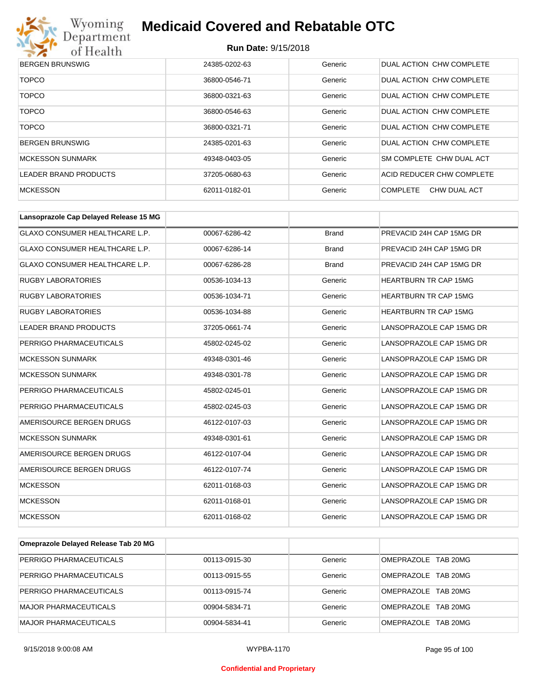

| <b>BERGEN BRUNSWIG</b>  | 24385-0202-63 | Generic | DUAL ACTION CHW COMPLETE        |
|-------------------------|---------------|---------|---------------------------------|
| <b>TOPCO</b>            | 36800-0546-71 | Generic | DUAL ACTION CHW COMPLETE        |
| <b>TOPCO</b>            | 36800-0321-63 | Generic | DUAL ACTION CHW COMPLETE        |
| <b>TOPCO</b>            | 36800-0546-63 | Generic | DUAL ACTION CHW COMPLETE        |
| <b>TOPCO</b>            | 36800-0321-71 | Generic | DUAL ACTION CHW COMPLETE        |
| <b>BERGEN BRUNSWIG</b>  | 24385-0201-63 | Generic | DUAL ACTION CHW COMPLETE        |
| <b>MCKESSON SUNMARK</b> | 49348-0403-05 | Generic | SM COMPLETE CHW DUAL ACT        |
| LEADER BRAND PRODUCTS   | 37205-0680-63 | Generic | ACID REDUCER CHW COMPLETE       |
| <b>MCKESSON</b>         | 62011-0182-01 | Generic | <b>COMPLETE</b><br>CHW DUAL ACT |

| Lansoprazole Cap Delayed Release 15 MG |               |              |                              |
|----------------------------------------|---------------|--------------|------------------------------|
| GLAXO CONSUMER HEALTHCARE L.P.         | 00067-6286-42 | <b>Brand</b> | PREVACID 24H CAP 15MG DR     |
| <b>GLAXO CONSUMER HEALTHCARE L.P.</b>  | 00067-6286-14 | <b>Brand</b> | PREVACID 24H CAP 15MG DR     |
| GLAXO CONSUMER HEALTHCARE L.P.         | 00067-6286-28 | <b>Brand</b> | PREVACID 24H CAP 15MG DR     |
| <b>RUGBY LABORATORIES</b>              | 00536-1034-13 | Generic      | <b>HEARTBURN TR CAP 15MG</b> |
| <b>RUGBY LABORATORIES</b>              | 00536-1034-71 | Generic      | <b>HEARTBURN TR CAP 15MG</b> |
| <b>RUGBY LABORATORIES</b>              | 00536-1034-88 | Generic      | <b>HEARTBURN TR CAP 15MG</b> |
| <b>LEADER BRAND PRODUCTS</b>           | 37205-0661-74 | Generic      | LANSOPRAZOLE CAP 15MG DR     |
| PERRIGO PHARMACEUTICALS                | 45802-0245-02 | Generic      | LANSOPRAZOLE CAP 15MG DR     |
| <b>MCKESSON SUNMARK</b>                | 49348-0301-46 | Generic      | LANSOPRAZOLE CAP 15MG DR     |
| <b>MCKESSON SUNMARK</b>                | 49348-0301-78 | Generic      | LANSOPRAZOLE CAP 15MG DR     |
| PERRIGO PHARMACEUTICALS                | 45802-0245-01 | Generic      | LANSOPRAZOLE CAP 15MG DR     |
| PERRIGO PHARMACEUTICALS                | 45802-0245-03 | Generic      | LANSOPRAZOLE CAP 15MG DR     |
| AMERISOURCE BERGEN DRUGS               | 46122-0107-03 | Generic      | LANSOPRAZOLE CAP 15MG DR     |
| <b>MCKESSON SUNMARK</b>                | 49348-0301-61 | Generic      | LANSOPRAZOLE CAP 15MG DR     |
| AMERISOURCE BERGEN DRUGS               | 46122-0107-04 | Generic      | LANSOPRAZOLE CAP 15MG DR     |
| AMERISOURCE BERGEN DRUGS               | 46122-0107-74 | Generic      | LANSOPRAZOLE CAP 15MG DR     |
| <b>MCKESSON</b>                        | 62011-0168-03 | Generic      | LANSOPRAZOLE CAP 15MG DR     |
| <b>MCKESSON</b>                        | 62011-0168-01 | Generic      | LANSOPRAZOLE CAP 15MG DR     |
| <b>MCKESSON</b>                        | 62011-0168-02 | Generic      | LANSOPRAZOLE CAP 15MG DR     |

| Omeprazole Delayed Release Tab 20 MG |               |         |                     |
|--------------------------------------|---------------|---------|---------------------|
| PERRIGO PHARMACEUTICALS              | 00113-0915-30 | Generic | OMEPRAZOLE TAB 20MG |
| PERRIGO PHARMACEUTICALS              | 00113-0915-55 | Generic | OMEPRAZOLE TAB 20MG |
| PERRIGO PHARMACEUTICALS              | 00113-0915-74 | Generic | OMEPRAZOLE TAB 20MG |
| MAJOR PHARMACEUTICALS                | 00904-5834-71 | Generic | OMEPRAZOLE TAB 20MG |
| MAJOR PHARMACEUTICALS                | 00904-5834-41 | Generic | OMEPRAZOLE TAB 20MG |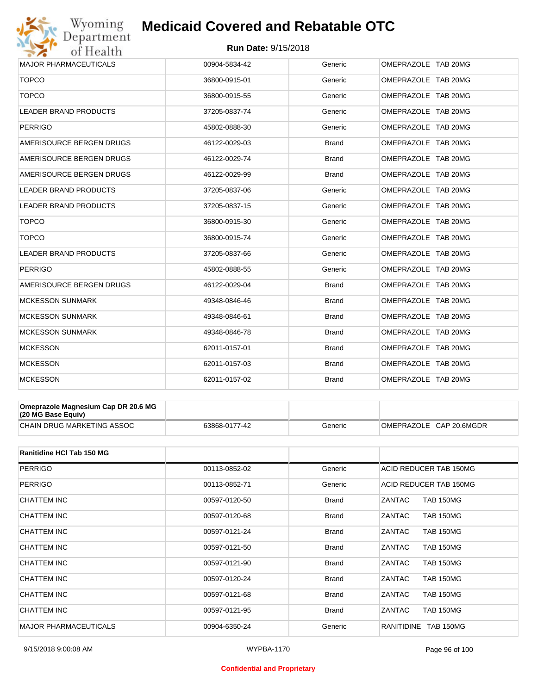## Wyoming<br>Department<br>of Health **Medicaid Covered and Rebatable OTC**

#### **Run Date:** 9/15/2018

| <b>MAJOR PHARMACEUTICALS</b> | 00904-5834-42 | Generic      | OMEPRAZOLE TAB 20MG |
|------------------------------|---------------|--------------|---------------------|
| <b>TOPCO</b>                 | 36800-0915-01 | Generic      | OMEPRAZOLE TAB 20MG |
| <b>TOPCO</b>                 | 36800-0915-55 | Generic      | OMEPRAZOLE TAB 20MG |
| <b>LEADER BRAND PRODUCTS</b> | 37205-0837-74 | Generic      | OMEPRAZOLE TAB 20MG |
| <b>PERRIGO</b>               | 45802-0888-30 | Generic      | OMEPRAZOLE TAB 20MG |
| AMERISOURCE BERGEN DRUGS     | 46122-0029-03 | <b>Brand</b> | OMEPRAZOLE TAB 20MG |
| AMERISOURCE BERGEN DRUGS     | 46122-0029-74 | <b>Brand</b> | OMEPRAZOLE TAB 20MG |
| AMERISOURCE BERGEN DRUGS     | 46122-0029-99 | <b>Brand</b> | OMEPRAZOLE TAB 20MG |
| <b>LEADER BRAND PRODUCTS</b> | 37205-0837-06 | Generic      | OMEPRAZOLE TAB 20MG |
| <b>LEADER BRAND PRODUCTS</b> | 37205-0837-15 | Generic      | OMEPRAZOLE TAB 20MG |
| <b>TOPCO</b>                 | 36800-0915-30 | Generic      | OMEPRAZOLE TAB 20MG |
| <b>TOPCO</b>                 | 36800-0915-74 | Generic      | OMEPRAZOLE TAB 20MG |
| <b>LEADER BRAND PRODUCTS</b> | 37205-0837-66 | Generic      | OMEPRAZOLE TAB 20MG |
| <b>PERRIGO</b>               | 45802-0888-55 | Generic      | OMEPRAZOLE TAB 20MG |
| AMERISOURCE BERGEN DRUGS     | 46122-0029-04 | <b>Brand</b> | OMEPRAZOLE TAB 20MG |
| <b>MCKESSON SUNMARK</b>      | 49348-0846-46 | <b>Brand</b> | OMEPRAZOLE TAB 20MG |
| <b>MCKESSON SUNMARK</b>      | 49348-0846-61 | Brand        | OMEPRAZOLE TAB 20MG |
| <b>MCKESSON SUNMARK</b>      | 49348-0846-78 | <b>Brand</b> | OMEPRAZOLE TAB 20MG |
| <b>MCKESSON</b>              | 62011-0157-01 | <b>Brand</b> | OMEPRAZOLE TAB 20MG |
| <b>MCKESSON</b>              | 62011-0157-03 | <b>Brand</b> | OMEPRAZOLE TAB 20MG |
| <b>MCKESSON</b>              | 62011-0157-02 | <b>Brand</b> | OMEPRAZOLE TAB 20MG |
|                              |               |              |                     |

| Omeprazole Magnesium Cap DR 20.6 MG<br>(20 MG Base Equiv) |               |         |                         |
|-----------------------------------------------------------|---------------|---------|-------------------------|
| <b>CHAIN DRUG MARKETING ASSOC</b>                         | 63868-0177-42 | Generic | OMEPRAZOLE CAP 20.6MGDR |

| Ranitidine HCI Tab 150 MG    |               |              |                                |
|------------------------------|---------------|--------------|--------------------------------|
| <b>PERRIGO</b>               | 00113-0852-02 | Generic      | ACID REDUCER TAB 150MG         |
| <b>PERRIGO</b>               | 00113-0852-71 | Generic      | ACID REDUCER TAB 150MG         |
| CHATTEM INC                  | 00597-0120-50 | <b>Brand</b> | ZANTAC<br><b>TAB 150MG</b>     |
| CHATTEM INC                  | 00597-0120-68 | <b>Brand</b> | ZANTAC<br><b>TAB 150MG</b>     |
| CHATTEM INC                  | 00597-0121-24 | <b>Brand</b> | ZANTAC<br><b>TAB 150MG</b>     |
| CHATTEM INC                  | 00597-0121-50 | <b>Brand</b> | ZANTAC<br><b>TAB 150MG</b>     |
| CHATTEM INC                  | 00597-0121-90 | <b>Brand</b> | ZANTAC<br><b>TAB 150MG</b>     |
| CHATTEM INC                  | 00597-0120-24 | <b>Brand</b> | ZANTAC<br><b>TAB 150MG</b>     |
| CHATTEM INC                  | 00597-0121-68 | <b>Brand</b> | ZANTAC<br><b>TAB 150MG</b>     |
| CHATTEM INC                  | 00597-0121-95 | <b>Brand</b> | ZANTAC<br><b>TAB 150MG</b>     |
| <b>MAJOR PHARMACEUTICALS</b> | 00904-6350-24 | Generic      | <b>TAB 150MG</b><br>RANITIDINE |

#### **Confidential and Proprietary**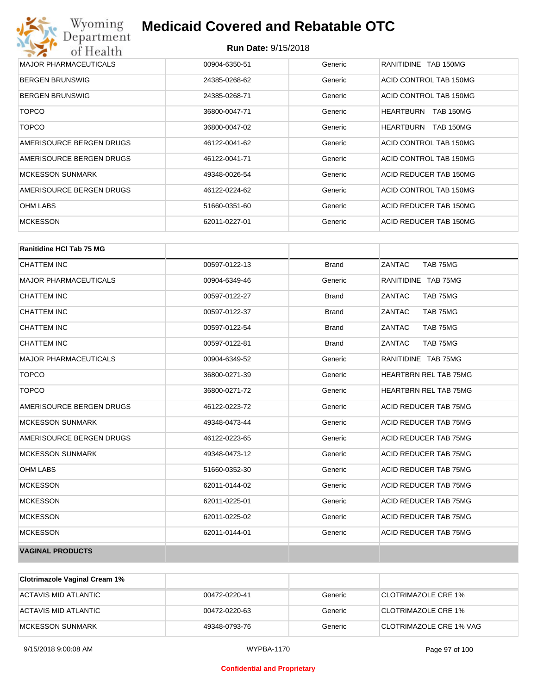| Wyoming<br>Department                   | <b>Medicaid Covered and Rebatable OTC</b> |         |                                      |  |
|-----------------------------------------|-------------------------------------------|---------|--------------------------------------|--|
| <b>Run Date: 9/15/2018</b><br>of Health |                                           |         |                                      |  |
| <b>MAJOR PHARMACEUTICALS</b>            | 00904-6350-51                             | Generic | RANITIDINE TAB 150MG                 |  |
| <b>BERGEN BRUNSWIG</b>                  | 24385-0268-62                             | Generic | ACID CONTROL TAB 150MG               |  |
| <b>BERGEN BRUNSWIG</b>                  | 24385-0268-71                             | Generic | ACID CONTROL TAB 150MG               |  |
| <b>TOPCO</b>                            | 36800-0047-71                             | Generic | <b>HEARTBURN</b><br><b>TAB 150MG</b> |  |
| <b>TOPCO</b>                            | 36800-0047-02                             | Generic | <b>HEARTBURN</b><br><b>TAB 150MG</b> |  |
| AMERISOURCE BERGEN DRUGS                | 46122-0041-62                             | Generic | ACID CONTROL TAB 150MG               |  |
| AMERISOURCE BERGEN DRUGS                | 46122-0041-71                             | Generic | ACID CONTROL TAB 150MG               |  |
| <b>MCKESSON SUNMARK</b>                 | 49348-0026-54                             | Generic | ACID REDUCER TAB 150MG               |  |
| AMERISOURCE BERGEN DRUGS                | 46122-0224-62                             | Generic | ACID CONTROL TAB 150MG               |  |
| <b>OHM LABS</b>                         | 51660-0351-60                             | Generic | ACID REDUCER TAB 150MG               |  |
| <b>MCKESSON</b>                         | 62011-0227-01                             | Generic | ACID REDUCER TAB 150MG               |  |

| <b>Ranitidine HCI Tab 75 MG</b> |               |              |                              |
|---------------------------------|---------------|--------------|------------------------------|
| <b>CHATTEM INC</b>              | 00597-0122-13 | <b>Brand</b> | ZANTAC<br>TAB 75MG           |
| <b>MAJOR PHARMACEUTICALS</b>    | 00904-6349-46 | Generic      | RANITIDINE TAB 75MG          |
| <b>CHATTEM INC</b>              | 00597-0122-27 | <b>Brand</b> | ZANTAC<br>TAB 75MG           |
| <b>CHATTEM INC</b>              | 00597-0122-37 | <b>Brand</b> | ZANTAC<br>TAB 75MG           |
| <b>CHATTEM INC</b>              | 00597-0122-54 | <b>Brand</b> | ZANTAC<br>TAB 75MG           |
| <b>CHATTEM INC</b>              | 00597-0122-81 | <b>Brand</b> | ZANTAC<br>TAB 75MG           |
| <b>MAJOR PHARMACEUTICALS</b>    | 00904-6349-52 | Generic      | RANITIDINE TAB 75MG          |
| <b>TOPCO</b>                    | 36800-0271-39 | Generic      | <b>HEARTBRN REL TAB 75MG</b> |
| <b>TOPCO</b>                    | 36800-0271-72 | Generic      | <b>HEARTBRN REL TAB 75MG</b> |
| AMERISOURCE BERGEN DRUGS        | 46122-0223-72 | Generic      | ACID REDUCER TAB 75MG        |
| <b>MCKESSON SUNMARK</b>         | 49348-0473-44 | Generic      | ACID REDUCER TAB 75MG        |
| AMERISOURCE BERGEN DRUGS        | 46122-0223-65 | Generic      | ACID REDUCER TAB 75MG        |
| <b>MCKESSON SUNMARK</b>         | 49348-0473-12 | Generic      | ACID REDUCER TAB 75MG        |
| <b>OHM LABS</b>                 | 51660-0352-30 | Generic      | ACID REDUCER TAB 75MG        |
| <b>MCKESSON</b>                 | 62011-0144-02 | Generic      | ACID REDUCER TAB 75MG        |
| <b>MCKESSON</b>                 | 62011-0225-01 | Generic      | ACID REDUCER TAB 75MG        |
| <b>MCKESSON</b>                 | 62011-0225-02 | Generic      | ACID REDUCER TAB 75MG        |
| <b>MCKESSON</b>                 | 62011-0144-01 | Generic      | ACID REDUCER TAB 75MG        |
| <b>VAGINAL PRODUCTS</b>         |               |              |                              |

| <b>Clotrimazole Vaginal Cream 1%</b> |               |         |                            |
|--------------------------------------|---------------|---------|----------------------------|
| ACTAVIS MID ATLANTIC                 | 00472-0220-41 | Generic | <b>CLOTRIMAZOLE CRE 1%</b> |
| ACTAVIS MID ATLANTIC                 | 00472-0220-63 | Generic | CLOTRIMAZOLE CRE 1%        |
| IMCKESSON SUNMARK                    | 49348-0793-76 | Generic | CLOTRIMAZOLE CRE 1% VAG    |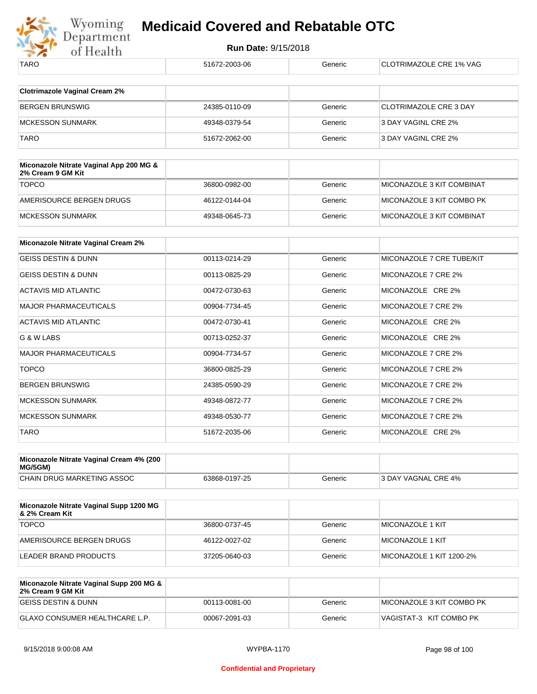

| TARO                                                         | 51672-2003-06 | Generic | <b>CLOTRIMAZOLE CRE 1% VAG</b> |
|--------------------------------------------------------------|---------------|---------|--------------------------------|
|                                                              |               |         |                                |
| <b>Clotrimazole Vaginal Cream 2%</b>                         |               |         |                                |
| <b>BERGEN BRUNSWIG</b>                                       | 24385-0110-09 | Generic | <b>CLOTRIMAZOLE CRE 3 DAY</b>  |
| <b>MCKESSON SUNMARK</b>                                      | 49348-0379-54 | Generic | 3 DAY VAGINL CRE 2%            |
| <b>TARO</b>                                                  | 51672-2062-00 | Generic | 3 DAY VAGINL CRE 2%            |
|                                                              |               |         |                                |
| Miconazole Nitrate Vaginal App 200 MG &<br>2% Cream 9 GM Kit |               |         |                                |
| <b>TOPCO</b>                                                 | 36800-0982-00 | Generic | MICONAZOLE 3 KIT COMBINAT      |
| AMERISOURCE BERGEN DRUGS                                     | 46122-0144-04 | Generic | MICONAZOLE 3 KIT COMBO PK      |
| <b>MCKESSON SUNMARK</b>                                      | 49348-0645-73 | Generic | MICONAZOLE 3 KIT COMBINAT      |
|                                                              |               |         |                                |
| Miconazole Nitrate Vaginal Cream 2%                          |               |         |                                |
| <b>GEISS DESTIN &amp; DUNN</b>                               | 00113-0214-29 | Generic | MICONAZOLE 7 CRE TUBE/KIT      |
| <b>GEISS DESTIN &amp; DUNN</b>                               | 00113-0825-29 | Generic | MICONAZOLE 7 CRE 2%            |
| <b>ACTAVIS MID ATLANTIC</b>                                  | 00472-0730-63 | Generic | MICONAZOLE CRE 2%              |
| <b>MAJOR PHARMACEUTICALS</b>                                 | 00904-7734-45 | Generic | MICONAZOLE 7 CRE 2%            |
| <b>ACTAVIS MID ATLANTIC</b>                                  | 00472-0730-41 | Generic | MICONAZOLE CRE 2%              |
| G & W LABS                                                   | 00713-0252-37 | Generic | MICONAZOLE CRE 2%              |
| <b>MAJOR PHARMACEUTICALS</b>                                 | 00904-7734-57 | Generic | MICONAZOLE 7 CRE 2%            |
| <b>TOPCO</b>                                                 | 36800-0825-29 | Generic | MICONAZOLE 7 CRE 2%            |
| <b>BERGEN BRUNSWIG</b>                                       | 24385-0590-29 | Generic | MICONAZOLE 7 CRE 2%            |
| <b>MCKESSON SUNMARK</b>                                      | 49348-0872-77 | Generic | MICONAZOLE 7 CRE 2%            |
| <b>MCKESSON SUNMARK</b>                                      | 49348-0530-77 | Generic | MICONAZOLE 7 CRE 2%            |
| <b>TARO</b>                                                  | 51672-2035-06 | Generic | MICONAZOLE CRE 2%              |
|                                                              |               |         |                                |

| Miconazole Nitrate Vaginal Cream 4% (200<br>MG/5GM) |               |         |                     |
|-----------------------------------------------------|---------------|---------|---------------------|
| <b>CHAIN DRUG MARKETING ASSOC</b>                   | 63868-0197-25 | Generic | 3 DAY VAGNAL CRE 4% |

| Miconazole Nitrate Vaginal Supp 1200 MG<br>8. 2% Cream Kit |               |         |                          |
|------------------------------------------------------------|---------------|---------|--------------------------|
| <b>TOPCO</b>                                               | 36800-0737-45 | Generic | MICONAZOLE 1 KIT         |
| AMERISOURCE BERGEN DRUGS                                   | 46122-0027-02 | Generic | MICONAZOLE 1 KIT         |
| LEADER BRAND PRODUCTS                                      | 37205-0640-03 | Generic | MICONAZOLE 1 KIT 1200-2% |

| Miconazole Nitrate Vaginal Supp 200 MG &<br>2% Cream 9 GM Kit |               |         |                           |
|---------------------------------------------------------------|---------------|---------|---------------------------|
| IGEISS DESTIN & DUNN                                          | 00113-0081-00 | Generic | MICONAZOLE 3 KIT COMBO PK |
| GLAXO CONSUMER HEALTHCARE L.P.                                | 00067-2091-03 | Generic | VAGISTAT-3 KIT COMBO PK   |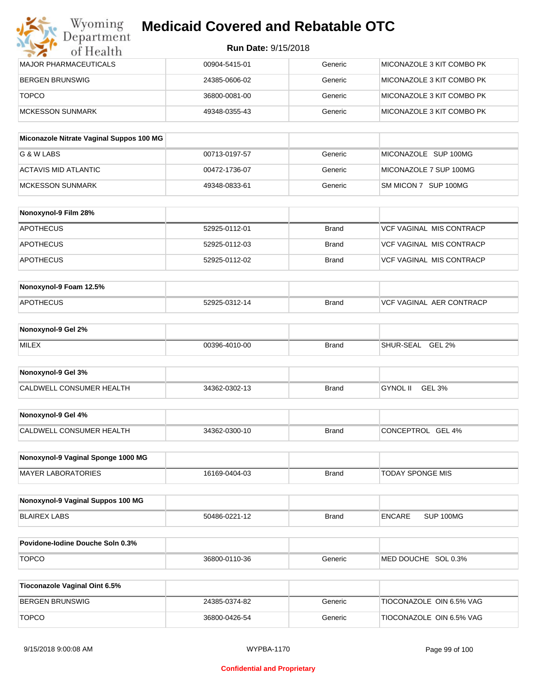| MAJOR PHARMACEUTICALS | 00904-5415-01 | Generic | MICONAZOLE 3 KIT COMBO PK  |
|-----------------------|---------------|---------|----------------------------|
| IBERGEN BRUNSWIG      | 24385-0606-02 | Generic | MICONAZOLE 3 KIT COMBO PK  |
| <b>TOPCO</b>          | 36800-0081-00 | Generic | MICONAZOLE 3 KIT COMBO PK  |
| IMCKESSON SUNMARK     | 49348-0355-43 | Generic | IMICONAZOLE 3 KIT COMBO PK |

| Miconazole Nitrate Vaginal Suppos 100 MG |               |         |                        |
|------------------------------------------|---------------|---------|------------------------|
| G & W LABS                               | 00713-0197-57 | Generic | MICONAZOLE SUP 100MG   |
| ACTAVIS MID ATLANTIC                     | 00472-1736-07 | Generic | MICONAZOLE 7 SUP 100MG |
| IMCKESSON SUNMARK                        | 49348-0833-61 | Generic | SM MICON 7 SUP 100MG   |

| Nonoxynol-9 Film 28% |               |       |                          |
|----------------------|---------------|-------|--------------------------|
| APOTHECUS            | 52925-0112-01 | Brand | VCF VAGINAL MIS CONTRACP |
| <b>APOTHECUS</b>     | 52925-0112-03 | Brand | VCF VAGINAL MIS CONTRACP |
| APOTHECUS            | 52925-0112-02 | Brand | VCF VAGINAL MIS CONTRACP |

| Nonoxynol-9 Foam 12.5% |               |              |                          |
|------------------------|---------------|--------------|--------------------------|
| <b>APOTHECUS</b>       | 52925-0312-14 | <b>Brand</b> | VCF VAGINAL AER CONTRACP |

| Nonoxynol-9 Gel 2% |               |       |                            |
|--------------------|---------------|-------|----------------------------|
| <b>MILEX</b>       | 00396-4010-00 | Brand | <b>GEL 2%</b><br>SHUR-SEAL |

| Nonoxynol-9 Gel 3%       |               |       |                    |  |
|--------------------------|---------------|-------|--------------------|--|
| CALDWELL CONSUMER HEALTH | 34362-0302-13 | Brand | GEL 3%<br>GYNOL II |  |

| Nonoxynol-9 Gel 4%       |               |       |                   |
|--------------------------|---------------|-------|-------------------|
| CALDWELL CONSUMER HEALTH | 34362-0300-10 | Brand | CONCEPTROL GEL 4% |

| Nonoxynol-9 Vaginal Sponge 1000 MG |               |       |                         |
|------------------------------------|---------------|-------|-------------------------|
| <b>MAYER LABORATORIES</b>          | 16169-0404-03 | Brand | <b>TODAY SPONGE MIS</b> |

| Nonoxynol-9 Vaginal Suppos 100 MG |               |       |        |           |
|-----------------------------------|---------------|-------|--------|-----------|
| BLAIREX LABS                      | 50486-0221-12 | Brand | ENCARE | SUP 100MG |

| <b>Povidone-lodine Douche Soln 0.3%</b> |               |         |                        |
|-----------------------------------------|---------------|---------|------------------------|
| <b>TOPCO</b>                            | 36800-0110-36 | Generic | SOL 0.3%<br>MED DOUCHE |

| Tioconazole Vaginal Oint 6.5% |               |         |                          |
|-------------------------------|---------------|---------|--------------------------|
| BERGEN BRUNSWIG               | 24385-0374-82 | Generic | TIOCONAZOLE OIN 6.5% VAG |
| <b>TOPCO</b>                  | 36800-0426-54 | Generic | TIOCONAZOLE OIN 6.5% VAG |